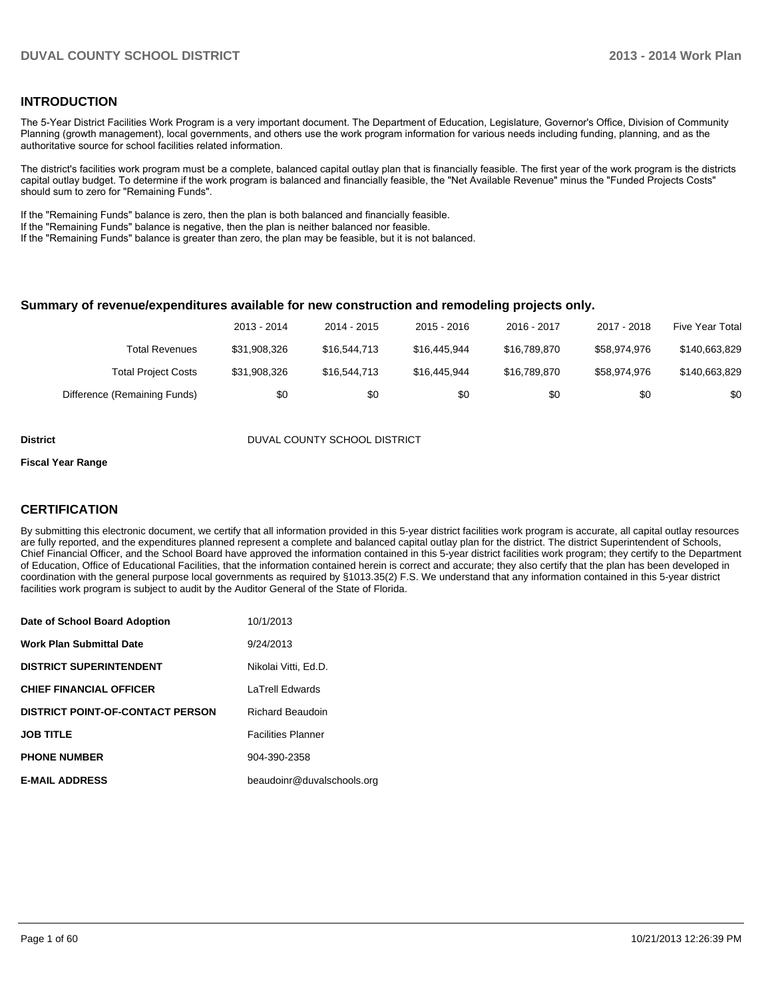### **INTRODUCTION**

The 5-Year District Facilities Work Program is a very important document. The Department of Education, Legislature, Governor's Office, Division of Community Planning (growth management), local governments, and others use the work program information for various needs including funding, planning, and as the authoritative source for school facilities related information.

The district's facilities work program must be a complete, balanced capital outlay plan that is financially feasible. The first year of the work program is the districts capital outlay budget. To determine if the work program is balanced and financially feasible, the "Net Available Revenue" minus the "Funded Projects Costs" should sum to zero for "Remaining Funds".

If the "Remaining Funds" balance is zero, then the plan is both balanced and financially feasible.

If the "Remaining Funds" balance is negative, then the plan is neither balanced nor feasible.

If the "Remaining Funds" balance is greater than zero, the plan may be feasible, but it is not balanced.

#### **Summary of revenue/expenditures available for new construction and remodeling projects only.**

| Five Year Total | 2017 - 2018  | 2016 - 2017  | 2015 - 2016  | 2014 - 2015  | 2013 - 2014  |                              |
|-----------------|--------------|--------------|--------------|--------------|--------------|------------------------------|
| \$140,663,829   | \$58,974,976 | \$16.789.870 | \$16,445,944 | \$16,544,713 | \$31.908.326 | Total Revenues               |
| \$140,663,829   | \$58.974.976 | \$16.789.870 | \$16,445,944 | \$16,544,713 | \$31,908,326 | <b>Total Project Costs</b>   |
| \$0             | \$0          | \$0          | \$0          | \$0          | \$0          | Difference (Remaining Funds) |

**District District DUVAL COUNTY SCHOOL DISTRICT** 

#### **Fiscal Year Range**

## **CERTIFICATION**

By submitting this electronic document, we certify that all information provided in this 5-year district facilities work program is accurate, all capital outlay resources are fully reported, and the expenditures planned represent a complete and balanced capital outlay plan for the district. The district Superintendent of Schools, Chief Financial Officer, and the School Board have approved the information contained in this 5-year district facilities work program; they certify to the Department of Education, Office of Educational Facilities, that the information contained herein is correct and accurate; they also certify that the plan has been developed in coordination with the general purpose local governments as required by §1013.35(2) F.S. We understand that any information contained in this 5-year district facilities work program is subject to audit by the Auditor General of the State of Florida.

| Date of School Board Adoption           | 10/1/2013                  |
|-----------------------------------------|----------------------------|
| <b>Work Plan Submittal Date</b>         | 9/24/2013                  |
| <b>DISTRICT SUPERINTENDENT</b>          | Nikolai Vitti. Ed.D.       |
| <b>CHIEF FINANCIAL OFFICER</b>          | <b>LaTrell Edwards</b>     |
| <b>DISTRICT POINT-OF-CONTACT PERSON</b> | <b>Richard Beaudoin</b>    |
| <b>JOB TITLE</b>                        | <b>Facilities Planner</b>  |
| <b>PHONE NUMBER</b>                     | 904-390-2358               |
| <b>E-MAIL ADDRESS</b>                   | beaudoinr@duvalschools.org |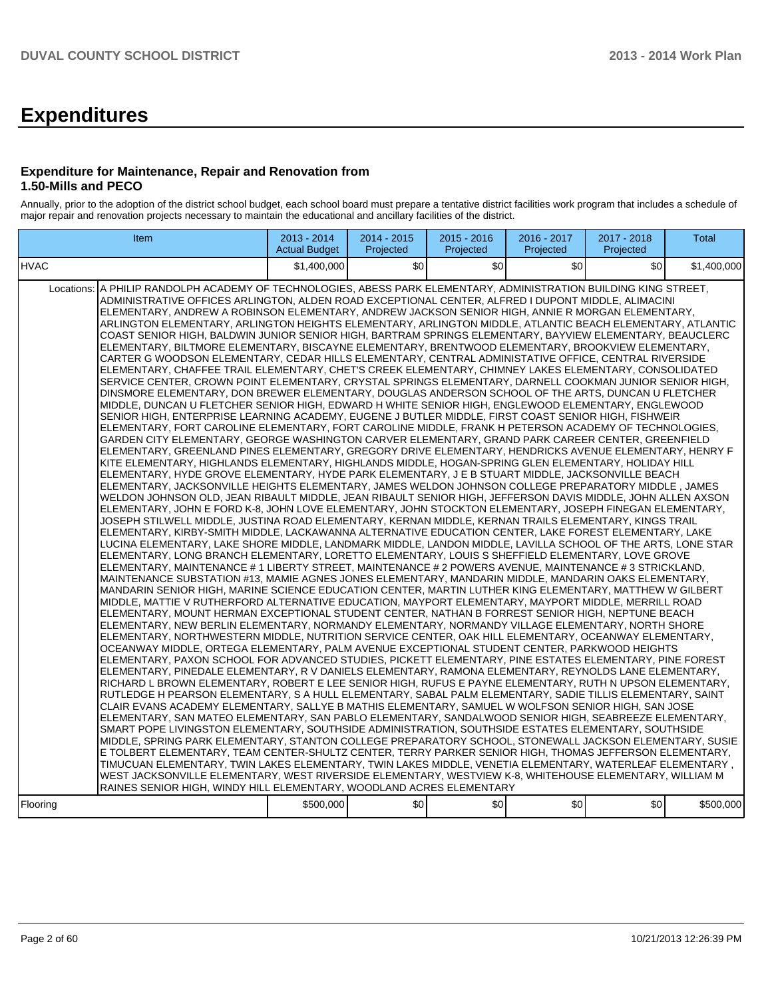# **Expenditures**

## **Expenditure for Maintenance, Repair and Renovation from 1.50-Mills and PECO**

Annually, prior to the adoption of the district school budget, each school board must prepare a tentative district facilities work program that includes a schedule of major repair and renovation projects necessary to maintain the educational and ancillary facilities of the district.

| <b>Item</b>                                                                                                                                                                                                                                                                                                                                                                                                                                                                                                                                                                                                                                                                                                                                                                                                                                                                                                                                                                                                                                                                                                                                                                                                                                                                                                                                                                                                                                                                                                                                                                                                                                                                                                                                                                                                                                                                                                                                                                                                                                                                                                                                                                                                                                                                                                                                                                                                                                                                                                                                                                                                                                                                                                                                                                                                                                                                                                                                                                                                                                                                                                                                                                                                                                                                                                                                                                                                                                                                                                                                                                                                                                                                                                                                                                                                                                                                                                                                                                                                                                                                                                                                                                                                                                                                                                                                                                                                                                                                                                                                                                                                                                                                                                                                                                     | $2013 - 2014$<br><b>Actual Budget</b> | 2014 - 2015<br>Projected | $2015 - 2016$<br>Projected | 2016 - 2017<br>Projected | 2017 - 2018<br>Projected | Total       |
|---------------------------------------------------------------------------------------------------------------------------------------------------------------------------------------------------------------------------------------------------------------------------------------------------------------------------------------------------------------------------------------------------------------------------------------------------------------------------------------------------------------------------------------------------------------------------------------------------------------------------------------------------------------------------------------------------------------------------------------------------------------------------------------------------------------------------------------------------------------------------------------------------------------------------------------------------------------------------------------------------------------------------------------------------------------------------------------------------------------------------------------------------------------------------------------------------------------------------------------------------------------------------------------------------------------------------------------------------------------------------------------------------------------------------------------------------------------------------------------------------------------------------------------------------------------------------------------------------------------------------------------------------------------------------------------------------------------------------------------------------------------------------------------------------------------------------------------------------------------------------------------------------------------------------------------------------------------------------------------------------------------------------------------------------------------------------------------------------------------------------------------------------------------------------------------------------------------------------------------------------------------------------------------------------------------------------------------------------------------------------------------------------------------------------------------------------------------------------------------------------------------------------------------------------------------------------------------------------------------------------------------------------------------------------------------------------------------------------------------------------------------------------------------------------------------------------------------------------------------------------------------------------------------------------------------------------------------------------------------------------------------------------------------------------------------------------------------------------------------------------------------------------------------------------------------------------------------------------------------------------------------------------------------------------------------------------------------------------------------------------------------------------------------------------------------------------------------------------------------------------------------------------------------------------------------------------------------------------------------------------------------------------------------------------------------------------------------------------------------------------------------------------------------------------------------------------------------------------------------------------------------------------------------------------------------------------------------------------------------------------------------------------------------------------------------------------------------------------------------------------------------------------------------------------------------------------------------------------------------------------------------------------------------------------------------------------------------------------------------------------------------------------------------------------------------------------------------------------------------------------------------------------------------------------------------------------------------------------------------------------------------------------------------------------------------------------------------------------------------------------------------------------------|---------------------------------------|--------------------------|----------------------------|--------------------------|--------------------------|-------------|
| <b>HVAC</b>                                                                                                                                                                                                                                                                                                                                                                                                                                                                                                                                                                                                                                                                                                                                                                                                                                                                                                                                                                                                                                                                                                                                                                                                                                                                                                                                                                                                                                                                                                                                                                                                                                                                                                                                                                                                                                                                                                                                                                                                                                                                                                                                                                                                                                                                                                                                                                                                                                                                                                                                                                                                                                                                                                                                                                                                                                                                                                                                                                                                                                                                                                                                                                                                                                                                                                                                                                                                                                                                                                                                                                                                                                                                                                                                                                                                                                                                                                                                                                                                                                                                                                                                                                                                                                                                                                                                                                                                                                                                                                                                                                                                                                                                                                                                                                     | \$1,400,000                           | \$0                      | \$0                        | \$0                      | \$0                      | \$1,400,000 |
| Locations: A PHILIP RANDOLPH ACADEMY OF TECHNOLOGIES, ABESS PARK ELEMENTARY, ADMINISTRATION BUILDING KING STREET,<br>ADMINISTRATIVE OFFICES ARLINGTON, ALDEN ROAD EXCEPTIONAL CENTER, ALFRED I DUPONT MIDDLE, ALIMACINI<br>ELEMENTARY, ANDREW A ROBINSON ELEMENTARY, ANDREW JACKSON SENIOR HIGH, ANNIE R MORGAN ELEMENTARY.<br>ARLINGTON ELEMENTARY, ARLINGTON HEIGHTS ELEMENTARY, ARLINGTON MIDDLE, ATLANTIC BEACH ELEMENTARY, ATLANTIC<br>COAST SENIOR HIGH, BALDWIN JUNIOR SENIOR HIGH, BARTRAM SPRINGS ELEMENTARY, BAYVIEW ELEMENTARY, BEAUCLERC<br>ELEMENTARY, BILTMORE ELEMENTARY, BISCAYNE ELEMENTARY, BRENTWOOD ELEMENTARY, BROOKVIEW ELEMENTARY,<br>CARTER G WOODSON ELEMENTARY, CEDAR HILLS ELEMENTARY, CENTRAL ADMINISTATIVE OFFICE, CENTRAL RIVERSIDE<br>ELEMENTARY, CHAFFEE TRAIL ELEMENTARY, CHET'S CREEK ELEMENTARY, CHIMNEY LAKES ELEMENTARY, CONSOLIDATED<br>SERVICE CENTER, CROWN POINT ELEMENTARY, CRYSTAL SPRINGS ELEMENTARY, DARNELL COOKMAN JUNIOR SENIOR HIGH,<br>DINSMORE ELEMENTARY. DON BREWER ELEMENTARY. DOUGLAS ANDERSON SCHOOL OF THE ARTS. DUNCAN U FLETCHER<br>MIDDLE, DUNCAN U FLETCHER SENIOR HIGH, EDWARD H WHITE SENIOR HIGH, ENGLEWOOD ELEMENTARY, ENGLEWOOD<br>SENIOR HIGH, ENTERPRISE LEARNING ACADEMY, EUGENE J BUTLER MIDDLE, FIRST COAST SENIOR HIGH, FISHWEIR<br>ELEMENTARY, FORT CAROLINE ELEMENTARY, FORT CAROLINE MIDDLE, FRANK H PETERSON ACADEMY OF TECHNOLOGIES,<br>GARDEN CITY ELEMENTARY, GEORGE WASHINGTON CARVER ELEMENTARY, GRAND PARK CAREER CENTER, GREENFIELD<br>IELEMENTARY, GREENLAND PINES ELEMENTARY, GREGORY DRIVE ELEMENTARY, HENDRICKS AVENUE ELEMENTARY, HENRY F<br>KITE ELEMENTARY, HIGHLANDS ELEMENTARY, HIGHLANDS MIDDLE, HOGAN-SPRING GLEN ELEMENTARY, HOLIDAY HILL<br>ELEMENTARY, HYDE GROVE ELEMENTARY, HYDE PARK ELEMENTARY, J E B STUART MIDDLE, JACKSONVILLE BEACH<br>ELEMENTARY, JACKSONVILLE HEIGHTS ELEMENTARY, JAMES WELDON JOHNSON COLLEGE PREPARATORY MIDDLE, JAMES<br>IWELDON JOHNSON OLD, JEAN RIBAULT MIDDLE, JEAN RIBAULT SENIOR HIGH, JEFFERSON DAVIS MIDDLE, JOHN ALLEN AXSON<br>ELEMENTARY, JOHN E FORD K-8, JOHN LOVE ELEMENTARY, JOHN STOCKTON ELEMENTARY, JOSEPH FINEGAN ELEMENTARY,<br>JOSEPH STILWELL MIDDLE, JUSTINA ROAD ELEMENTARY, KERNAN MIDDLE, KERNAN TRAILS ELEMENTARY, KINGS TRAIL<br>ELEMENTARY, KIRBY-SMITH MIDDLE, LACKAWANNA ALTERNATIVE EDUCATION CENTER, LAKE FOREST ELEMENTARY, LAKE<br>LUCINA ELEMENTARY, LAKE SHORE MIDDLE, LANDMARK MIDDLE, LANDON MIDDLE, LAVILLA SCHOOL OF THE ARTS, LONE STAR<br>ELEMENTARY, LONG BRANCH ELEMENTARY, LORETTO ELEMENTARY, LOUIS S SHEFFIELD ELEMENTARY, LOVE GROVE<br>ELEMENTARY, MAINTENANCE # 1 LIBERTY STREET, MAINTENANCE # 2 POWERS AVENUE, MAINTENANCE # 3 STRICKLAND,<br>MAINTENANCE SUBSTATION #13, MAMIE AGNES JONES ELEMENTARY, MANDARIN MIDDLE, MANDARIN OAKS ELEMENTARY,<br>MANDARIN SENIOR HIGH. MARINE SCIENCE EDUCATION CENTER. MARTIN LUTHER KING ELEMENTARY. MATTHEW W GILBERT<br>MIDDLE, MATTIE V RUTHERFORD ALTERNATIVE EDUCATION, MAYPORT ELEMENTARY, MAYPORT MIDDLE, MERRILL ROAD<br>ELEMENTARY, MOUNT HERMAN EXCEPTIONAL STUDENT CENTER, NATHAN B FORREST SENIOR HIGH, NEPTUNE BEACH<br>ELEMENTARY, NEW BERLIN ELEMENTARY, NORMANDY ELEMENTARY, NORMANDY VILLAGE ELEMENTARY, NORTH SHORE<br>ELEMENTARY, NORTHWESTERN MIDDLE, NUTRITION SERVICE CENTER, OAK HILL ELEMENTARY, OCEANWAY ELEMENTARY,<br>OCEANWAY MIDDLE, ORTEGA ELEMENTARY, PALM AVENUE EXCEPTIONAL STUDENT CENTER, PARKWOOD HEIGHTS<br>ELEMENTARY, PAXON SCHOOL FOR ADVANCED STUDIES, PICKETT ELEMENTARY, PINE ESTATES ELEMENTARY, PINE FOREST<br>ELEMENTARY, PINEDALE ELEMENTARY, R V DANIELS ELEMENTARY, RAMONA ELEMENTARY, REYNOLDS LANE ELEMENTARY,<br>RICHARD L BROWN ELEMENTARY, ROBERT E LEE SENIOR HIGH, RUFUS E PAYNE ELEMENTARY, RUTH N UPSON ELEMENTARY,<br>IRUTLEDGE H PEARSON ELEMENTARY, S A HULL ELEMENTARY, SABAL PALM ELEMENTARY, SADIE TILLIS ELEMENTARY, SAINT<br>CLAIR EVANS ACADEMY ELEMENTARY, SALLYE B MATHIS ELEMENTARY, SAMUEL W WOLFSON SENIOR HIGH, SAN JOSE<br>ELEMENTARY, SAN MATEO ELEMENTARY, SAN PABLO ELEMENTARY, SANDALWOOD SENIOR HIGH, SEABREEZE ELEMENTARY,<br>SMART POPE LIVINGSTON ELEMENTARY, SOUTHSIDE ADMINISTRATION, SOUTHSIDE ESTATES ELEMENTARY, SOUTHSIDE<br>MIDDLE, SPRING PARK ELEMENTARY, STANTON COLLEGE PREPARATORY SCHOOL, STONEWALL JACKSON ELEMENTARY, SUSIE<br>E TOLBERT ELEMENTARY, TEAM CENTER-SHULTZ CENTER, TERRY PARKER SENIOR HIGH, THOMAS JEFFERSON ELEMENTARY,<br>, TIMUCUAN ELEMENTARY, TWIN LAKES ELEMENTARY, TWIN LAKES MIDDLE, VENETIA ELEMENTARY, WATERLEAF ELEMENTARY (<br>WEST JACKSONVILLE ELEMENTARY, WEST RIVERSIDE ELEMENTARY, WESTVIEW K-8, WHITEHOUSE ELEMENTARY, WILLIAM M<br>RAINES SENIOR HIGH, WINDY HILL ELEMENTARY, WOODLAND ACRES ELEMENTARY<br>Flooring | \$500,000                             | \$0                      | \$0                        | \$0                      | \$0                      | \$500,000   |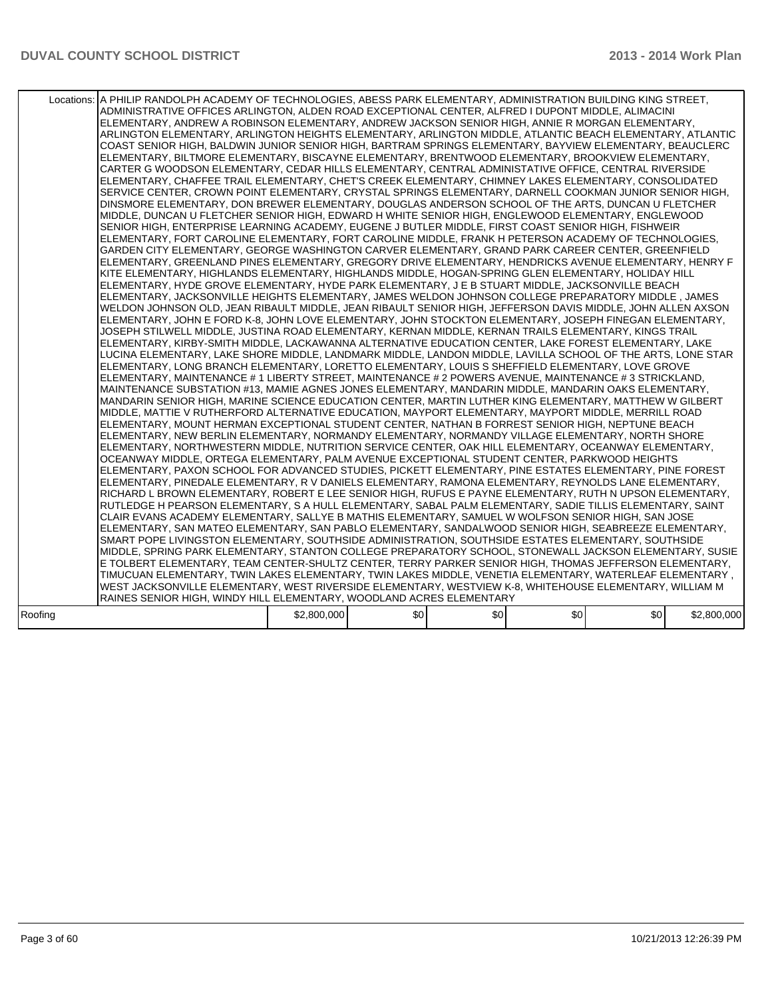|         | Locations:   A PHILIP RANDOLPH ACADEMY OF TECHNOLOGIES, ABESS PARK ELEMENTARY, ADMINISTRATION BUILDING KING STREET,<br>ADMINISTRATIVE OFFICES ARLINGTON, ALDEN ROAD EXCEPTIONAL CENTER, ALFRED I DUPONT MIDDLE, ALIMACINI<br>ELEMENTARY, ANDREW A ROBINSON ELEMENTARY, ANDREW JACKSON SENIOR HIGH, ANNIE R MORGAN ELEMENTARY,<br>ARLINGTON ELEMENTARY, ARLINGTON HEIGHTS ELEMENTARY, ARLINGTON MIDDLE, ATLANTIC BEACH ELEMENTARY, ATLANTIC<br>COAST SENIOR HIGH, BALDWIN JUNIOR SENIOR HIGH, BARTRAM SPRINGS ELEMENTARY, BAYVIEW ELEMENTARY, BEAUCLERC<br>ELEMENTARY, BILTMORE ELEMENTARY, BISCAYNE ELEMENTARY, BRENTWOOD ELEMENTARY, BROOKVIEW ELEMENTARY,<br>CARTER G WOODSON ELEMENTARY, CEDAR HILLS ELEMENTARY, CENTRAL ADMINISTATIVE OFFICE, CENTRAL RIVERSIDE<br>ELEMENTARY, CHAFFEE TRAIL ELEMENTARY, CHET'S CREEK ELEMENTARY, CHIMNEY LAKES ELEMENTARY, CONSOLIDATED<br>SERVICE CENTER, CROWN POINT ELEMENTARY, CRYSTAL SPRINGS ELEMENTARY, DARNELL COOKMAN JUNIOR SENIOR HIGH,<br>DINSMORE ELEMENTARY, DON BREWER ELEMENTARY, DOUGLAS ANDERSON SCHOOL OF THE ARTS, DUNCAN U FLETCHER<br>MIDDLE, DUNCAN U FLETCHER SENIOR HIGH, EDWARD H WHITE SENIOR HIGH, ENGLEWOOD ELEMENTARY, ENGLEWOOD<br>SENIOR HIGH, ENTERPRISE LEARNING ACADEMY, EUGENE J BUTLER MIDDLE, FIRST COAST SENIOR HIGH, FISHWEIR<br>ELEMENTARY, FORT CAROLINE ELEMENTARY, FORT CAROLINE MIDDLE, FRANK H PETERSON ACADEMY OF TECHNOLOGIES,<br>GARDEN CITY ELEMENTARY, GEORGE WASHINGTON CARVER ELEMENTARY, GRAND PARK CAREER CENTER, GREENFIELD<br>ELEMENTARY, GREENLAND PINES ELEMENTARY, GREGORY DRIVE ELEMENTARY, HENDRICKS AVENUE ELEMENTARY, HENRY F<br>KITE ELEMENTARY, HIGHLANDS ELEMENTARY, HIGHLANDS MIDDLE, HOGAN-SPRING GLEN ELEMENTARY, HOLIDAY HILL<br>ELEMENTARY, HYDE GROVE ELEMENTARY, HYDE PARK ELEMENTARY, J E B STUART MIDDLE, JACKSONVILLE BEACH<br>ELEMENTARY, JACKSONVILLE HEIGHTS ELEMENTARY, JAMES WELDON JOHNSON COLLEGE PREPARATORY MIDDLE, JAMES<br>WELDON JOHNSON OLD, JEAN RIBAULT MIDDLE, JEAN RIBAULT SENIOR HIGH, JEFFERSON DAVIS MIDDLE, JOHN ALLEN AXSON<br>ELEMENTARY, JOHN E FORD K-8, JOHN LOVE ELEMENTARY, JOHN STOCKTON ELEMENTARY, JOSEPH FINEGAN ELEMENTARY,<br>JOSEPH STILWELL MIDDLE. JUSTINA ROAD ELEMENTARY. KERNAN MIDDLE. KERNAN TRAILS ELEMENTARY. KINGS TRAIL<br>ELEMENTARY, KIRBY-SMITH MIDDLE, LACKAWANNA ALTERNATIVE EDUCATION CENTER, LAKE FOREST ELEMENTARY, LAKE<br>LUCINA ELEMENTARY, LAKE SHORE MIDDLE, LANDMARK MIDDLE, LANDON MIDDLE, LAVILLA SCHOOL OF THE ARTS, LONE STAR<br>ELEMENTARY, LONG BRANCH ELEMENTARY, LORETTO ELEMENTARY, LOUIS S SHEFFIELD ELEMENTARY, LOVE GROVE<br>ELEMENTARY, MAINTENANCE # 1 LIBERTY STREET, MAINTENANCE # 2 POWERS AVENUE, MAINTENANCE # 3 STRICKLAND,<br>MAINTENANCE SUBSTATION #13, MAMIE AGNES JONES ELEMENTARY, MANDARIN MIDDLE, MANDARIN OAKS ELEMENTARY,<br>MANDARIN SENIOR HIGH, MARINE SCIENCE EDUCATION CENTER, MARTIN LUTHER KING ELEMENTARY, MATTHEW W GILBERT<br>MIDDLE, MATTIE V RUTHERFORD ALTERNATIVE EDUCATION, MAYPORT ELEMENTARY, MAYPORT MIDDLE, MERRILL ROAD<br>ELEMENTARY, MOUNT HERMAN EXCEPTIONAL STUDENT CENTER, NATHAN B FORREST SENIOR HIGH, NEPTUNE BEACH<br>ELEMENTARY, NEW BERLIN ELEMENTARY, NORMANDY ELEMENTARY, NORMANDY VILLAGE ELEMENTARY, NORTH SHORE<br>ELEMENTARY, NORTHWESTERN MIDDLE, NUTRITION SERVICE CENTER, OAK HILL ELEMENTARY, OCEANWAY ELEMENTARY,<br>OCEANWAY MIDDLE. ORTEGA ELEMENTARY. PALM AVENUE EXCEPTIONAL STUDENT CENTER. PARKWOOD HEIGHTS<br>ELEMENTARY, PAXON SCHOOL FOR ADVANCED STUDIES, PICKETT ELEMENTARY, PINE ESTATES ELEMENTARY, PINE FOREST<br>ELEMENTARY, PINEDALE ELEMENTARY, R V DANIELS ELEMENTARY, RAMONA ELEMENTARY, REYNOLDS LANE ELEMENTARY,<br>RICHARD L BROWN ELEMENTARY, ROBERT E LEE SENIOR HIGH, RUFUS E PAYNE ELEMENTARY, RUTH N UPSON ELEMENTARY,<br>RUTLEDGE H PEARSON ELEMENTARY, S A HULL ELEMENTARY, SABAL PALM ELEMENTARY, SADIE TILLIS ELEMENTARY, SAINT<br>CLAIR EVANS ACADEMY ELEMENTARY, SALLYE B MATHIS ELEMENTARY, SAMUEL W WOLFSON SENIOR HIGH, SAN JOSE<br>ELEMENTARY, SAN MATEO ELEMENTARY, SAN PABLO ELEMENTARY, SANDALWOOD SENIOR HIGH, SEABREEZE ELEMENTARY,<br>SMART POPE LIVINGSTON ELEMENTARY, SOUTHSIDE ADMINISTRATION, SOUTHSIDE ESTATES ELEMENTARY, SOUTHSIDE<br>MIDDLE, SPRING PARK ELEMENTARY, STANTON COLLEGE PREPARATORY SCHOOL, STONEWALL JACKSON ELEMENTARY, SUSIE<br>E TOLBERT ELEMENTARY, TEAM CENTER-SHULTZ CENTER, TERRY PARKER SENIOR HIGH, THOMAS JEFFERSON ELEMENTARY,<br>TIMUCUAN ELEMENTARY, TWIN LAKES ELEMENTARY, TWIN LAKES MIDDLE, VENETIA ELEMENTARY, WATERLEAF ELEMENTARY,<br>WEST JACKSONVILLE ELEMENTARY, WEST RIVERSIDE ELEMENTARY, WESTVIEW K-8, WHITEHOUSE ELEMENTARY, WILLIAM M<br>RAINES SENIOR HIGH, WINDY HILL ELEMENTARY, WOODLAND ACRES ELEMENTARY |             |     |     |     |     |             |
|---------|-----------------------------------------------------------------------------------------------------------------------------------------------------------------------------------------------------------------------------------------------------------------------------------------------------------------------------------------------------------------------------------------------------------------------------------------------------------------------------------------------------------------------------------------------------------------------------------------------------------------------------------------------------------------------------------------------------------------------------------------------------------------------------------------------------------------------------------------------------------------------------------------------------------------------------------------------------------------------------------------------------------------------------------------------------------------------------------------------------------------------------------------------------------------------------------------------------------------------------------------------------------------------------------------------------------------------------------------------------------------------------------------------------------------------------------------------------------------------------------------------------------------------------------------------------------------------------------------------------------------------------------------------------------------------------------------------------------------------------------------------------------------------------------------------------------------------------------------------------------------------------------------------------------------------------------------------------------------------------------------------------------------------------------------------------------------------------------------------------------------------------------------------------------------------------------------------------------------------------------------------------------------------------------------------------------------------------------------------------------------------------------------------------------------------------------------------------------------------------------------------------------------------------------------------------------------------------------------------------------------------------------------------------------------------------------------------------------------------------------------------------------------------------------------------------------------------------------------------------------------------------------------------------------------------------------------------------------------------------------------------------------------------------------------------------------------------------------------------------------------------------------------------------------------------------------------------------------------------------------------------------------------------------------------------------------------------------------------------------------------------------------------------------------------------------------------------------------------------------------------------------------------------------------------------------------------------------------------------------------------------------------------------------------------------------------------------------------------------------------------------------------------------------------------------------------------------------------------------------------------------------------------------------------------------------------------------------------------------------------------------------------------------------------------------------------------------------------------------------------------------------------------------------------------------------------------------------------------------------------------------------------------------------------------------------------------------------------------------------------------------------------------------------------------------------------------------------------------------------------------------------------------------------------------------------------------------------------------------------------------------------------------------------------------------------------------------------------------------------------------------------------------|-------------|-----|-----|-----|-----|-------------|
| Roofing |                                                                                                                                                                                                                                                                                                                                                                                                                                                                                                                                                                                                                                                                                                                                                                                                                                                                                                                                                                                                                                                                                                                                                                                                                                                                                                                                                                                                                                                                                                                                                                                                                                                                                                                                                                                                                                                                                                                                                                                                                                                                                                                                                                                                                                                                                                                                                                                                                                                                                                                                                                                                                                                                                                                                                                                                                                                                                                                                                                                                                                                                                                                                                                                                                                                                                                                                                                                                                                                                                                                                                                                                                                                                                                                                                                                                                                                                                                                                                                                                                                                                                                                                                                                                                                                                                                                                                                                                                                                                                                                                                                                                                                                                                                                                                                 | \$2,800,000 | \$0 | \$0 | \$0 | \$0 | \$2,800,000 |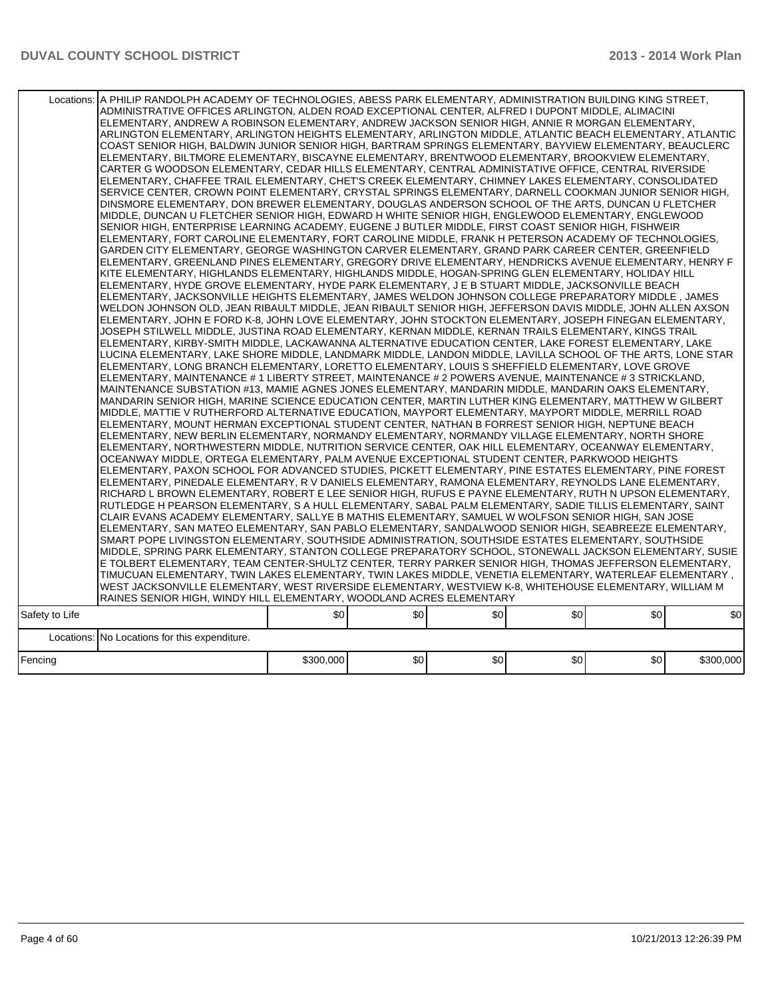|                | Locations: A PHILIP RANDOLPH ACADEMY OF TECHNOLOGIES, ABESS PARK ELEMENTARY, ADMINISTRATION BUILDING KING STREET,<br>ADMINISTRATIVE OFFICES ARLINGTON, ALDEN ROAD EXCEPTIONAL CENTER, ALFRED I DUPONT MIDDLE, ALIMACINI<br>ELEMENTARY, ANDREW A ROBINSON ELEMENTARY, ANDREW JACKSON SENIOR HIGH, ANNIE R MORGAN ELEMENTARY,<br>ARLINGTON ELEMENTARY, ARLINGTON HEIGHTS ELEMENTARY, ARLINGTON MIDDLE, ATLANTIC BEACH ELEMENTARY, ATLANTIC<br>COAST SENIOR HIGH, BALDWIN JUNIOR SENIOR HIGH, BARTRAM SPRINGS ELEMENTARY, BAYVIEW ELEMENTARY, BEAUCLERC<br>ELEMENTARY, BILTMORE ELEMENTARY, BISCAYNE ELEMENTARY, BRENTWOOD ELEMENTARY, BROOKVIEW ELEMENTARY,<br>CARTER G WOODSON ELEMENTARY, CEDAR HILLS ELEMENTARY, CENTRAL ADMINISTATIVE OFFICE, CENTRAL RIVERSIDE<br>ELEMENTARY, CHAFFEE TRAIL ELEMENTARY, CHET'S CREEK ELEMENTARY, CHIMNEY LAKES ELEMENTARY, CONSOLIDATED<br>SERVICE CENTER, CROWN POINT ELEMENTARY, CRYSTAL SPRINGS ELEMENTARY, DARNELL COOKMAN JUNIOR SENIOR HIGH,<br>DINSMORE ELEMENTARY, DON BREWER ELEMENTARY, DOUGLAS ANDERSON SCHOOL OF THE ARTS, DUNCAN U FLETCHER<br>MIDDLE, DUNCAN U FLETCHER SENIOR HIGH, EDWARD H WHITE SENIOR HIGH, ENGLEWOOD ELEMENTARY, ENGLEWOOD<br>SENIOR HIGH, ENTERPRISE LEARNING ACADEMY, EUGENE J BUTLER MIDDLE, FIRST COAST SENIOR HIGH, FISHWEIR<br>ELEMENTARY, FORT CAROLINE ELEMENTARY, FORT CAROLINE MIDDLE, FRANK H PETERSON ACADEMY OF TECHNOLOGIES,<br>IGARDEN CITY ELEMENTARY. GEORGE WASHINGTON CARVER ELEMENTARY. GRAND PARK CAREER CENTER. GREENFIELD<br>ELEMENTARY, GREENLAND PINES ELEMENTARY, GREGORY DRIVE ELEMENTARY, HENDRICKS AVENUE ELEMENTARY, HENRY F<br>KITE ELEMENTARY, HIGHLANDS ELEMENTARY, HIGHLANDS MIDDLE, HOGAN-SPRING GLEN ELEMENTARY, HOLIDAY HILL<br>ELEMENTARY, HYDE GROVE ELEMENTARY, HYDE PARK ELEMENTARY, J E B STUART MIDDLE, JACKSONVILLE BEACH<br>ELEMENTARY, JACKSONVILLE HEIGHTS ELEMENTARY, JAMES WELDON JOHNSON COLLEGE PREPARATORY MIDDLE, JAMES<br>IWELDON JOHNSON OLD, JEAN RIBAULT MIDDLE, JEAN RIBAULT SENIOR HIGH, JEFFERSON DAVIS MIDDLE, JOHN ALLEN AXSON<br>ELEMENTARY, JOHN E FORD K-8, JOHN LOVE ELEMENTARY, JOHN STOCKTON ELEMENTARY, JOSEPH FINEGAN ELEMENTARY,<br>JOSEPH STILWELL MIDDLE, JUSTINA ROAD ELEMENTARY, KERNAN MIDDLE, KERNAN TRAILS ELEMENTARY, KINGS TRAIL<br>ELEMENTARY, KIRBY-SMITH MIDDLE, LACKAWANNA ALTERNATIVE EDUCATION CENTER, LAKE FOREST ELEMENTARY, LAKE<br>LUCINA ELEMENTARY. LAKE SHORE MIDDLE. LANDMARK MIDDLE. LANDON MIDDLE. LAVILLA SCHOOL OF THE ARTS. LONE STAR<br>ELEMENTARY, LONG BRANCH ELEMENTARY, LORETTO ELEMENTARY, LOUIS S SHEFFIELD ELEMENTARY, LOVE GROVE<br>ELEMENTARY, MAINTENANCE # 1 LIBERTY STREET, MAINTENANCE # 2 POWERS AVENUE, MAINTENANCE # 3 STRICKLAND,<br>MAINTENANCE SUBSTATION #13, MAMIE AGNES JONES ELEMENTARY, MANDARIN MIDDLE, MANDARIN OAKS ELEMENTARY,<br>MANDARIN SENIOR HIGH, MARINE SCIENCE EDUCATION CENTER, MARTIN LUTHER KING ELEMENTARY, MATTHEW W GILBERT<br>MIDDLE, MATTIE V RUTHERFORD ALTERNATIVE EDUCATION, MAYPORT ELEMENTARY, MAYPORT MIDDLE, MERRILL ROAD <br>ELEMENTARY. MOUNT HERMAN EXCEPTIONAL STUDENT CENTER. NATHAN B FORREST SENIOR HIGH. NEPTUNE BEACH<br>ELEMENTARY, NEW BERLIN ELEMENTARY, NORMANDY ELEMENTARY, NORMANDY VILLAGE ELEMENTARY, NORTH SHORE<br>ELEMENTARY, NORTHWESTERN MIDDLE, NUTRITION SERVICE CENTER, OAK HILL ELEMENTARY, OCEANWAY ELEMENTARY,<br>OCEANWAY MIDDLE, ORTEGA ELEMENTARY, PALM AVENUE EXCEPTIONAL STUDENT CENTER, PARKWOOD HEIGHTS<br>ELEMENTARY, PAXON SCHOOL FOR ADVANCED STUDIES, PICKETT ELEMENTARY, PINE ESTATES ELEMENTARY, PINE FOREST<br> ELEMENTARY, PINEDALE ELEMENTARY, R V DANIELS ELEMENTARY, RAMONA ELEMENTARY, REYNOLDS LANE ELEMENTARY,<br>RICHARD L BROWN ELEMENTARY, ROBERT E LEE SENIOR HIGH, RUFUS E PAYNE ELEMENTARY, RUTH N UPSON ELEMENTARY,<br>RUTLEDGE H PEARSON ELEMENTARY, S A HULL ELEMENTARY, SABAL PALM ELEMENTARY, SADIE TILLIS ELEMENTARY, SAINT<br>CLAIR EVANS ACADEMY ELEMENTARY, SALLYE B MATHIS ELEMENTARY, SAMUEL W WOLFSON SENIOR HIGH, SAN JOSE<br>ELEMENTARY, SAN MATEO ELEMENTARY, SAN PABLO ELEMENTARY, SANDALWOOD SENIOR HIGH, SEABREEZE ELEMENTARY,<br>SMART POPE LIVINGSTON ELEMENTARY, SOUTHSIDE ADMINISTRATION, SOUTHSIDE ESTATES ELEMENTARY, SOUTHSIDE<br>MIDDLE, SPRING PARK ELEMENTARY, STANTON COLLEGE PREPARATORY SCHOOL, STONEWALL JACKSON ELEMENTARY, SUSIE<br>E TOLBERT ELEMENTARY, TEAM CENTER-SHULTZ CENTER, TERRY PARKER SENIOR HIGH, THOMAS JEFFERSON ELEMENTARY,<br>, TIMUCUAN ELEMENTARY, TWIN LAKES ELEMENTARY, TWIN LAKES MIDDLE, VENETIA ELEMENTARY, WATERLEAF ELEMENTARY (<br>WEST JACKSONVILLE ELEMENTARY, WEST RIVERSIDE ELEMENTARY, WESTVIEW K-8, WHITEHOUSE ELEMENTARY, WILLIAM M |           |     |     |     |     |           |
|----------------|----------------------------------------------------------------------------------------------------------------------------------------------------------------------------------------------------------------------------------------------------------------------------------------------------------------------------------------------------------------------------------------------------------------------------------------------------------------------------------------------------------------------------------------------------------------------------------------------------------------------------------------------------------------------------------------------------------------------------------------------------------------------------------------------------------------------------------------------------------------------------------------------------------------------------------------------------------------------------------------------------------------------------------------------------------------------------------------------------------------------------------------------------------------------------------------------------------------------------------------------------------------------------------------------------------------------------------------------------------------------------------------------------------------------------------------------------------------------------------------------------------------------------------------------------------------------------------------------------------------------------------------------------------------------------------------------------------------------------------------------------------------------------------------------------------------------------------------------------------------------------------------------------------------------------------------------------------------------------------------------------------------------------------------------------------------------------------------------------------------------------------------------------------------------------------------------------------------------------------------------------------------------------------------------------------------------------------------------------------------------------------------------------------------------------------------------------------------------------------------------------------------------------------------------------------------------------------------------------------------------------------------------------------------------------------------------------------------------------------------------------------------------------------------------------------------------------------------------------------------------------------------------------------------------------------------------------------------------------------------------------------------------------------------------------------------------------------------------------------------------------------------------------------------------------------------------------------------------------------------------------------------------------------------------------------------------------------------------------------------------------------------------------------------------------------------------------------------------------------------------------------------------------------------------------------------------------------------------------------------------------------------------------------------------------------------------------------------------------------------------------------------------------------------------------------------------------------------------------------------------------------------------------------------------------------------------------------------------------------------------------------------------------------------------------------------------------------------------------------------------------------------------------------------------------------------------------------------------------------------------------------------------------------------------------------------------------------------------------------------------------------------------------------------------------------------------------------------------------------------------------------------------------------------------------------------------------------------------------------------------------------------------------------------------------------------------|-----------|-----|-----|-----|-----|-----------|
|                | RAINES SENIOR HIGH, WINDY HILL ELEMENTARY, WOODLAND ACRES ELEMENTARY                                                                                                                                                                                                                                                                                                                                                                                                                                                                                                                                                                                                                                                                                                                                                                                                                                                                                                                                                                                                                                                                                                                                                                                                                                                                                                                                                                                                                                                                                                                                                                                                                                                                                                                                                                                                                                                                                                                                                                                                                                                                                                                                                                                                                                                                                                                                                                                                                                                                                                                                                                                                                                                                                                                                                                                                                                                                                                                                                                                                                                                                                                                                                                                                                                                                                                                                                                                                                                                                                                                                                                                                                                                                                                                                                                                                                                                                                                                                                                                                                                                                                                                                                                                                                                                                                                                                                                                                                                                                                                                                                                                                                         |           |     |     |     |     |           |
| Safety to Life |                                                                                                                                                                                                                                                                                                                                                                                                                                                                                                                                                                                                                                                                                                                                                                                                                                                                                                                                                                                                                                                                                                                                                                                                                                                                                                                                                                                                                                                                                                                                                                                                                                                                                                                                                                                                                                                                                                                                                                                                                                                                                                                                                                                                                                                                                                                                                                                                                                                                                                                                                                                                                                                                                                                                                                                                                                                                                                                                                                                                                                                                                                                                                                                                                                                                                                                                                                                                                                                                                                                                                                                                                                                                                                                                                                                                                                                                                                                                                                                                                                                                                                                                                                                                                                                                                                                                                                                                                                                                                                                                                                                                                                                                                              | \$0       | \$0 | \$0 | \$0 | \$0 | \$0       |
|                | Locations: No Locations for this expenditure.                                                                                                                                                                                                                                                                                                                                                                                                                                                                                                                                                                                                                                                                                                                                                                                                                                                                                                                                                                                                                                                                                                                                                                                                                                                                                                                                                                                                                                                                                                                                                                                                                                                                                                                                                                                                                                                                                                                                                                                                                                                                                                                                                                                                                                                                                                                                                                                                                                                                                                                                                                                                                                                                                                                                                                                                                                                                                                                                                                                                                                                                                                                                                                                                                                                                                                                                                                                                                                                                                                                                                                                                                                                                                                                                                                                                                                                                                                                                                                                                                                                                                                                                                                                                                                                                                                                                                                                                                                                                                                                                                                                                                                                |           |     |     |     |     |           |
| Fencing        |                                                                                                                                                                                                                                                                                                                                                                                                                                                                                                                                                                                                                                                                                                                                                                                                                                                                                                                                                                                                                                                                                                                                                                                                                                                                                                                                                                                                                                                                                                                                                                                                                                                                                                                                                                                                                                                                                                                                                                                                                                                                                                                                                                                                                                                                                                                                                                                                                                                                                                                                                                                                                                                                                                                                                                                                                                                                                                                                                                                                                                                                                                                                                                                                                                                                                                                                                                                                                                                                                                                                                                                                                                                                                                                                                                                                                                                                                                                                                                                                                                                                                                                                                                                                                                                                                                                                                                                                                                                                                                                                                                                                                                                                                              | \$300,000 | \$0 | \$0 | \$0 | \$0 | \$300,000 |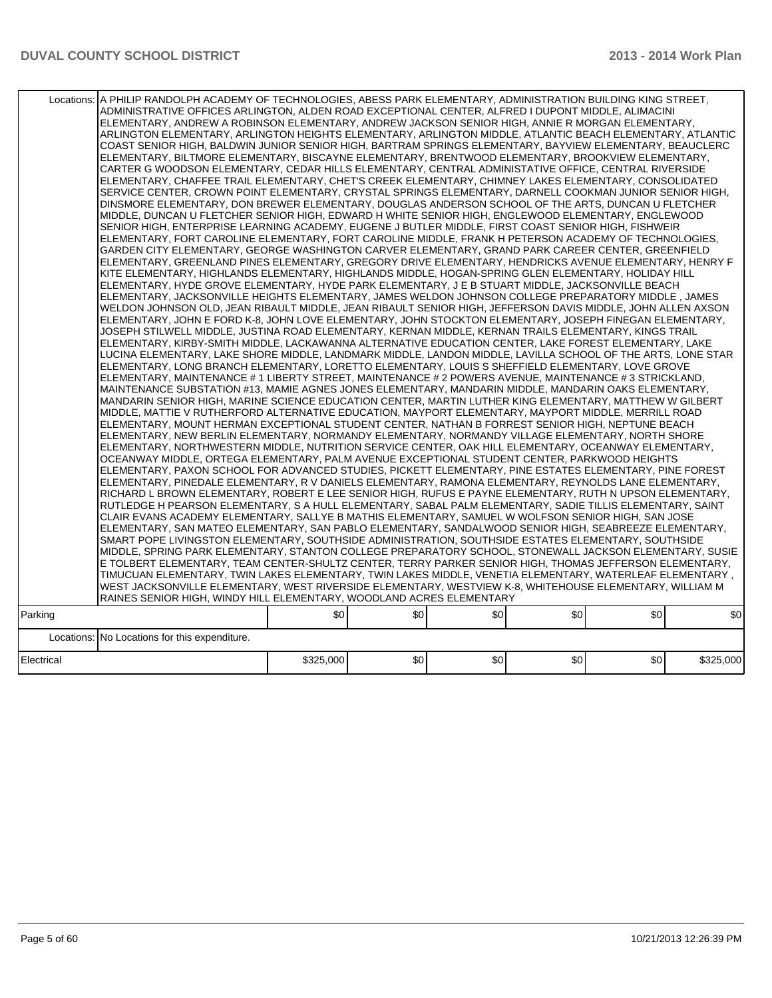|            | Locations: A PHILIP RANDOLPH ACADEMY OF TECHNOLOGIES, ABESS PARK ELEMENTARY, ADMINISTRATION BUILDING KING STREET,<br>ADMINISTRATIVE OFFICES ARLINGTON, ALDEN ROAD EXCEPTIONAL CENTER, ALFRED I DUPONT MIDDLE, ALIMACINI<br>ELEMENTARY. ANDREW A ROBINSON ELEMENTARY. ANDREW JACKSON SENIOR HIGH. ANNIE R MORGAN ELEMENTARY.<br>ARLINGTON ELEMENTARY, ARLINGTON HEIGHTS ELEMENTARY, ARLINGTON MIDDLE, ATLANTIC BEACH ELEMENTARY, ATLANTIC<br>COAST SENIOR HIGH, BALDWIN JUNIOR SENIOR HIGH, BARTRAM SPRINGS ELEMENTARY, BAYVIEW ELEMENTARY, BEAUCLERC<br>ELEMENTARY, BILTMORE ELEMENTARY, BISCAYNE ELEMENTARY, BRENTWOOD ELEMENTARY, BROOKVIEW ELEMENTARY,<br>CARTER G WOODSON ELEMENTARY, CEDAR HILLS ELEMENTARY, CENTRAL ADMINISTATIVE OFFICE, CENTRAL RIVERSIDE<br>ELEMENTARY, CHAFFEE TRAIL ELEMENTARY, CHET'S CREEK ELEMENTARY, CHIMNEY LAKES ELEMENTARY, CONSOLIDATED<br>SERVICE CENTER, CROWN POINT ELEMENTARY, CRYSTAL SPRINGS ELEMENTARY, DARNELL COOKMAN JUNIOR SENIOR HIGH,<br>DINSMORE ELEMENTARY, DON BREWER ELEMENTARY, DOUGLAS ANDERSON SCHOOL OF THE ARTS, DUNCAN U FLETCHER<br>MIDDLE, DUNCAN U FLETCHER SENIOR HIGH, EDWARD H WHITE SENIOR HIGH, ENGLEWOOD ELEMENTARY, ENGLEWOOD<br>SENIOR HIGH, ENTERPRISE LEARNING ACADEMY, EUGENE J BUTLER MIDDLE, FIRST COAST SENIOR HIGH, FISHWEIR<br>ELEMENTARY, FORT CAROLINE ELEMENTARY, FORT CAROLINE MIDDLE, FRANK H PETERSON ACADEMY OF TECHNOLOGIES,<br>GARDEN CITY ELEMENTARY, GEORGE WASHINGTON CARVER ELEMENTARY, GRAND PARK CAREER CENTER, GREENFIELD<br>ELEMENTARY, GREENLAND PINES ELEMENTARY, GREGORY DRIVE ELEMENTARY, HENDRICKS AVENUE ELEMENTARY, HENRY F<br>KITE ELEMENTARY, HIGHLANDS ELEMENTARY, HIGHLANDS MIDDLE, HOGAN-SPRING GLEN ELEMENTARY, HOLIDAY HILL<br>ELEMENTARY, HYDE GROVE ELEMENTARY, HYDE PARK ELEMENTARY, J E B STUART MIDDLE, JACKSONVILLE BEACH<br>ELEMENTARY, JACKSONVILLE HEIGHTS ELEMENTARY, JAMES WELDON JOHNSON COLLEGE PREPARATORY MIDDLE , JAMES<br>WELDON JOHNSON OLD, JEAN RIBAULT MIDDLE, JEAN RIBAULT SENIOR HIGH, JEFFERSON DAVIS MIDDLE, JOHN ALLEN AXSON<br>ELEMENTARY, JOHN E FORD K-8, JOHN LOVE ELEMENTARY, JOHN STOCKTON ELEMENTARY, JOSEPH FINEGAN ELEMENTARY,<br>JOSEPH STILWELL MIDDLE, JUSTINA ROAD ELEMENTARY, KERNAN MIDDLE, KERNAN TRAILS ELEMENTARY, KINGS TRAIL<br>ELEMENTARY, KIRBY-SMITH MIDDLE, LACKAWANNA ALTERNATIVE EDUCATION CENTER, LAKE FOREST ELEMENTARY, LAKE<br>LUCINA ELEMENTARY, LAKE SHORE MIDDLE, LANDMARK MIDDLE, LANDON MIDDLE, LAVILLA SCHOOL OF THE ARTS, LONE STAR<br>ELEMENTARY, LONG BRANCH ELEMENTARY, LORETTO ELEMENTARY, LOUIS S SHEFFIELD ELEMENTARY, LOVE GROVE<br>ELEMENTARY, MAINTENANCE # 1 LIBERTY STREET, MAINTENANCE # 2 POWERS AVENUE, MAINTENANCE # 3 STRICKLAND,<br>MAINTENANCE SUBSTATION #13, MAMIE AGNES JONES ELEMENTARY, MANDARIN MIDDLE, MANDARIN OAKS ELEMENTARY,<br>MANDARIN SENIOR HIGH, MARINE SCIENCE EDUCATION CENTER, MARTIN LUTHER KING ELEMENTARY, MATTHEW W GILBERT<br>MIDDLE, MATTIE V RUTHERFORD ALTERNATIVE EDUCATION, MAYPORT ELEMENTARY, MAYPORT MIDDLE, MERRILL ROAD<br>ELEMENTARY, MOUNT HERMAN EXCEPTIONAL STUDENT CENTER, NATHAN B FORREST SENIOR HIGH, NEPTUNE BEACH<br>ELEMENTARY, NEW BERLIN ELEMENTARY, NORMANDY ELEMENTARY, NORMANDY VILLAGE ELEMENTARY, NORTH SHORE<br>ELEMENTARY, NORTHWESTERN MIDDLE, NUTRITION SERVICE CENTER, OAK HILL ELEMENTARY, OCEANWAY ELEMENTARY,<br>OCEANWAY MIDDLE, ORTEGA ELEMENTARY, PALM AVENUE EXCEPTIONAL STUDENT CENTER, PARKWOOD HEIGHTS<br>ELEMENTARY, PAXON SCHOOL FOR ADVANCED STUDIES, PICKETT ELEMENTARY, PINE ESTATES ELEMENTARY, PINE FOREST<br>ELEMENTARY. PINEDALE ELEMENTARY. R V DANIELS ELEMENTARY. RAMONA ELEMENTARY. REYNOLDS LANE ELEMENTARY.<br>RICHARD L BROWN ELEMENTARY, ROBERT E LEE SENIOR HIGH, RUFUS E PAYNE ELEMENTARY, RUTH N UPSON ELEMENTARY,<br>RUTLEDGE H PEARSON ELEMENTARY, S A HULL ELEMENTARY, SABAL PALM ELEMENTARY, SADIE TILLIS ELEMENTARY, SAINT<br>CLAIR EVANS ACADEMY ELEMENTARY, SALLYE B MATHIS ELEMENTARY, SAMUEL W WOLFSON SENIOR HIGH, SAN JOSE<br> ELEMENTARY, SAN MATEO ELEMENTARY, SAN PABLO ELEMENTARY, SANDALWOOD SENIOR HIGH, SEABREEZE ELEMENTARY,<br>SMART POPE LIVINGSTON ELEMENTARY, SOUTHSIDE ADMINISTRATION, SOUTHSIDE ESTATES ELEMENTARY, SOUTHSIDE<br>MIDDLE, SPRING PARK ELEMENTARY, STANTON COLLEGE PREPARATORY SCHOOL, STONEWALL JACKSON ELEMENTARY, SUSIE<br>IE TOLBERT ELEMENTARY, TEAM CENTER-SHULTZ CENTER, TERRY PARKER SENIOR HIGH, THOMAS JEFFERSON ELEMENTARY,<br>TIMUCUAN ELEMENTARY, TWIN LAKES ELEMENTARY, TWIN LAKES MIDDLE, VENETIA ELEMENTARY, WATERLEAF ELEMENTARY,<br>WEST JACKSONVILLE ELEMENTARY, WEST RIVERSIDE ELEMENTARY, WESTVIEW K-8, WHITEHOUSE ELEMENTARY, WILLIAM M<br>RAINES SENIOR HIGH, WINDY HILL ELEMENTARY, WOODLAND ACRES ELEMENTARY |           |     |     |     |     |           |
|------------|------------------------------------------------------------------------------------------------------------------------------------------------------------------------------------------------------------------------------------------------------------------------------------------------------------------------------------------------------------------------------------------------------------------------------------------------------------------------------------------------------------------------------------------------------------------------------------------------------------------------------------------------------------------------------------------------------------------------------------------------------------------------------------------------------------------------------------------------------------------------------------------------------------------------------------------------------------------------------------------------------------------------------------------------------------------------------------------------------------------------------------------------------------------------------------------------------------------------------------------------------------------------------------------------------------------------------------------------------------------------------------------------------------------------------------------------------------------------------------------------------------------------------------------------------------------------------------------------------------------------------------------------------------------------------------------------------------------------------------------------------------------------------------------------------------------------------------------------------------------------------------------------------------------------------------------------------------------------------------------------------------------------------------------------------------------------------------------------------------------------------------------------------------------------------------------------------------------------------------------------------------------------------------------------------------------------------------------------------------------------------------------------------------------------------------------------------------------------------------------------------------------------------------------------------------------------------------------------------------------------------------------------------------------------------------------------------------------------------------------------------------------------------------------------------------------------------------------------------------------------------------------------------------------------------------------------------------------------------------------------------------------------------------------------------------------------------------------------------------------------------------------------------------------------------------------------------------------------------------------------------------------------------------------------------------------------------------------------------------------------------------------------------------------------------------------------------------------------------------------------------------------------------------------------------------------------------------------------------------------------------------------------------------------------------------------------------------------------------------------------------------------------------------------------------------------------------------------------------------------------------------------------------------------------------------------------------------------------------------------------------------------------------------------------------------------------------------------------------------------------------------------------------------------------------------------------------------------------------------------------------------------------------------------------------------------------------------------------------------------------------------------------------------------------------------------------------------------------------------------------------------------------------------------------------------------------------------------------------------------------------------------------------------------------------------------------------------------------------------------------------------------|-----------|-----|-----|-----|-----|-----------|
|            |                                                                                                                                                                                                                                                                                                                                                                                                                                                                                                                                                                                                                                                                                                                                                                                                                                                                                                                                                                                                                                                                                                                                                                                                                                                                                                                                                                                                                                                                                                                                                                                                                                                                                                                                                                                                                                                                                                                                                                                                                                                                                                                                                                                                                                                                                                                                                                                                                                                                                                                                                                                                                                                                                                                                                                                                                                                                                                                                                                                                                                                                                                                                                                                                                                                                                                                                                                                                                                                                                                                                                                                                                                                                                                                                                                                                                                                                                                                                                                                                                                                                                                                                                                                                                                                                                                                                                                                                                                                                                                                                                                                                                                                                                                                                                                  | \$0       | \$0 | \$0 | \$0 | \$0 | \$0       |
| Parking    |                                                                                                                                                                                                                                                                                                                                                                                                                                                                                                                                                                                                                                                                                                                                                                                                                                                                                                                                                                                                                                                                                                                                                                                                                                                                                                                                                                                                                                                                                                                                                                                                                                                                                                                                                                                                                                                                                                                                                                                                                                                                                                                                                                                                                                                                                                                                                                                                                                                                                                                                                                                                                                                                                                                                                                                                                                                                                                                                                                                                                                                                                                                                                                                                                                                                                                                                                                                                                                                                                                                                                                                                                                                                                                                                                                                                                                                                                                                                                                                                                                                                                                                                                                                                                                                                                                                                                                                                                                                                                                                                                                                                                                                                                                                                                                  |           |     |     |     |     |           |
|            | Locations: No Locations for this expenditure.                                                                                                                                                                                                                                                                                                                                                                                                                                                                                                                                                                                                                                                                                                                                                                                                                                                                                                                                                                                                                                                                                                                                                                                                                                                                                                                                                                                                                                                                                                                                                                                                                                                                                                                                                                                                                                                                                                                                                                                                                                                                                                                                                                                                                                                                                                                                                                                                                                                                                                                                                                                                                                                                                                                                                                                                                                                                                                                                                                                                                                                                                                                                                                                                                                                                                                                                                                                                                                                                                                                                                                                                                                                                                                                                                                                                                                                                                                                                                                                                                                                                                                                                                                                                                                                                                                                                                                                                                                                                                                                                                                                                                                                                                                                    |           |     |     |     |     |           |
| Electrical |                                                                                                                                                                                                                                                                                                                                                                                                                                                                                                                                                                                                                                                                                                                                                                                                                                                                                                                                                                                                                                                                                                                                                                                                                                                                                                                                                                                                                                                                                                                                                                                                                                                                                                                                                                                                                                                                                                                                                                                                                                                                                                                                                                                                                                                                                                                                                                                                                                                                                                                                                                                                                                                                                                                                                                                                                                                                                                                                                                                                                                                                                                                                                                                                                                                                                                                                                                                                                                                                                                                                                                                                                                                                                                                                                                                                                                                                                                                                                                                                                                                                                                                                                                                                                                                                                                                                                                                                                                                                                                                                                                                                                                                                                                                                                                  | \$325,000 | \$0 | \$0 | \$0 | \$0 | \$325,000 |
|            |                                                                                                                                                                                                                                                                                                                                                                                                                                                                                                                                                                                                                                                                                                                                                                                                                                                                                                                                                                                                                                                                                                                                                                                                                                                                                                                                                                                                                                                                                                                                                                                                                                                                                                                                                                                                                                                                                                                                                                                                                                                                                                                                                                                                                                                                                                                                                                                                                                                                                                                                                                                                                                                                                                                                                                                                                                                                                                                                                                                                                                                                                                                                                                                                                                                                                                                                                                                                                                                                                                                                                                                                                                                                                                                                                                                                                                                                                                                                                                                                                                                                                                                                                                                                                                                                                                                                                                                                                                                                                                                                                                                                                                                                                                                                                                  |           |     |     |     |     |           |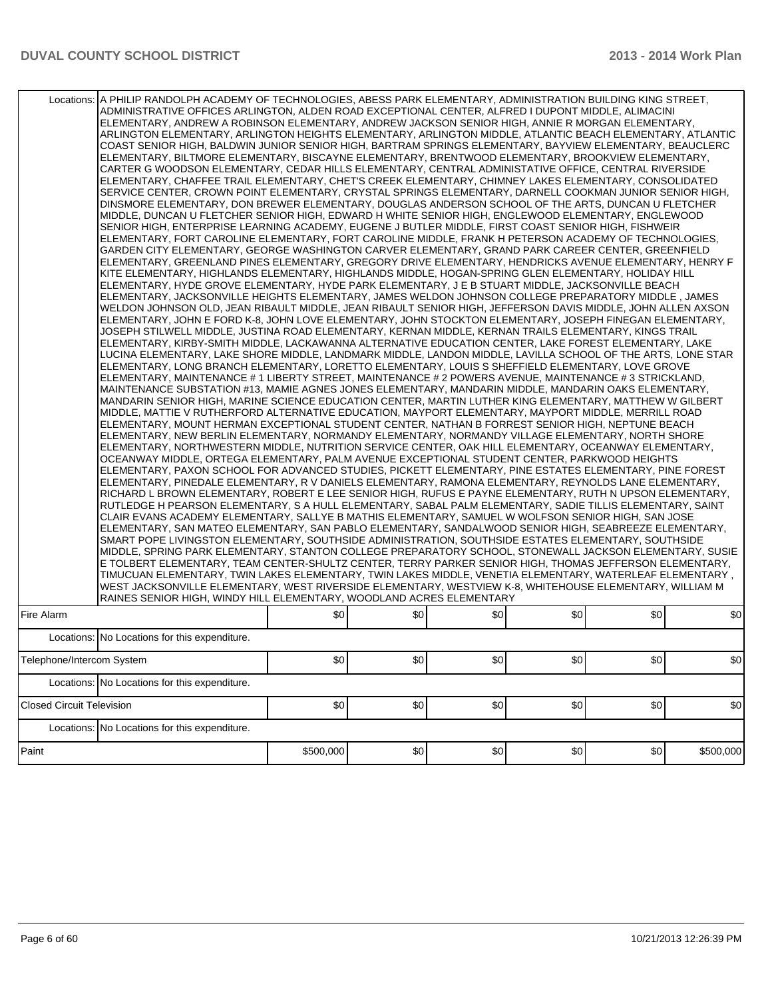|                                  | Locations: A PHILIP RANDOLPH ACADEMY OF TECHNOLOGIES, ABESS PARK ELEMENTARY, ADMINISTRATION BUILDING KING STREET,<br>ADMINISTRATIVE OFFICES ARLINGTON, ALDEN ROAD EXCEPTIONAL CENTER, ALFRED I DUPONT MIDDLE, ALIMACINI<br>ELEMENTARY, ANDREW A ROBINSON ELEMENTARY, ANDREW JACKSON SENIOR HIGH, ANNIE R MORGAN ELEMENTARY,<br>ARLINGTON ELEMENTARY, ARLINGTON HEIGHTS ELEMENTARY, ARLINGTON MIDDLE, ATLANTIC BEACH ELEMENTARY, ATLANTIC<br>COAST SENIOR HIGH, BALDWIN JUNIOR SENIOR HIGH, BARTRAM SPRINGS ELEMENTARY, BAYVIEW ELEMENTARY, BEAUCLERC<br>ELEMENTARY, BILTMORE ELEMENTARY, BISCAYNE ELEMENTARY, BRENTWOOD ELEMENTARY, BROOKVIEW ELEMENTARY,<br>CARTER G WOODSON ELEMENTARY, CEDAR HILLS ELEMENTARY, CENTRAL ADMINISTATIVE OFFICE, CENTRAL RIVERSIDE<br>ELEMENTARY, CHAFFEE TRAIL ELEMENTARY, CHET'S CREEK ELEMENTARY, CHIMNEY LAKES ELEMENTARY, CONSOLIDATED<br>SERVICE CENTER, CROWN POINT ELEMENTARY, CRYSTAL SPRINGS ELEMENTARY, DARNELL COOKMAN JUNIOR SENIOR HIGH,<br>DINSMORE ELEMENTARY, DON BREWER ELEMENTARY, DOUGLAS ANDERSON SCHOOL OF THE ARTS, DUNCAN U FLETCHER<br>MIDDLE, DUNCAN U FLETCHER SENIOR HIGH, EDWARD H WHITE SENIOR HIGH, ENGLEWOOD ELEMENTARY, ENGLEWOOD<br>SENIOR HIGH, ENTERPRISE LEARNING ACADEMY, EUGENE J BUTLER MIDDLE, FIRST COAST SENIOR HIGH, FISHWEIR<br>ELEMENTARY, FORT CAROLINE ELEMENTARY, FORT CAROLINE MIDDLE, FRANK H PETERSON ACADEMY OF TECHNOLOGIES,<br>GARDEN CITY ELEMENTARY. GEORGE WASHINGTON CARVER ELEMENTARY. GRAND PARK CAREER CENTER. GREENFIELD<br>IELEMENTARY, GREENLAND PINES ELEMENTARY, GREGORY DRIVE ELEMENTARY, HENDRICKS AVENUE ELEMENTARY, HENRY FI<br>KITE ELEMENTARY, HIGHLANDS ELEMENTARY, HIGHLANDS MIDDLE, HOGAN-SPRING GLEN ELEMENTARY, HOLIDAY HILL <br>ELEMENTARY, HYDE GROVE ELEMENTARY, HYDE PARK ELEMENTARY, J E B STUART MIDDLE, JACKSONVILLE BEACH<br>ELEMENTARY, JACKSONVILLE HEIGHTS ELEMENTARY, JAMES WELDON JOHNSON COLLEGE PREPARATORY MIDDLE , JAMES<br>WELDON JOHNSON OLD, JEAN RIBAULT MIDDLE, JEAN RIBAULT SENIOR HIGH, JEFFERSON DAVIS MIDDLE, JOHN ALLEN AXSON<br>ELEMENTARY, JOHN E FORD K-8, JOHN LOVE ELEMENTARY, JOHN STOCKTON ELEMENTARY, JOSEPH FINEGAN ELEMENTARY,<br>JOSEPH STILWELL MIDDLE, JUSTINA ROAD ELEMENTARY, KERNAN MIDDLE, KERNAN TRAILS ELEMENTARY, KINGS TRAIL<br>ELEMENTARY, KIRBY-SMITH MIDDLE, LACKAWANNA ALTERNATIVE EDUCATION CENTER, LAKE FOREST ELEMENTARY, LAKE<br>LUCINA ELEMENTARY, LAKE SHORE MIDDLE, LANDMARK MIDDLE, LANDON MIDDLE, LAVILLA SCHOOL OF THE ARTS, LONE STAR<br>ELEMENTARY, LONG BRANCH ELEMENTARY, LORETTO ELEMENTARY, LOUIS S SHEFFIELD ELEMENTARY, LOVE GROVE <br> ELEMENTARY, MAINTENANCE # 1 LIBERTY STREET, MAINTENANCE # 2 POWERS AVENUE, MAINTENANCE # 3 STRICKLAND,<br>MAINTENANCE SUBSTATION #13, MAMIE AGNES JONES ELEMENTARY, MANDARIN MIDDLE, MANDARIN OAKS ELEMENTARY,<br>MANDARIN SENIOR HIGH. MARINE SCIENCE EDUCATION CENTER. MARTIN LUTHER KING ELEMENTARY. MATTHEW W GILBERT<br>MIDDLE, MATTIE V RUTHERFORD ALTERNATIVE EDUCATION, MAYPORT ELEMENTARY, MAYPORT MIDDLE, MERRILL ROAD<br>ELEMENTARY, MOUNT HERMAN EXCEPTIONAL STUDENT CENTER, NATHAN B FORREST SENIOR HIGH, NEPTUNE BEACH<br>ELEMENTARY, NEW BERLIN ELEMENTARY, NORMANDY ELEMENTARY, NORMANDY VILLAGE ELEMENTARY, NORTH SHORE<br>ELEMENTARY, NORTHWESTERN MIDDLE, NUTRITION SERVICE CENTER, OAK HILL ELEMENTARY, OCEANWAY ELEMENTARY,<br>OCEANWAY MIDDLE, ORTEGA ELEMENTARY, PALM AVENUE EXCEPTIONAL STUDENT CENTER, PARKWOOD HEIGHTS<br>ELEMENTARY, PAXON SCHOOL FOR ADVANCED STUDIES, PICKETT ELEMENTARY, PINE ESTATES ELEMENTARY, PINE FOREST<br>ELEMENTARY, PINEDALE ELEMENTARY, R V DANIELS ELEMENTARY, RAMONA ELEMENTARY, REYNOLDS LANE ELEMENTARY,<br>RICHARD L BROWN ELEMENTARY, ROBERT E LEE SENIOR HIGH, RUFUS E PAYNE ELEMENTARY, RUTH N UPSON ELEMENTARY,<br>RUTLEDGE H PEARSON ELEMENTARY, S A HULL ELEMENTARY, SABAL PALM ELEMENTARY, SADIE TILLIS ELEMENTARY, SAINT<br>CLAIR EVANS ACADEMY ELEMENTARY, SALLYE B MATHIS ELEMENTARY, SAMUEL W WOLFSON SENIOR HIGH, SAN JOSE<br> ELEMENTARY, SAN MATEO ELEMENTARY, SAN PABLO ELEMENTARY, SANDALWOOD SENIOR HIGH, SEABREEZE ELEMENTARY,<br>SMART POPE LIVINGSTON ELEMENTARY, SOUTHSIDE ADMINISTRATION, SOUTHSIDE ESTATES ELEMENTARY, SOUTHSIDE<br>MIDDLE, SPRING PARK ELEMENTARY, STANTON COLLEGE PREPARATORY SCHOOL, STONEWALL JACKSON ELEMENTARY, SUSIE<br>E TOLBERT ELEMENTARY, TEAM CENTER-SHULTZ CENTER, TERRY PARKER SENIOR HIGH, THOMAS JEFFERSON ELEMENTARY,<br>, TIMUCUAN ELEMENTARY, TWIN LAKES ELEMENTARY, TWIN LAKES MIDDLE, VENETIA ELEMENTARY, WATERLEAF ELEMENTARY <br>WEST JACKSONVILLE ELEMENTARY, WEST RIVERSIDE ELEMENTARY, WESTVIEW K-8, WHITEHOUSE ELEMENTARY, WILLIAM M<br>RAINES SENIOR HIGH, WINDY HILL ELEMENTARY, WOODLAND ACRES ELEMENTARY |           |     |     |      |     |           |
|----------------------------------|------------------------------------------------------------------------------------------------------------------------------------------------------------------------------------------------------------------------------------------------------------------------------------------------------------------------------------------------------------------------------------------------------------------------------------------------------------------------------------------------------------------------------------------------------------------------------------------------------------------------------------------------------------------------------------------------------------------------------------------------------------------------------------------------------------------------------------------------------------------------------------------------------------------------------------------------------------------------------------------------------------------------------------------------------------------------------------------------------------------------------------------------------------------------------------------------------------------------------------------------------------------------------------------------------------------------------------------------------------------------------------------------------------------------------------------------------------------------------------------------------------------------------------------------------------------------------------------------------------------------------------------------------------------------------------------------------------------------------------------------------------------------------------------------------------------------------------------------------------------------------------------------------------------------------------------------------------------------------------------------------------------------------------------------------------------------------------------------------------------------------------------------------------------------------------------------------------------------------------------------------------------------------------------------------------------------------------------------------------------------------------------------------------------------------------------------------------------------------------------------------------------------------------------------------------------------------------------------------------------------------------------------------------------------------------------------------------------------------------------------------------------------------------------------------------------------------------------------------------------------------------------------------------------------------------------------------------------------------------------------------------------------------------------------------------------------------------------------------------------------------------------------------------------------------------------------------------------------------------------------------------------------------------------------------------------------------------------------------------------------------------------------------------------------------------------------------------------------------------------------------------------------------------------------------------------------------------------------------------------------------------------------------------------------------------------------------------------------------------------------------------------------------------------------------------------------------------------------------------------------------------------------------------------------------------------------------------------------------------------------------------------------------------------------------------------------------------------------------------------------------------------------------------------------------------------------------------------------------------------------------------------------------------------------------------------------------------------------------------------------------------------------------------------------------------------------------------------------------------------------------------------------------------------------------------------------------------------------------------------------------------------------------------------------------------------------------------------------------------------------------------------------|-----------|-----|-----|------|-----|-----------|
| Fire Alarm                       |                                                                                                                                                                                                                                                                                                                                                                                                                                                                                                                                                                                                                                                                                                                                                                                                                                                                                                                                                                                                                                                                                                                                                                                                                                                                                                                                                                                                                                                                                                                                                                                                                                                                                                                                                                                                                                                                                                                                                                                                                                                                                                                                                                                                                                                                                                                                                                                                                                                                                                                                                                                                                                                                                                                                                                                                                                                                                                                                                                                                                                                                                                                                                                                                                                                                                                                                                                                                                                                                                                                                                                                                                                                                                                                                                                                                                                                                                                                                                                                                                                                                                                                                                                                                                                                                                                                                                                                                                                                                                                                                                                                                                                                                                                                                                                        | \$0       | \$0 | \$0 | \$0  | \$0 | \$0       |
|                                  | Locations: No Locations for this expenditure.                                                                                                                                                                                                                                                                                                                                                                                                                                                                                                                                                                                                                                                                                                                                                                                                                                                                                                                                                                                                                                                                                                                                                                                                                                                                                                                                                                                                                                                                                                                                                                                                                                                                                                                                                                                                                                                                                                                                                                                                                                                                                                                                                                                                                                                                                                                                                                                                                                                                                                                                                                                                                                                                                                                                                                                                                                                                                                                                                                                                                                                                                                                                                                                                                                                                                                                                                                                                                                                                                                                                                                                                                                                                                                                                                                                                                                                                                                                                                                                                                                                                                                                                                                                                                                                                                                                                                                                                                                                                                                                                                                                                                                                                                                                          |           |     |     |      |     |           |
| Telephone/Intercom System        |                                                                                                                                                                                                                                                                                                                                                                                                                                                                                                                                                                                                                                                                                                                                                                                                                                                                                                                                                                                                                                                                                                                                                                                                                                                                                                                                                                                                                                                                                                                                                                                                                                                                                                                                                                                                                                                                                                                                                                                                                                                                                                                                                                                                                                                                                                                                                                                                                                                                                                                                                                                                                                                                                                                                                                                                                                                                                                                                                                                                                                                                                                                                                                                                                                                                                                                                                                                                                                                                                                                                                                                                                                                                                                                                                                                                                                                                                                                                                                                                                                                                                                                                                                                                                                                                                                                                                                                                                                                                                                                                                                                                                                                                                                                                                                        | \$0       | \$0 | \$0 | \$0] | \$0 | \$0       |
|                                  | Locations: No Locations for this expenditure.                                                                                                                                                                                                                                                                                                                                                                                                                                                                                                                                                                                                                                                                                                                                                                                                                                                                                                                                                                                                                                                                                                                                                                                                                                                                                                                                                                                                                                                                                                                                                                                                                                                                                                                                                                                                                                                                                                                                                                                                                                                                                                                                                                                                                                                                                                                                                                                                                                                                                                                                                                                                                                                                                                                                                                                                                                                                                                                                                                                                                                                                                                                                                                                                                                                                                                                                                                                                                                                                                                                                                                                                                                                                                                                                                                                                                                                                                                                                                                                                                                                                                                                                                                                                                                                                                                                                                                                                                                                                                                                                                                                                                                                                                                                          |           |     |     |      |     |           |
| <b>Closed Circuit Television</b> |                                                                                                                                                                                                                                                                                                                                                                                                                                                                                                                                                                                                                                                                                                                                                                                                                                                                                                                                                                                                                                                                                                                                                                                                                                                                                                                                                                                                                                                                                                                                                                                                                                                                                                                                                                                                                                                                                                                                                                                                                                                                                                                                                                                                                                                                                                                                                                                                                                                                                                                                                                                                                                                                                                                                                                                                                                                                                                                                                                                                                                                                                                                                                                                                                                                                                                                                                                                                                                                                                                                                                                                                                                                                                                                                                                                                                                                                                                                                                                                                                                                                                                                                                                                                                                                                                                                                                                                                                                                                                                                                                                                                                                                                                                                                                                        | \$0       | \$0 | \$0 | \$0] | \$0 | \$0       |
|                                  | Locations: No Locations for this expenditure.                                                                                                                                                                                                                                                                                                                                                                                                                                                                                                                                                                                                                                                                                                                                                                                                                                                                                                                                                                                                                                                                                                                                                                                                                                                                                                                                                                                                                                                                                                                                                                                                                                                                                                                                                                                                                                                                                                                                                                                                                                                                                                                                                                                                                                                                                                                                                                                                                                                                                                                                                                                                                                                                                                                                                                                                                                                                                                                                                                                                                                                                                                                                                                                                                                                                                                                                                                                                                                                                                                                                                                                                                                                                                                                                                                                                                                                                                                                                                                                                                                                                                                                                                                                                                                                                                                                                                                                                                                                                                                                                                                                                                                                                                                                          |           |     |     |      |     |           |
| Paint                            |                                                                                                                                                                                                                                                                                                                                                                                                                                                                                                                                                                                                                                                                                                                                                                                                                                                                                                                                                                                                                                                                                                                                                                                                                                                                                                                                                                                                                                                                                                                                                                                                                                                                                                                                                                                                                                                                                                                                                                                                                                                                                                                                                                                                                                                                                                                                                                                                                                                                                                                                                                                                                                                                                                                                                                                                                                                                                                                                                                                                                                                                                                                                                                                                                                                                                                                                                                                                                                                                                                                                                                                                                                                                                                                                                                                                                                                                                                                                                                                                                                                                                                                                                                                                                                                                                                                                                                                                                                                                                                                                                                                                                                                                                                                                                                        | \$500,000 | \$0 | \$0 | \$0] | \$0 | \$500,000 |
|                                  |                                                                                                                                                                                                                                                                                                                                                                                                                                                                                                                                                                                                                                                                                                                                                                                                                                                                                                                                                                                                                                                                                                                                                                                                                                                                                                                                                                                                                                                                                                                                                                                                                                                                                                                                                                                                                                                                                                                                                                                                                                                                                                                                                                                                                                                                                                                                                                                                                                                                                                                                                                                                                                                                                                                                                                                                                                                                                                                                                                                                                                                                                                                                                                                                                                                                                                                                                                                                                                                                                                                                                                                                                                                                                                                                                                                                                                                                                                                                                                                                                                                                                                                                                                                                                                                                                                                                                                                                                                                                                                                                                                                                                                                                                                                                                                        |           |     |     |      |     |           |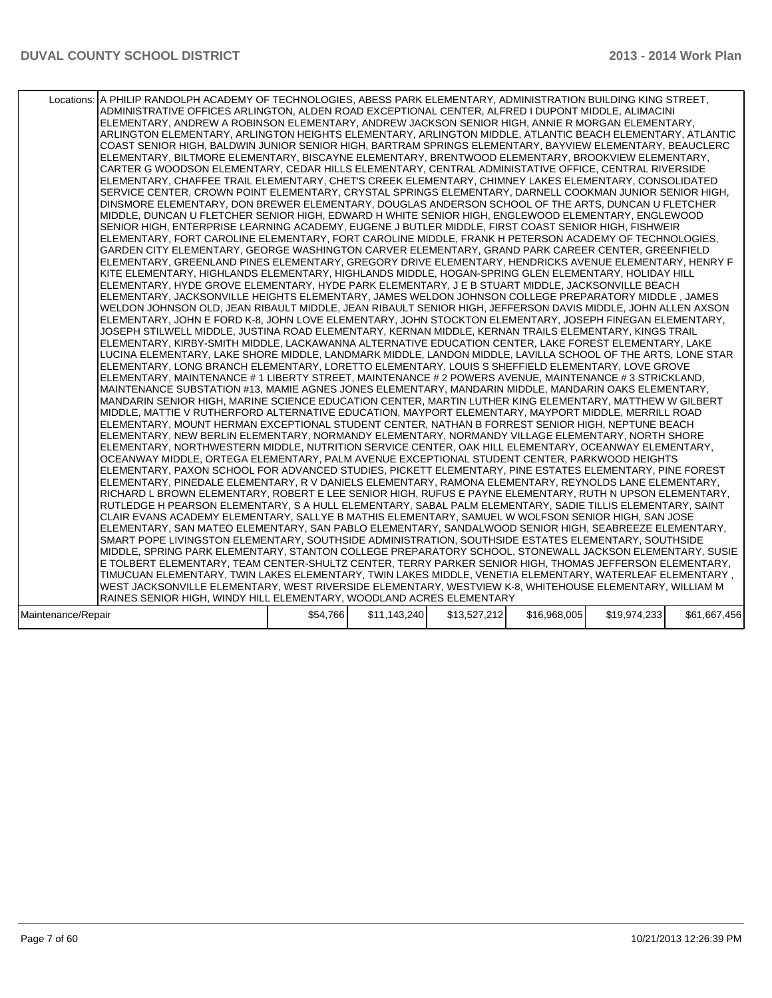| Locations: A PHILIP RANDOLPH ACADEMY OF TECHNOLOGIES, ABESS PARK ELEMENTARY, ADMINISTRATION BUILDING KING STREET,<br>ADMINISTRATIVE OFFICES ARLINGTON, ALDEN ROAD EXCEPTIONAL CENTER, ALFRED I DUPONT MIDDLE, ALIMACINI<br>ELEMENTARY, ANDREW A ROBINSON ELEMENTARY, ANDREW JACKSON SENIOR HIGH, ANNIE R MORGAN ELEMENTARY,<br>ARLINGTON ELEMENTARY, ARLINGTON HEIGHTS ELEMENTARY, ARLINGTON MIDDLE, ATLANTIC BEACH ELEMENTARY, ATLANTIC<br>COAST SENIOR HIGH, BALDWIN JUNIOR SENIOR HIGH, BARTRAM SPRINGS ELEMENTARY, BAYVIEW ELEMENTARY, BEAUCLERC<br>ELEMENTARY, BILTMORE ELEMENTARY, BISCAYNE ELEMENTARY, BRENTWOOD ELEMENTARY, BROOKVIEW ELEMENTARY,<br>CARTER G WOODSON ELEMENTARY, CEDAR HILLS ELEMENTARY, CENTRAL ADMINISTATIVE OFFICE, CENTRAL RIVERSIDE<br>ELEMENTARY, CHAFFEE TRAIL ELEMENTARY, CHET'S CREEK ELEMENTARY, CHIMNEY LAKES ELEMENTARY, CONSOLIDATED<br>SERVICE CENTER, CROWN POINT ELEMENTARY, CRYSTAL SPRINGS ELEMENTARY, DARNELL COOKMAN JUNIOR SENIOR HIGH,<br>DINSMORE ELEMENTARY, DON BREWER ELEMENTARY, DOUGLAS ANDERSON SCHOOL OF THE ARTS, DUNCAN U FLETCHER<br>MIDDLE, DUNCAN U FLETCHER SENIOR HIGH, EDWARD H WHITE SENIOR HIGH, ENGLEWOOD ELEMENTARY, ENGLEWOOD<br>SENIOR HIGH, ENTERPRISE LEARNING ACADEMY, EUGENE J BUTLER MIDDLE, FIRST COAST SENIOR HIGH, FISHWEIR<br>ELEMENTARY, FORT CAROLINE ELEMENTARY, FORT CAROLINE MIDDLE, FRANK H PETERSON ACADEMY OF TECHNOLOGIES,<br>GARDEN CITY ELEMENTARY, GEORGE WASHINGTON CARVER ELEMENTARY, GRAND PARK CAREER CENTER, GREENFIELD<br>ELEMENTARY, GREENLAND PINES ELEMENTARY, GREGORY DRIVE ELEMENTARY, HENDRICKS AVENUE ELEMENTARY, HENRY F<br>KITE ELEMENTARY, HIGHLANDS ELEMENTARY, HIGHLANDS MIDDLE, HOGAN-SPRING GLEN ELEMENTARY, HOLIDAY HILL<br>ELEMENTARY, HYDE GROVE ELEMENTARY, HYDE PARK ELEMENTARY, J E B STUART MIDDLE, JACKSONVILLE BEACH<br>ELEMENTARY, JACKSONVILLE HEIGHTS ELEMENTARY, JAMES WELDON JOHNSON COLLEGE PREPARATORY MIDDLE, JAMES<br>WELDON JOHNSON OLD, JEAN RIBAULT MIDDLE, JEAN RIBAULT SENIOR HIGH, JEFFERSON DAVIS MIDDLE, JOHN ALLEN AXSON<br>ELEMENTARY, JOHN E FORD K-8, JOHN LOVE ELEMENTARY, JOHN STOCKTON ELEMENTARY, JOSEPH FINEGAN ELEMENTARY,<br>JOSEPH STILWELL MIDDLE, JUSTINA ROAD ELEMENTARY, KERNAN MIDDLE, KERNAN TRAILS ELEMENTARY, KINGS TRAIL<br>ELEMENTARY, KIRBY-SMITH MIDDLE, LACKAWANNA ALTERNATIVE EDUCATION CENTER, LAKE FOREST ELEMENTARY, LAKE<br>LUCINA ELEMENTARY, LAKE SHORE MIDDLE, LANDMARK MIDDLE, LANDON MIDDLE, LAVILLA SCHOOL OF THE ARTS, LONE STAR<br>ELEMENTARY, LONG BRANCH ELEMENTARY, LORETTO ELEMENTARY, LOUIS S SHEFFIELD ELEMENTARY, LOVE GROVE<br>ELEMENTARY, MAINTENANCE # 1 LIBERTY STREET, MAINTENANCE # 2 POWERS AVENUE, MAINTENANCE # 3 STRICKLAND,<br>MAINTENANCE SUBSTATION #13, MAMIE AGNES JONES ELEMENTARY, MANDARIN MIDDLE, MANDARIN OAKS ELEMENTARY,<br>MANDARIN SENIOR HIGH, MARINE SCIENCE EDUCATION CENTER, MARTIN LUTHER KING ELEMENTARY, MATTHEW W GILBERT<br>MIDDLE, MATTIE V RUTHERFORD ALTERNATIVE EDUCATION, MAYPORT ELEMENTARY, MAYPORT MIDDLE, MERRILL ROAD<br>ELEMENTARY, MOUNT HERMAN EXCEPTIONAL STUDENT CENTER, NATHAN B FORREST SENIOR HIGH, NEPTUNE BEACH<br>ELEMENTARY, NEW BERLIN ELEMENTARY, NORMANDY ELEMENTARY, NORMANDY VILLAGE ELEMENTARY, NORTH SHORE<br>ELEMENTARY, NORTHWESTERN MIDDLE, NUTRITION SERVICE CENTER, OAK HILL ELEMENTARY, OCEANWAY ELEMENTARY,<br>OCEANWAY MIDDLE, ORTEGA ELEMENTARY, PALM AVENUE EXCEPTIONAL STUDENT CENTER, PARKWOOD HEIGHTS<br>ELEMENTARY, PAXON SCHOOL FOR ADVANCED STUDIES, PICKETT ELEMENTARY, PINE ESTATES ELEMENTARY, PINE FOREST<br>ELEMENTARY, PINEDALE ELEMENTARY, R V DANIELS ELEMENTARY, RAMONA ELEMENTARY, REYNOLDS LANE ELEMENTARY,<br>RICHARD L BROWN ELEMENTARY, ROBERT E LEE SENIOR HIGH, RUFUS E PAYNE ELEMENTARY, RUTH N UPSON ELEMENTARY,<br>RUTLEDGE H PEARSON ELEMENTARY, S A HULL ELEMENTARY, SABAL PALM ELEMENTARY, SADIE TILLIS ELEMENTARY, SAINT<br>CLAIR EVANS ACADEMY ELEMENTARY, SALLYE B MATHIS ELEMENTARY, SAMUEL W WOLFSON SENIOR HIGH, SAN JOSE<br>ELEMENTARY, SAN MATEO ELEMENTARY, SAN PABLO ELEMENTARY, SANDALWOOD SENIOR HIGH, SEABREEZE ELEMENTARY,<br>SMART POPE LIVINGSTON ELEMENTARY, SOUTHSIDE ADMINISTRATION, SOUTHSIDE ESTATES ELEMENTARY, SOUTHSIDE<br>MIDDLE, SPRING PARK ELEMENTARY, STANTON COLLEGE PREPARATORY SCHOOL, STONEWALL JACKSON ELEMENTARY, SUSIE<br>E TOLBERT ELEMENTARY, TEAM CENTER-SHULTZ CENTER, TERRY PARKER SENIOR HIGH, THOMAS JEFFERSON ELEMENTARY,<br>TIMUCUAN ELEMENTARY, TWIN LAKES ELEMENTARY, TWIN LAKES MIDDLE, VENETIA ELEMENTARY, WATERLEAF ELEMENTARY,<br>WEST JACKSONVILLE ELEMENTARY, WEST RIVERSIDE ELEMENTARY, WESTVIEW K-8, WHITEHOUSE ELEMENTARY, WILLIAM M |          |              |              |              |              |              |
|---------------------------------------------------------------------------------------------------------------------------------------------------------------------------------------------------------------------------------------------------------------------------------------------------------------------------------------------------------------------------------------------------------------------------------------------------------------------------------------------------------------------------------------------------------------------------------------------------------------------------------------------------------------------------------------------------------------------------------------------------------------------------------------------------------------------------------------------------------------------------------------------------------------------------------------------------------------------------------------------------------------------------------------------------------------------------------------------------------------------------------------------------------------------------------------------------------------------------------------------------------------------------------------------------------------------------------------------------------------------------------------------------------------------------------------------------------------------------------------------------------------------------------------------------------------------------------------------------------------------------------------------------------------------------------------------------------------------------------------------------------------------------------------------------------------------------------------------------------------------------------------------------------------------------------------------------------------------------------------------------------------------------------------------------------------------------------------------------------------------------------------------------------------------------------------------------------------------------------------------------------------------------------------------------------------------------------------------------------------------------------------------------------------------------------------------------------------------------------------------------------------------------------------------------------------------------------------------------------------------------------------------------------------------------------------------------------------------------------------------------------------------------------------------------------------------------------------------------------------------------------------------------------------------------------------------------------------------------------------------------------------------------------------------------------------------------------------------------------------------------------------------------------------------------------------------------------------------------------------------------------------------------------------------------------------------------------------------------------------------------------------------------------------------------------------------------------------------------------------------------------------------------------------------------------------------------------------------------------------------------------------------------------------------------------------------------------------------------------------------------------------------------------------------------------------------------------------------------------------------------------------------------------------------------------------------------------------------------------------------------------------------------------------------------------------------------------------------------------------------------------------------------------------------------------------------------------------------------------------------------------------------------------------------------------------------------------------------------------------------------------------------------------------------------------------------------------------------------------------------------------------------------------------------------------------------------------------------------------------------------------------------------------------------------------------|----------|--------------|--------------|--------------|--------------|--------------|
|                                                                                                                                                                                                                                                                                                                                                                                                                                                                                                                                                                                                                                                                                                                                                                                                                                                                                                                                                                                                                                                                                                                                                                                                                                                                                                                                                                                                                                                                                                                                                                                                                                                                                                                                                                                                                                                                                                                                                                                                                                                                                                                                                                                                                                                                                                                                                                                                                                                                                                                                                                                                                                                                                                                                                                                                                                                                                                                                                                                                                                                                                                                                                                                                                                                                                                                                                                                                                                                                                                                                                                                                                                                                                                                                                                                                                                                                                                                                                                                                                                                                                                                                                                                                                                                                                                                                                                                                                                                                                                                                                                                                                                                                                       |          |              |              |              |              |              |
| RAINES SENIOR HIGH, WINDY HILL ELEMENTARY, WOODLAND ACRES ELEMENTARY                                                                                                                                                                                                                                                                                                                                                                                                                                                                                                                                                                                                                                                                                                                                                                                                                                                                                                                                                                                                                                                                                                                                                                                                                                                                                                                                                                                                                                                                                                                                                                                                                                                                                                                                                                                                                                                                                                                                                                                                                                                                                                                                                                                                                                                                                                                                                                                                                                                                                                                                                                                                                                                                                                                                                                                                                                                                                                                                                                                                                                                                                                                                                                                                                                                                                                                                                                                                                                                                                                                                                                                                                                                                                                                                                                                                                                                                                                                                                                                                                                                                                                                                                                                                                                                                                                                                                                                                                                                                                                                                                                                                                  |          |              |              |              |              |              |
| Maintenance/Repair                                                                                                                                                                                                                                                                                                                                                                                                                                                                                                                                                                                                                                                                                                                                                                                                                                                                                                                                                                                                                                                                                                                                                                                                                                                                                                                                                                                                                                                                                                                                                                                                                                                                                                                                                                                                                                                                                                                                                                                                                                                                                                                                                                                                                                                                                                                                                                                                                                                                                                                                                                                                                                                                                                                                                                                                                                                                                                                                                                                                                                                                                                                                                                                                                                                                                                                                                                                                                                                                                                                                                                                                                                                                                                                                                                                                                                                                                                                                                                                                                                                                                                                                                                                                                                                                                                                                                                                                                                                                                                                                                                                                                                                                    | \$54,766 | \$11,143,240 | \$13,527,212 | \$16,968,005 | \$19,974,233 | \$61,667,456 |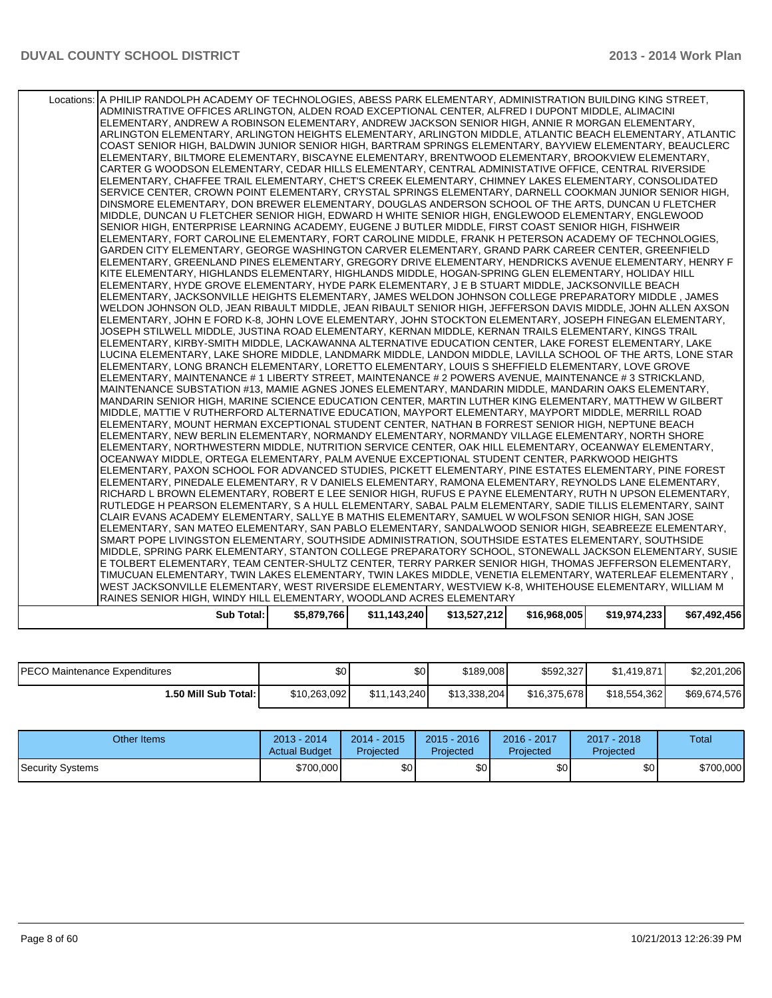| Sub Total:                                                                                                                                                                                              | \$5,879,766 | \$11,143,240 | \$13,527,212 | \$16,968,005 | \$19,974,233 | \$67,492,456 |
|---------------------------------------------------------------------------------------------------------------------------------------------------------------------------------------------------------|-------------|--------------|--------------|--------------|--------------|--------------|
| RAINES SENIOR HIGH, WINDY HILL ELEMENTARY, WOODLAND ACRES ELEMENTARY                                                                                                                                    |             |              |              |              |              |              |
| WEST JACKSONVILLE ELEMENTARY, WEST RIVERSIDE ELEMENTARY, WESTVIEW K-8, WHITEHOUSE ELEMENTARY, WILLIAM M                                                                                                 |             |              |              |              |              |              |
| TIMUCUAN ELEMENTARY, TWIN LAKES ELEMENTARY, TWIN LAKES MIDDLE, VENETIA ELEMENTARY, WATERLEAF ELEMENTARY,                                                                                                |             |              |              |              |              |              |
| E TOLBERT ELEMENTARY, TEAM CENTER-SHULTZ CENTER, TERRY PARKER SENIOR HIGH, THOMAS JEFFERSON ELEMENTARY,                                                                                                 |             |              |              |              |              |              |
| MIDDLE, SPRING PARK ELEMENTARY, STANTON COLLEGE PREPARATORY SCHOOL, STONEWALL JACKSON ELEMENTARY, SUSIE                                                                                                 |             |              |              |              |              |              |
| SMART POPE LIVINGSTON ELEMENTARY, SOUTHSIDE ADMINISTRATION, SOUTHSIDE ESTATES ELEMENTARY, SOUTHSIDE                                                                                                     |             |              |              |              |              |              |
| ELEMENTARY, SAN MATEO ELEMENTARY, SAN PABLO ELEMENTARY, SANDALWOOD SENIOR HIGH, SEABREEZE ELEMENTARY,                                                                                                   |             |              |              |              |              |              |
| CLAIR EVANS ACADEMY ELEMENTARY, SALLYE B MATHIS ELEMENTARY, SAMUEL W WOLFSON SENIOR HIGH, SAN JOSE                                                                                                      |             |              |              |              |              |              |
| RUTLEDGE H PEARSON ELEMENTARY, S A HULL ELEMENTARY, SABAL PALM ELEMENTARY, SADIE TILLIS ELEMENTARY, SAINT                                                                                               |             |              |              |              |              |              |
| RICHARD L BROWN ELEMENTARY, ROBERT E LEE SENIOR HIGH, RUFUS E PAYNE ELEMENTARY, RUTH N UPSON ELEMENTARY,                                                                                                |             |              |              |              |              |              |
| IELEMENTARY. PINEDALE ELEMENTARY. R V DANIELS ELEMENTARY. RAMONA ELEMENTARY. REYNOLDS LANE ELEMENTARY.                                                                                                  |             |              |              |              |              |              |
| ELEMENTARY, PAXON SCHOOL FOR ADVANCED STUDIES, PICKETT ELEMENTARY, PINE ESTATES ELEMENTARY, PINE FOREST                                                                                                 |             |              |              |              |              |              |
| OCEANWAY MIDDLE, ORTEGA ELEMENTARY, PALM AVENUE EXCEPTIONAL STUDENT CENTER, PARKWOOD HEIGHTS                                                                                                            |             |              |              |              |              |              |
| ELEMENTARY, NORTHWESTERN MIDDLE, NUTRITION SERVICE CENTER, OAK HILL ELEMENTARY, OCEANWAY ELEMENTARY,                                                                                                    |             |              |              |              |              |              |
| ELEMENTARY, NEW BERLIN ELEMENTARY, NORMANDY ELEMENTARY, NORMANDY VILLAGE ELEMENTARY, NORTH SHORE                                                                                                        |             |              |              |              |              |              |
| ELEMENTARY, MOUNT HERMAN EXCEPTIONAL STUDENT CENTER, NATHAN B FORREST SENIOR HIGH, NEPTUNE BEACH                                                                                                        |             |              |              |              |              |              |
| MIDDLE, MATTIE V RUTHERFORD ALTERNATIVE EDUCATION, MAYPORT ELEMENTARY, MAYPORT MIDDLE, MERRILL ROAD                                                                                                     |             |              |              |              |              |              |
| MANDARIN SENIOR HIGH, MARINE SCIENCE EDUCATION CENTER, MARTIN LUTHER KING ELEMENTARY, MATTHEW W GILBERT                                                                                                 |             |              |              |              |              |              |
| MAINTENANCE SUBSTATION #13, MAMIE AGNES JONES ELEMENTARY, MANDARIN MIDDLE, MANDARIN OAKS ELEMENTARY,                                                                                                    |             |              |              |              |              |              |
| ELEMENTARY, MAINTENANCE # 1 LIBERTY STREET, MAINTENANCE # 2 POWERS AVENUE, MAINTENANCE # 3 STRICKLAND,                                                                                                  |             |              |              |              |              |              |
| ELEMENTARY, LONG BRANCH ELEMENTARY, LORETTO ELEMENTARY, LOUIS S SHEFFIELD ELEMENTARY, LOVE GROVE                                                                                                        |             |              |              |              |              |              |
| LUCINA ELEMENTARY. LAKE SHORE MIDDLE, LANDMARK MIDDLE, LANDON MIDDLE, LAVILLA SCHOOL OF THE ARTS, LONE STAR                                                                                             |             |              |              |              |              |              |
| ELEMENTARY, KIRBY-SMITH MIDDLE, LACKAWANNA ALTERNATIVE EDUCATION CENTER, LAKE FOREST ELEMENTARY, LAKE                                                                                                   |             |              |              |              |              |              |
| JOSEPH STILWELL MIDDLE. JUSTINA ROAD ELEMENTARY. KERNAN MIDDLE. KERNAN TRAILS ELEMENTARY. KINGS TRAIL                                                                                                   |             |              |              |              |              |              |
| ELEMENTARY, JOHN E FORD K-8, JOHN LOVE ELEMENTARY, JOHN STOCKTON ELEMENTARY, JOSEPH FINEGAN ELEMENTARY,                                                                                                 |             |              |              |              |              |              |
| WELDON JOHNSON OLD, JEAN RIBAULT MIDDLE, JEAN RIBAULT SENIOR HIGH, JEFFERSON DAVIS MIDDLE, JOHN ALLEN AXSON                                                                                             |             |              |              |              |              |              |
| ELEMENTARY, HYDE GROVE ELEMENTARY, HYDE PARK ELEMENTARY, J E B STUART MIDDLE, JACKSONVILLE BEACH<br>ELEMENTARY, JACKSONVILLE HEIGHTS ELEMENTARY, JAMES WELDON JOHNSON COLLEGE PREPARATORY MIDDLE, JAMES |             |              |              |              |              |              |
| KITE ELEMENTARY, HIGHLANDS ELEMENTARY, HIGHLANDS MIDDLE, HOGAN-SPRING GLEN ELEMENTARY, HOLIDAY HILL                                                                                                     |             |              |              |              |              |              |
| ELEMENTARY, GREENLAND PINES ELEMENTARY, GREGORY DRIVE ELEMENTARY, HENDRICKS AVENUE ELEMENTARY, HENRY F                                                                                                  |             |              |              |              |              |              |
| GARDEN CITY ELEMENTARY, GEORGE WASHINGTON CARVER ELEMENTARY, GRAND PARK CAREER CENTER, GREENFIELD                                                                                                       |             |              |              |              |              |              |
| ELEMENTARY, FORT CAROLINE ELEMENTARY, FORT CAROLINE MIDDLE, FRANK H PETERSON ACADEMY OF TECHNOLOGIES,                                                                                                   |             |              |              |              |              |              |
| SENIOR HIGH, ENTERPRISE LEARNING ACADEMY, EUGENE J BUTLER MIDDLE, FIRST COAST SENIOR HIGH, FISHWEIR                                                                                                     |             |              |              |              |              |              |
| MIDDLE, DUNCAN U FLETCHER SENIOR HIGH, EDWARD H WHITE SENIOR HIGH, ENGLEWOOD ELEMENTARY, ENGLEWOOD                                                                                                      |             |              |              |              |              |              |
| DINSMORE ELEMENTARY, DON BREWER ELEMENTARY, DOUGLAS ANDERSON SCHOOL OF THE ARTS, DUNCAN U FLETCHER                                                                                                      |             |              |              |              |              |              |
| SERVICE CENTER, CROWN POINT ELEMENTARY, CRYSTAL SPRINGS ELEMENTARY, DARNELL COOKMAN JUNIOR SENIOR HIGH,                                                                                                 |             |              |              |              |              |              |
| ELEMENTARY, CHAFFEE TRAIL ELEMENTARY, CHET'S CREEK ELEMENTARY, CHIMNEY LAKES ELEMENTARY, CONSOLIDATED                                                                                                   |             |              |              |              |              |              |
| CARTER G WOODSON ELEMENTARY, CEDAR HILLS ELEMENTARY, CENTRAL ADMINISTATIVE OFFICE, CENTRAL RIVERSIDE                                                                                                    |             |              |              |              |              |              |
| ELEMENTARY, BILTMORE ELEMENTARY, BISCAYNE ELEMENTARY, BRENTWOOD ELEMENTARY, BROOKVIEW ELEMENTARY,                                                                                                       |             |              |              |              |              |              |
| COAST SENIOR HIGH, BALDWIN JUNIOR SENIOR HIGH, BARTRAM SPRINGS ELEMENTARY, BAYVIEW ELEMENTARY, BEAUCLERC                                                                                                |             |              |              |              |              |              |
| ARLINGTON ELEMENTARY, ARLINGTON HEIGHTS ELEMENTARY, ARLINGTON MIDDLE, ATLANTIC BEACH ELEMENTARY, ATLANTIC                                                                                               |             |              |              |              |              |              |
|                                                                                                                                                                                                         |             |              |              |              |              |              |
| ADMINISTRATIVE OFFICES ARLINGTON, ALDEN ROAD EXCEPTIONAL CENTER, ALFRED I DUPONT MIDDLE, ALIMACINI<br>ELEMENTARY, ANDREW A ROBINSON ELEMENTARY, ANDREW JACKSON SENIOR HIGH, ANNIE R MORGAN ELEMENTARY,  |             |              |              |              |              |              |
| Locations: A PHILIP RANDOLPH ACADEMY OF TECHNOLOGIES, ABESS PARK ELEMENTARY, ADMINISTRATION BUILDING KING STREET,                                                                                       |             |              |              |              |              |              |
|                                                                                                                                                                                                         |             |              |              |              |              |              |
|                                                                                                                                                                                                         |             |              |              |              |              |              |

| <b>IPECO Maintenance Expenditures</b> | \$0          | \$0          | \$189,008    | \$592,327    | \$1,419.871  | \$2,201,206  |
|---------------------------------------|--------------|--------------|--------------|--------------|--------------|--------------|
| 1.50 Mill Sub Total: I                | \$10,263,092 | \$11.143.240 | \$13,338,204 | \$16,375,678 | \$18,554,362 | \$69,674,576 |

| Other Items      | $2013 - 2014$<br><b>Actual Budget</b> | $2014 - 2015$<br>Projected | $2015 - 2016$<br>Projected | 2016 - 2017<br>Projected | $2017 - 2018$<br>Projected | Total     |
|------------------|---------------------------------------|----------------------------|----------------------------|--------------------------|----------------------------|-----------|
| Security Systems | \$700,000                             | \$٥Ι                       | \$0                        | \$0                      | \$0                        | \$700,000 |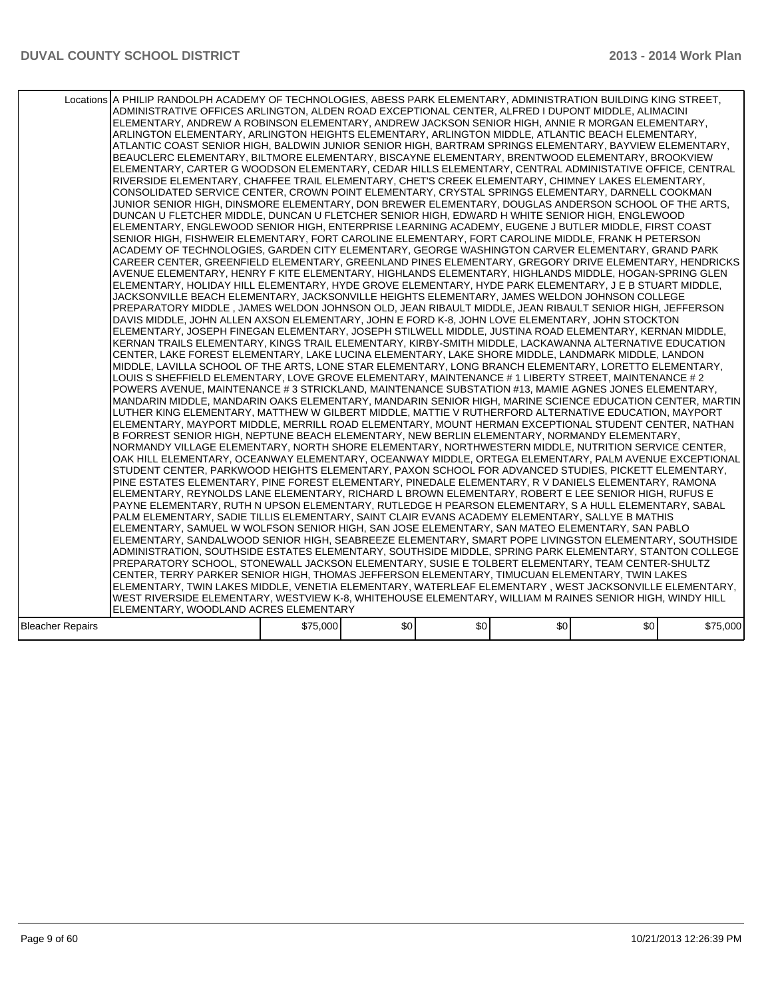|                  | Locations A PHILIP RANDOLPH ACADEMY OF TECHNOLOGIES, ABESS PARK ELEMENTARY, ADMINISTRATION BUILDING KING STREET,<br>ADMINISTRATIVE OFFICES ARLINGTON, ALDEN ROAD EXCEPTIONAL CENTER, ALFRED I DUPONT MIDDLE, ALIMACINI<br>ELEMENTARY, ANDREW A ROBINSON ELEMENTARY, ANDREW JACKSON SENIOR HIGH, ANNIE R MORGAN ELEMENTARY,<br>ARLINGTON ELEMENTARY, ARLINGTON HEIGHTS ELEMENTARY, ARLINGTON MIDDLE, ATLANTIC BEACH ELEMENTARY,<br>ATLANTIC COAST SENIOR HIGH, BALDWIN JUNIOR SENIOR HIGH, BARTRAM SPRINGS ELEMENTARY, BAYVIEW ELEMENTARY,<br>BEAUCLERC ELEMENTARY, BILTMORE ELEMENTARY, BISCAYNE ELEMENTARY, BRENTWOOD ELEMENTARY, BROOKVIEW<br>ELEMENTARY, CARTER G WOODSON ELEMENTARY, CEDAR HILLS ELEMENTARY, CENTRAL ADMINISTATIVE OFFICE, CENTRAL<br>RIVERSIDE ELEMENTARY, CHAFFEE TRAIL ELEMENTARY, CHET'S CREEK ELEMENTARY, CHIMNEY LAKES ELEMENTARY,<br>CONSOLIDATED SERVICE CENTER, CROWN POINT ELEMENTARY, CRYSTAL SPRINGS ELEMENTARY, DARNELL COOKMAN<br>JUNIOR SENIOR HIGH, DINSMORE ELEMENTARY, DON BREWER ELEMENTARY, DOUGLAS ANDERSON SCHOOL OF THE ARTS,<br>DUNCAN U FLETCHER MIDDLE, DUNCAN U FLETCHER SENIOR HIGH, EDWARD H WHITE SENIOR HIGH, ENGLEWOOD<br>ELEMENTARY, ENGLEWOOD SENIOR HIGH, ENTERPRISE LEARNING ACADEMY, EUGENE J BUTLER MIDDLE, FIRST COAST<br>SENIOR HIGH, FISHWEIR ELEMENTARY, FORT CAROLINE ELEMENTARY, FORT CAROLINE MIDDLE, FRANK H PETERSON<br>ACADEMY OF TECHNOLOGIES. GARDEN CITY ELEMENTARY. GEORGE WASHINGTON CARVER ELEMENTARY. GRAND PARK<br>CAREER CENTER, GREENFIELD ELEMENTARY, GREENLAND PINES ELEMENTARY, GREGORY DRIVE ELEMENTARY, HENDRICKS<br>AVENUE ELEMENTARY. HENRY F KITE ELEMENTARY. HIGHLANDS ELEMENTARY. HIGHLANDS MIDDLE. HOGAN-SPRING GLEN<br>ELEMENTARY, HOLIDAY HILL ELEMENTARY, HYDE GROVE ELEMENTARY, HYDE PARK ELEMENTARY, J E B STUART MIDDLE,<br>JACKSONVILLE BEACH ELEMENTARY, JACKSONVILLE HEIGHTS ELEMENTARY, JAMES WELDON JOHNSON COLLEGE<br>PREPARATORY MIDDLE , JAMES WELDON JOHNSON OLD, JEAN RIBAULT MIDDLE, JEAN RIBAULT SENIOR HIGH, JEFFERSON<br>DAVIS MIDDLE, JOHN ALLEN AXSON ELEMENTARY, JOHN E FORD K-8, JOHN LOVE ELEMENTARY, JOHN STOCKTON<br>ELEMENTARY, JOSEPH FINEGAN ELEMENTARY, JOSEPH STILWELL MIDDLE, JUSTINA ROAD ELEMENTARY, KERNAN MIDDLE,<br>KERNAN TRAILS ELEMENTARY, KINGS TRAIL ELEMENTARY, KIRBY-SMITH MIDDLE, LACKAWANNA ALTERNATIVE EDUCATION<br>CENTER, LAKE FOREST ELEMENTARY, LAKE LUCINA ELEMENTARY, LAKE SHORE MIDDLE, LANDMARK MIDDLE, LANDON <br>MIDDLE, LAVILLA SCHOOL OF THE ARTS, LONE STAR ELEMENTARY, LONG BRANCH ELEMENTARY, LORETTO ELEMENTARY,<br>LOUIS S SHEFFIELD ELEMENTARY, LOVE GROVE ELEMENTARY, MAINTENANCE # 1 LIBERTY STREET, MAINTENANCE # 2<br>POWERS AVENUE, MAINTENANCE # 3 STRICKLAND, MAINTENANCE SUBSTATION #13, MAMIE AGNES JONES ELEMENTARY,<br>MANDARIN MIDDLE. MANDARIN OAKS ELEMENTARY. MANDARIN SENIOR HIGH. MARINE SCIENCE EDUCATION CENTER. MARTIN<br>LUTHER KING ELEMENTARY, MATTHEW W GILBERT MIDDLE, MATTIE V RUTHERFORD ALTERNATIVE EDUCATION, MAYPORT<br>ELEMENTARY, MAYPORT MIDDLE, MERRILL ROAD ELEMENTARY, MOUNT HERMAN EXCEPTIONAL STUDENT CENTER, NATHAN<br>B FORREST SENIOR HIGH, NEPTUNE BEACH ELEMENTARY, NEW BERLIN ELEMENTARY, NORMANDY ELEMENTARY,<br>NORMANDY VILLAGE ELEMENTARY, NORTH SHORE ELEMENTARY, NORTHWESTERN MIDDLE, NUTRITION SERVICE CENTER,<br>OAK HILL ELEMENTARY, OCEANWAY ELEMENTARY, OCEANWAY MIDDLE, ORTEGA ELEMENTARY, PALM AVENUE EXCEPTIONAL<br>STUDENT CENTER, PARKWOOD HEIGHTS ELEMENTARY, PAXON SCHOOL FOR ADVANCED STUDIES, PICKETT ELEMENTARY,<br>PINE ESTATES ELEMENTARY, PINE FOREST ELEMENTARY, PINEDALE ELEMENTARY, R V DANIELS ELEMENTARY, RAMONA<br>ELEMENTARY, REYNOLDS LANE ELEMENTARY, RICHARD L BROWN ELEMENTARY, ROBERT E LEE SENIOR HIGH, RUFUS E<br>PAYNE ELEMENTARY, RUTH N UPSON ELEMENTARY, RUTLEDGE H PEARSON ELEMENTARY, S A HULL ELEMENTARY, SABAL<br>PALM ELEMENTARY, SADIE TILLIS ELEMENTARY, SAINT CLAIR EVANS ACADEMY ELEMENTARY, SALLYE B MATHIS<br>IELEMENTARY. SAMUEL W WOLFSON SENIOR HIGH. SAN JOSE ELEMENTARY. SAN MATEO ELEMENTARY. SAN PABLO<br>ELEMENTARY, SANDALWOOD SENIOR HIGH, SEABREEZE ELEMENTARY, SMART POPE LIVINGSTON ELEMENTARY, SOUTHSIDE<br>ADMINISTRATION, SOUTHSIDE ESTATES ELEMENTARY, SOUTHSIDE MIDDLE, SPRING PARK ELEMENTARY, STANTON COLLEGE<br>PREPARATORY SCHOOL, STONEWALL JACKSON ELEMENTARY, SUSIE E TOLBERT ELEMENTARY, TEAM CENTER-SHULTZ<br>CENTER, TERRY PARKER SENIOR HIGH, THOMAS JEFFERSON ELEMENTARY, TIMUCUAN ELEMENTARY, TWIN LAKES<br> ELEMENTARY, TWIN LAKES MIDDLE, VENETIA ELEMENTARY, WATERLEAF ELEMENTARY , WEST JACKSONVILLE ELEMENTARY,<br>WEST RIVERSIDE ELEMENTARY, WESTVIEW K-8, WHITEHOUSE ELEMENTARY, WILLIAM M RAINES SENIOR HIGH, WINDY HILL |          |      |     |                  |     |          |
|------------------|-----------------------------------------------------------------------------------------------------------------------------------------------------------------------------------------------------------------------------------------------------------------------------------------------------------------------------------------------------------------------------------------------------------------------------------------------------------------------------------------------------------------------------------------------------------------------------------------------------------------------------------------------------------------------------------------------------------------------------------------------------------------------------------------------------------------------------------------------------------------------------------------------------------------------------------------------------------------------------------------------------------------------------------------------------------------------------------------------------------------------------------------------------------------------------------------------------------------------------------------------------------------------------------------------------------------------------------------------------------------------------------------------------------------------------------------------------------------------------------------------------------------------------------------------------------------------------------------------------------------------------------------------------------------------------------------------------------------------------------------------------------------------------------------------------------------------------------------------------------------------------------------------------------------------------------------------------------------------------------------------------------------------------------------------------------------------------------------------------------------------------------------------------------------------------------------------------------------------------------------------------------------------------------------------------------------------------------------------------------------------------------------------------------------------------------------------------------------------------------------------------------------------------------------------------------------------------------------------------------------------------------------------------------------------------------------------------------------------------------------------------------------------------------------------------------------------------------------------------------------------------------------------------------------------------------------------------------------------------------------------------------------------------------------------------------------------------------------------------------------------------------------------------------------------------------------------------------------------------------------------------------------------------------------------------------------------------------------------------------------------------------------------------------------------------------------------------------------------------------------------------------------------------------------------------------------------------------------------------------------------------------------------------------------------------------------------------------------------------------------------------------------------------------------------------------------------------------------------------------------------------------------------------------------------------------------------------------------------------------------------------------------------------------------------------------------------------------------------------------------------------------------------------------------------------------------------------------------------------------------------------------------------------------------------------------------------------------------------------------------------------------------------------------------------------------------------------------------------------------------------------------------------------------------------------------------------------------------------------------------------------------------------------------------------------------------------------------------------------|----------|------|-----|------------------|-----|----------|
|                  | ELEMENTARY, WOODLAND ACRES ELEMENTARY                                                                                                                                                                                                                                                                                                                                                                                                                                                                                                                                                                                                                                                                                                                                                                                                                                                                                                                                                                                                                                                                                                                                                                                                                                                                                                                                                                                                                                                                                                                                                                                                                                                                                                                                                                                                                                                                                                                                                                                                                                                                                                                                                                                                                                                                                                                                                                                                                                                                                                                                                                                                                                                                                                                                                                                                                                                                                                                                                                                                                                                                                                                                                                                                                                                                                                                                                                                                                                                                                                                                                                                                                                                                                                                                                                                                                                                                                                                                                                                                                                                                                                                                                                                                                                                                                                                                                                                                                                                                                                                                                                                                                                                                                       |          |      |     |                  |     |          |
|                  |                                                                                                                                                                                                                                                                                                                                                                                                                                                                                                                                                                                                                                                                                                                                                                                                                                                                                                                                                                                                                                                                                                                                                                                                                                                                                                                                                                                                                                                                                                                                                                                                                                                                                                                                                                                                                                                                                                                                                                                                                                                                                                                                                                                                                                                                                                                                                                                                                                                                                                                                                                                                                                                                                                                                                                                                                                                                                                                                                                                                                                                                                                                                                                                                                                                                                                                                                                                                                                                                                                                                                                                                                                                                                                                                                                                                                                                                                                                                                                                                                                                                                                                                                                                                                                                                                                                                                                                                                                                                                                                                                                                                                                                                                                                             |          |      |     |                  |     |          |
| Bleacher Repairs |                                                                                                                                                                                                                                                                                                                                                                                                                                                                                                                                                                                                                                                                                                                                                                                                                                                                                                                                                                                                                                                                                                                                                                                                                                                                                                                                                                                                                                                                                                                                                                                                                                                                                                                                                                                                                                                                                                                                                                                                                                                                                                                                                                                                                                                                                                                                                                                                                                                                                                                                                                                                                                                                                                                                                                                                                                                                                                                                                                                                                                                                                                                                                                                                                                                                                                                                                                                                                                                                                                                                                                                                                                                                                                                                                                                                                                                                                                                                                                                                                                                                                                                                                                                                                                                                                                                                                                                                                                                                                                                                                                                                                                                                                                                             | \$75,000 | \$0] | \$0 | \$0 <sub>1</sub> | \$0 | \$75,000 |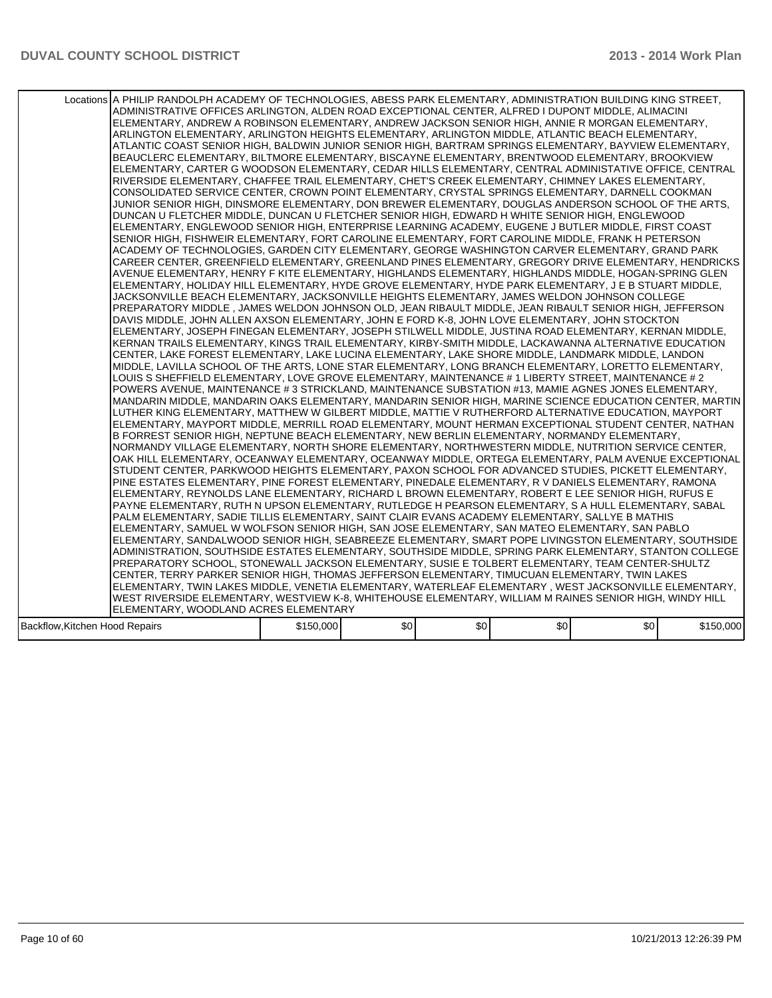|                                | Locations A PHILIP RANDOLPH ACADEMY OF TECHNOLOGIES, ABESS PARK ELEMENTARY, ADMINISTRATION BUILDING KING STREET,<br>ADMINISTRATIVE OFFICES ARLINGTON, ALDEN ROAD EXCEPTIONAL CENTER, ALFRED I DUPONT MIDDLE, ALIMACINI <br>ELEMENTARY, ANDREW A ROBINSON ELEMENTARY, ANDREW JACKSON SENIOR HIGH, ANNIE R MORGAN ELEMENTARY,<br>ARLINGTON ELEMENTARY, ARLINGTON HEIGHTS ELEMENTARY, ARLINGTON MIDDLE, ATLANTIC BEACH ELEMENTARY,<br>ATLANTIC COAST SENIOR HIGH. BALDWIN JUNIOR SENIOR HIGH. BARTRAM SPRINGS ELEMENTARY. BAYVIEW ELEMENTARY.<br>BEAUCLERC ELEMENTARY, BILTMORE ELEMENTARY, BISCAYNE ELEMENTARY, BRENTWOOD ELEMENTARY, BROOKVIEW<br>ELEMENTARY, CARTER G WOODSON ELEMENTARY, CEDAR HILLS ELEMENTARY, CENTRAL ADMINISTATIVE OFFICE, CENTRAL<br>RIVERSIDE ELEMENTARY, CHAFFEE TRAIL ELEMENTARY, CHET'S CREEK ELEMENTARY, CHIMNEY LAKES ELEMENTARY,<br>CONSOLIDATED SERVICE CENTER, CROWN POINT ELEMENTARY, CRYSTAL SPRINGS ELEMENTARY, DARNELL COOKMAN<br>JUNIOR SENIOR HIGH, DINSMORE ELEMENTARY, DON BREWER ELEMENTARY, DOUGLAS ANDERSON SCHOOL OF THE ARTS.<br>DUNCAN U FLETCHER MIDDLE, DUNCAN U FLETCHER SENIOR HIGH, EDWARD H WHITE SENIOR HIGH, ENGLEWOOD<br>ELEMENTARY, ENGLEWOOD SENIOR HIGH, ENTERPRISE LEARNING ACADEMY, EUGENE J BUTLER MIDDLE, FIRST COAST<br>SENIOR HIGH, FISHWEIR ELEMENTARY, FORT CAROLINE ELEMENTARY, FORT CAROLINE MIDDLE, FRANK H PETERSON<br>ACADEMY OF TECHNOLOGIES, GARDEN CITY ELEMENTARY, GEORGE WASHINGTON CARVER ELEMENTARY, GRAND PARK<br>CAREER CENTER, GREENFIELD ELEMENTARY, GREENLAND PINES ELEMENTARY, GREGORY DRIVE ELEMENTARY, HENDRICKS<br>AVENUE ELEMENTARY, HENRY F KITE ELEMENTARY, HIGHLANDS ELEMENTARY, HIGHLANDS MIDDLE, HOGAN-SPRING GLEN<br>ELEMENTARY, HOLIDAY HILL ELEMENTARY, HYDE GROVE ELEMENTARY, HYDE PARK ELEMENTARY, J E B STUART MIDDLE,<br>JACKSONVILLE BEACH ELEMENTARY, JACKSONVILLE HEIGHTS ELEMENTARY, JAMES WELDON JOHNSON COLLEGE<br>PREPARATORY MIDDLE , JAMES WELDON JOHNSON OLD, JEAN RIBAULT MIDDLE, JEAN RIBAULT SENIOR HIGH, JEFFERSON<br>DAVIS MIDDLE, JOHN ALLEN AXSON ELEMENTARY, JOHN E FORD K-8, JOHN LOVE ELEMENTARY, JOHN STOCKTON<br>ELEMENTARY, JOSEPH FINEGAN ELEMENTARY, JOSEPH STILWELL MIDDLE, JUSTINA ROAD ELEMENTARY, KERNAN MIDDLE,<br>KERNAN TRAILS ELEMENTARY, KINGS TRAIL ELEMENTARY, KIRBY-SMITH MIDDLE, LACKAWANNA ALTERNATIVE EDUCATION<br>CENTER, LAKE FOREST ELEMENTARY, LAKE LUCINA ELEMENTARY, LAKE SHORE MIDDLE, LANDMARK MIDDLE, LANDON <br>MIDDLE, LAVILLA SCHOOL OF THE ARTS, LONE STAR ELEMENTARY, LONG BRANCH ELEMENTARY, LORETTO ELEMENTARY,<br>LOUIS S SHEFFIELD ELEMENTARY, LOVE GROVE ELEMENTARY, MAINTENANCE # 1 LIBERTY STREET, MAINTENANCE # 2<br>POWERS AVENUE, MAINTENANCE # 3 STRICKLAND, MAINTENANCE SUBSTATION #13, MAMIE AGNES JONES ELEMENTARY,<br>MANDARIN MIDDLE, MANDARIN OAKS ELEMENTARY, MANDARIN SENIOR HIGH, MARINE SCIENCE EDUCATION CENTER, MARTIN<br>LUTHER KING ELEMENTARY, MATTHEW W GILBERT MIDDLE, MATTIE V RUTHERFORD ALTERNATIVE EDUCATION, MAYPORT<br>ELEMENTARY, MAYPORT MIDDLE, MERRILL ROAD ELEMENTARY, MOUNT HERMAN EXCEPTIONAL STUDENT CENTER, NATHAN<br>B FORREST SENIOR HIGH, NEPTUNE BEACH ELEMENTARY, NEW BERLIN ELEMENTARY, NORMANDY ELEMENTARY,<br>NORMANDY VILLAGE ELEMENTARY, NORTH SHORE ELEMENTARY, NORTHWESTERN MIDDLE, NUTRITION SERVICE CENTER,<br>OAK HILL ELEMENTARY, OCEANWAY ELEMENTARY, OCEANWAY MIDDLE, ORTEGA ELEMENTARY, PALM AVENUE EXCEPTIONAL<br>STUDENT CENTER, PARKWOOD HEIGHTS ELEMENTARY, PAXON SCHOOL FOR ADVANCED STUDIES, PICKETT ELEMENTARY,<br>PINE ESTATES ELEMENTARY, PINE FOREST ELEMENTARY, PINEDALE ELEMENTARY, R V DANIELS ELEMENTARY, RAMONA<br>ELEMENTARY, REYNOLDS LANE ELEMENTARY, RICHARD L BROWN ELEMENTARY, ROBERT E LEE SENIOR HIGH, RUFUS E<br>PAYNE ELEMENTARY, RUTH N UPSON ELEMENTARY, RUTLEDGE H PEARSON ELEMENTARY, S A HULL ELEMENTARY, SABAL<br>PALM ELEMENTARY, SADIE TILLIS ELEMENTARY, SAINT CLAIR EVANS ACADEMY ELEMENTARY, SALLYE B MATHIS<br>ELEMENTARY, SAMUEL W WOLFSON SENIOR HIGH, SAN JOSE ELEMENTARY, SAN MATEO ELEMENTARY, SAN PABLO<br>ELEMENTARY, SANDALWOOD SENIOR HIGH, SEABREEZE ELEMENTARY, SMART POPE LIVINGSTON ELEMENTARY, SOUTHSIDE<br>ADMINISTRATION, SOUTHSIDE ESTATES ELEMENTARY, SOUTHSIDE MIDDLE, SPRING PARK ELEMENTARY, STANTON COLLEGE<br>PREPARATORY SCHOOL, STONEWALL JACKSON ELEMENTARY, SUSIE E TOLBERT ELEMENTARY, TEAM CENTER-SHULTZ<br>CENTER, TERRY PARKER SENIOR HIGH, THOMAS JEFFERSON ELEMENTARY, TIMUCUAN ELEMENTARY, TWIN LAKES |           |      |     |                  |     |           |
|--------------------------------|-----------------------------------------------------------------------------------------------------------------------------------------------------------------------------------------------------------------------------------------------------------------------------------------------------------------------------------------------------------------------------------------------------------------------------------------------------------------------------------------------------------------------------------------------------------------------------------------------------------------------------------------------------------------------------------------------------------------------------------------------------------------------------------------------------------------------------------------------------------------------------------------------------------------------------------------------------------------------------------------------------------------------------------------------------------------------------------------------------------------------------------------------------------------------------------------------------------------------------------------------------------------------------------------------------------------------------------------------------------------------------------------------------------------------------------------------------------------------------------------------------------------------------------------------------------------------------------------------------------------------------------------------------------------------------------------------------------------------------------------------------------------------------------------------------------------------------------------------------------------------------------------------------------------------------------------------------------------------------------------------------------------------------------------------------------------------------------------------------------------------------------------------------------------------------------------------------------------------------------------------------------------------------------------------------------------------------------------------------------------------------------------------------------------------------------------------------------------------------------------------------------------------------------------------------------------------------------------------------------------------------------------------------------------------------------------------------------------------------------------------------------------------------------------------------------------------------------------------------------------------------------------------------------------------------------------------------------------------------------------------------------------------------------------------------------------------------------------------------------------------------------------------------------------------------------------------------------------------------------------------------------------------------------------------------------------------------------------------------------------------------------------------------------------------------------------------------------------------------------------------------------------------------------------------------------------------------------------------------------------------------------------------------------------------------------------------------------------------------------------------------------------------------------------------------------------------------------------------------------------------------------------------------------------------------------------------------------------------------------------------------------------------------------------------------------------------------------------------------------------------------------------------------------------------------------------------------------------------------------------------------------------------------------------------------------------------------------------------------------------------------------------------------------------------------------------------------------------------------------------------------|-----------|------|-----|------------------|-----|-----------|
|                                |                                                                                                                                                                                                                                                                                                                                                                                                                                                                                                                                                                                                                                                                                                                                                                                                                                                                                                                                                                                                                                                                                                                                                                                                                                                                                                                                                                                                                                                                                                                                                                                                                                                                                                                                                                                                                                                                                                                                                                                                                                                                                                                                                                                                                                                                                                                                                                                                                                                                                                                                                                                                                                                                                                                                                                                                                                                                                                                                                                                                                                                                                                                                                                                                                                                                                                                                                                                                                                                                                                                                                                                                                                                                                                                                                                                                                                                                                                                                                                                                                                                                                                                                                                                                                                                                                                                                                                                                                                                                                                     |           |      |     |                  |     |           |
|                                |                                                                                                                                                                                                                                                                                                                                                                                                                                                                                                                                                                                                                                                                                                                                                                                                                                                                                                                                                                                                                                                                                                                                                                                                                                                                                                                                                                                                                                                                                                                                                                                                                                                                                                                                                                                                                                                                                                                                                                                                                                                                                                                                                                                                                                                                                                                                                                                                                                                                                                                                                                                                                                                                                                                                                                                                                                                                                                                                                                                                                                                                                                                                                                                                                                                                                                                                                                                                                                                                                                                                                                                                                                                                                                                                                                                                                                                                                                                                                                                                                                                                                                                                                                                                                                                                                                                                                                                                                                                                                                     |           |      |     |                  |     |           |
|                                |                                                                                                                                                                                                                                                                                                                                                                                                                                                                                                                                                                                                                                                                                                                                                                                                                                                                                                                                                                                                                                                                                                                                                                                                                                                                                                                                                                                                                                                                                                                                                                                                                                                                                                                                                                                                                                                                                                                                                                                                                                                                                                                                                                                                                                                                                                                                                                                                                                                                                                                                                                                                                                                                                                                                                                                                                                                                                                                                                                                                                                                                                                                                                                                                                                                                                                                                                                                                                                                                                                                                                                                                                                                                                                                                                                                                                                                                                                                                                                                                                                                                                                                                                                                                                                                                                                                                                                                                                                                                                                     |           |      |     |                  |     |           |
|                                |                                                                                                                                                                                                                                                                                                                                                                                                                                                                                                                                                                                                                                                                                                                                                                                                                                                                                                                                                                                                                                                                                                                                                                                                                                                                                                                                                                                                                                                                                                                                                                                                                                                                                                                                                                                                                                                                                                                                                                                                                                                                                                                                                                                                                                                                                                                                                                                                                                                                                                                                                                                                                                                                                                                                                                                                                                                                                                                                                                                                                                                                                                                                                                                                                                                                                                                                                                                                                                                                                                                                                                                                                                                                                                                                                                                                                                                                                                                                                                                                                                                                                                                                                                                                                                                                                                                                                                                                                                                                                                     |           |      |     |                  |     |           |
|                                | ELEMENTARY, TWIN LAKES MIDDLE, VENETIA ELEMENTARY, WATERLEAF ELEMENTARY , WEST JACKSONVILLE ELEMENTARY,                                                                                                                                                                                                                                                                                                                                                                                                                                                                                                                                                                                                                                                                                                                                                                                                                                                                                                                                                                                                                                                                                                                                                                                                                                                                                                                                                                                                                                                                                                                                                                                                                                                                                                                                                                                                                                                                                                                                                                                                                                                                                                                                                                                                                                                                                                                                                                                                                                                                                                                                                                                                                                                                                                                                                                                                                                                                                                                                                                                                                                                                                                                                                                                                                                                                                                                                                                                                                                                                                                                                                                                                                                                                                                                                                                                                                                                                                                                                                                                                                                                                                                                                                                                                                                                                                                                                                                                             |           |      |     |                  |     |           |
|                                | WEST RIVERSIDE ELEMENTARY, WESTVIEW K-8, WHITEHOUSE ELEMENTARY, WILLIAM M RAINES SENIOR HIGH, WINDY HILL                                                                                                                                                                                                                                                                                                                                                                                                                                                                                                                                                                                                                                                                                                                                                                                                                                                                                                                                                                                                                                                                                                                                                                                                                                                                                                                                                                                                                                                                                                                                                                                                                                                                                                                                                                                                                                                                                                                                                                                                                                                                                                                                                                                                                                                                                                                                                                                                                                                                                                                                                                                                                                                                                                                                                                                                                                                                                                                                                                                                                                                                                                                                                                                                                                                                                                                                                                                                                                                                                                                                                                                                                                                                                                                                                                                                                                                                                                                                                                                                                                                                                                                                                                                                                                                                                                                                                                                            |           |      |     |                  |     |           |
|                                | ELEMENTARY, WOODLAND ACRES ELEMENTARY                                                                                                                                                                                                                                                                                                                                                                                                                                                                                                                                                                                                                                                                                                                                                                                                                                                                                                                                                                                                                                                                                                                                                                                                                                                                                                                                                                                                                                                                                                                                                                                                                                                                                                                                                                                                                                                                                                                                                                                                                                                                                                                                                                                                                                                                                                                                                                                                                                                                                                                                                                                                                                                                                                                                                                                                                                                                                                                                                                                                                                                                                                                                                                                                                                                                                                                                                                                                                                                                                                                                                                                                                                                                                                                                                                                                                                                                                                                                                                                                                                                                                                                                                                                                                                                                                                                                                                                                                                                               |           |      |     |                  |     |           |
| Backflow, Kitchen Hood Repairs |                                                                                                                                                                                                                                                                                                                                                                                                                                                                                                                                                                                                                                                                                                                                                                                                                                                                                                                                                                                                                                                                                                                                                                                                                                                                                                                                                                                                                                                                                                                                                                                                                                                                                                                                                                                                                                                                                                                                                                                                                                                                                                                                                                                                                                                                                                                                                                                                                                                                                                                                                                                                                                                                                                                                                                                                                                                                                                                                                                                                                                                                                                                                                                                                                                                                                                                                                                                                                                                                                                                                                                                                                                                                                                                                                                                                                                                                                                                                                                                                                                                                                                                                                                                                                                                                                                                                                                                                                                                                                                     | \$150,000 | \$0] | \$0 | \$0 <sub>1</sub> | \$0 | \$150,000 |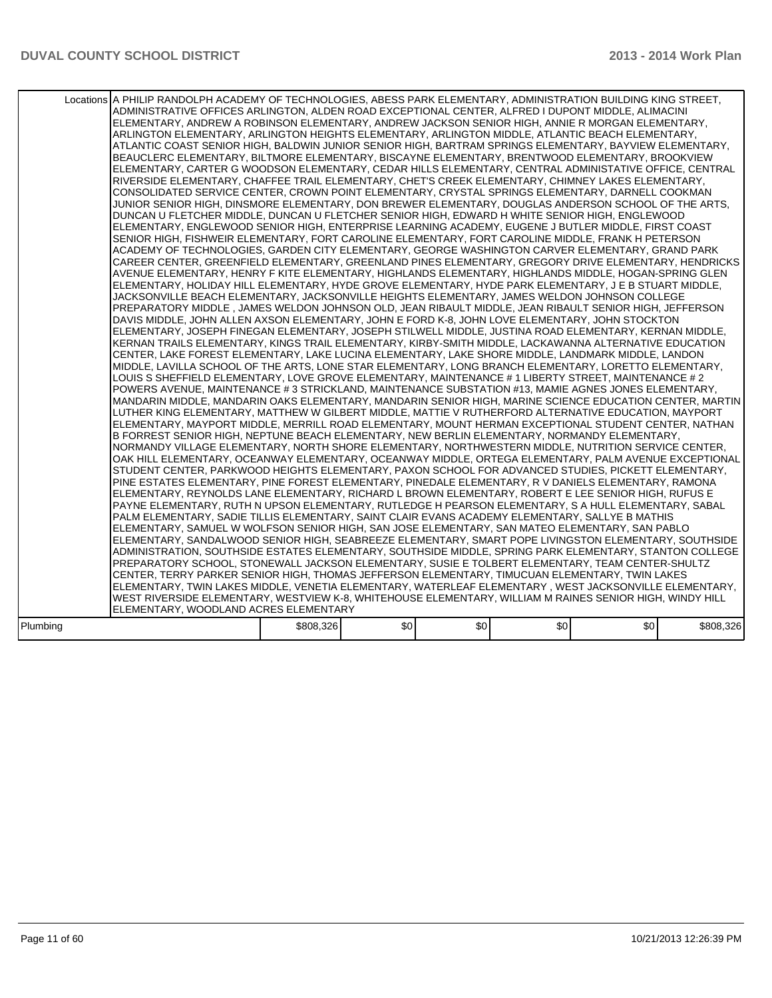|          | Locations A PHILIP RANDOLPH ACADEMY OF TECHNOLOGIES, ABESS PARK ELEMENTARY, ADMINISTRATION BUILDING KING STREET,<br>ADMINISTRATIVE OFFICES ARLINGTON, ALDEN ROAD EXCEPTIONAL CENTER, ALFRED I DUPONT MIDDLE, ALIMACINI<br>ELEMENTARY, ANDREW A ROBINSON ELEMENTARY, ANDREW JACKSON SENIOR HIGH, ANNIE R MORGAN ELEMENTARY,<br>ARLINGTON ELEMENTARY, ARLINGTON HEIGHTS ELEMENTARY, ARLINGTON MIDDLE, ATLANTIC BEACH ELEMENTARY,<br>ATLANTIC COAST SENIOR HIGH, BALDWIN JUNIOR SENIOR HIGH, BARTRAM SPRINGS ELEMENTARY, BAYVIEW ELEMENTARY,<br>BEAUCLERC ELEMENTARY, BILTMORE ELEMENTARY, BISCAYNE ELEMENTARY, BRENTWOOD ELEMENTARY, BROOKVIEW<br>ELEMENTARY, CARTER G WOODSON ELEMENTARY, CEDAR HILLS ELEMENTARY, CENTRAL ADMINISTATIVE OFFICE, CENTRAL<br>RIVERSIDE ELEMENTARY, CHAFFEE TRAIL ELEMENTARY, CHET'S CREEK ELEMENTARY, CHIMNEY LAKES ELEMENTARY,<br>CONSOLIDATED SERVICE CENTER, CROWN POINT ELEMENTARY, CRYSTAL SPRINGS ELEMENTARY, DARNELL COOKMAN<br>JUNIOR SENIOR HIGH. DINSMORE ELEMENTARY. DON BREWER ELEMENTARY. DOUGLAS ANDERSON SCHOOL OF THE ARTS.<br>DUNCAN U FLETCHER MIDDLE, DUNCAN U FLETCHER SENIOR HIGH, EDWARD H WHITE SENIOR HIGH, ENGLEWOOD<br>ELEMENTARY, ENGLEWOOD SENIOR HIGH, ENTERPRISE LEARNING ACADEMY, EUGENE J BUTLER MIDDLE, FIRST COAST<br>SENIOR HIGH, FISHWEIR ELEMENTARY, FORT CAROLINE ELEMENTARY, FORT CAROLINE MIDDLE, FRANK H PETERSON<br>ACADEMY OF TECHNOLOGIES, GARDEN CITY ELEMENTARY, GEORGE WASHINGTON CARVER ELEMENTARY, GRAND PARK<br>CAREER CENTER, GREENFIELD ELEMENTARY, GREENLAND PINES ELEMENTARY, GREGORY DRIVE ELEMENTARY, HENDRICKS<br>AVENUE ELEMENTARY, HENRY F KITE ELEMENTARY, HIGHLANDS ELEMENTARY, HIGHLANDS MIDDLE, HOGAN-SPRING GLEN<br>ELEMENTARY, HOLIDAY HILL ELEMENTARY, HYDE GROVE ELEMENTARY, HYDE PARK ELEMENTARY, J E B STUART MIDDLE,<br>JACKSONVILLE BEACH ELEMENTARY, JACKSONVILLE HEIGHTS ELEMENTARY, JAMES WELDON JOHNSON COLLEGE<br>PREPARATORY MIDDLE , JAMES WELDON JOHNSON OLD, JEAN RIBAULT MIDDLE, JEAN RIBAULT SENIOR HIGH, JEFFERSON<br>DAVIS MIDDLE, JOHN ALLEN AXSON ELEMENTARY, JOHN E FORD K-8, JOHN LOVE ELEMENTARY, JOHN STOCKTON<br>ELEMENTARY, JOSEPH FINEGAN ELEMENTARY, JOSEPH STILWELL MIDDLE, JUSTINA ROAD ELEMENTARY, KERNAN MIDDLE,<br>KERNAN TRAILS ELEMENTARY, KINGS TRAIL ELEMENTARY, KIRBY-SMITH MIDDLE, LACKAWANNA ALTERNATIVE EDUCATION<br>CENTER, LAKE FOREST ELEMENTARY, LAKE LUCINA ELEMENTARY, LAKE SHORE MIDDLE, LANDMARK MIDDLE, LANDON <br>MIDDLE, LAVILLA SCHOOL OF THE ARTS, LONE STAR ELEMENTARY, LONG BRANCH ELEMENTARY, LORETTO ELEMENTARY,<br>LOUIS S SHEFFIELD ELEMENTARY, LOVE GROVE ELEMENTARY, MAINTENANCE # 1 LIBERTY STREET, MAINTENANCE # 2<br>POWERS AVENUE, MAINTENANCE # 3 STRICKLAND, MAINTENANCE SUBSTATION #13, MAMIE AGNES JONES ELEMENTARY,<br>MANDARIN MIDDLE, MANDARIN OAKS ELEMENTARY, MANDARIN SENIOR HIGH, MARINE SCIENCE EDUCATION CENTER, MARTIN<br>LUTHER KING ELEMENTARY, MATTHEW W GILBERT MIDDLE, MATTIE V RUTHERFORD ALTERNATIVE EDUCATION, MAYPORT<br>ELEMENTARY, MAYPORT MIDDLE, MERRILL ROAD ELEMENTARY, MOUNT HERMAN EXCEPTIONAL STUDENT CENTER, NATHAN<br>B FORREST SENIOR HIGH, NEPTUNE BEACH ELEMENTARY, NEW BERLIN ELEMENTARY, NORMANDY ELEMENTARY,<br>NORMANDY VILLAGE ELEMENTARY, NORTH SHORE ELEMENTARY, NORTHWESTERN MIDDLE, NUTRITION SERVICE CENTER,<br>OAK HILL ELEMENTARY, OCEANWAY ELEMENTARY, OCEANWAY MIDDLE, ORTEGA ELEMENTARY, PALM AVENUE EXCEPTIONAL<br>STUDENT CENTER, PARKWOOD HEIGHTS ELEMENTARY, PAXON SCHOOL FOR ADVANCED STUDIES, PICKETT ELEMENTARY,<br>PINE ESTATES ELEMENTARY, PINE FOREST ELEMENTARY, PINEDALE ELEMENTARY, R V DANIELS ELEMENTARY, RAMONA<br>ELEMENTARY, REYNOLDS LANE ELEMENTARY, RICHARD L BROWN ELEMENTARY, ROBERT E LEE SENIOR HIGH, RUFUS E<br>PAYNE ELEMENTARY, RUTH N UPSON ELEMENTARY, RUTLEDGE H PEARSON ELEMENTARY, S A HULL ELEMENTARY, SABAL<br>PALM ELEMENTARY, SADIE TILLIS ELEMENTARY, SAINT CLAIR EVANS ACADEMY ELEMENTARY, SALLYE B MATHIS<br>ELEMENTARY, SAMUEL W WOLFSON SENIOR HIGH, SAN JOSE ELEMENTARY, SAN MATEO ELEMENTARY, SAN PABLO<br>ELEMENTARY, SANDALWOOD SENIOR HIGH, SEABREEZE ELEMENTARY, SMART POPE LIVINGSTON ELEMENTARY, SOUTHSIDE<br>ADMINISTRATION, SOUTHSIDE ESTATES ELEMENTARY, SOUTHSIDE MIDDLE, SPRING PARK ELEMENTARY, STANTON COLLEGE<br>PREPARATORY SCHOOL, STONEWALL JACKSON ELEMENTARY, SUSIE E TOLBERT ELEMENTARY, TEAM CENTER-SHULTZ<br>CENTER, TERRY PARKER SENIOR HIGH, THOMAS JEFFERSON ELEMENTARY, TIMUCUAN ELEMENTARY, TWIN LAKES<br>ELEMENTARY, TWIN LAKES MIDDLE, VENETIA ELEMENTARY, WATERLEAF ELEMENTARY , WEST JACKSONVILLE ELEMENTARY,<br>WEST RIVERSIDE ELEMENTARY, WESTVIEW K-8, WHITEHOUSE ELEMENTARY, WILLIAM M RAINES SENIOR HIGH, WINDY HILL<br>ELEMENTARY, WOODLAND ACRES ELEMENTARY |           |      |     |                  |     |           |
|----------|--------------------------------------------------------------------------------------------------------------------------------------------------------------------------------------------------------------------------------------------------------------------------------------------------------------------------------------------------------------------------------------------------------------------------------------------------------------------------------------------------------------------------------------------------------------------------------------------------------------------------------------------------------------------------------------------------------------------------------------------------------------------------------------------------------------------------------------------------------------------------------------------------------------------------------------------------------------------------------------------------------------------------------------------------------------------------------------------------------------------------------------------------------------------------------------------------------------------------------------------------------------------------------------------------------------------------------------------------------------------------------------------------------------------------------------------------------------------------------------------------------------------------------------------------------------------------------------------------------------------------------------------------------------------------------------------------------------------------------------------------------------------------------------------------------------------------------------------------------------------------------------------------------------------------------------------------------------------------------------------------------------------------------------------------------------------------------------------------------------------------------------------------------------------------------------------------------------------------------------------------------------------------------------------------------------------------------------------------------------------------------------------------------------------------------------------------------------------------------------------------------------------------------------------------------------------------------------------------------------------------------------------------------------------------------------------------------------------------------------------------------------------------------------------------------------------------------------------------------------------------------------------------------------------------------------------------------------------------------------------------------------------------------------------------------------------------------------------------------------------------------------------------------------------------------------------------------------------------------------------------------------------------------------------------------------------------------------------------------------------------------------------------------------------------------------------------------------------------------------------------------------------------------------------------------------------------------------------------------------------------------------------------------------------------------------------------------------------------------------------------------------------------------------------------------------------------------------------------------------------------------------------------------------------------------------------------------------------------------------------------------------------------------------------------------------------------------------------------------------------------------------------------------------------------------------------------------------------------------------------------------------------------------------------------------------------------------------------------------------------------------------------------------------------------------------------------------------------------------------------------------------------------------------------------------------------------------------------------------------------------------------------------------------------------------------------------------------------------------------------------------------------|-----------|------|-----|------------------|-----|-----------|
|          |                                                                                                                                                                                                                                                                                                                                                                                                                                                                                                                                                                                                                                                                                                                                                                                                                                                                                                                                                                                                                                                                                                                                                                                                                                                                                                                                                                                                                                                                                                                                                                                                                                                                                                                                                                                                                                                                                                                                                                                                                                                                                                                                                                                                                                                                                                                                                                                                                                                                                                                                                                                                                                                                                                                                                                                                                                                                                                                                                                                                                                                                                                                                                                                                                                                                                                                                                                                                                                                                                                                                                                                                                                                                                                                                                                                                                                                                                                                                                                                                                                                                                                                                                                                                                                                                                                                                                                                                                                                                                                                                                                                                                                                                                                                                                                    |           |      |     |                  |     |           |
| Plumbing |                                                                                                                                                                                                                                                                                                                                                                                                                                                                                                                                                                                                                                                                                                                                                                                                                                                                                                                                                                                                                                                                                                                                                                                                                                                                                                                                                                                                                                                                                                                                                                                                                                                                                                                                                                                                                                                                                                                                                                                                                                                                                                                                                                                                                                                                                                                                                                                                                                                                                                                                                                                                                                                                                                                                                                                                                                                                                                                                                                                                                                                                                                                                                                                                                                                                                                                                                                                                                                                                                                                                                                                                                                                                                                                                                                                                                                                                                                                                                                                                                                                                                                                                                                                                                                                                                                                                                                                                                                                                                                                                                                                                                                                                                                                                                                    | \$808,326 | \$0] | \$0 | \$0 <sub>1</sub> | \$0 | \$808,326 |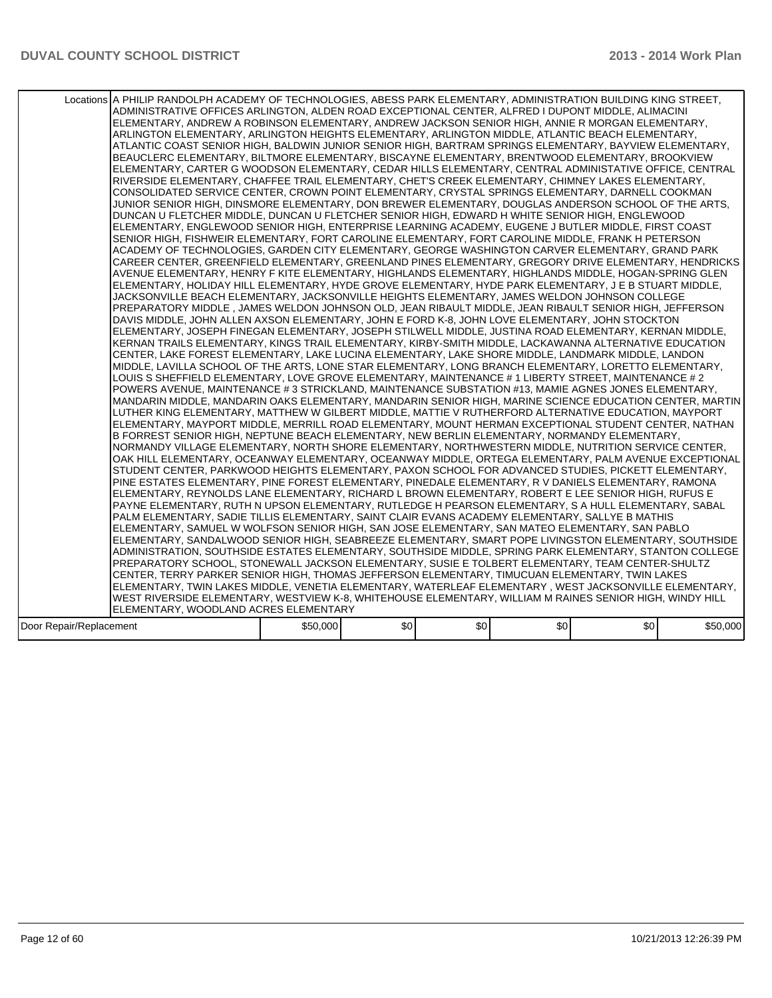|                         | Locations A PHILIP RANDOLPH ACADEMY OF TECHNOLOGIES, ABESS PARK ELEMENTARY, ADMINISTRATION BUILDING KING STREET,<br>ADMINISTRATIVE OFFICES ARLINGTON, ALDEN ROAD EXCEPTIONAL CENTER, ALFRED I DUPONT MIDDLE, ALIMACINI <br>ELEMENTARY, ANDREW A ROBINSON ELEMENTARY, ANDREW JACKSON SENIOR HIGH, ANNIE R MORGAN ELEMENTARY,<br>ARLINGTON ELEMENTARY, ARLINGTON HEIGHTS ELEMENTARY, ARLINGTON MIDDLE, ATLANTIC BEACH ELEMENTARY,<br>ATLANTIC COAST SENIOR HIGH. BALDWIN JUNIOR SENIOR HIGH. BARTRAM SPRINGS ELEMENTARY. BAYVIEW ELEMENTARY.<br>BEAUCLERC ELEMENTARY, BILTMORE ELEMENTARY, BISCAYNE ELEMENTARY, BRENTWOOD ELEMENTARY, BROOKVIEW<br>ELEMENTARY, CARTER G WOODSON ELEMENTARY, CEDAR HILLS ELEMENTARY, CENTRAL ADMINISTATIVE OFFICE, CENTRAL<br>RIVERSIDE ELEMENTARY, CHAFFEE TRAIL ELEMENTARY, CHET'S CREEK ELEMENTARY, CHIMNEY LAKES ELEMENTARY,<br>CONSOLIDATED SERVICE CENTER, CROWN POINT ELEMENTARY, CRYSTAL SPRINGS ELEMENTARY, DARNELL COOKMAN<br>JUNIOR SENIOR HIGH, DINSMORE ELEMENTARY, DON BREWER ELEMENTARY, DOUGLAS ANDERSON SCHOOL OF THE ARTS.<br>DUNCAN U FLETCHER MIDDLE, DUNCAN U FLETCHER SENIOR HIGH, EDWARD H WHITE SENIOR HIGH, ENGLEWOOD<br>ELEMENTARY, ENGLEWOOD SENIOR HIGH, ENTERPRISE LEARNING ACADEMY, EUGENE J BUTLER MIDDLE, FIRST COAST<br>SENIOR HIGH, FISHWEIR ELEMENTARY, FORT CAROLINE ELEMENTARY, FORT CAROLINE MIDDLE, FRANK H PETERSON<br>ACADEMY OF TECHNOLOGIES, GARDEN CITY ELEMENTARY, GEORGE WASHINGTON CARVER ELEMENTARY, GRAND PARK<br>CAREER CENTER, GREENFIELD ELEMENTARY, GREENLAND PINES ELEMENTARY, GREGORY DRIVE ELEMENTARY, HENDRICKS<br>AVENUE ELEMENTARY, HENRY F KITE ELEMENTARY, HIGHLANDS ELEMENTARY, HIGHLANDS MIDDLE, HOGAN-SPRING GLEN<br>ELEMENTARY, HOLIDAY HILL ELEMENTARY, HYDE GROVE ELEMENTARY, HYDE PARK ELEMENTARY, J E B STUART MIDDLE,<br>JACKSONVILLE BEACH ELEMENTARY, JACKSONVILLE HEIGHTS ELEMENTARY, JAMES WELDON JOHNSON COLLEGE<br>PREPARATORY MIDDLE , JAMES WELDON JOHNSON OLD, JEAN RIBAULT MIDDLE, JEAN RIBAULT SENIOR HIGH, JEFFERSON<br>DAVIS MIDDLE, JOHN ALLEN AXSON ELEMENTARY, JOHN E FORD K-8, JOHN LOVE ELEMENTARY, JOHN STOCKTON<br>ELEMENTARY, JOSEPH FINEGAN ELEMENTARY, JOSEPH STILWELL MIDDLE, JUSTINA ROAD ELEMENTARY, KERNAN MIDDLE,<br>KERNAN TRAILS ELEMENTARY, KINGS TRAIL ELEMENTARY, KIRBY-SMITH MIDDLE, LACKAWANNA ALTERNATIVE EDUCATION<br>CENTER, LAKE FOREST ELEMENTARY, LAKE LUCINA ELEMENTARY, LAKE SHORE MIDDLE, LANDMARK MIDDLE, LANDON <br>MIDDLE, LAVILLA SCHOOL OF THE ARTS, LONE STAR ELEMENTARY, LONG BRANCH ELEMENTARY, LORETTO ELEMENTARY,<br>LOUIS S SHEFFIELD ELEMENTARY, LOVE GROVE ELEMENTARY, MAINTENANCE # 1 LIBERTY STREET, MAINTENANCE # 2<br>POWERS AVENUE, MAINTENANCE # 3 STRICKLAND, MAINTENANCE SUBSTATION #13, MAMIE AGNES JONES ELEMENTARY,<br>MANDARIN MIDDLE, MANDARIN OAKS ELEMENTARY, MANDARIN SENIOR HIGH, MARINE SCIENCE EDUCATION CENTER, MARTIN<br>LUTHER KING ELEMENTARY, MATTHEW W GILBERT MIDDLE, MATTIE V RUTHERFORD ALTERNATIVE EDUCATION, MAYPORT<br>ELEMENTARY, MAYPORT MIDDLE, MERRILL ROAD ELEMENTARY, MOUNT HERMAN EXCEPTIONAL STUDENT CENTER, NATHAN<br>B FORREST SENIOR HIGH, NEPTUNE BEACH ELEMENTARY, NEW BERLIN ELEMENTARY, NORMANDY ELEMENTARY,<br>NORMANDY VILLAGE ELEMENTARY, NORTH SHORE ELEMENTARY, NORTHWESTERN MIDDLE, NUTRITION SERVICE CENTER,<br>OAK HILL ELEMENTARY, OCEANWAY ELEMENTARY, OCEANWAY MIDDLE, ORTEGA ELEMENTARY, PALM AVENUE EXCEPTIONAL<br>STUDENT CENTER, PARKWOOD HEIGHTS ELEMENTARY, PAXON SCHOOL FOR ADVANCED STUDIES, PICKETT ELEMENTARY,<br>PINE ESTATES ELEMENTARY, PINE FOREST ELEMENTARY, PINEDALE ELEMENTARY, R V DANIELS ELEMENTARY, RAMONA<br>ELEMENTARY, REYNOLDS LANE ELEMENTARY, RICHARD L BROWN ELEMENTARY, ROBERT E LEE SENIOR HIGH, RUFUS E<br>PAYNE ELEMENTARY, RUTH N UPSON ELEMENTARY, RUTLEDGE H PEARSON ELEMENTARY, S A HULL ELEMENTARY, SABAL<br>PALM ELEMENTARY, SADIE TILLIS ELEMENTARY, SAINT CLAIR EVANS ACADEMY ELEMENTARY, SALLYE B MATHIS<br>ELEMENTARY, SAMUEL W WOLFSON SENIOR HIGH, SAN JOSE ELEMENTARY, SAN MATEO ELEMENTARY, SAN PABLO<br>ELEMENTARY, SANDALWOOD SENIOR HIGH, SEABREEZE ELEMENTARY, SMART POPE LIVINGSTON ELEMENTARY, SOUTHSIDE<br>ADMINISTRATION, SOUTHSIDE ESTATES ELEMENTARY, SOUTHSIDE MIDDLE, SPRING PARK ELEMENTARY, STANTON COLLEGE<br>PREPARATORY SCHOOL, STONEWALL JACKSON ELEMENTARY, SUSIE E TOLBERT ELEMENTARY, TEAM CENTER-SHULTZ<br>CENTER, TERRY PARKER SENIOR HIGH, THOMAS JEFFERSON ELEMENTARY, TIMUCUAN ELEMENTARY, TWIN LAKES<br>ELEMENTARY, TWIN LAKES MIDDLE, VENETIA ELEMENTARY, WATERLEAF ELEMENTARY , WEST JACKSONVILLE ELEMENTARY, |          |      |     |                  |     |          |
|-------------------------|----------------------------------------------------------------------------------------------------------------------------------------------------------------------------------------------------------------------------------------------------------------------------------------------------------------------------------------------------------------------------------------------------------------------------------------------------------------------------------------------------------------------------------------------------------------------------------------------------------------------------------------------------------------------------------------------------------------------------------------------------------------------------------------------------------------------------------------------------------------------------------------------------------------------------------------------------------------------------------------------------------------------------------------------------------------------------------------------------------------------------------------------------------------------------------------------------------------------------------------------------------------------------------------------------------------------------------------------------------------------------------------------------------------------------------------------------------------------------------------------------------------------------------------------------------------------------------------------------------------------------------------------------------------------------------------------------------------------------------------------------------------------------------------------------------------------------------------------------------------------------------------------------------------------------------------------------------------------------------------------------------------------------------------------------------------------------------------------------------------------------------------------------------------------------------------------------------------------------------------------------------------------------------------------------------------------------------------------------------------------------------------------------------------------------------------------------------------------------------------------------------------------------------------------------------------------------------------------------------------------------------------------------------------------------------------------------------------------------------------------------------------------------------------------------------------------------------------------------------------------------------------------------------------------------------------------------------------------------------------------------------------------------------------------------------------------------------------------------------------------------------------------------------------------------------------------------------------------------------------------------------------------------------------------------------------------------------------------------------------------------------------------------------------------------------------------------------------------------------------------------------------------------------------------------------------------------------------------------------------------------------------------------------------------------------------------------------------------------------------------------------------------------------------------------------------------------------------------------------------------------------------------------------------------------------------------------------------------------------------------------------------------------------------------------------------------------------------------------------------------------------------------------------------------------------------------------------------------------------------------------------------------------------------------------------------------------------------------------------------------------------------------------------------------------------------------------------------------------------------------------------------------------------------------------------------------------------------------------------------|----------|------|-----|------------------|-----|----------|
|                         |                                                                                                                                                                                                                                                                                                                                                                                                                                                                                                                                                                                                                                                                                                                                                                                                                                                                                                                                                                                                                                                                                                                                                                                                                                                                                                                                                                                                                                                                                                                                                                                                                                                                                                                                                                                                                                                                                                                                                                                                                                                                                                                                                                                                                                                                                                                                                                                                                                                                                                                                                                                                                                                                                                                                                                                                                                                                                                                                                                                                                                                                                                                                                                                                                                                                                                                                                                                                                                                                                                                                                                                                                                                                                                                                                                                                                                                                                                                                                                                                                                                                                                                                                                                                                                                                                                                                                                                                                                                                                                                                                                                                                |          |      |     |                  |     |          |
|                         |                                                                                                                                                                                                                                                                                                                                                                                                                                                                                                                                                                                                                                                                                                                                                                                                                                                                                                                                                                                                                                                                                                                                                                                                                                                                                                                                                                                                                                                                                                                                                                                                                                                                                                                                                                                                                                                                                                                                                                                                                                                                                                                                                                                                                                                                                                                                                                                                                                                                                                                                                                                                                                                                                                                                                                                                                                                                                                                                                                                                                                                                                                                                                                                                                                                                                                                                                                                                                                                                                                                                                                                                                                                                                                                                                                                                                                                                                                                                                                                                                                                                                                                                                                                                                                                                                                                                                                                                                                                                                                                                                                                                                |          |      |     |                  |     |          |
|                         | WEST RIVERSIDE ELEMENTARY, WESTVIEW K-8, WHITEHOUSE ELEMENTARY, WILLIAM M RAINES SENIOR HIGH, WINDY HILL                                                                                                                                                                                                                                                                                                                                                                                                                                                                                                                                                                                                                                                                                                                                                                                                                                                                                                                                                                                                                                                                                                                                                                                                                                                                                                                                                                                                                                                                                                                                                                                                                                                                                                                                                                                                                                                                                                                                                                                                                                                                                                                                                                                                                                                                                                                                                                                                                                                                                                                                                                                                                                                                                                                                                                                                                                                                                                                                                                                                                                                                                                                                                                                                                                                                                                                                                                                                                                                                                                                                                                                                                                                                                                                                                                                                                                                                                                                                                                                                                                                                                                                                                                                                                                                                                                                                                                                                                                                                                                       |          |      |     |                  |     |          |
|                         | ELEMENTARY, WOODLAND ACRES ELEMENTARY                                                                                                                                                                                                                                                                                                                                                                                                                                                                                                                                                                                                                                                                                                                                                                                                                                                                                                                                                                                                                                                                                                                                                                                                                                                                                                                                                                                                                                                                                                                                                                                                                                                                                                                                                                                                                                                                                                                                                                                                                                                                                                                                                                                                                                                                                                                                                                                                                                                                                                                                                                                                                                                                                                                                                                                                                                                                                                                                                                                                                                                                                                                                                                                                                                                                                                                                                                                                                                                                                                                                                                                                                                                                                                                                                                                                                                                                                                                                                                                                                                                                                                                                                                                                                                                                                                                                                                                                                                                                                                                                                                          |          |      |     |                  |     |          |
| Door Repair/Replacement |                                                                                                                                                                                                                                                                                                                                                                                                                                                                                                                                                                                                                                                                                                                                                                                                                                                                                                                                                                                                                                                                                                                                                                                                                                                                                                                                                                                                                                                                                                                                                                                                                                                                                                                                                                                                                                                                                                                                                                                                                                                                                                                                                                                                                                                                                                                                                                                                                                                                                                                                                                                                                                                                                                                                                                                                                                                                                                                                                                                                                                                                                                                                                                                                                                                                                                                                                                                                                                                                                                                                                                                                                                                                                                                                                                                                                                                                                                                                                                                                                                                                                                                                                                                                                                                                                                                                                                                                                                                                                                                                                                                                                | \$50,000 | \$0] | \$0 | \$0 <sub>1</sub> | \$0 | \$50,000 |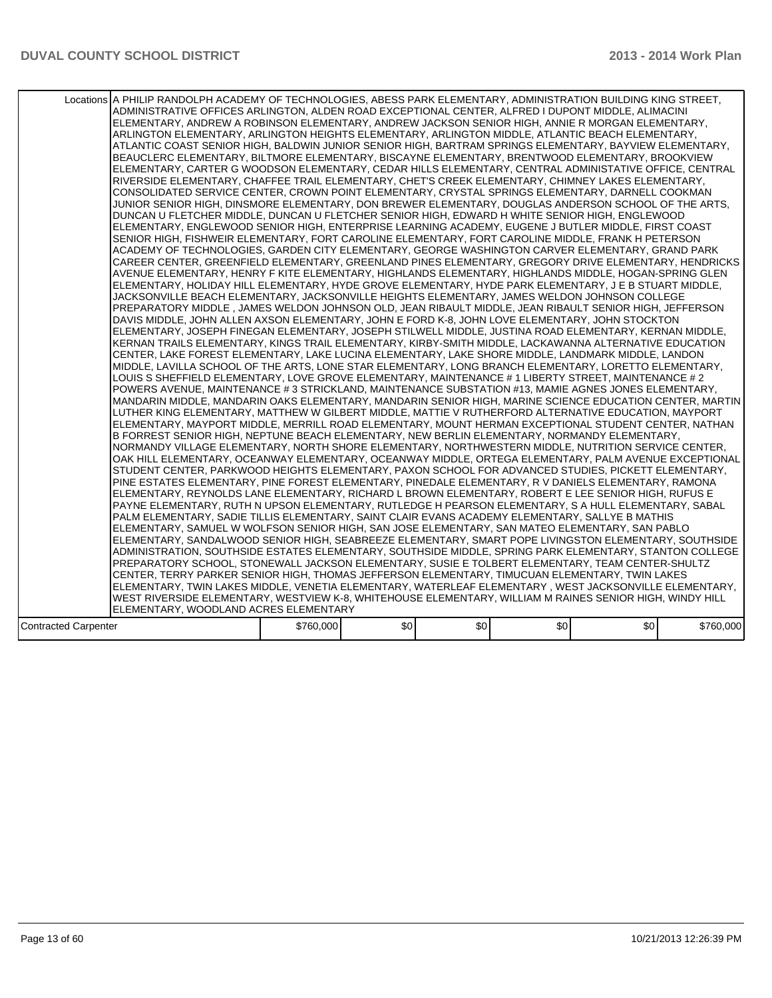|                             | Locations A PHILIP RANDOLPH ACADEMY OF TECHNOLOGIES, ABESS PARK ELEMENTARY, ADMINISTRATION BUILDING KING STREET,<br>ADMINISTRATIVE OFFICES ARLINGTON, ALDEN ROAD EXCEPTIONAL CENTER, ALFRED I DUPONT MIDDLE, ALIMACINI<br>ELEMENTARY, ANDREW A ROBINSON ELEMENTARY, ANDREW JACKSON SENIOR HIGH, ANNIE R MORGAN ELEMENTARY,<br>ARLINGTON ELEMENTARY, ARLINGTON HEIGHTS ELEMENTARY, ARLINGTON MIDDLE, ATLANTIC BEACH ELEMENTARY,<br>ATLANTIC COAST SENIOR HIGH. BALDWIN JUNIOR SENIOR HIGH. BARTRAM SPRINGS ELEMENTARY. BAYVIEW ELEMENTARY.<br>BEAUCLERC ELEMENTARY, BILTMORE ELEMENTARY, BISCAYNE ELEMENTARY, BRENTWOOD ELEMENTARY, BROOKVIEW<br>ELEMENTARY, CARTER G WOODSON ELEMENTARY, CEDAR HILLS ELEMENTARY, CENTRAL ADMINISTATIVE OFFICE, CENTRAL<br>RIVERSIDE ELEMENTARY, CHAFFEE TRAIL ELEMENTARY, CHET'S CREEK ELEMENTARY, CHIMNEY LAKES ELEMENTARY,<br>CONSOLIDATED SERVICE CENTER, CROWN POINT ELEMENTARY, CRYSTAL SPRINGS ELEMENTARY, DARNELL COOKMAN<br>JUNIOR SENIOR HIGH, DINSMORE ELEMENTARY, DON BREWER ELEMENTARY, DOUGLAS ANDERSON SCHOOL OF THE ARTS.<br>DUNCAN U FLETCHER MIDDLE, DUNCAN U FLETCHER SENIOR HIGH, EDWARD H WHITE SENIOR HIGH, ENGLEWOOD<br>ELEMENTARY, ENGLEWOOD SENIOR HIGH, ENTERPRISE LEARNING ACADEMY, EUGENE J BUTLER MIDDLE, FIRST COAST<br>SENIOR HIGH, FISHWEIR ELEMENTARY, FORT CAROLINE ELEMENTARY, FORT CAROLINE MIDDLE, FRANK H PETERSON<br>ACADEMY OF TECHNOLOGIES, GARDEN CITY ELEMENTARY, GEORGE WASHINGTON CARVER ELEMENTARY, GRAND PARK<br>CAREER CENTER, GREENFIELD ELEMENTARY, GREENLAND PINES ELEMENTARY, GREGORY DRIVE ELEMENTARY, HENDRICKS<br>AVENUE ELEMENTARY, HENRY F KITE ELEMENTARY, HIGHLANDS ELEMENTARY, HIGHLANDS MIDDLE, HOGAN-SPRING GLEN<br>ELEMENTARY, HOLIDAY HILL ELEMENTARY, HYDE GROVE ELEMENTARY, HYDE PARK ELEMENTARY, J E B STUART MIDDLE,<br>JACKSONVILLE BEACH ELEMENTARY, JACKSONVILLE HEIGHTS ELEMENTARY, JAMES WELDON JOHNSON COLLEGE<br>PREPARATORY MIDDLE , JAMES WELDON JOHNSON OLD, JEAN RIBAULT MIDDLE, JEAN RIBAULT SENIOR HIGH, JEFFERSON<br>DAVIS MIDDLE, JOHN ALLEN AXSON ELEMENTARY, JOHN E FORD K-8, JOHN LOVE ELEMENTARY, JOHN STOCKTON<br>IELEMENTARY. JOSEPH FINEGAN ELEMENTARY. JOSEPH STILWELL MIDDLE. JUSTINA ROAD ELEMENTARY. KERNAN MIDDLE.<br>KERNAN TRAILS ELEMENTARY, KINGS TRAIL ELEMENTARY, KIRBY-SMITH MIDDLE, LACKAWANNA ALTERNATIVE EDUCATION<br>CENTER, LAKE FOREST ELEMENTARY, LAKE LUCINA ELEMENTARY, LAKE SHORE MIDDLE, LANDMARK MIDDLE, LANDON<br>MIDDLE, LAVILLA SCHOOL OF THE ARTS, LONE STAR ELEMENTARY, LONG BRANCH ELEMENTARY, LORETTO ELEMENTARY,<br>LOUIS S SHEFFIELD ELEMENTARY, LOVE GROVE ELEMENTARY, MAINTENANCE # 1 LIBERTY STREET, MAINTENANCE # 2<br>POWERS AVENUE, MAINTENANCE # 3 STRICKLAND, MAINTENANCE SUBSTATION #13, MAMIE AGNES JONES ELEMENTARY,<br>MANDARIN MIDDLE, MANDARIN OAKS ELEMENTARY, MANDARIN SENIOR HIGH, MARINE SCIENCE EDUCATION CENTER, MARTIN<br>LUTHER KING ELEMENTARY, MATTHEW W GILBERT MIDDLE, MATTIE V RUTHERFORD ALTERNATIVE EDUCATION, MAYPORT<br>IELEMENTARY, MAYPORT MIDDLE, MERRILL ROAD ELEMENTARY, MOUNT HERMAN EXCEPTIONAL STUDENT CENTER, NATHAN<br>B FORREST SENIOR HIGH, NEPTUNE BEACH ELEMENTARY, NEW BERLIN ELEMENTARY, NORMANDY ELEMENTARY,<br>NORMANDY VILLAGE ELEMENTARY, NORTH SHORE ELEMENTARY, NORTHWESTERN MIDDLE, NUTRITION SERVICE CENTER,<br>OAK HILL ELEMENTARY, OCEANWAY ELEMENTARY, OCEANWAY MIDDLE, ORTEGA ELEMENTARY, PALM AVENUE EXCEPTIONAL<br>STUDENT CENTER, PARKWOOD HEIGHTS ELEMENTARY, PAXON SCHOOL FOR ADVANCED STUDIES, PICKETT ELEMENTARY,<br>PINE ESTATES ELEMENTARY, PINE FOREST ELEMENTARY, PINEDALE ELEMENTARY, R V DANIELS ELEMENTARY, RAMONA<br>ELEMENTARY, REYNOLDS LANE ELEMENTARY, RICHARD L BROWN ELEMENTARY, ROBERT E LEE SENIOR HIGH, RUFUS E<br>IPAYNE ELEMENTARY. RUTH N UPSON ELEMENTARY. RUTLEDGE H PEARSON ELEMENTARY. S A HULL ELEMENTARY. SABAL<br>PALM ELEMENTARY, SADIE TILLIS ELEMENTARY, SAINT CLAIR EVANS ACADEMY ELEMENTARY, SALLYE B MATHIS<br>ELEMENTARY, SAMUEL W WOLFSON SENIOR HIGH, SAN JOSE ELEMENTARY, SAN MATEO ELEMENTARY, SAN PABLO<br>ELEMENTARY, SANDALWOOD SENIOR HIGH, SEABREEZE ELEMENTARY, SMART POPE LIVINGSTON ELEMENTARY, SOUTHSIDE<br>ADMINISTRATION, SOUTHSIDE ESTATES ELEMENTARY, SOUTHSIDE MIDDLE, SPRING PARK ELEMENTARY, STANTON COLLEGE<br>PREPARATORY SCHOOL, STONEWALL JACKSON ELEMENTARY, SUSIE E TOLBERT ELEMENTARY, TEAM CENTER-SHULTZ<br>CENTER, TERRY PARKER SENIOR HIGH, THOMAS JEFFERSON ELEMENTARY, TIMUCUAN ELEMENTARY, TWIN LAKES<br>ELEMENTARY, TWIN LAKES MIDDLE, VENETIA ELEMENTARY, WATERLEAF ELEMENTARY , WEST JACKSONVILLE ELEMENTARY,<br>WEST RIVERSIDE ELEMENTARY, WESTVIEW K-8, WHITEHOUSE ELEMENTARY, WILLIAM M RAINES SENIOR HIGH, WINDY HILL |           |      |     |     |     |           |
|-----------------------------|-----------------------------------------------------------------------------------------------------------------------------------------------------------------------------------------------------------------------------------------------------------------------------------------------------------------------------------------------------------------------------------------------------------------------------------------------------------------------------------------------------------------------------------------------------------------------------------------------------------------------------------------------------------------------------------------------------------------------------------------------------------------------------------------------------------------------------------------------------------------------------------------------------------------------------------------------------------------------------------------------------------------------------------------------------------------------------------------------------------------------------------------------------------------------------------------------------------------------------------------------------------------------------------------------------------------------------------------------------------------------------------------------------------------------------------------------------------------------------------------------------------------------------------------------------------------------------------------------------------------------------------------------------------------------------------------------------------------------------------------------------------------------------------------------------------------------------------------------------------------------------------------------------------------------------------------------------------------------------------------------------------------------------------------------------------------------------------------------------------------------------------------------------------------------------------------------------------------------------------------------------------------------------------------------------------------------------------------------------------------------------------------------------------------------------------------------------------------------------------------------------------------------------------------------------------------------------------------------------------------------------------------------------------------------------------------------------------------------------------------------------------------------------------------------------------------------------------------------------------------------------------------------------------------------------------------------------------------------------------------------------------------------------------------------------------------------------------------------------------------------------------------------------------------------------------------------------------------------------------------------------------------------------------------------------------------------------------------------------------------------------------------------------------------------------------------------------------------------------------------------------------------------------------------------------------------------------------------------------------------------------------------------------------------------------------------------------------------------------------------------------------------------------------------------------------------------------------------------------------------------------------------------------------------------------------------------------------------------------------------------------------------------------------------------------------------------------------------------------------------------------------------------------------------------------------------------------------------------------------------------------------------------------------------------------------------------------------------------------------------------------------------------------------------------------------------------------------------------------------------------------------------------------------------------------------------------------------------------------------------------------------------------------------------------------------------------------------------------------|-----------|------|-----|-----|-----|-----------|
|                             |                                                                                                                                                                                                                                                                                                                                                                                                                                                                                                                                                                                                                                                                                                                                                                                                                                                                                                                                                                                                                                                                                                                                                                                                                                                                                                                                                                                                                                                                                                                                                                                                                                                                                                                                                                                                                                                                                                                                                                                                                                                                                                                                                                                                                                                                                                                                                                                                                                                                                                                                                                                                                                                                                                                                                                                                                                                                                                                                                                                                                                                                                                                                                                                                                                                                                                                                                                                                                                                                                                                                                                                                                                                                                                                                                                                                                                                                                                                                                                                                                                                                                                                                                                                                                                                                                                                                                                                                                                                                                                                                                                                                                                                                                                                             |           |      |     |     |     |           |
|                             | ELEMENTARY, WOODLAND ACRES ELEMENTARY                                                                                                                                                                                                                                                                                                                                                                                                                                                                                                                                                                                                                                                                                                                                                                                                                                                                                                                                                                                                                                                                                                                                                                                                                                                                                                                                                                                                                                                                                                                                                                                                                                                                                                                                                                                                                                                                                                                                                                                                                                                                                                                                                                                                                                                                                                                                                                                                                                                                                                                                                                                                                                                                                                                                                                                                                                                                                                                                                                                                                                                                                                                                                                                                                                                                                                                                                                                                                                                                                                                                                                                                                                                                                                                                                                                                                                                                                                                                                                                                                                                                                                                                                                                                                                                                                                                                                                                                                                                                                                                                                                                                                                                                                       |           |      |     |     |     |           |
| <b>Contracted Carpenter</b> |                                                                                                                                                                                                                                                                                                                                                                                                                                                                                                                                                                                                                                                                                                                                                                                                                                                                                                                                                                                                                                                                                                                                                                                                                                                                                                                                                                                                                                                                                                                                                                                                                                                                                                                                                                                                                                                                                                                                                                                                                                                                                                                                                                                                                                                                                                                                                                                                                                                                                                                                                                                                                                                                                                                                                                                                                                                                                                                                                                                                                                                                                                                                                                                                                                                                                                                                                                                                                                                                                                                                                                                                                                                                                                                                                                                                                                                                                                                                                                                                                                                                                                                                                                                                                                                                                                                                                                                                                                                                                                                                                                                                                                                                                                                             | \$760,000 | \$0] | \$0 | \$0 | \$0 | \$760,000 |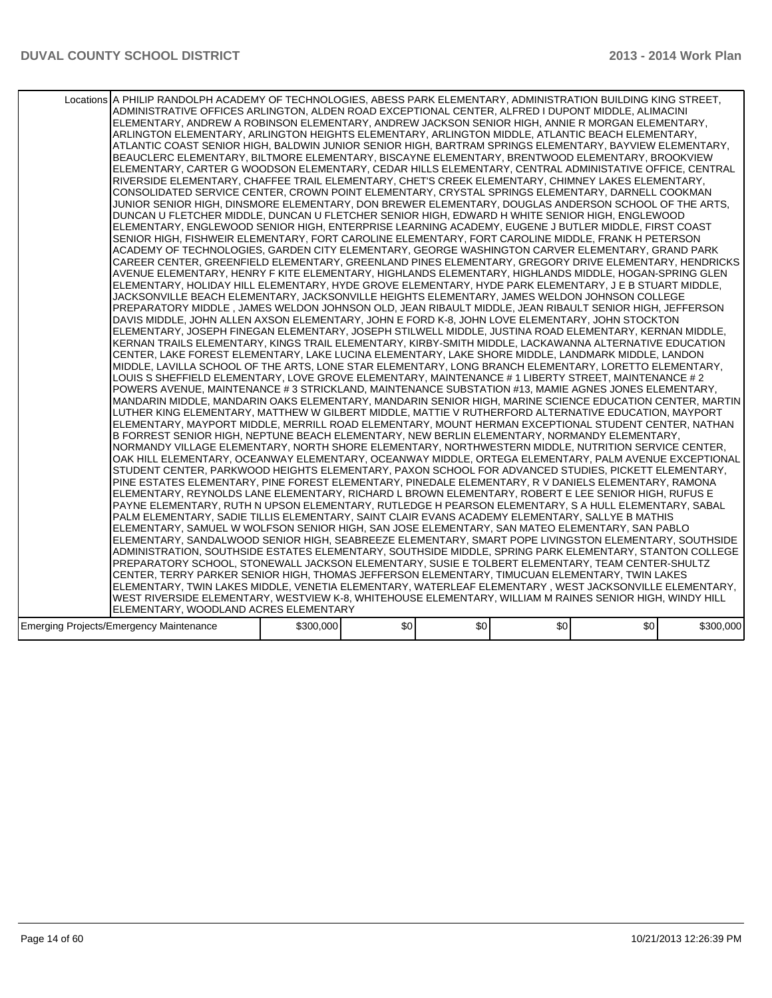| Locations A PHILIP RANDOLPH ACADEMY OF TECHNOLOGIES, ABESS PARK ELEMENTARY, ADMINISTRATION BUILDING KING STREET,<br>ADMINISTRATIVE OFFICES ARLINGTON, ALDEN ROAD EXCEPTIONAL CENTER, ALFRED I DUPONT MIDDLE, ALIMACINI<br>ELEMENTARY, ANDREW A ROBINSON ELEMENTARY, ANDREW JACKSON SENIOR HIGH, ANNIE R MORGAN ELEMENTARY,<br>ARLINGTON ELEMENTARY, ARLINGTON HEIGHTS ELEMENTARY, ARLINGTON MIDDLE, ATLANTIC BEACH ELEMENTARY,<br>ATLANTIC COAST SENIOR HIGH, BALDWIN JUNIOR SENIOR HIGH, BARTRAM SPRINGS ELEMENTARY, BAYVIEW ELEMENTARY,<br>BEAUCLERC ELEMENTARY, BILTMORE ELEMENTARY, BISCAYNE ELEMENTARY, BRENTWOOD ELEMENTARY, BROOKVIEW<br>ELEMENTARY, CARTER G WOODSON ELEMENTARY, CEDAR HILLS ELEMENTARY, CENTRAL ADMINISTATIVE OFFICE, CENTRAL<br>RIVERSIDE ELEMENTARY, CHAFFEE TRAIL ELEMENTARY, CHET'S CREEK ELEMENTARY, CHIMNEY LAKES ELEMENTARY,<br>CONSOLIDATED SERVICE CENTER, CROWN POINT ELEMENTARY, CRYSTAL SPRINGS ELEMENTARY, DARNELL COOKMAN<br>JUNIOR SENIOR HIGH, DINSMORE ELEMENTARY, DON BREWER ELEMENTARY, DOUGLAS ANDERSON SCHOOL OF THE ARTS,<br>DUNCAN U FLETCHER MIDDLE, DUNCAN U FLETCHER SENIOR HIGH, EDWARD H WHITE SENIOR HIGH, ENGLEWOOD<br>ELEMENTARY, ENGLEWOOD SENIOR HIGH, ENTERPRISE LEARNING ACADEMY, EUGENE J BUTLER MIDDLE, FIRST COAST<br>SENIOR HIGH, FISHWEIR ELEMENTARY, FORT CAROLINE ELEMENTARY, FORT CAROLINE MIDDLE, FRANK H PETERSON<br>ACADEMY OF TECHNOLOGIES, GARDEN CITY ELEMENTARY, GEORGE WASHINGTON CARVER ELEMENTARY, GRAND PARK<br>CAREER CENTER, GREENFIELD ELEMENTARY, GREENLAND PINES ELEMENTARY, GREGORY DRIVE ELEMENTARY, HENDRICKS<br>AVENUE ELEMENTARY, HENRY F KITE ELEMENTARY, HIGHLANDS ELEMENTARY, HIGHLANDS MIDDLE, HOGAN-SPRING GLEN<br>ELEMENTARY, HOLIDAY HILL ELEMENTARY, HYDE GROVE ELEMENTARY, HYDE PARK ELEMENTARY, J E B STUART MIDDLE,<br>JACKSONVILLE BEACH ELEMENTARY, JACKSONVILLE HEIGHTS ELEMENTARY, JAMES WELDON JOHNSON COLLEGE<br>PREPARATORY MIDDLE , JAMES WELDON JOHNSON OLD, JEAN RIBAULT MIDDLE, JEAN RIBAULT SENIOR HIGH, JEFFERSON<br>DAVIS MIDDLE, JOHN ALLEN AXSON ELEMENTARY, JOHN E FORD K-8, JOHN LOVE ELEMENTARY, JOHN STOCKTON<br>IELEMENTARY. JOSEPH FINEGAN ELEMENTARY. JOSEPH STILWELL MIDDLE. JUSTINA ROAD ELEMENTARY. KERNAN MIDDLE.<br>KERNAN TRAILS ELEMENTARY, KINGS TRAIL ELEMENTARY, KIRBY-SMITH MIDDLE, LACKAWANNA ALTERNATIVE EDUCATION<br>CENTER, LAKE FOREST ELEMENTARY, LAKE LUCINA ELEMENTARY, LAKE SHORE MIDDLE, LANDMARK MIDDLE, LANDON<br>MIDDLE, LAVILLA SCHOOL OF THE ARTS, LONE STAR ELEMENTARY, LONG BRANCH ELEMENTARY, LORETTO ELEMENTARY,<br>LOUIS S SHEFFIELD ELEMENTARY, LOVE GROVE ELEMENTARY, MAINTENANCE # 1 LIBERTY STREET, MAINTENANCE # 2<br>POWERS AVENUE, MAINTENANCE # 3 STRICKLAND, MAINTENANCE SUBSTATION #13, MAMIE AGNES JONES ELEMENTARY,<br>MANDARIN MIDDLE, MANDARIN OAKS ELEMENTARY, MANDARIN SENIOR HIGH, MARINE SCIENCE EDUCATION CENTER, MARTIN<br>LUTHER KING ELEMENTARY, MATTHEW W GILBERT MIDDLE, MATTIE V RUTHERFORD ALTERNATIVE EDUCATION, MAYPORT<br>ELEMENTARY, MAYPORT MIDDLE, MERRILL ROAD ELEMENTARY, MOUNT HERMAN EXCEPTIONAL STUDENT CENTER, NATHAN<br>B FORREST SENIOR HIGH, NEPTUNE BEACH ELEMENTARY, NEW BERLIN ELEMENTARY, NORMANDY ELEMENTARY,<br>NORMANDY VILLAGE ELEMENTARY, NORTH SHORE ELEMENTARY, NORTHWESTERN MIDDLE, NUTRITION SERVICE CENTER,<br>OAK HILL ELEMENTARY, OCEANWAY ELEMENTARY, OCEANWAY MIDDLE, ORTEGA ELEMENTARY, PALM AVENUE EXCEPTIONAL<br>STUDENT CENTER, PARKWOOD HEIGHTS ELEMENTARY, PAXON SCHOOL FOR ADVANCED STUDIES, PICKETT ELEMENTARY,<br>PINE ESTATES ELEMENTARY, PINE FOREST ELEMENTARY, PINEDALE ELEMENTARY, R V DANIELS ELEMENTARY, RAMONA<br>ELEMENTARY, REYNOLDS LANE ELEMENTARY, RICHARD L BROWN ELEMENTARY, ROBERT E LEE SENIOR HIGH, RUFUS E<br>PAYNE ELEMENTARY, RUTH N UPSON ELEMENTARY, RUTLEDGE H PEARSON ELEMENTARY, S A HULL ELEMENTARY, SABAL<br>PALM ELEMENTARY, SADIE TILLIS ELEMENTARY, SAINT CLAIR EVANS ACADEMY ELEMENTARY, SALLYE B MATHIS<br>ELEMENTARY, SAMUEL W WOLFSON SENIOR HIGH, SAN JOSE ELEMENTARY, SAN MATEO ELEMENTARY, SAN PABLO<br>ELEMENTARY, SANDALWOOD SENIOR HIGH, SEABREEZE ELEMENTARY, SMART POPE LIVINGSTON ELEMENTARY, SOUTHSIDE<br>ADMINISTRATION, SOUTHSIDE ESTATES ELEMENTARY, SOUTHSIDE MIDDLE, SPRING PARK ELEMENTARY, STANTON COLLEGE<br>PREPARATORY SCHOOL, STONEWALL JACKSON ELEMENTARY, SUSIE E TOLBERT ELEMENTARY, TEAM CENTER-SHULTZ<br>CENTER, TERRY PARKER SENIOR HIGH, THOMAS JEFFERSON ELEMENTARY, TIMUCUAN ELEMENTARY, TWIN LAKES<br>ELEMENTARY, TWIN LAKES MIDDLE, VENETIA ELEMENTARY, WATERLEAF ELEMENTARY , WEST JACKSONVILLE ELEMENTARY,<br>WEST RIVERSIDE ELEMENTARY, WESTVIEW K-8, WHITEHOUSE ELEMENTARY, WILLIAM M RAINES SENIOR HIGH, WINDY HILL |           |      |     |     |     |           |
|---------------------------------------------------------------------------------------------------------------------------------------------------------------------------------------------------------------------------------------------------------------------------------------------------------------------------------------------------------------------------------------------------------------------------------------------------------------------------------------------------------------------------------------------------------------------------------------------------------------------------------------------------------------------------------------------------------------------------------------------------------------------------------------------------------------------------------------------------------------------------------------------------------------------------------------------------------------------------------------------------------------------------------------------------------------------------------------------------------------------------------------------------------------------------------------------------------------------------------------------------------------------------------------------------------------------------------------------------------------------------------------------------------------------------------------------------------------------------------------------------------------------------------------------------------------------------------------------------------------------------------------------------------------------------------------------------------------------------------------------------------------------------------------------------------------------------------------------------------------------------------------------------------------------------------------------------------------------------------------------------------------------------------------------------------------------------------------------------------------------------------------------------------------------------------------------------------------------------------------------------------------------------------------------------------------------------------------------------------------------------------------------------------------------------------------------------------------------------------------------------------------------------------------------------------------------------------------------------------------------------------------------------------------------------------------------------------------------------------------------------------------------------------------------------------------------------------------------------------------------------------------------------------------------------------------------------------------------------------------------------------------------------------------------------------------------------------------------------------------------------------------------------------------------------------------------------------------------------------------------------------------------------------------------------------------------------------------------------------------------------------------------------------------------------------------------------------------------------------------------------------------------------------------------------------------------------------------------------------------------------------------------------------------------------------------------------------------------------------------------------------------------------------------------------------------------------------------------------------------------------------------------------------------------------------------------------------------------------------------------------------------------------------------------------------------------------------------------------------------------------------------------------------------------------------------------------------------------------------------------------------------------------------------------------------------------------------------------------------------------------------------------------------------------------------------------------------------------------------------------------------------------------------------------------------------------------------------------------------------------------------------------------------------------------------------------------------------------------|-----------|------|-----|-----|-----|-----------|
|                                                                                                                                                                                                                                                                                                                                                                                                                                                                                                                                                                                                                                                                                                                                                                                                                                                                                                                                                                                                                                                                                                                                                                                                                                                                                                                                                                                                                                                                                                                                                                                                                                                                                                                                                                                                                                                                                                                                                                                                                                                                                                                                                                                                                                                                                                                                                                                                                                                                                                                                                                                                                                                                                                                                                                                                                                                                                                                                                                                                                                                                                                                                                                                                                                                                                                                                                                                                                                                                                                                                                                                                                                                                                                                                                                                                                                                                                                                                                                                                                                                                                                                                                                                                                                                                                                                                                                                                                                                                                                                                                                                                                                                                                                                           |           |      |     |     |     |           |
|                                                                                                                                                                                                                                                                                                                                                                                                                                                                                                                                                                                                                                                                                                                                                                                                                                                                                                                                                                                                                                                                                                                                                                                                                                                                                                                                                                                                                                                                                                                                                                                                                                                                                                                                                                                                                                                                                                                                                                                                                                                                                                                                                                                                                                                                                                                                                                                                                                                                                                                                                                                                                                                                                                                                                                                                                                                                                                                                                                                                                                                                                                                                                                                                                                                                                                                                                                                                                                                                                                                                                                                                                                                                                                                                                                                                                                                                                                                                                                                                                                                                                                                                                                                                                                                                                                                                                                                                                                                                                                                                                                                                                                                                                                                           |           |      |     |     |     |           |
| ELEMENTARY, WOODLAND ACRES ELEMENTARY                                                                                                                                                                                                                                                                                                                                                                                                                                                                                                                                                                                                                                                                                                                                                                                                                                                                                                                                                                                                                                                                                                                                                                                                                                                                                                                                                                                                                                                                                                                                                                                                                                                                                                                                                                                                                                                                                                                                                                                                                                                                                                                                                                                                                                                                                                                                                                                                                                                                                                                                                                                                                                                                                                                                                                                                                                                                                                                                                                                                                                                                                                                                                                                                                                                                                                                                                                                                                                                                                                                                                                                                                                                                                                                                                                                                                                                                                                                                                                                                                                                                                                                                                                                                                                                                                                                                                                                                                                                                                                                                                                                                                                                                                     |           |      |     |     |     |           |
| Emerging Projects/Emergency Maintenance                                                                                                                                                                                                                                                                                                                                                                                                                                                                                                                                                                                                                                                                                                                                                                                                                                                                                                                                                                                                                                                                                                                                                                                                                                                                                                                                                                                                                                                                                                                                                                                                                                                                                                                                                                                                                                                                                                                                                                                                                                                                                                                                                                                                                                                                                                                                                                                                                                                                                                                                                                                                                                                                                                                                                                                                                                                                                                                                                                                                                                                                                                                                                                                                                                                                                                                                                                                                                                                                                                                                                                                                                                                                                                                                                                                                                                                                                                                                                                                                                                                                                                                                                                                                                                                                                                                                                                                                                                                                                                                                                                                                                                                                                   | \$300,000 | \$0] | \$0 | \$0 | \$0 | \$300,000 |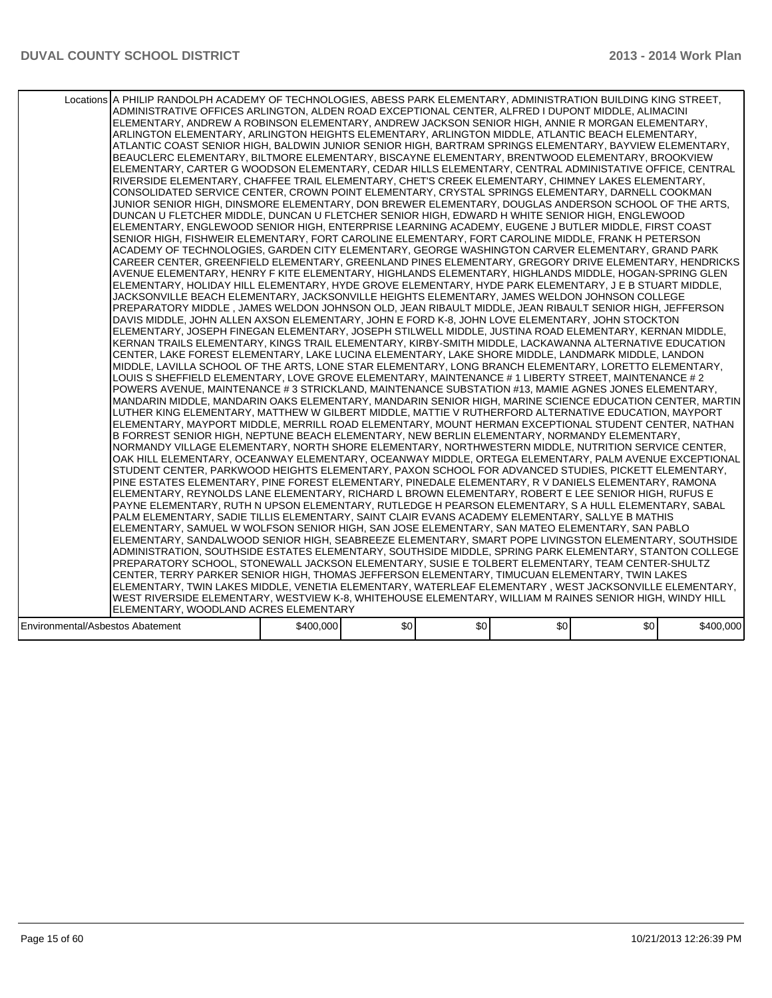|                                  | Locations A PHILIP RANDOLPH ACADEMY OF TECHNOLOGIES, ABESS PARK ELEMENTARY, ADMINISTRATION BUILDING KING STREET,<br>ADMINISTRATIVE OFFICES ARLINGTON, ALDEN ROAD EXCEPTIONAL CENTER, ALFRED I DUPONT MIDDLE, ALIMACINI <br>ELEMENTARY, ANDREW A ROBINSON ELEMENTARY, ANDREW JACKSON SENIOR HIGH, ANNIE R MORGAN ELEMENTARY,<br>ARLINGTON ELEMENTARY, ARLINGTON HEIGHTS ELEMENTARY, ARLINGTON MIDDLE, ATLANTIC BEACH ELEMENTARY,<br>ATLANTIC COAST SENIOR HIGH. BALDWIN JUNIOR SENIOR HIGH. BARTRAM SPRINGS ELEMENTARY. BAYVIEW ELEMENTARY.<br>BEAUCLERC ELEMENTARY, BILTMORE ELEMENTARY, BISCAYNE ELEMENTARY, BRENTWOOD ELEMENTARY, BROOKVIEW<br>ELEMENTARY, CARTER G WOODSON ELEMENTARY, CEDAR HILLS ELEMENTARY, CENTRAL ADMINISTATIVE OFFICE, CENTRAL<br>RIVERSIDE ELEMENTARY, CHAFFEE TRAIL ELEMENTARY, CHET'S CREEK ELEMENTARY, CHIMNEY LAKES ELEMENTARY,<br>CONSOLIDATED SERVICE CENTER, CROWN POINT ELEMENTARY, CRYSTAL SPRINGS ELEMENTARY, DARNELL COOKMAN<br>JUNIOR SENIOR HIGH, DINSMORE ELEMENTARY, DON BREWER ELEMENTARY, DOUGLAS ANDERSON SCHOOL OF THE ARTS.<br>DUNCAN U FLETCHER MIDDLE, DUNCAN U FLETCHER SENIOR HIGH, EDWARD H WHITE SENIOR HIGH, ENGLEWOOD<br>ELEMENTARY, ENGLEWOOD SENIOR HIGH, ENTERPRISE LEARNING ACADEMY, EUGENE J BUTLER MIDDLE, FIRST COAST<br>SENIOR HIGH, FISHWEIR ELEMENTARY, FORT CAROLINE ELEMENTARY, FORT CAROLINE MIDDLE, FRANK H PETERSON<br>ACADEMY OF TECHNOLOGIES, GARDEN CITY ELEMENTARY, GEORGE WASHINGTON CARVER ELEMENTARY, GRAND PARK<br>CAREER CENTER, GREENFIELD ELEMENTARY, GREENLAND PINES ELEMENTARY, GREGORY DRIVE ELEMENTARY, HENDRICKS<br>AVENUE ELEMENTARY, HENRY F KITE ELEMENTARY, HIGHLANDS ELEMENTARY, HIGHLANDS MIDDLE, HOGAN-SPRING GLEN<br>ELEMENTARY, HOLIDAY HILL ELEMENTARY, HYDE GROVE ELEMENTARY, HYDE PARK ELEMENTARY, J E B STUART MIDDLE,<br>JACKSONVILLE BEACH ELEMENTARY, JACKSONVILLE HEIGHTS ELEMENTARY, JAMES WELDON JOHNSON COLLEGE<br>PREPARATORY MIDDLE , JAMES WELDON JOHNSON OLD, JEAN RIBAULT MIDDLE, JEAN RIBAULT SENIOR HIGH, JEFFERSON<br>DAVIS MIDDLE, JOHN ALLEN AXSON ELEMENTARY, JOHN E FORD K-8, JOHN LOVE ELEMENTARY, JOHN STOCKTON<br>ELEMENTARY, JOSEPH FINEGAN ELEMENTARY, JOSEPH STILWELL MIDDLE, JUSTINA ROAD ELEMENTARY, KERNAN MIDDLE,<br>KERNAN TRAILS ELEMENTARY, KINGS TRAIL ELEMENTARY, KIRBY-SMITH MIDDLE, LACKAWANNA ALTERNATIVE EDUCATION<br>CENTER, LAKE FOREST ELEMENTARY, LAKE LUCINA ELEMENTARY, LAKE SHORE MIDDLE, LANDMARK MIDDLE, LANDON <br>MIDDLE, LAVILLA SCHOOL OF THE ARTS, LONE STAR ELEMENTARY, LONG BRANCH ELEMENTARY, LORETTO ELEMENTARY,<br>LOUIS S SHEFFIELD ELEMENTARY, LOVE GROVE ELEMENTARY, MAINTENANCE # 1 LIBERTY STREET, MAINTENANCE # 2<br>POWERS AVENUE, MAINTENANCE # 3 STRICKLAND, MAINTENANCE SUBSTATION #13, MAMIE AGNES JONES ELEMENTARY,<br>MANDARIN MIDDLE, MANDARIN OAKS ELEMENTARY, MANDARIN SENIOR HIGH, MARINE SCIENCE EDUCATION CENTER, MARTIN<br>LUTHER KING ELEMENTARY, MATTHEW W GILBERT MIDDLE, MATTIE V RUTHERFORD ALTERNATIVE EDUCATION, MAYPORT<br>ELEMENTARY, MAYPORT MIDDLE, MERRILL ROAD ELEMENTARY, MOUNT HERMAN EXCEPTIONAL STUDENT CENTER, NATHAN<br>B FORREST SENIOR HIGH, NEPTUNE BEACH ELEMENTARY, NEW BERLIN ELEMENTARY, NORMANDY ELEMENTARY,<br>NORMANDY VILLAGE ELEMENTARY, NORTH SHORE ELEMENTARY, NORTHWESTERN MIDDLE, NUTRITION SERVICE CENTER,<br>OAK HILL ELEMENTARY, OCEANWAY ELEMENTARY, OCEANWAY MIDDLE, ORTEGA ELEMENTARY, PALM AVENUE EXCEPTIONAL<br>STUDENT CENTER, PARKWOOD HEIGHTS ELEMENTARY, PAXON SCHOOL FOR ADVANCED STUDIES, PICKETT ELEMENTARY,<br>PINE ESTATES ELEMENTARY, PINE FOREST ELEMENTARY, PINEDALE ELEMENTARY, R V DANIELS ELEMENTARY, RAMONA<br>ELEMENTARY, REYNOLDS LANE ELEMENTARY, RICHARD L BROWN ELEMENTARY, ROBERT E LEE SENIOR HIGH, RUFUS E<br>PAYNE ELEMENTARY, RUTH N UPSON ELEMENTARY, RUTLEDGE H PEARSON ELEMENTARY, S A HULL ELEMENTARY, SABAL<br>PALM ELEMENTARY, SADIE TILLIS ELEMENTARY, SAINT CLAIR EVANS ACADEMY ELEMENTARY, SALLYE B MATHIS<br>ELEMENTARY, SAMUEL W WOLFSON SENIOR HIGH, SAN JOSE ELEMENTARY, SAN MATEO ELEMENTARY, SAN PABLO<br>ELEMENTARY, SANDALWOOD SENIOR HIGH, SEABREEZE ELEMENTARY, SMART POPE LIVINGSTON ELEMENTARY, SOUTHSIDE<br>ADMINISTRATION, SOUTHSIDE ESTATES ELEMENTARY, SOUTHSIDE MIDDLE, SPRING PARK ELEMENTARY, STANTON COLLEGE<br>PREPARATORY SCHOOL, STONEWALL JACKSON ELEMENTARY, SUSIE E TOLBERT ELEMENTARY, TEAM CENTER-SHULTZ<br>CENTER, TERRY PARKER SENIOR HIGH, THOMAS JEFFERSON ELEMENTARY, TIMUCUAN ELEMENTARY, TWIN LAKES<br>ELEMENTARY, TWIN LAKES MIDDLE, VENETIA ELEMENTARY, WATERLEAF ELEMENTARY , WEST JACKSONVILLE ELEMENTARY, |           |      |     |                  |     |           |
|----------------------------------|----------------------------------------------------------------------------------------------------------------------------------------------------------------------------------------------------------------------------------------------------------------------------------------------------------------------------------------------------------------------------------------------------------------------------------------------------------------------------------------------------------------------------------------------------------------------------------------------------------------------------------------------------------------------------------------------------------------------------------------------------------------------------------------------------------------------------------------------------------------------------------------------------------------------------------------------------------------------------------------------------------------------------------------------------------------------------------------------------------------------------------------------------------------------------------------------------------------------------------------------------------------------------------------------------------------------------------------------------------------------------------------------------------------------------------------------------------------------------------------------------------------------------------------------------------------------------------------------------------------------------------------------------------------------------------------------------------------------------------------------------------------------------------------------------------------------------------------------------------------------------------------------------------------------------------------------------------------------------------------------------------------------------------------------------------------------------------------------------------------------------------------------------------------------------------------------------------------------------------------------------------------------------------------------------------------------------------------------------------------------------------------------------------------------------------------------------------------------------------------------------------------------------------------------------------------------------------------------------------------------------------------------------------------------------------------------------------------------------------------------------------------------------------------------------------------------------------------------------------------------------------------------------------------------------------------------------------------------------------------------------------------------------------------------------------------------------------------------------------------------------------------------------------------------------------------------------------------------------------------------------------------------------------------------------------------------------------------------------------------------------------------------------------------------------------------------------------------------------------------------------------------------------------------------------------------------------------------------------------------------------------------------------------------------------------------------------------------------------------------------------------------------------------------------------------------------------------------------------------------------------------------------------------------------------------------------------------------------------------------------------------------------------------------------------------------------------------------------------------------------------------------------------------------------------------------------------------------------------------------------------------------------------------------------------------------------------------------------------------------------------------------------------------------------------------------------------------------------------------------------------------------------------------------------------------------------------------------------------------------|-----------|------|-----|------------------|-----|-----------|
|                                  |                                                                                                                                                                                                                                                                                                                                                                                                                                                                                                                                                                                                                                                                                                                                                                                                                                                                                                                                                                                                                                                                                                                                                                                                                                                                                                                                                                                                                                                                                                                                                                                                                                                                                                                                                                                                                                                                                                                                                                                                                                                                                                                                                                                                                                                                                                                                                                                                                                                                                                                                                                                                                                                                                                                                                                                                                                                                                                                                                                                                                                                                                                                                                                                                                                                                                                                                                                                                                                                                                                                                                                                                                                                                                                                                                                                                                                                                                                                                                                                                                                                                                                                                                                                                                                                                                                                                                                                                                                                                                                                                                                                                                |           |      |     |                  |     |           |
|                                  |                                                                                                                                                                                                                                                                                                                                                                                                                                                                                                                                                                                                                                                                                                                                                                                                                                                                                                                                                                                                                                                                                                                                                                                                                                                                                                                                                                                                                                                                                                                                                                                                                                                                                                                                                                                                                                                                                                                                                                                                                                                                                                                                                                                                                                                                                                                                                                                                                                                                                                                                                                                                                                                                                                                                                                                                                                                                                                                                                                                                                                                                                                                                                                                                                                                                                                                                                                                                                                                                                                                                                                                                                                                                                                                                                                                                                                                                                                                                                                                                                                                                                                                                                                                                                                                                                                                                                                                                                                                                                                                                                                                                                |           |      |     |                  |     |           |
|                                  |                                                                                                                                                                                                                                                                                                                                                                                                                                                                                                                                                                                                                                                                                                                                                                                                                                                                                                                                                                                                                                                                                                                                                                                                                                                                                                                                                                                                                                                                                                                                                                                                                                                                                                                                                                                                                                                                                                                                                                                                                                                                                                                                                                                                                                                                                                                                                                                                                                                                                                                                                                                                                                                                                                                                                                                                                                                                                                                                                                                                                                                                                                                                                                                                                                                                                                                                                                                                                                                                                                                                                                                                                                                                                                                                                                                                                                                                                                                                                                                                                                                                                                                                                                                                                                                                                                                                                                                                                                                                                                                                                                                                                |           |      |     |                  |     |           |
|                                  |                                                                                                                                                                                                                                                                                                                                                                                                                                                                                                                                                                                                                                                                                                                                                                                                                                                                                                                                                                                                                                                                                                                                                                                                                                                                                                                                                                                                                                                                                                                                                                                                                                                                                                                                                                                                                                                                                                                                                                                                                                                                                                                                                                                                                                                                                                                                                                                                                                                                                                                                                                                                                                                                                                                                                                                                                                                                                                                                                                                                                                                                                                                                                                                                                                                                                                                                                                                                                                                                                                                                                                                                                                                                                                                                                                                                                                                                                                                                                                                                                                                                                                                                                                                                                                                                                                                                                                                                                                                                                                                                                                                                                |           |      |     |                  |     |           |
|                                  | WEST RIVERSIDE ELEMENTARY, WESTVIEW K-8, WHITEHOUSE ELEMENTARY, WILLIAM M RAINES SENIOR HIGH, WINDY HILL                                                                                                                                                                                                                                                                                                                                                                                                                                                                                                                                                                                                                                                                                                                                                                                                                                                                                                                                                                                                                                                                                                                                                                                                                                                                                                                                                                                                                                                                                                                                                                                                                                                                                                                                                                                                                                                                                                                                                                                                                                                                                                                                                                                                                                                                                                                                                                                                                                                                                                                                                                                                                                                                                                                                                                                                                                                                                                                                                                                                                                                                                                                                                                                                                                                                                                                                                                                                                                                                                                                                                                                                                                                                                                                                                                                                                                                                                                                                                                                                                                                                                                                                                                                                                                                                                                                                                                                                                                                                                                       |           |      |     |                  |     |           |
|                                  |                                                                                                                                                                                                                                                                                                                                                                                                                                                                                                                                                                                                                                                                                                                                                                                                                                                                                                                                                                                                                                                                                                                                                                                                                                                                                                                                                                                                                                                                                                                                                                                                                                                                                                                                                                                                                                                                                                                                                                                                                                                                                                                                                                                                                                                                                                                                                                                                                                                                                                                                                                                                                                                                                                                                                                                                                                                                                                                                                                                                                                                                                                                                                                                                                                                                                                                                                                                                                                                                                                                                                                                                                                                                                                                                                                                                                                                                                                                                                                                                                                                                                                                                                                                                                                                                                                                                                                                                                                                                                                                                                                                                                |           |      |     |                  |     |           |
|                                  | ELEMENTARY, WOODLAND ACRES ELEMENTARY                                                                                                                                                                                                                                                                                                                                                                                                                                                                                                                                                                                                                                                                                                                                                                                                                                                                                                                                                                                                                                                                                                                                                                                                                                                                                                                                                                                                                                                                                                                                                                                                                                                                                                                                                                                                                                                                                                                                                                                                                                                                                                                                                                                                                                                                                                                                                                                                                                                                                                                                                                                                                                                                                                                                                                                                                                                                                                                                                                                                                                                                                                                                                                                                                                                                                                                                                                                                                                                                                                                                                                                                                                                                                                                                                                                                                                                                                                                                                                                                                                                                                                                                                                                                                                                                                                                                                                                                                                                                                                                                                                          |           |      |     |                  |     |           |
| Environmental/Asbestos Abatement |                                                                                                                                                                                                                                                                                                                                                                                                                                                                                                                                                                                                                                                                                                                                                                                                                                                                                                                                                                                                                                                                                                                                                                                                                                                                                                                                                                                                                                                                                                                                                                                                                                                                                                                                                                                                                                                                                                                                                                                                                                                                                                                                                                                                                                                                                                                                                                                                                                                                                                                                                                                                                                                                                                                                                                                                                                                                                                                                                                                                                                                                                                                                                                                                                                                                                                                                                                                                                                                                                                                                                                                                                                                                                                                                                                                                                                                                                                                                                                                                                                                                                                                                                                                                                                                                                                                                                                                                                                                                                                                                                                                                                | \$400,000 | \$0] | \$0 | \$0 <sub>1</sub> | \$0 | \$400,000 |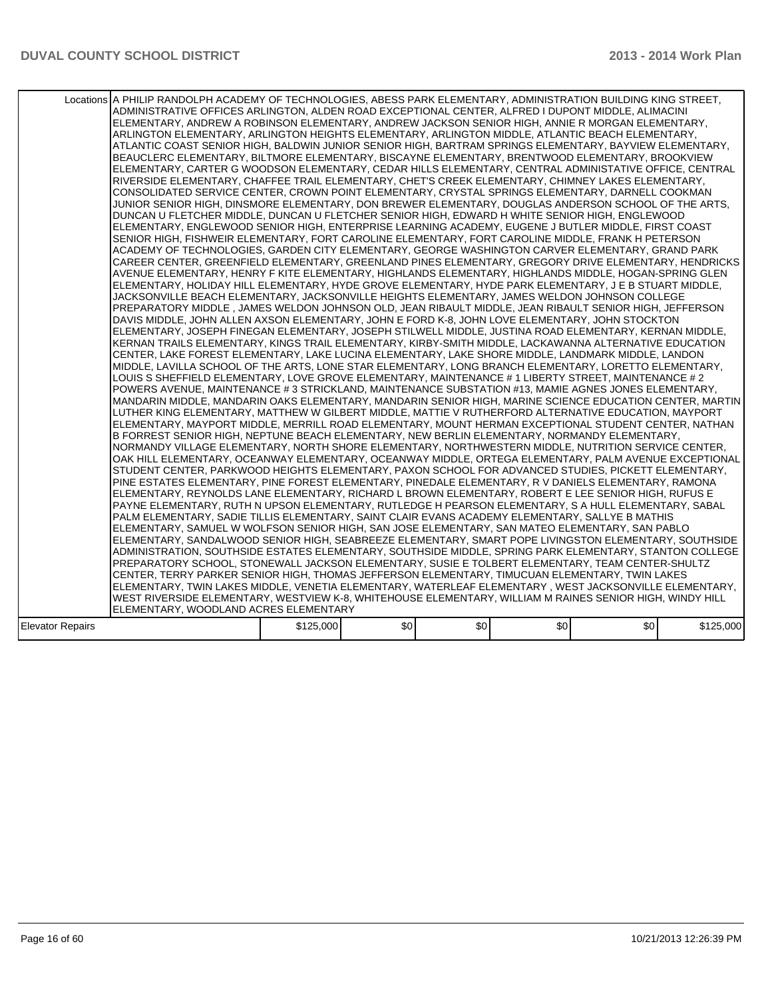|                  | Locations A PHILIP RANDOLPH ACADEMY OF TECHNOLOGIES, ABESS PARK ELEMENTARY, ADMINISTRATION BUILDING KING STREET,<br>ADMINISTRATIVE OFFICES ARLINGTON, ALDEN ROAD EXCEPTIONAL CENTER, ALFRED I DUPONT MIDDLE, ALIMACINI<br>ELEMENTARY, ANDREW A ROBINSON ELEMENTARY, ANDREW JACKSON SENIOR HIGH, ANNIE R MORGAN ELEMENTARY,<br>ARLINGTON ELEMENTARY, ARLINGTON HEIGHTS ELEMENTARY, ARLINGTON MIDDLE, ATLANTIC BEACH ELEMENTARY,<br>ATLANTIC COAST SENIOR HIGH, BALDWIN JUNIOR SENIOR HIGH, BARTRAM SPRINGS ELEMENTARY, BAYVIEW ELEMENTARY,<br>BEAUCLERC ELEMENTARY, BILTMORE ELEMENTARY, BISCAYNE ELEMENTARY, BRENTWOOD ELEMENTARY, BROOKVIEW<br>ELEMENTARY, CARTER G WOODSON ELEMENTARY, CEDAR HILLS ELEMENTARY, CENTRAL ADMINISTATIVE OFFICE, CENTRAL<br>RIVERSIDE ELEMENTARY, CHAFFEE TRAIL ELEMENTARY, CHET'S CREEK ELEMENTARY, CHIMNEY LAKES ELEMENTARY,<br>CONSOLIDATED SERVICE CENTER, CROWN POINT ELEMENTARY, CRYSTAL SPRINGS ELEMENTARY, DARNELL COOKMAN<br>JUNIOR SENIOR HIGH, DINSMORE ELEMENTARY, DON BREWER ELEMENTARY, DOUGLAS ANDERSON SCHOOL OF THE ARTS,<br>DUNCAN U FLETCHER MIDDLE, DUNCAN U FLETCHER SENIOR HIGH, EDWARD H WHITE SENIOR HIGH, ENGLEWOOD<br>ELEMENTARY, ENGLEWOOD SENIOR HIGH, ENTERPRISE LEARNING ACADEMY, EUGENE J BUTLER MIDDLE, FIRST COAST<br>SENIOR HIGH, FISHWEIR ELEMENTARY, FORT CAROLINE ELEMENTARY, FORT CAROLINE MIDDLE, FRANK H PETERSON<br>ACADEMY OF TECHNOLOGIES. GARDEN CITY ELEMENTARY. GEORGE WASHINGTON CARVER ELEMENTARY. GRAND PARK<br>CAREER CENTER, GREENFIELD ELEMENTARY, GREENLAND PINES ELEMENTARY, GREGORY DRIVE ELEMENTARY, HENDRICKS<br>AVENUE ELEMENTARY. HENRY F KITE ELEMENTARY. HIGHLANDS ELEMENTARY. HIGHLANDS MIDDLE. HOGAN-SPRING GLEN<br>ELEMENTARY, HOLIDAY HILL ELEMENTARY, HYDE GROVE ELEMENTARY, HYDE PARK ELEMENTARY, J E B STUART MIDDLE,<br>JACKSONVILLE BEACH ELEMENTARY, JACKSONVILLE HEIGHTS ELEMENTARY, JAMES WELDON JOHNSON COLLEGE<br>PREPARATORY MIDDLE , JAMES WELDON JOHNSON OLD, JEAN RIBAULT MIDDLE, JEAN RIBAULT SENIOR HIGH, JEFFERSON<br>DAVIS MIDDLE, JOHN ALLEN AXSON ELEMENTARY, JOHN E FORD K-8, JOHN LOVE ELEMENTARY, JOHN STOCKTON<br>ELEMENTARY, JOSEPH FINEGAN ELEMENTARY, JOSEPH STILWELL MIDDLE, JUSTINA ROAD ELEMENTARY, KERNAN MIDDLE,<br>KERNAN TRAILS ELEMENTARY, KINGS TRAIL ELEMENTARY, KIRBY-SMITH MIDDLE, LACKAWANNA ALTERNATIVE EDUCATION<br>CENTER, LAKE FOREST ELEMENTARY, LAKE LUCINA ELEMENTARY, LAKE SHORE MIDDLE, LANDMARK MIDDLE, LANDON <br>MIDDLE, LAVILLA SCHOOL OF THE ARTS, LONE STAR ELEMENTARY, LONG BRANCH ELEMENTARY, LORETTO ELEMENTARY,<br>LOUIS S SHEFFIELD ELEMENTARY, LOVE GROVE ELEMENTARY, MAINTENANCE # 1 LIBERTY STREET, MAINTENANCE # 2<br>POWERS AVENUE, MAINTENANCE # 3 STRICKLAND, MAINTENANCE SUBSTATION #13, MAMIE AGNES JONES ELEMENTARY,<br>MANDARIN MIDDLE. MANDARIN OAKS ELEMENTARY. MANDARIN SENIOR HIGH. MARINE SCIENCE EDUCATION CENTER. MARTIN<br>LUTHER KING ELEMENTARY, MATTHEW W GILBERT MIDDLE, MATTIE V RUTHERFORD ALTERNATIVE EDUCATION, MAYPORT<br>ELEMENTARY, MAYPORT MIDDLE, MERRILL ROAD ELEMENTARY, MOUNT HERMAN EXCEPTIONAL STUDENT CENTER, NATHAN<br>B FORREST SENIOR HIGH, NEPTUNE BEACH ELEMENTARY, NEW BERLIN ELEMENTARY, NORMANDY ELEMENTARY,<br>NORMANDY VILLAGE ELEMENTARY, NORTH SHORE ELEMENTARY, NORTHWESTERN MIDDLE, NUTRITION SERVICE CENTER,<br>OAK HILL ELEMENTARY, OCEANWAY ELEMENTARY, OCEANWAY MIDDLE, ORTEGA ELEMENTARY, PALM AVENUE EXCEPTIONAL<br>STUDENT CENTER, PARKWOOD HEIGHTS ELEMENTARY, PAXON SCHOOL FOR ADVANCED STUDIES, PICKETT ELEMENTARY,<br>PINE ESTATES ELEMENTARY, PINE FOREST ELEMENTARY, PINEDALE ELEMENTARY, R V DANIELS ELEMENTARY, RAMONA<br>ELEMENTARY, REYNOLDS LANE ELEMENTARY, RICHARD L BROWN ELEMENTARY, ROBERT E LEE SENIOR HIGH, RUFUS E<br>PAYNE ELEMENTARY, RUTH N UPSON ELEMENTARY, RUTLEDGE H PEARSON ELEMENTARY, S A HULL ELEMENTARY, SABAL<br>PALM ELEMENTARY, SADIE TILLIS ELEMENTARY, SAINT CLAIR EVANS ACADEMY ELEMENTARY, SALLYE B MATHIS<br>IELEMENTARY. SAMUEL W WOLFSON SENIOR HIGH. SAN JOSE ELEMENTARY. SAN MATEO ELEMENTARY. SAN PABLO<br>ELEMENTARY, SANDALWOOD SENIOR HIGH, SEABREEZE ELEMENTARY, SMART POPE LIVINGSTON ELEMENTARY, SOUTHSIDE<br>ADMINISTRATION, SOUTHSIDE ESTATES ELEMENTARY, SOUTHSIDE MIDDLE, SPRING PARK ELEMENTARY, STANTON COLLEGE<br>PREPARATORY SCHOOL, STONEWALL JACKSON ELEMENTARY, SUSIE E TOLBERT ELEMENTARY, TEAM CENTER-SHULTZ<br>CENTER, TERRY PARKER SENIOR HIGH, THOMAS JEFFERSON ELEMENTARY, TIMUCUAN ELEMENTARY, TWIN LAKES<br> ELEMENTARY, TWIN LAKES MIDDLE, VENETIA ELEMENTARY, WATERLEAF ELEMENTARY , WEST JACKSONVILLE ELEMENTARY,<br>WEST RIVERSIDE ELEMENTARY, WESTVIEW K-8, WHITEHOUSE ELEMENTARY, WILLIAM M RAINES SENIOR HIGH, WINDY HILL |           |      |     |                  |                  |           |
|------------------|-----------------------------------------------------------------------------------------------------------------------------------------------------------------------------------------------------------------------------------------------------------------------------------------------------------------------------------------------------------------------------------------------------------------------------------------------------------------------------------------------------------------------------------------------------------------------------------------------------------------------------------------------------------------------------------------------------------------------------------------------------------------------------------------------------------------------------------------------------------------------------------------------------------------------------------------------------------------------------------------------------------------------------------------------------------------------------------------------------------------------------------------------------------------------------------------------------------------------------------------------------------------------------------------------------------------------------------------------------------------------------------------------------------------------------------------------------------------------------------------------------------------------------------------------------------------------------------------------------------------------------------------------------------------------------------------------------------------------------------------------------------------------------------------------------------------------------------------------------------------------------------------------------------------------------------------------------------------------------------------------------------------------------------------------------------------------------------------------------------------------------------------------------------------------------------------------------------------------------------------------------------------------------------------------------------------------------------------------------------------------------------------------------------------------------------------------------------------------------------------------------------------------------------------------------------------------------------------------------------------------------------------------------------------------------------------------------------------------------------------------------------------------------------------------------------------------------------------------------------------------------------------------------------------------------------------------------------------------------------------------------------------------------------------------------------------------------------------------------------------------------------------------------------------------------------------------------------------------------------------------------------------------------------------------------------------------------------------------------------------------------------------------------------------------------------------------------------------------------------------------------------------------------------------------------------------------------------------------------------------------------------------------------------------------------------------------------------------------------------------------------------------------------------------------------------------------------------------------------------------------------------------------------------------------------------------------------------------------------------------------------------------------------------------------------------------------------------------------------------------------------------------------------------------------------------------------------------------------------------------------------------------------------------------------------------------------------------------------------------------------------------------------------------------------------------------------------------------------------------------------------------------------------------------------------------------------------------------------------------------------------------------------------------------------------------------------------------------------------|-----------|------|-----|------------------|------------------|-----------|
|                  |                                                                                                                                                                                                                                                                                                                                                                                                                                                                                                                                                                                                                                                                                                                                                                                                                                                                                                                                                                                                                                                                                                                                                                                                                                                                                                                                                                                                                                                                                                                                                                                                                                                                                                                                                                                                                                                                                                                                                                                                                                                                                                                                                                                                                                                                                                                                                                                                                                                                                                                                                                                                                                                                                                                                                                                                                                                                                                                                                                                                                                                                                                                                                                                                                                                                                                                                                                                                                                                                                                                                                                                                                                                                                                                                                                                                                                                                                                                                                                                                                                                                                                                                                                                                                                                                                                                                                                                                                                                                                                                                                                                                                                                                                                                             |           |      |     |                  |                  |           |
|                  | ELEMENTARY, WOODLAND ACRES ELEMENTARY                                                                                                                                                                                                                                                                                                                                                                                                                                                                                                                                                                                                                                                                                                                                                                                                                                                                                                                                                                                                                                                                                                                                                                                                                                                                                                                                                                                                                                                                                                                                                                                                                                                                                                                                                                                                                                                                                                                                                                                                                                                                                                                                                                                                                                                                                                                                                                                                                                                                                                                                                                                                                                                                                                                                                                                                                                                                                                                                                                                                                                                                                                                                                                                                                                                                                                                                                                                                                                                                                                                                                                                                                                                                                                                                                                                                                                                                                                                                                                                                                                                                                                                                                                                                                                                                                                                                                                                                                                                                                                                                                                                                                                                                                       |           |      |     |                  |                  |           |
| Elevator Repairs |                                                                                                                                                                                                                                                                                                                                                                                                                                                                                                                                                                                                                                                                                                                                                                                                                                                                                                                                                                                                                                                                                                                                                                                                                                                                                                                                                                                                                                                                                                                                                                                                                                                                                                                                                                                                                                                                                                                                                                                                                                                                                                                                                                                                                                                                                                                                                                                                                                                                                                                                                                                                                                                                                                                                                                                                                                                                                                                                                                                                                                                                                                                                                                                                                                                                                                                                                                                                                                                                                                                                                                                                                                                                                                                                                                                                                                                                                                                                                                                                                                                                                                                                                                                                                                                                                                                                                                                                                                                                                                                                                                                                                                                                                                                             | \$125,000 | \$0] | \$0 | \$0 <sub>1</sub> | \$0 <sub>1</sub> | \$125,000 |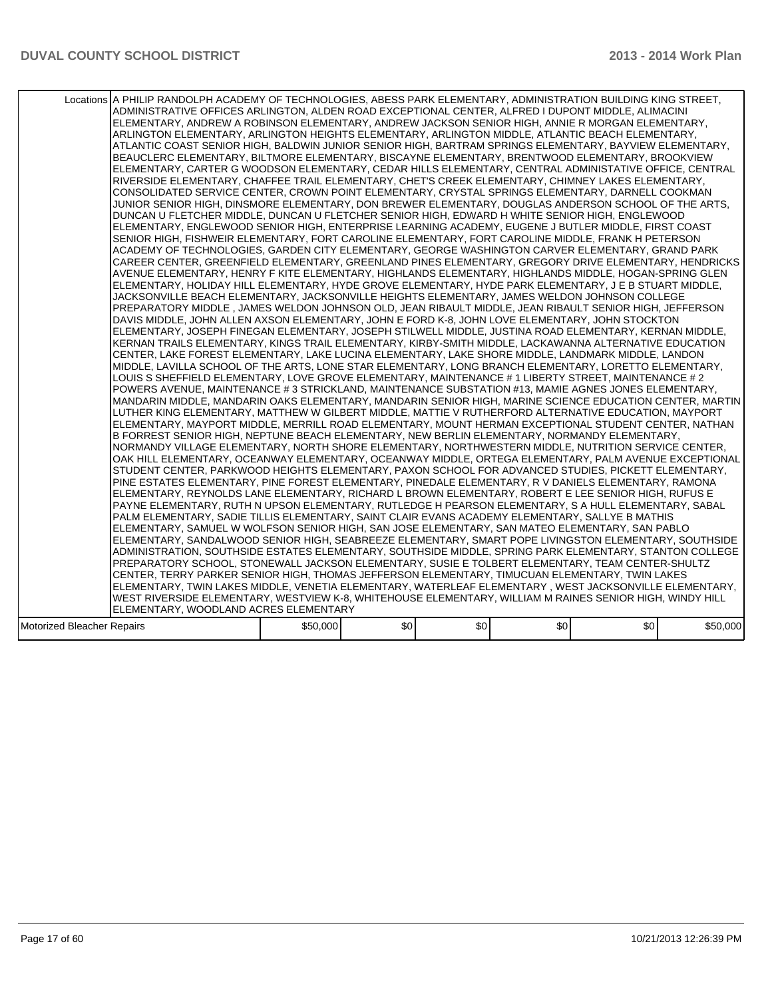|                            | Locations A PHILIP RANDOLPH ACADEMY OF TECHNOLOGIES, ABESS PARK ELEMENTARY, ADMINISTRATION BUILDING KING STREET,<br>ADMINISTRATIVE OFFICES ARLINGTON, ALDEN ROAD EXCEPTIONAL CENTER, ALFRED I DUPONT MIDDLE, ALIMACINI<br>ELEMENTARY, ANDREW A ROBINSON ELEMENTARY, ANDREW JACKSON SENIOR HIGH, ANNIE R MORGAN ELEMENTARY,<br>ARLINGTON ELEMENTARY, ARLINGTON HEIGHTS ELEMENTARY, ARLINGTON MIDDLE, ATLANTIC BEACH ELEMENTARY,<br>ATLANTIC COAST SENIOR HIGH, BALDWIN JUNIOR SENIOR HIGH, BARTRAM SPRINGS ELEMENTARY, BAYVIEW ELEMENTARY,<br>BEAUCLERC ELEMENTARY, BILTMORE ELEMENTARY, BISCAYNE ELEMENTARY, BRENTWOOD ELEMENTARY, BROOKVIEW<br>ELEMENTARY, CARTER G WOODSON ELEMENTARY, CEDAR HILLS ELEMENTARY, CENTRAL ADMINISTATIVE OFFICE, CENTRAL<br>RIVERSIDE ELEMENTARY, CHAFFEE TRAIL ELEMENTARY, CHET'S CREEK ELEMENTARY, CHIMNEY LAKES ELEMENTARY,<br>CONSOLIDATED SERVICE CENTER, CROWN POINT ELEMENTARY, CRYSTAL SPRINGS ELEMENTARY, DARNELL COOKMAN<br>JUNIOR SENIOR HIGH, DINSMORE ELEMENTARY, DON BREWER ELEMENTARY, DOUGLAS ANDERSON SCHOOL OF THE ARTS.<br>DUNCAN U FLETCHER MIDDLE, DUNCAN U FLETCHER SENIOR HIGH, EDWARD H WHITE SENIOR HIGH, ENGLEWOOD<br>ELEMENTARY, ENGLEWOOD SENIOR HIGH, ENTERPRISE LEARNING ACADEMY, EUGENE J BUTLER MIDDLE, FIRST COAST<br>SENIOR HIGH, FISHWEIR ELEMENTARY, FORT CAROLINE ELEMENTARY, FORT CAROLINE MIDDLE, FRANK H PETERSON<br>ACADEMY OF TECHNOLOGIES, GARDEN CITY ELEMENTARY, GEORGE WASHINGTON CARVER ELEMENTARY, GRAND PARK<br>CAREER CENTER, GREENFIELD ELEMENTARY, GREENLAND PINES ELEMENTARY, GREGORY DRIVE ELEMENTARY, HENDRICKS<br>AVENUE ELEMENTARY, HENRY F KITE ELEMENTARY, HIGHLANDS ELEMENTARY, HIGHLANDS MIDDLE, HOGAN-SPRING GLEN<br>ELEMENTARY, HOLIDAY HILL ELEMENTARY, HYDE GROVE ELEMENTARY, HYDE PARK ELEMENTARY, J E B STUART MIDDLE,<br>JACKSONVILLE BEACH ELEMENTARY, JACKSONVILLE HEIGHTS ELEMENTARY, JAMES WELDON JOHNSON COLLEGE<br>PREPARATORY MIDDLE , JAMES WELDON JOHNSON OLD, JEAN RIBAULT MIDDLE, JEAN RIBAULT SENIOR HIGH, JEFFERSON<br>DAVIS MIDDLE, JOHN ALLEN AXSON ELEMENTARY, JOHN E FORD K-8, JOHN LOVE ELEMENTARY, JOHN STOCKTON<br>ELEMENTARY, JOSEPH FINEGAN ELEMENTARY, JOSEPH STILWELL MIDDLE, JUSTINA ROAD ELEMENTARY, KERNAN MIDDLE,<br>KERNAN TRAILS ELEMENTARY, KINGS TRAIL ELEMENTARY, KIRBY-SMITH MIDDLE, LACKAWANNA ALTERNATIVE EDUCATION<br>CENTER, LAKE FOREST ELEMENTARY, LAKE LUCINA ELEMENTARY, LAKE SHORE MIDDLE, LANDMARK MIDDLE, LANDON<br>MIDDLE, LAVILLA SCHOOL OF THE ARTS, LONE STAR ELEMENTARY, LONG BRANCH ELEMENTARY, LORETTO ELEMENTARY,<br>LOUIS S SHEFFIELD ELEMENTARY, LOVE GROVE ELEMENTARY, MAINTENANCE # 1 LIBERTY STREET, MAINTENANCE # 2<br>POWERS AVENUE, MAINTENANCE # 3 STRICKLAND, MAINTENANCE SUBSTATION #13, MAMIE AGNES JONES ELEMENTARY,<br>MANDARIN MIDDLE, MANDARIN OAKS ELEMENTARY, MANDARIN SENIOR HIGH, MARINE SCIENCE EDUCATION CENTER, MARTIN<br>LUTHER KING ELEMENTARY, MATTHEW W GILBERT MIDDLE, MATTIE V RUTHERFORD ALTERNATIVE EDUCATION, MAYPORT<br>IELEMENTARY. MAYPORT MIDDLE. MERRILL ROAD ELEMENTARY. MOUNT HERMAN EXCEPTIONAL STUDENT CENTER. NATHAN<br>B FORREST SENIOR HIGH, NEPTUNE BEACH ELEMENTARY, NEW BERLIN ELEMENTARY, NORMANDY ELEMENTARY,<br>INORMANDY VILLAGE ELEMENTARY. NORTH SHORE ELEMENTARY. NORTHWESTERN MIDDLE. NUTRITION SERVICE CENTER.<br>OAK HILL ELEMENTARY, OCEANWAY ELEMENTARY, OCEANWAY MIDDLE, ORTEGA ELEMENTARY, PALM AVENUE EXCEPTIONAL<br>STUDENT CENTER, PARKWOOD HEIGHTS ELEMENTARY, PAXON SCHOOL FOR ADVANCED STUDIES, PICKETT ELEMENTARY,<br>PINE ESTATES ELEMENTARY, PINE FOREST ELEMENTARY, PINEDALE ELEMENTARY, R V DANIELS ELEMENTARY, RAMONA<br>ELEMENTARY, REYNOLDS LANE ELEMENTARY, RICHARD L BROWN ELEMENTARY, ROBERT E LEE SENIOR HIGH, RUFUS E<br>PAYNE ELEMENTARY, RUTH N UPSON ELEMENTARY, RUTLEDGE H PEARSON ELEMENTARY, S A HULL ELEMENTARY, SABAL<br>PALM ELEMENTARY, SADIE TILLIS ELEMENTARY, SAINT CLAIR EVANS ACADEMY ELEMENTARY, SALLYE B MATHIS<br>ELEMENTARY, SAMUEL W WOLFSON SENIOR HIGH, SAN JOSE ELEMENTARY, SAN MATEO ELEMENTARY, SAN PABLO<br>ELEMENTARY, SANDALWOOD SENIOR HIGH, SEABREEZE ELEMENTARY, SMART POPE LIVINGSTON ELEMENTARY, SOUTHSIDE<br>ADMINISTRATION, SOUTHSIDE ESTATES ELEMENTARY, SOUTHSIDE MIDDLE, SPRING PARK ELEMENTARY, STANTON COLLEGE<br>PREPARATORY SCHOOL, STONEWALL JACKSON ELEMENTARY, SUSIE E TOLBERT ELEMENTARY, TEAM CENTER-SHULTZ<br>CENTER, TERRY PARKER SENIOR HIGH, THOMAS JEFFERSON ELEMENTARY, TIMUCUAN ELEMENTARY, TWIN LAKES<br>ELEMENTARY, TWIN LAKES MIDDLE, VENETIA ELEMENTARY, WATERLEAF ELEMENTARY , WEST JACKSONVILLE ELEMENTARY,<br>WEST RIVERSIDE ELEMENTARY, WESTVIEW K-8, WHITEHOUSE ELEMENTARY, WILLIAM M RAINES SENIOR HIGH, WINDY HILL |          |      |     |     |     |          |
|----------------------------|----------------------------------------------------------------------------------------------------------------------------------------------------------------------------------------------------------------------------------------------------------------------------------------------------------------------------------------------------------------------------------------------------------------------------------------------------------------------------------------------------------------------------------------------------------------------------------------------------------------------------------------------------------------------------------------------------------------------------------------------------------------------------------------------------------------------------------------------------------------------------------------------------------------------------------------------------------------------------------------------------------------------------------------------------------------------------------------------------------------------------------------------------------------------------------------------------------------------------------------------------------------------------------------------------------------------------------------------------------------------------------------------------------------------------------------------------------------------------------------------------------------------------------------------------------------------------------------------------------------------------------------------------------------------------------------------------------------------------------------------------------------------------------------------------------------------------------------------------------------------------------------------------------------------------------------------------------------------------------------------------------------------------------------------------------------------------------------------------------------------------------------------------------------------------------------------------------------------------------------------------------------------------------------------------------------------------------------------------------------------------------------------------------------------------------------------------------------------------------------------------------------------------------------------------------------------------------------------------------------------------------------------------------------------------------------------------------------------------------------------------------------------------------------------------------------------------------------------------------------------------------------------------------------------------------------------------------------------------------------------------------------------------------------------------------------------------------------------------------------------------------------------------------------------------------------------------------------------------------------------------------------------------------------------------------------------------------------------------------------------------------------------------------------------------------------------------------------------------------------------------------------------------------------------------------------------------------------------------------------------------------------------------------------------------------------------------------------------------------------------------------------------------------------------------------------------------------------------------------------------------------------------------------------------------------------------------------------------------------------------------------------------------------------------------------------------------------------------------------------------------------------------------------------------------------------------------------------------------------------------------------------------------------------------------------------------------------------------------------------------------------------------------------------------------------------------------------------------------------------------------------------------------------------------------------------------------------------------------------------------------------------------------------------------------------------------------------------------------|----------|------|-----|-----|-----|----------|
|                            | ELEMENTARY, WOODLAND ACRES ELEMENTARY                                                                                                                                                                                                                                                                                                                                                                                                                                                                                                                                                                                                                                                                                                                                                                                                                                                                                                                                                                                                                                                                                                                                                                                                                                                                                                                                                                                                                                                                                                                                                                                                                                                                                                                                                                                                                                                                                                                                                                                                                                                                                                                                                                                                                                                                                                                                                                                                                                                                                                                                                                                                                                                                                                                                                                                                                                                                                                                                                                                                                                                                                                                                                                                                                                                                                                                                                                                                                                                                                                                                                                                                                                                                                                                                                                                                                                                                                                                                                                                                                                                                                                                                                                                                                                                                                                                                                                                                                                                                                                                                                                                                                                                                                      |          |      |     |     |     |          |
| Motorized Bleacher Repairs |                                                                                                                                                                                                                                                                                                                                                                                                                                                                                                                                                                                                                                                                                                                                                                                                                                                                                                                                                                                                                                                                                                                                                                                                                                                                                                                                                                                                                                                                                                                                                                                                                                                                                                                                                                                                                                                                                                                                                                                                                                                                                                                                                                                                                                                                                                                                                                                                                                                                                                                                                                                                                                                                                                                                                                                                                                                                                                                                                                                                                                                                                                                                                                                                                                                                                                                                                                                                                                                                                                                                                                                                                                                                                                                                                                                                                                                                                                                                                                                                                                                                                                                                                                                                                                                                                                                                                                                                                                                                                                                                                                                                                                                                                                                            | \$50,000 | \$0] | \$0 | \$0 | \$0 | \$50,000 |
|                            |                                                                                                                                                                                                                                                                                                                                                                                                                                                                                                                                                                                                                                                                                                                                                                                                                                                                                                                                                                                                                                                                                                                                                                                                                                                                                                                                                                                                                                                                                                                                                                                                                                                                                                                                                                                                                                                                                                                                                                                                                                                                                                                                                                                                                                                                                                                                                                                                                                                                                                                                                                                                                                                                                                                                                                                                                                                                                                                                                                                                                                                                                                                                                                                                                                                                                                                                                                                                                                                                                                                                                                                                                                                                                                                                                                                                                                                                                                                                                                                                                                                                                                                                                                                                                                                                                                                                                                                                                                                                                                                                                                                                                                                                                                                            |          |      |     |     |     |          |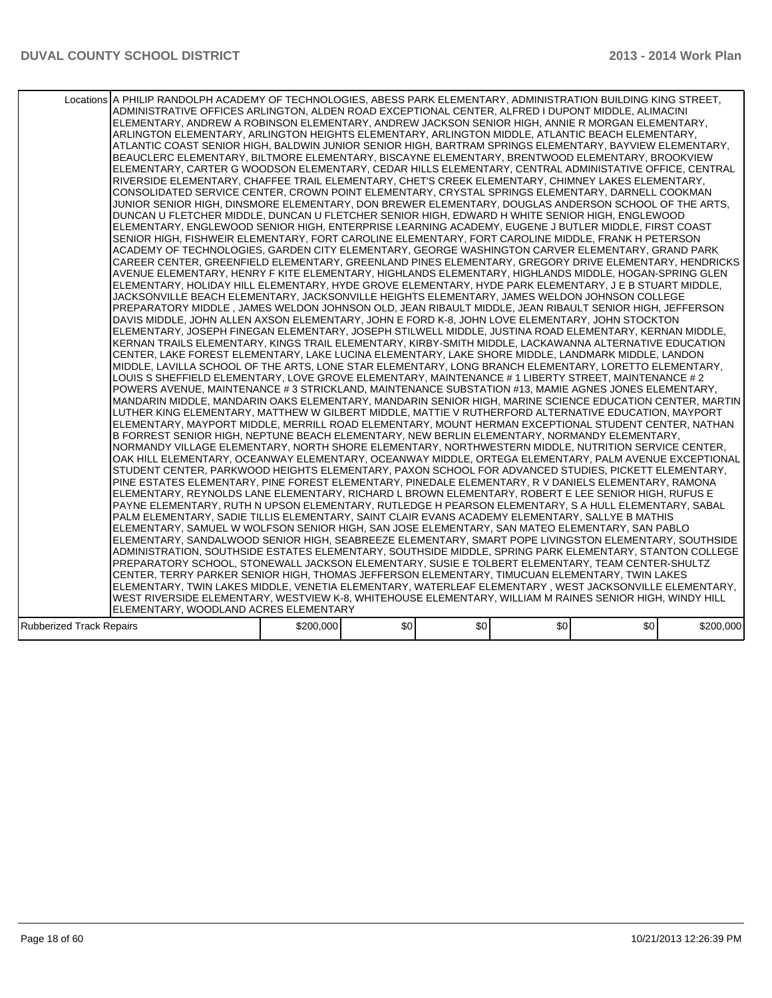|                          | Locations A PHILIP RANDOLPH ACADEMY OF TECHNOLOGIES, ABESS PARK ELEMENTARY, ADMINISTRATION BUILDING KING STREET,<br>ADMINISTRATIVE OFFICES ARLINGTON, ALDEN ROAD EXCEPTIONAL CENTER, ALFRED I DUPONT MIDDLE, ALIMACINI<br>ELEMENTARY, ANDREW A ROBINSON ELEMENTARY, ANDREW JACKSON SENIOR HIGH, ANNIE R MORGAN ELEMENTARY,<br>ARLINGTON ELEMENTARY, ARLINGTON HEIGHTS ELEMENTARY, ARLINGTON MIDDLE, ATLANTIC BEACH ELEMENTARY,<br>ATLANTIC COAST SENIOR HIGH. BALDWIN JUNIOR SENIOR HIGH. BARTRAM SPRINGS ELEMENTARY. BAYVIEW ELEMENTARY.<br>BEAUCLERC ELEMENTARY, BILTMORE ELEMENTARY, BISCAYNE ELEMENTARY, BRENTWOOD ELEMENTARY, BROOKVIEW<br>ELEMENTARY, CARTER G WOODSON ELEMENTARY, CEDAR HILLS ELEMENTARY, CENTRAL ADMINISTATIVE OFFICE, CENTRAL<br>RIVERSIDE ELEMENTARY, CHAFFEE TRAIL ELEMENTARY, CHET'S CREEK ELEMENTARY, CHIMNEY LAKES ELEMENTARY,<br>CONSOLIDATED SERVICE CENTER, CROWN POINT ELEMENTARY, CRYSTAL SPRINGS ELEMENTARY, DARNELL COOKMAN<br>JUNIOR SENIOR HIGH, DINSMORE ELEMENTARY, DON BREWER ELEMENTARY, DOUGLAS ANDERSON SCHOOL OF THE ARTS.<br>DUNCAN U FLETCHER MIDDLE, DUNCAN U FLETCHER SENIOR HIGH, EDWARD H WHITE SENIOR HIGH, ENGLEWOOD<br>ELEMENTARY, ENGLEWOOD SENIOR HIGH, ENTERPRISE LEARNING ACADEMY, EUGENE J BUTLER MIDDLE, FIRST COAST<br>SENIOR HIGH, FISHWEIR ELEMENTARY, FORT CAROLINE ELEMENTARY, FORT CAROLINE MIDDLE, FRANK H PETERSON<br>ACADEMY OF TECHNOLOGIES, GARDEN CITY ELEMENTARY, GEORGE WASHINGTON CARVER ELEMENTARY, GRAND PARK<br>CAREER CENTER, GREENFIELD ELEMENTARY, GREENLAND PINES ELEMENTARY, GREGORY DRIVE ELEMENTARY, HENDRICKS<br>AVENUE ELEMENTARY, HENRY F KITE ELEMENTARY, HIGHLANDS ELEMENTARY, HIGHLANDS MIDDLE, HOGAN-SPRING GLEN<br>ELEMENTARY, HOLIDAY HILL ELEMENTARY, HYDE GROVE ELEMENTARY, HYDE PARK ELEMENTARY, J E B STUART MIDDLE,<br>JACKSONVILLE BEACH ELEMENTARY, JACKSONVILLE HEIGHTS ELEMENTARY, JAMES WELDON JOHNSON COLLEGE<br>PREPARATORY MIDDLE , JAMES WELDON JOHNSON OLD, JEAN RIBAULT MIDDLE, JEAN RIBAULT SENIOR HIGH, JEFFERSON<br>DAVIS MIDDLE, JOHN ALLEN AXSON ELEMENTARY, JOHN E FORD K-8, JOHN LOVE ELEMENTARY, JOHN STOCKTON<br>IELEMENTARY. JOSEPH FINEGAN ELEMENTARY. JOSEPH STILWELL MIDDLE. JUSTINA ROAD ELEMENTARY. KERNAN MIDDLE.<br>KERNAN TRAILS ELEMENTARY, KINGS TRAIL ELEMENTARY, KIRBY-SMITH MIDDLE, LACKAWANNA ALTERNATIVE EDUCATION<br>CENTER, LAKE FOREST ELEMENTARY, LAKE LUCINA ELEMENTARY, LAKE SHORE MIDDLE, LANDMARK MIDDLE, LANDON<br>MIDDLE, LAVILLA SCHOOL OF THE ARTS, LONE STAR ELEMENTARY, LONG BRANCH ELEMENTARY, LORETTO ELEMENTARY,<br>LOUIS S SHEFFIELD ELEMENTARY, LOVE GROVE ELEMENTARY, MAINTENANCE # 1 LIBERTY STREET, MAINTENANCE # 2<br>POWERS AVENUE, MAINTENANCE # 3 STRICKLAND, MAINTENANCE SUBSTATION #13, MAMIE AGNES JONES ELEMENTARY,<br>MANDARIN MIDDLE, MANDARIN OAKS ELEMENTARY, MANDARIN SENIOR HIGH, MARINE SCIENCE EDUCATION CENTER, MARTIN<br>LUTHER KING ELEMENTARY, MATTHEW W GILBERT MIDDLE, MATTIE V RUTHERFORD ALTERNATIVE EDUCATION, MAYPORT<br>IELEMENTARY, MAYPORT MIDDLE, MERRILL ROAD ELEMENTARY, MOUNT HERMAN EXCEPTIONAL STUDENT CENTER, NATHAN<br>B FORREST SENIOR HIGH, NEPTUNE BEACH ELEMENTARY, NEW BERLIN ELEMENTARY, NORMANDY ELEMENTARY,<br>NORMANDY VILLAGE ELEMENTARY, NORTH SHORE ELEMENTARY, NORTHWESTERN MIDDLE, NUTRITION SERVICE CENTER,<br>OAK HILL ELEMENTARY, OCEANWAY ELEMENTARY, OCEANWAY MIDDLE, ORTEGA ELEMENTARY, PALM AVENUE EXCEPTIONAL<br>STUDENT CENTER, PARKWOOD HEIGHTS ELEMENTARY, PAXON SCHOOL FOR ADVANCED STUDIES, PICKETT ELEMENTARY,<br>PINE ESTATES ELEMENTARY, PINE FOREST ELEMENTARY, PINEDALE ELEMENTARY, R V DANIELS ELEMENTARY, RAMONA<br>ELEMENTARY, REYNOLDS LANE ELEMENTARY, RICHARD L BROWN ELEMENTARY, ROBERT E LEE SENIOR HIGH, RUFUS E<br>IPAYNE ELEMENTARY. RUTH N UPSON ELEMENTARY. RUTLEDGE H PEARSON ELEMENTARY. S A HULL ELEMENTARY. SABAL<br>PALM ELEMENTARY, SADIE TILLIS ELEMENTARY, SAINT CLAIR EVANS ACADEMY ELEMENTARY, SALLYE B MATHIS<br>ELEMENTARY, SAMUEL W WOLFSON SENIOR HIGH, SAN JOSE ELEMENTARY, SAN MATEO ELEMENTARY, SAN PABLO<br>ELEMENTARY, SANDALWOOD SENIOR HIGH, SEABREEZE ELEMENTARY, SMART POPE LIVINGSTON ELEMENTARY, SOUTHSIDE<br>ADMINISTRATION, SOUTHSIDE ESTATES ELEMENTARY, SOUTHSIDE MIDDLE, SPRING PARK ELEMENTARY, STANTON COLLEGE<br>PREPARATORY SCHOOL, STONEWALL JACKSON ELEMENTARY, SUSIE E TOLBERT ELEMENTARY, TEAM CENTER-SHULTZ<br>CENTER, TERRY PARKER SENIOR HIGH, THOMAS JEFFERSON ELEMENTARY, TIMUCUAN ELEMENTARY, TWIN LAKES<br>ELEMENTARY, TWIN LAKES MIDDLE, VENETIA ELEMENTARY, WATERLEAF ELEMENTARY , WEST JACKSONVILLE ELEMENTARY, |           |      |     |                  |                  |           |
|--------------------------|-----------------------------------------------------------------------------------------------------------------------------------------------------------------------------------------------------------------------------------------------------------------------------------------------------------------------------------------------------------------------------------------------------------------------------------------------------------------------------------------------------------------------------------------------------------------------------------------------------------------------------------------------------------------------------------------------------------------------------------------------------------------------------------------------------------------------------------------------------------------------------------------------------------------------------------------------------------------------------------------------------------------------------------------------------------------------------------------------------------------------------------------------------------------------------------------------------------------------------------------------------------------------------------------------------------------------------------------------------------------------------------------------------------------------------------------------------------------------------------------------------------------------------------------------------------------------------------------------------------------------------------------------------------------------------------------------------------------------------------------------------------------------------------------------------------------------------------------------------------------------------------------------------------------------------------------------------------------------------------------------------------------------------------------------------------------------------------------------------------------------------------------------------------------------------------------------------------------------------------------------------------------------------------------------------------------------------------------------------------------------------------------------------------------------------------------------------------------------------------------------------------------------------------------------------------------------------------------------------------------------------------------------------------------------------------------------------------------------------------------------------------------------------------------------------------------------------------------------------------------------------------------------------------------------------------------------------------------------------------------------------------------------------------------------------------------------------------------------------------------------------------------------------------------------------------------------------------------------------------------------------------------------------------------------------------------------------------------------------------------------------------------------------------------------------------------------------------------------------------------------------------------------------------------------------------------------------------------------------------------------------------------------------------------------------------------------------------------------------------------------------------------------------------------------------------------------------------------------------------------------------------------------------------------------------------------------------------------------------------------------------------------------------------------------------------------------------------------------------------------------------------------------------------------------------------------------------------------------------------------------------------------------------------------------------------------------------------------------------------------------------------------------------------------------------------------------------------------------------------------------------------------------------------------------------------------------------------------------------------------|-----------|------|-----|------------------|------------------|-----------|
|                          |                                                                                                                                                                                                                                                                                                                                                                                                                                                                                                                                                                                                                                                                                                                                                                                                                                                                                                                                                                                                                                                                                                                                                                                                                                                                                                                                                                                                                                                                                                                                                                                                                                                                                                                                                                                                                                                                                                                                                                                                                                                                                                                                                                                                                                                                                                                                                                                                                                                                                                                                                                                                                                                                                                                                                                                                                                                                                                                                                                                                                                                                                                                                                                                                                                                                                                                                                                                                                                                                                                                                                                                                                                                                                                                                                                                                                                                                                                                                                                                                                                                                                                                                                                                                                                                                                                                                                                                                                                                                                                                                                                                                                 |           |      |     |                  |                  |           |
|                          |                                                                                                                                                                                                                                                                                                                                                                                                                                                                                                                                                                                                                                                                                                                                                                                                                                                                                                                                                                                                                                                                                                                                                                                                                                                                                                                                                                                                                                                                                                                                                                                                                                                                                                                                                                                                                                                                                                                                                                                                                                                                                                                                                                                                                                                                                                                                                                                                                                                                                                                                                                                                                                                                                                                                                                                                                                                                                                                                                                                                                                                                                                                                                                                                                                                                                                                                                                                                                                                                                                                                                                                                                                                                                                                                                                                                                                                                                                                                                                                                                                                                                                                                                                                                                                                                                                                                                                                                                                                                                                                                                                                                                 |           |      |     |                  |                  |           |
|                          |                                                                                                                                                                                                                                                                                                                                                                                                                                                                                                                                                                                                                                                                                                                                                                                                                                                                                                                                                                                                                                                                                                                                                                                                                                                                                                                                                                                                                                                                                                                                                                                                                                                                                                                                                                                                                                                                                                                                                                                                                                                                                                                                                                                                                                                                                                                                                                                                                                                                                                                                                                                                                                                                                                                                                                                                                                                                                                                                                                                                                                                                                                                                                                                                                                                                                                                                                                                                                                                                                                                                                                                                                                                                                                                                                                                                                                                                                                                                                                                                                                                                                                                                                                                                                                                                                                                                                                                                                                                                                                                                                                                                                 |           |      |     |                  |                  |           |
|                          |                                                                                                                                                                                                                                                                                                                                                                                                                                                                                                                                                                                                                                                                                                                                                                                                                                                                                                                                                                                                                                                                                                                                                                                                                                                                                                                                                                                                                                                                                                                                                                                                                                                                                                                                                                                                                                                                                                                                                                                                                                                                                                                                                                                                                                                                                                                                                                                                                                                                                                                                                                                                                                                                                                                                                                                                                                                                                                                                                                                                                                                                                                                                                                                                                                                                                                                                                                                                                                                                                                                                                                                                                                                                                                                                                                                                                                                                                                                                                                                                                                                                                                                                                                                                                                                                                                                                                                                                                                                                                                                                                                                                                 |           |      |     |                  |                  |           |
|                          | WEST RIVERSIDE ELEMENTARY, WESTVIEW K-8, WHITEHOUSE ELEMENTARY, WILLIAM M RAINES SENIOR HIGH, WINDY HILL                                                                                                                                                                                                                                                                                                                                                                                                                                                                                                                                                                                                                                                                                                                                                                                                                                                                                                                                                                                                                                                                                                                                                                                                                                                                                                                                                                                                                                                                                                                                                                                                                                                                                                                                                                                                                                                                                                                                                                                                                                                                                                                                                                                                                                                                                                                                                                                                                                                                                                                                                                                                                                                                                                                                                                                                                                                                                                                                                                                                                                                                                                                                                                                                                                                                                                                                                                                                                                                                                                                                                                                                                                                                                                                                                                                                                                                                                                                                                                                                                                                                                                                                                                                                                                                                                                                                                                                                                                                                                                        |           |      |     |                  |                  |           |
|                          | ELEMENTARY, WOODLAND ACRES ELEMENTARY                                                                                                                                                                                                                                                                                                                                                                                                                                                                                                                                                                                                                                                                                                                                                                                                                                                                                                                                                                                                                                                                                                                                                                                                                                                                                                                                                                                                                                                                                                                                                                                                                                                                                                                                                                                                                                                                                                                                                                                                                                                                                                                                                                                                                                                                                                                                                                                                                                                                                                                                                                                                                                                                                                                                                                                                                                                                                                                                                                                                                                                                                                                                                                                                                                                                                                                                                                                                                                                                                                                                                                                                                                                                                                                                                                                                                                                                                                                                                                                                                                                                                                                                                                                                                                                                                                                                                                                                                                                                                                                                                                           |           |      |     |                  |                  |           |
| Rubberized Track Repairs |                                                                                                                                                                                                                                                                                                                                                                                                                                                                                                                                                                                                                                                                                                                                                                                                                                                                                                                                                                                                                                                                                                                                                                                                                                                                                                                                                                                                                                                                                                                                                                                                                                                                                                                                                                                                                                                                                                                                                                                                                                                                                                                                                                                                                                                                                                                                                                                                                                                                                                                                                                                                                                                                                                                                                                                                                                                                                                                                                                                                                                                                                                                                                                                                                                                                                                                                                                                                                                                                                                                                                                                                                                                                                                                                                                                                                                                                                                                                                                                                                                                                                                                                                                                                                                                                                                                                                                                                                                                                                                                                                                                                                 | \$200,000 | \$0] | \$0 | \$0 <sub>1</sub> | \$0 <sub>1</sub> | \$200,000 |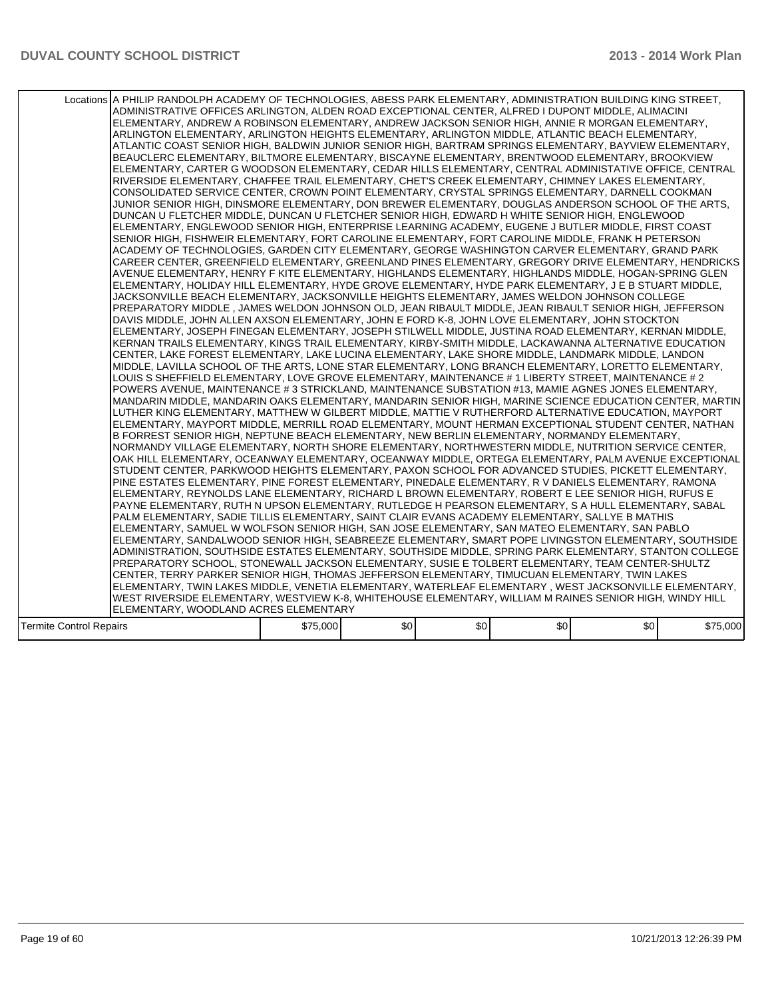|                                | Locations A PHILIP RANDOLPH ACADEMY OF TECHNOLOGIES, ABESS PARK ELEMENTARY, ADMINISTRATION BUILDING KING STREET,<br>ADMINISTRATIVE OFFICES ARLINGTON, ALDEN ROAD EXCEPTIONAL CENTER, ALFRED I DUPONT MIDDLE, ALIMACINI<br>ELEMENTARY, ANDREW A ROBINSON ELEMENTARY, ANDREW JACKSON SENIOR HIGH, ANNIE R MORGAN ELEMENTARY,<br>ARLINGTON ELEMENTARY, ARLINGTON HEIGHTS ELEMENTARY, ARLINGTON MIDDLE, ATLANTIC BEACH ELEMENTARY,<br>ATLANTIC COAST SENIOR HIGH, BALDWIN JUNIOR SENIOR HIGH, BARTRAM SPRINGS ELEMENTARY, BAYVIEW ELEMENTARY,<br>BEAUCLERC ELEMENTARY, BILTMORE ELEMENTARY, BISCAYNE ELEMENTARY, BRENTWOOD ELEMENTARY, BROOKVIEW<br>ELEMENTARY, CARTER G WOODSON ELEMENTARY, CEDAR HILLS ELEMENTARY, CENTRAL ADMINISTATIVE OFFICE, CENTRAL<br>RIVERSIDE ELEMENTARY. CHAFFEE TRAIL ELEMENTARY. CHET'S CREEK ELEMENTARY. CHIMNEY LAKES ELEMENTARY.<br>CONSOLIDATED SERVICE CENTER, CROWN POINT ELEMENTARY, CRYSTAL SPRINGS ELEMENTARY, DARNELL COOKMAN<br>JUNIOR SENIOR HIGH, DINSMORE ELEMENTARY, DON BREWER ELEMENTARY, DOUGLAS ANDERSON SCHOOL OF THE ARTS.<br>DUNCAN U FLETCHER MIDDLE, DUNCAN U FLETCHER SENIOR HIGH, EDWARD H WHITE SENIOR HIGH, ENGLEWOOD<br>ELEMENTARY, ENGLEWOOD SENIOR HIGH, ENTERPRISE LEARNING ACADEMY, EUGENE J BUTLER MIDDLE, FIRST COAST<br>SENIOR HIGH, FISHWEIR ELEMENTARY, FORT CAROLINE ELEMENTARY, FORT CAROLINE MIDDLE, FRANK H PETERSON<br>ACADEMY OF TECHNOLOGIES, GARDEN CITY ELEMENTARY, GEORGE WASHINGTON CARVER ELEMENTARY, GRAND PARK<br>CAREER CENTER, GREENFIELD ELEMENTARY, GREENLAND PINES ELEMENTARY, GREGORY DRIVE ELEMENTARY, HENDRICKS<br>AVENUE ELEMENTARY, HENRY F KITE ELEMENTARY, HIGHLANDS ELEMENTARY, HIGHLANDS MIDDLE, HOGAN-SPRING GLEN<br>ELEMENTARY, HOLIDAY HILL ELEMENTARY, HYDE GROVE ELEMENTARY, HYDE PARK ELEMENTARY, J E B STUART MIDDLE,<br>JACKSONVILLE BEACH ELEMENTARY, JACKSONVILLE HEIGHTS ELEMENTARY, JAMES WELDON JOHNSON COLLEGE<br>PREPARATORY MIDDLE , JAMES WELDON JOHNSON OLD, JEAN RIBAULT MIDDLE, JEAN RIBAULT SENIOR HIGH, JEFFERSON<br>DAVIS MIDDLE, JOHN ALLEN AXSON ELEMENTARY, JOHN E FORD K-8, JOHN LOVE ELEMENTARY, JOHN STOCKTON<br>ELEMENTARY, JOSEPH FINEGAN ELEMENTARY, JOSEPH STILWELL MIDDLE, JUSTINA ROAD ELEMENTARY, KERNAN MIDDLE,<br>KERNAN TRAILS ELEMENTARY, KINGS TRAIL ELEMENTARY, KIRBY-SMITH MIDDLE, LACKAWANNA ALTERNATIVE EDUCATION<br>CENTER, LAKE FOREST ELEMENTARY, LAKE LUCINA ELEMENTARY, LAKE SHORE MIDDLE, LANDMARK MIDDLE, LANDON <br>MIDDLE, LAVILLA SCHOOL OF THE ARTS, LONE STAR ELEMENTARY, LONG BRANCH ELEMENTARY, LORETTO ELEMENTARY,<br>LOUIS S SHEFFIELD ELEMENTARY, LOVE GROVE ELEMENTARY, MAINTENANCE # 1 LIBERTY STREET, MAINTENANCE # 2<br>POWERS AVENUE, MAINTENANCE # 3 STRICKLAND, MAINTENANCE SUBSTATION #13, MAMIE AGNES JONES ELEMENTARY,<br>IMANDARIN MIDDLE. MANDARIN OAKS ELEMENTARY. MANDARIN SENIOR HIGH. MARINE SCIENCE EDUCATION CENTER. MARTIN I<br>LUTHER KING ELEMENTARY, MATTHEW W GILBERT MIDDLE, MATTIE V RUTHERFORD ALTERNATIVE EDUCATION, MAYPORT<br>ELEMENTARY, MAYPORT MIDDLE, MERRILL ROAD ELEMENTARY, MOUNT HERMAN EXCEPTIONAL STUDENT CENTER, NATHAN<br>B FORREST SENIOR HIGH, NEPTUNE BEACH ELEMENTARY, NEW BERLIN ELEMENTARY, NORMANDY ELEMENTARY,<br>NORMANDY VILLAGE ELEMENTARY, NORTH SHORE ELEMENTARY, NORTHWESTERN MIDDLE, NUTRITION SERVICE CENTER,<br>OAK HILL ELEMENTARY. OCEANWAY ELEMENTARY. OCEANWAY MIDDLE. ORTEGA ELEMENTARY. PALM AVENUE EXCEPTIONAL<br>STUDENT CENTER, PARKWOOD HEIGHTS ELEMENTARY, PAXON SCHOOL FOR ADVANCED STUDIES, PICKETT ELEMENTARY,<br>PINE ESTATES ELEMENTARY, PINE FOREST ELEMENTARY, PINEDALE ELEMENTARY, R V DANIELS ELEMENTARY, RAMONA<br>ELEMENTARY, REYNOLDS LANE ELEMENTARY, RICHARD L BROWN ELEMENTARY, ROBERT E LEE SENIOR HIGH, RUFUS E<br>PAYNE ELEMENTARY, RUTH N UPSON ELEMENTARY, RUTLEDGE H PEARSON ELEMENTARY, S A HULL ELEMENTARY, SABAL<br>PALM ELEMENTARY, SADIE TILLIS ELEMENTARY, SAINT CLAIR EVANS ACADEMY ELEMENTARY, SALLYE B MATHIS<br>ELEMENTARY, SAMUEL W WOLFSON SENIOR HIGH, SAN JOSE ELEMENTARY, SAN MATEO ELEMENTARY, SAN PABLO<br>ELEMENTARY, SANDALWOOD SENIOR HIGH, SEABREEZE ELEMENTARY, SMART POPE LIVINGSTON ELEMENTARY, SOUTHSIDE<br>ADMINISTRATION, SOUTHSIDE ESTATES ELEMENTARY, SOUTHSIDE MIDDLE, SPRING PARK ELEMENTARY, STANTON COLLEGE<br>PREPARATORY SCHOOL, STONEWALL JACKSON ELEMENTARY, SUSIE E TOLBERT ELEMENTARY, TEAM CENTER-SHULTZ<br>CENTER, TERRY PARKER SENIOR HIGH, THOMAS JEFFERSON ELEMENTARY, TIMUCUAN ELEMENTARY, TWIN LAKES<br>ELEMENTARY, TWIN LAKES MIDDLE, VENETIA ELEMENTARY, WATERLEAF ELEMENTARY , WEST JACKSONVILLE ELEMENTARY, |          |      |     |     |     |          |
|--------------------------------|------------------------------------------------------------------------------------------------------------------------------------------------------------------------------------------------------------------------------------------------------------------------------------------------------------------------------------------------------------------------------------------------------------------------------------------------------------------------------------------------------------------------------------------------------------------------------------------------------------------------------------------------------------------------------------------------------------------------------------------------------------------------------------------------------------------------------------------------------------------------------------------------------------------------------------------------------------------------------------------------------------------------------------------------------------------------------------------------------------------------------------------------------------------------------------------------------------------------------------------------------------------------------------------------------------------------------------------------------------------------------------------------------------------------------------------------------------------------------------------------------------------------------------------------------------------------------------------------------------------------------------------------------------------------------------------------------------------------------------------------------------------------------------------------------------------------------------------------------------------------------------------------------------------------------------------------------------------------------------------------------------------------------------------------------------------------------------------------------------------------------------------------------------------------------------------------------------------------------------------------------------------------------------------------------------------------------------------------------------------------------------------------------------------------------------------------------------------------------------------------------------------------------------------------------------------------------------------------------------------------------------------------------------------------------------------------------------------------------------------------------------------------------------------------------------------------------------------------------------------------------------------------------------------------------------------------------------------------------------------------------------------------------------------------------------------------------------------------------------------------------------------------------------------------------------------------------------------------------------------------------------------------------------------------------------------------------------------------------------------------------------------------------------------------------------------------------------------------------------------------------------------------------------------------------------------------------------------------------------------------------------------------------------------------------------------------------------------------------------------------------------------------------------------------------------------------------------------------------------------------------------------------------------------------------------------------------------------------------------------------------------------------------------------------------------------------------------------------------------------------------------------------------------------------------------------------------------------------------------------------------------------------------------------------------------------------------------------------------------------------------------------------------------------------------------------------------------------------------------------------------------------------------------------------------------------------------------------------------------------|----------|------|-----|-----|-----|----------|
|                                |                                                                                                                                                                                                                                                                                                                                                                                                                                                                                                                                                                                                                                                                                                                                                                                                                                                                                                                                                                                                                                                                                                                                                                                                                                                                                                                                                                                                                                                                                                                                                                                                                                                                                                                                                                                                                                                                                                                                                                                                                                                                                                                                                                                                                                                                                                                                                                                                                                                                                                                                                                                                                                                                                                                                                                                                                                                                                                                                                                                                                                                                                                                                                                                                                                                                                                                                                                                                                                                                                                                                                                                                                                                                                                                                                                                                                                                                                                                                                                                                                                                                                                                                                                                                                                                                                                                                                                                                                                                                                                                                                                                                                  |          |      |     |     |     |          |
|                                |                                                                                                                                                                                                                                                                                                                                                                                                                                                                                                                                                                                                                                                                                                                                                                                                                                                                                                                                                                                                                                                                                                                                                                                                                                                                                                                                                                                                                                                                                                                                                                                                                                                                                                                                                                                                                                                                                                                                                                                                                                                                                                                                                                                                                                                                                                                                                                                                                                                                                                                                                                                                                                                                                                                                                                                                                                                                                                                                                                                                                                                                                                                                                                                                                                                                                                                                                                                                                                                                                                                                                                                                                                                                                                                                                                                                                                                                                                                                                                                                                                                                                                                                                                                                                                                                                                                                                                                                                                                                                                                                                                                                                  |          |      |     |     |     |          |
|                                |                                                                                                                                                                                                                                                                                                                                                                                                                                                                                                                                                                                                                                                                                                                                                                                                                                                                                                                                                                                                                                                                                                                                                                                                                                                                                                                                                                                                                                                                                                                                                                                                                                                                                                                                                                                                                                                                                                                                                                                                                                                                                                                                                                                                                                                                                                                                                                                                                                                                                                                                                                                                                                                                                                                                                                                                                                                                                                                                                                                                                                                                                                                                                                                                                                                                                                                                                                                                                                                                                                                                                                                                                                                                                                                                                                                                                                                                                                                                                                                                                                                                                                                                                                                                                                                                                                                                                                                                                                                                                                                                                                                                                  |          |      |     |     |     |          |
|                                | WEST RIVERSIDE ELEMENTARY, WESTVIEW K-8, WHITEHOUSE ELEMENTARY, WILLIAM M RAINES SENIOR HIGH, WINDY HILL                                                                                                                                                                                                                                                                                                                                                                                                                                                                                                                                                                                                                                                                                                                                                                                                                                                                                                                                                                                                                                                                                                                                                                                                                                                                                                                                                                                                                                                                                                                                                                                                                                                                                                                                                                                                                                                                                                                                                                                                                                                                                                                                                                                                                                                                                                                                                                                                                                                                                                                                                                                                                                                                                                                                                                                                                                                                                                                                                                                                                                                                                                                                                                                                                                                                                                                                                                                                                                                                                                                                                                                                                                                                                                                                                                                                                                                                                                                                                                                                                                                                                                                                                                                                                                                                                                                                                                                                                                                                                                         |          |      |     |     |     |          |
|                                | ELEMENTARY, WOODLAND ACRES ELEMENTARY                                                                                                                                                                                                                                                                                                                                                                                                                                                                                                                                                                                                                                                                                                                                                                                                                                                                                                                                                                                                                                                                                                                                                                                                                                                                                                                                                                                                                                                                                                                                                                                                                                                                                                                                                                                                                                                                                                                                                                                                                                                                                                                                                                                                                                                                                                                                                                                                                                                                                                                                                                                                                                                                                                                                                                                                                                                                                                                                                                                                                                                                                                                                                                                                                                                                                                                                                                                                                                                                                                                                                                                                                                                                                                                                                                                                                                                                                                                                                                                                                                                                                                                                                                                                                                                                                                                                                                                                                                                                                                                                                                            |          |      |     |     |     |          |
| <b>Termite Control Repairs</b> |                                                                                                                                                                                                                                                                                                                                                                                                                                                                                                                                                                                                                                                                                                                                                                                                                                                                                                                                                                                                                                                                                                                                                                                                                                                                                                                                                                                                                                                                                                                                                                                                                                                                                                                                                                                                                                                                                                                                                                                                                                                                                                                                                                                                                                                                                                                                                                                                                                                                                                                                                                                                                                                                                                                                                                                                                                                                                                                                                                                                                                                                                                                                                                                                                                                                                                                                                                                                                                                                                                                                                                                                                                                                                                                                                                                                                                                                                                                                                                                                                                                                                                                                                                                                                                                                                                                                                                                                                                                                                                                                                                                                                  | \$75,000 | \$0] | \$0 | \$0 | \$0 | \$75,000 |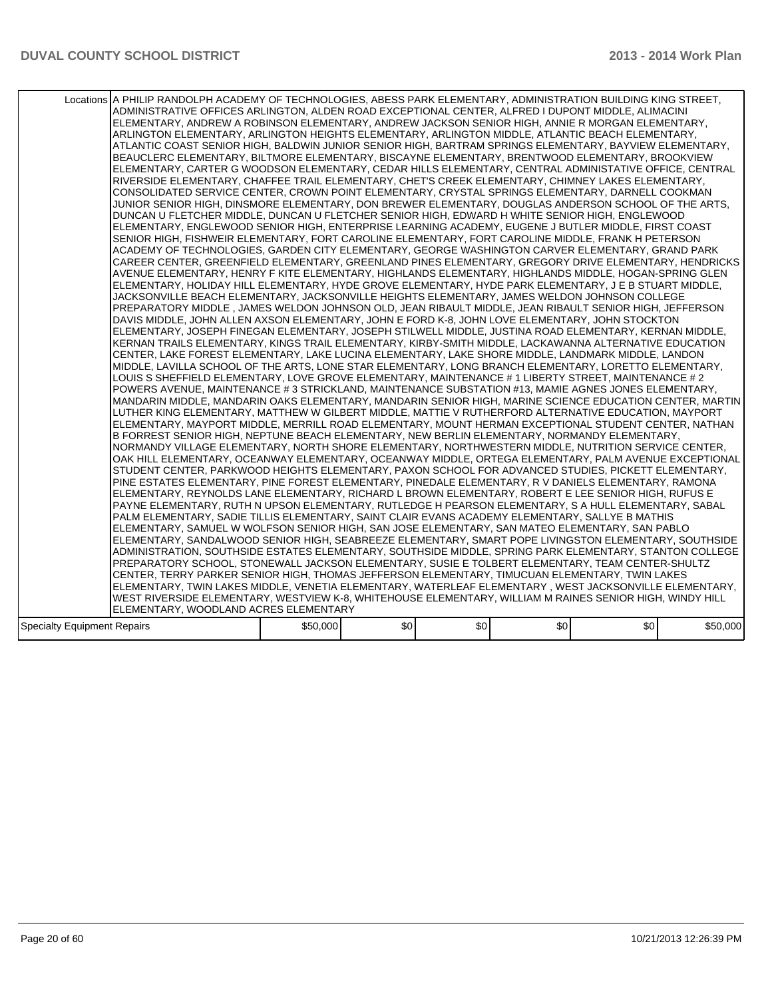|                                    | Locations A PHILIP RANDOLPH ACADEMY OF TECHNOLOGIES, ABESS PARK ELEMENTARY, ADMINISTRATION BUILDING KING STREET,<br>ADMINISTRATIVE OFFICES ARLINGTON, ALDEN ROAD EXCEPTIONAL CENTER, ALFRED I DUPONT MIDDLE, ALIMACINI <br>ELEMENTARY, ANDREW A ROBINSON ELEMENTARY, ANDREW JACKSON SENIOR HIGH, ANNIE R MORGAN ELEMENTARY,<br>ARLINGTON ELEMENTARY, ARLINGTON HEIGHTS ELEMENTARY, ARLINGTON MIDDLE, ATLANTIC BEACH ELEMENTARY,<br>ATLANTIC COAST SENIOR HIGH. BALDWIN JUNIOR SENIOR HIGH. BARTRAM SPRINGS ELEMENTARY. BAYVIEW ELEMENTARY.<br>BEAUCLERC ELEMENTARY, BILTMORE ELEMENTARY, BISCAYNE ELEMENTARY, BRENTWOOD ELEMENTARY, BROOKVIEW<br>ELEMENTARY, CARTER G WOODSON ELEMENTARY, CEDAR HILLS ELEMENTARY, CENTRAL ADMINISTATIVE OFFICE, CENTRAL<br>RIVERSIDE ELEMENTARY, CHAFFEE TRAIL ELEMENTARY, CHET'S CREEK ELEMENTARY, CHIMNEY LAKES ELEMENTARY,<br>CONSOLIDATED SERVICE CENTER, CROWN POINT ELEMENTARY, CRYSTAL SPRINGS ELEMENTARY, DARNELL COOKMAN<br>JUNIOR SENIOR HIGH, DINSMORE ELEMENTARY, DON BREWER ELEMENTARY, DOUGLAS ANDERSON SCHOOL OF THE ARTS.<br>DUNCAN U FLETCHER MIDDLE, DUNCAN U FLETCHER SENIOR HIGH, EDWARD H WHITE SENIOR HIGH, ENGLEWOOD<br>ELEMENTARY, ENGLEWOOD SENIOR HIGH, ENTERPRISE LEARNING ACADEMY, EUGENE J BUTLER MIDDLE, FIRST COAST<br>SENIOR HIGH, FISHWEIR ELEMENTARY, FORT CAROLINE ELEMENTARY, FORT CAROLINE MIDDLE, FRANK H PETERSON<br>ACADEMY OF TECHNOLOGIES, GARDEN CITY ELEMENTARY, GEORGE WASHINGTON CARVER ELEMENTARY, GRAND PARK<br>CAREER CENTER, GREENFIELD ELEMENTARY, GREENLAND PINES ELEMENTARY, GREGORY DRIVE ELEMENTARY, HENDRICKS<br>AVENUE ELEMENTARY, HENRY F KITE ELEMENTARY, HIGHLANDS ELEMENTARY, HIGHLANDS MIDDLE, HOGAN-SPRING GLEN<br>ELEMENTARY, HOLIDAY HILL ELEMENTARY, HYDE GROVE ELEMENTARY, HYDE PARK ELEMENTARY, J E B STUART MIDDLE,<br>JACKSONVILLE BEACH ELEMENTARY, JACKSONVILLE HEIGHTS ELEMENTARY, JAMES WELDON JOHNSON COLLEGE<br>PREPARATORY MIDDLE , JAMES WELDON JOHNSON OLD, JEAN RIBAULT MIDDLE, JEAN RIBAULT SENIOR HIGH, JEFFERSON<br>DAVIS MIDDLE, JOHN ALLEN AXSON ELEMENTARY, JOHN E FORD K-8, JOHN LOVE ELEMENTARY, JOHN STOCKTON<br>ELEMENTARY, JOSEPH FINEGAN ELEMENTARY, JOSEPH STILWELL MIDDLE, JUSTINA ROAD ELEMENTARY, KERNAN MIDDLE,<br>KERNAN TRAILS ELEMENTARY, KINGS TRAIL ELEMENTARY, KIRBY-SMITH MIDDLE, LACKAWANNA ALTERNATIVE EDUCATION<br>CENTER, LAKE FOREST ELEMENTARY, LAKE LUCINA ELEMENTARY, LAKE SHORE MIDDLE, LANDMARK MIDDLE, LANDON <br>MIDDLE, LAVILLA SCHOOL OF THE ARTS, LONE STAR ELEMENTARY, LONG BRANCH ELEMENTARY, LORETTO ELEMENTARY,<br>LOUIS S SHEFFIELD ELEMENTARY, LOVE GROVE ELEMENTARY, MAINTENANCE # 1 LIBERTY STREET, MAINTENANCE # 2<br>POWERS AVENUE, MAINTENANCE # 3 STRICKLAND, MAINTENANCE SUBSTATION #13, MAMIE AGNES JONES ELEMENTARY,<br>MANDARIN MIDDLE, MANDARIN OAKS ELEMENTARY, MANDARIN SENIOR HIGH, MARINE SCIENCE EDUCATION CENTER, MARTIN<br>LUTHER KING ELEMENTARY, MATTHEW W GILBERT MIDDLE, MATTIE V RUTHERFORD ALTERNATIVE EDUCATION, MAYPORT<br>ELEMENTARY, MAYPORT MIDDLE, MERRILL ROAD ELEMENTARY, MOUNT HERMAN EXCEPTIONAL STUDENT CENTER, NATHAN<br>B FORREST SENIOR HIGH, NEPTUNE BEACH ELEMENTARY, NEW BERLIN ELEMENTARY, NORMANDY ELEMENTARY,<br>NORMANDY VILLAGE ELEMENTARY, NORTH SHORE ELEMENTARY, NORTHWESTERN MIDDLE, NUTRITION SERVICE CENTER,<br>OAK HILL ELEMENTARY, OCEANWAY ELEMENTARY, OCEANWAY MIDDLE, ORTEGA ELEMENTARY, PALM AVENUE EXCEPTIONAL<br>STUDENT CENTER, PARKWOOD HEIGHTS ELEMENTARY, PAXON SCHOOL FOR ADVANCED STUDIES, PICKETT ELEMENTARY,<br>PINE ESTATES ELEMENTARY, PINE FOREST ELEMENTARY, PINEDALE ELEMENTARY, R V DANIELS ELEMENTARY, RAMONA<br>ELEMENTARY, REYNOLDS LANE ELEMENTARY, RICHARD L BROWN ELEMENTARY, ROBERT E LEE SENIOR HIGH, RUFUS E<br>PAYNE ELEMENTARY, RUTH N UPSON ELEMENTARY, RUTLEDGE H PEARSON ELEMENTARY, S A HULL ELEMENTARY, SABAL<br>PALM ELEMENTARY, SADIE TILLIS ELEMENTARY, SAINT CLAIR EVANS ACADEMY ELEMENTARY, SALLYE B MATHIS<br>ELEMENTARY, SAMUEL W WOLFSON SENIOR HIGH, SAN JOSE ELEMENTARY, SAN MATEO ELEMENTARY, SAN PABLO<br>ELEMENTARY, SANDALWOOD SENIOR HIGH, SEABREEZE ELEMENTARY, SMART POPE LIVINGSTON ELEMENTARY, SOUTHSIDE<br>ADMINISTRATION, SOUTHSIDE ESTATES ELEMENTARY, SOUTHSIDE MIDDLE, SPRING PARK ELEMENTARY, STANTON COLLEGE<br>PREPARATORY SCHOOL, STONEWALL JACKSON ELEMENTARY, SUSIE E TOLBERT ELEMENTARY, TEAM CENTER-SHULTZ<br>CENTER, TERRY PARKER SENIOR HIGH, THOMAS JEFFERSON ELEMENTARY, TIMUCUAN ELEMENTARY, TWIN LAKES<br>ELEMENTARY, TWIN LAKES MIDDLE, VENETIA ELEMENTARY, WATERLEAF ELEMENTARY , WEST JACKSONVILLE ELEMENTARY, |          |      |     |                  |     |          |
|------------------------------------|----------------------------------------------------------------------------------------------------------------------------------------------------------------------------------------------------------------------------------------------------------------------------------------------------------------------------------------------------------------------------------------------------------------------------------------------------------------------------------------------------------------------------------------------------------------------------------------------------------------------------------------------------------------------------------------------------------------------------------------------------------------------------------------------------------------------------------------------------------------------------------------------------------------------------------------------------------------------------------------------------------------------------------------------------------------------------------------------------------------------------------------------------------------------------------------------------------------------------------------------------------------------------------------------------------------------------------------------------------------------------------------------------------------------------------------------------------------------------------------------------------------------------------------------------------------------------------------------------------------------------------------------------------------------------------------------------------------------------------------------------------------------------------------------------------------------------------------------------------------------------------------------------------------------------------------------------------------------------------------------------------------------------------------------------------------------------------------------------------------------------------------------------------------------------------------------------------------------------------------------------------------------------------------------------------------------------------------------------------------------------------------------------------------------------------------------------------------------------------------------------------------------------------------------------------------------------------------------------------------------------------------------------------------------------------------------------------------------------------------------------------------------------------------------------------------------------------------------------------------------------------------------------------------------------------------------------------------------------------------------------------------------------------------------------------------------------------------------------------------------------------------------------------------------------------------------------------------------------------------------------------------------------------------------------------------------------------------------------------------------------------------------------------------------------------------------------------------------------------------------------------------------------------------------------------------------------------------------------------------------------------------------------------------------------------------------------------------------------------------------------------------------------------------------------------------------------------------------------------------------------------------------------------------------------------------------------------------------------------------------------------------------------------------------------------------------------------------------------------------------------------------------------------------------------------------------------------------------------------------------------------------------------------------------------------------------------------------------------------------------------------------------------------------------------------------------------------------------------------------------------------------------------------------------------------------------------------------------------------------|----------|------|-----|------------------|-----|----------|
|                                    |                                                                                                                                                                                                                                                                                                                                                                                                                                                                                                                                                                                                                                                                                                                                                                                                                                                                                                                                                                                                                                                                                                                                                                                                                                                                                                                                                                                                                                                                                                                                                                                                                                                                                                                                                                                                                                                                                                                                                                                                                                                                                                                                                                                                                                                                                                                                                                                                                                                                                                                                                                                                                                                                                                                                                                                                                                                                                                                                                                                                                                                                                                                                                                                                                                                                                                                                                                                                                                                                                                                                                                                                                                                                                                                                                                                                                                                                                                                                                                                                                                                                                                                                                                                                                                                                                                                                                                                                                                                                                                                                                                                                                |          |      |     |                  |     |          |
|                                    |                                                                                                                                                                                                                                                                                                                                                                                                                                                                                                                                                                                                                                                                                                                                                                                                                                                                                                                                                                                                                                                                                                                                                                                                                                                                                                                                                                                                                                                                                                                                                                                                                                                                                                                                                                                                                                                                                                                                                                                                                                                                                                                                                                                                                                                                                                                                                                                                                                                                                                                                                                                                                                                                                                                                                                                                                                                                                                                                                                                                                                                                                                                                                                                                                                                                                                                                                                                                                                                                                                                                                                                                                                                                                                                                                                                                                                                                                                                                                                                                                                                                                                                                                                                                                                                                                                                                                                                                                                                                                                                                                                                                                |          |      |     |                  |     |          |
|                                    |                                                                                                                                                                                                                                                                                                                                                                                                                                                                                                                                                                                                                                                                                                                                                                                                                                                                                                                                                                                                                                                                                                                                                                                                                                                                                                                                                                                                                                                                                                                                                                                                                                                                                                                                                                                                                                                                                                                                                                                                                                                                                                                                                                                                                                                                                                                                                                                                                                                                                                                                                                                                                                                                                                                                                                                                                                                                                                                                                                                                                                                                                                                                                                                                                                                                                                                                                                                                                                                                                                                                                                                                                                                                                                                                                                                                                                                                                                                                                                                                                                                                                                                                                                                                                                                                                                                                                                                                                                                                                                                                                                                                                |          |      |     |                  |     |          |
|                                    |                                                                                                                                                                                                                                                                                                                                                                                                                                                                                                                                                                                                                                                                                                                                                                                                                                                                                                                                                                                                                                                                                                                                                                                                                                                                                                                                                                                                                                                                                                                                                                                                                                                                                                                                                                                                                                                                                                                                                                                                                                                                                                                                                                                                                                                                                                                                                                                                                                                                                                                                                                                                                                                                                                                                                                                                                                                                                                                                                                                                                                                                                                                                                                                                                                                                                                                                                                                                                                                                                                                                                                                                                                                                                                                                                                                                                                                                                                                                                                                                                                                                                                                                                                                                                                                                                                                                                                                                                                                                                                                                                                                                                |          |      |     |                  |     |          |
|                                    | WEST RIVERSIDE ELEMENTARY, WESTVIEW K-8, WHITEHOUSE ELEMENTARY, WILLIAM M RAINES SENIOR HIGH, WINDY HILL                                                                                                                                                                                                                                                                                                                                                                                                                                                                                                                                                                                                                                                                                                                                                                                                                                                                                                                                                                                                                                                                                                                                                                                                                                                                                                                                                                                                                                                                                                                                                                                                                                                                                                                                                                                                                                                                                                                                                                                                                                                                                                                                                                                                                                                                                                                                                                                                                                                                                                                                                                                                                                                                                                                                                                                                                                                                                                                                                                                                                                                                                                                                                                                                                                                                                                                                                                                                                                                                                                                                                                                                                                                                                                                                                                                                                                                                                                                                                                                                                                                                                                                                                                                                                                                                                                                                                                                                                                                                                                       |          |      |     |                  |     |          |
|                                    | ELEMENTARY, WOODLAND ACRES ELEMENTARY                                                                                                                                                                                                                                                                                                                                                                                                                                                                                                                                                                                                                                                                                                                                                                                                                                                                                                                                                                                                                                                                                                                                                                                                                                                                                                                                                                                                                                                                                                                                                                                                                                                                                                                                                                                                                                                                                                                                                                                                                                                                                                                                                                                                                                                                                                                                                                                                                                                                                                                                                                                                                                                                                                                                                                                                                                                                                                                                                                                                                                                                                                                                                                                                                                                                                                                                                                                                                                                                                                                                                                                                                                                                                                                                                                                                                                                                                                                                                                                                                                                                                                                                                                                                                                                                                                                                                                                                                                                                                                                                                                          |          |      |     |                  |     |          |
| <b>Specialty Equipment Repairs</b> |                                                                                                                                                                                                                                                                                                                                                                                                                                                                                                                                                                                                                                                                                                                                                                                                                                                                                                                                                                                                                                                                                                                                                                                                                                                                                                                                                                                                                                                                                                                                                                                                                                                                                                                                                                                                                                                                                                                                                                                                                                                                                                                                                                                                                                                                                                                                                                                                                                                                                                                                                                                                                                                                                                                                                                                                                                                                                                                                                                                                                                                                                                                                                                                                                                                                                                                                                                                                                                                                                                                                                                                                                                                                                                                                                                                                                                                                                                                                                                                                                                                                                                                                                                                                                                                                                                                                                                                                                                                                                                                                                                                                                | \$50,000 | \$0] | \$0 | \$0 <sub>1</sub> | \$0 | \$50,000 |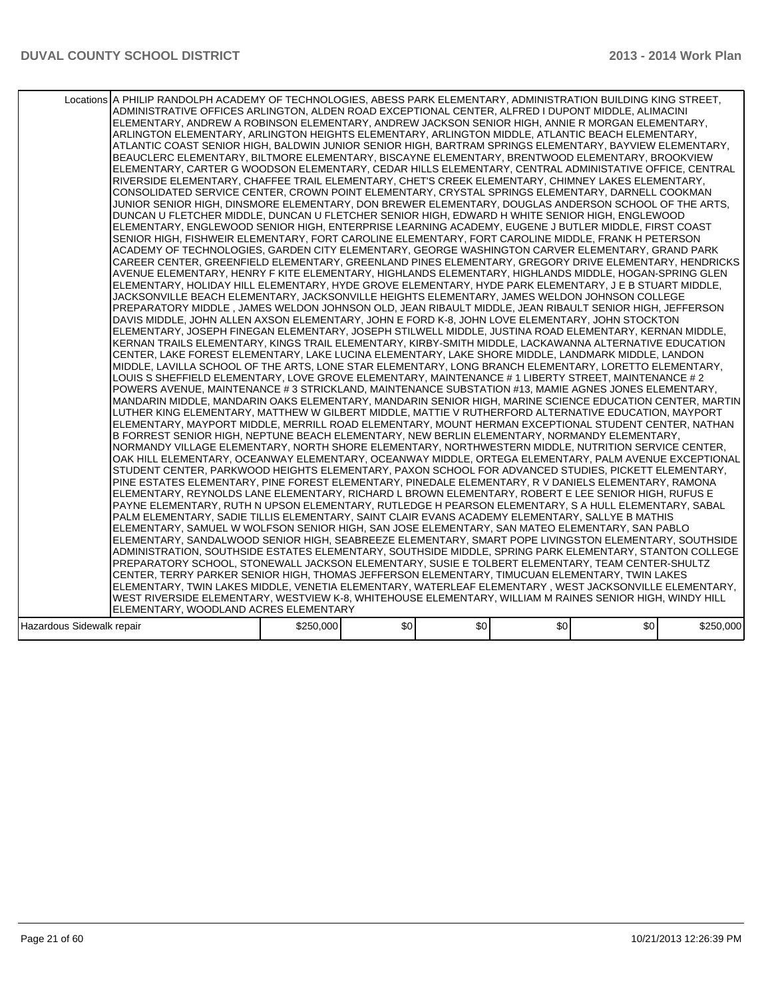|                           | Locations A PHILIP RANDOLPH ACADEMY OF TECHNOLOGIES, ABESS PARK ELEMENTARY, ADMINISTRATION BUILDING KING STREET,<br>ADMINISTRATIVE OFFICES ARLINGTON, ALDEN ROAD EXCEPTIONAL CENTER, ALFRED I DUPONT MIDDLE, ALIMACINI<br>ELEMENTARY, ANDREW A ROBINSON ELEMENTARY, ANDREW JACKSON SENIOR HIGH, ANNIE R MORGAN ELEMENTARY,<br>ARLINGTON ELEMENTARY, ARLINGTON HEIGHTS ELEMENTARY, ARLINGTON MIDDLE, ATLANTIC BEACH ELEMENTARY,<br>ATLANTIC COAST SENIOR HIGH. BALDWIN JUNIOR SENIOR HIGH. BARTRAM SPRINGS ELEMENTARY. BAYVIEW ELEMENTARY.<br>BEAUCLERC ELEMENTARY, BILTMORE ELEMENTARY, BISCAYNE ELEMENTARY, BRENTWOOD ELEMENTARY, BROOKVIEW<br>ELEMENTARY, CARTER G WOODSON ELEMENTARY, CEDAR HILLS ELEMENTARY, CENTRAL ADMINISTATIVE OFFICE, CENTRAL<br>RIVERSIDE ELEMENTARY, CHAFFEE TRAIL ELEMENTARY, CHET'S CREEK ELEMENTARY, CHIMNEY LAKES ELEMENTARY,<br>CONSOLIDATED SERVICE CENTER, CROWN POINT ELEMENTARY, CRYSTAL SPRINGS ELEMENTARY, DARNELL COOKMAN<br>JUNIOR SENIOR HIGH, DINSMORE ELEMENTARY, DON BREWER ELEMENTARY, DOUGLAS ANDERSON SCHOOL OF THE ARTS.<br>DUNCAN U FLETCHER MIDDLE, DUNCAN U FLETCHER SENIOR HIGH, EDWARD H WHITE SENIOR HIGH, ENGLEWOOD<br>ELEMENTARY, ENGLEWOOD SENIOR HIGH, ENTERPRISE LEARNING ACADEMY, EUGENE J BUTLER MIDDLE, FIRST COAST<br>SENIOR HIGH, FISHWEIR ELEMENTARY, FORT CAROLINE ELEMENTARY, FORT CAROLINE MIDDLE, FRANK H PETERSON<br>ACADEMY OF TECHNOLOGIES, GARDEN CITY ELEMENTARY, GEORGE WASHINGTON CARVER ELEMENTARY, GRAND PARK<br>CAREER CENTER, GREENFIELD ELEMENTARY, GREENLAND PINES ELEMENTARY, GREGORY DRIVE ELEMENTARY, HENDRICKS<br>AVENUE ELEMENTARY, HENRY F KITE ELEMENTARY, HIGHLANDS ELEMENTARY, HIGHLANDS MIDDLE, HOGAN-SPRING GLEN<br>ELEMENTARY, HOLIDAY HILL ELEMENTARY, HYDE GROVE ELEMENTARY, HYDE PARK ELEMENTARY, J E B STUART MIDDLE,<br>JACKSONVILLE BEACH ELEMENTARY, JACKSONVILLE HEIGHTS ELEMENTARY, JAMES WELDON JOHNSON COLLEGE<br>PREPARATORY MIDDLE , JAMES WELDON JOHNSON OLD, JEAN RIBAULT MIDDLE, JEAN RIBAULT SENIOR HIGH, JEFFERSON<br>DAVIS MIDDLE, JOHN ALLEN AXSON ELEMENTARY, JOHN E FORD K-8, JOHN LOVE ELEMENTARY, JOHN STOCKTON<br>ELEMENTARY, JOSEPH FINEGAN ELEMENTARY, JOSEPH STILWELL MIDDLE, JUSTINA ROAD ELEMENTARY, KERNAN MIDDLE,<br>KERNAN TRAILS ELEMENTARY, KINGS TRAIL ELEMENTARY, KIRBY-SMITH MIDDLE, LACKAWANNA ALTERNATIVE EDUCATION<br>CENTER, LAKE FOREST ELEMENTARY, LAKE LUCINA ELEMENTARY, LAKE SHORE MIDDLE, LANDMARK MIDDLE, LANDON <br>MIDDLE, LAVILLA SCHOOL OF THE ARTS, LONE STAR ELEMENTARY, LONG BRANCH ELEMENTARY, LORETTO ELEMENTARY,<br>LOUIS S SHEFFIELD ELEMENTARY, LOVE GROVE ELEMENTARY, MAINTENANCE # 1 LIBERTY STREET, MAINTENANCE # 2<br>POWERS AVENUE, MAINTENANCE # 3 STRICKLAND, MAINTENANCE SUBSTATION #13, MAMIE AGNES JONES ELEMENTARY,<br>MANDARIN MIDDLE, MANDARIN OAKS ELEMENTARY, MANDARIN SENIOR HIGH, MARINE SCIENCE EDUCATION CENTER, MARTIN<br>LUTHER KING ELEMENTARY, MATTHEW W GILBERT MIDDLE, MATTIE V RUTHERFORD ALTERNATIVE EDUCATION, MAYPORT<br>ELEMENTARY, MAYPORT MIDDLE, MERRILL ROAD ELEMENTARY, MOUNT HERMAN EXCEPTIONAL STUDENT CENTER, NATHAN<br>B FORREST SENIOR HIGH, NEPTUNE BEACH ELEMENTARY, NEW BERLIN ELEMENTARY, NORMANDY ELEMENTARY,<br>NORMANDY VILLAGE ELEMENTARY, NORTH SHORE ELEMENTARY, NORTHWESTERN MIDDLE, NUTRITION SERVICE CENTER,<br>OAK HILL ELEMENTARY, OCEANWAY ELEMENTARY, OCEANWAY MIDDLE, ORTEGA ELEMENTARY, PALM AVENUE EXCEPTIONAL<br>STUDENT CENTER, PARKWOOD HEIGHTS ELEMENTARY, PAXON SCHOOL FOR ADVANCED STUDIES, PICKETT ELEMENTARY,<br>PINE ESTATES ELEMENTARY, PINE FOREST ELEMENTARY, PINEDALE ELEMENTARY, R V DANIELS ELEMENTARY, RAMONA<br>ELEMENTARY, REYNOLDS LANE ELEMENTARY, RICHARD L BROWN ELEMENTARY, ROBERT E LEE SENIOR HIGH, RUFUS E<br>PAYNE ELEMENTARY, RUTH N UPSON ELEMENTARY, RUTLEDGE H PEARSON ELEMENTARY, S A HULL ELEMENTARY, SABAL<br>PALM ELEMENTARY, SADIE TILLIS ELEMENTARY, SAINT CLAIR EVANS ACADEMY ELEMENTARY, SALLYE B MATHIS<br>ELEMENTARY, SAMUEL W WOLFSON SENIOR HIGH, SAN JOSE ELEMENTARY, SAN MATEO ELEMENTARY, SAN PABLO<br>ELEMENTARY, SANDALWOOD SENIOR HIGH, SEABREEZE ELEMENTARY, SMART POPE LIVINGSTON ELEMENTARY, SOUTHSIDE<br>ADMINISTRATION, SOUTHSIDE ESTATES ELEMENTARY, SOUTHSIDE MIDDLE, SPRING PARK ELEMENTARY, STANTON COLLEGE<br>PREPARATORY SCHOOL, STONEWALL JACKSON ELEMENTARY, SUSIE E TOLBERT ELEMENTARY, TEAM CENTER-SHULTZ<br>CENTER, TERRY PARKER SENIOR HIGH, THOMAS JEFFERSON ELEMENTARY, TIMUCUAN ELEMENTARY, TWIN LAKES |           |      |     |                  |     |           |
|---------------------------|----------------------------------------------------------------------------------------------------------------------------------------------------------------------------------------------------------------------------------------------------------------------------------------------------------------------------------------------------------------------------------------------------------------------------------------------------------------------------------------------------------------------------------------------------------------------------------------------------------------------------------------------------------------------------------------------------------------------------------------------------------------------------------------------------------------------------------------------------------------------------------------------------------------------------------------------------------------------------------------------------------------------------------------------------------------------------------------------------------------------------------------------------------------------------------------------------------------------------------------------------------------------------------------------------------------------------------------------------------------------------------------------------------------------------------------------------------------------------------------------------------------------------------------------------------------------------------------------------------------------------------------------------------------------------------------------------------------------------------------------------------------------------------------------------------------------------------------------------------------------------------------------------------------------------------------------------------------------------------------------------------------------------------------------------------------------------------------------------------------------------------------------------------------------------------------------------------------------------------------------------------------------------------------------------------------------------------------------------------------------------------------------------------------------------------------------------------------------------------------------------------------------------------------------------------------------------------------------------------------------------------------------------------------------------------------------------------------------------------------------------------------------------------------------------------------------------------------------------------------------------------------------------------------------------------------------------------------------------------------------------------------------------------------------------------------------------------------------------------------------------------------------------------------------------------------------------------------------------------------------------------------------------------------------------------------------------------------------------------------------------------------------------------------------------------------------------------------------------------------------------------------------------------------------------------------------------------------------------------------------------------------------------------------------------------------------------------------------------------------------------------------------------------------------------------------------------------------------------------------------------------------------------------------------------------------------------------------------------------------------------------------------------------------------------------------------------------------------------------------------------------------------------------------------------------------------------------------------------------------------------------------------------------------------------------------------------------------------------------------------------------------------------------------------------------------------------------------------------------------------------|-----------|------|-----|------------------|-----|-----------|
|                           |                                                                                                                                                                                                                                                                                                                                                                                                                                                                                                                                                                                                                                                                                                                                                                                                                                                                                                                                                                                                                                                                                                                                                                                                                                                                                                                                                                                                                                                                                                                                                                                                                                                                                                                                                                                                                                                                                                                                                                                                                                                                                                                                                                                                                                                                                                                                                                                                                                                                                                                                                                                                                                                                                                                                                                                                                                                                                                                                                                                                                                                                                                                                                                                                                                                                                                                                                                                                                                                                                                                                                                                                                                                                                                                                                                                                                                                                                                                                                                                                                                                                                                                                                                                                                                                                                                                                                                                                                                                                                                    |           |      |     |                  |     |           |
|                           |                                                                                                                                                                                                                                                                                                                                                                                                                                                                                                                                                                                                                                                                                                                                                                                                                                                                                                                                                                                                                                                                                                                                                                                                                                                                                                                                                                                                                                                                                                                                                                                                                                                                                                                                                                                                                                                                                                                                                                                                                                                                                                                                                                                                                                                                                                                                                                                                                                                                                                                                                                                                                                                                                                                                                                                                                                                                                                                                                                                                                                                                                                                                                                                                                                                                                                                                                                                                                                                                                                                                                                                                                                                                                                                                                                                                                                                                                                                                                                                                                                                                                                                                                                                                                                                                                                                                                                                                                                                                                                    |           |      |     |                  |     |           |
|                           |                                                                                                                                                                                                                                                                                                                                                                                                                                                                                                                                                                                                                                                                                                                                                                                                                                                                                                                                                                                                                                                                                                                                                                                                                                                                                                                                                                                                                                                                                                                                                                                                                                                                                                                                                                                                                                                                                                                                                                                                                                                                                                                                                                                                                                                                                                                                                                                                                                                                                                                                                                                                                                                                                                                                                                                                                                                                                                                                                                                                                                                                                                                                                                                                                                                                                                                                                                                                                                                                                                                                                                                                                                                                                                                                                                                                                                                                                                                                                                                                                                                                                                                                                                                                                                                                                                                                                                                                                                                                                                    |           |      |     |                  |     |           |
|                           |                                                                                                                                                                                                                                                                                                                                                                                                                                                                                                                                                                                                                                                                                                                                                                                                                                                                                                                                                                                                                                                                                                                                                                                                                                                                                                                                                                                                                                                                                                                                                                                                                                                                                                                                                                                                                                                                                                                                                                                                                                                                                                                                                                                                                                                                                                                                                                                                                                                                                                                                                                                                                                                                                                                                                                                                                                                                                                                                                                                                                                                                                                                                                                                                                                                                                                                                                                                                                                                                                                                                                                                                                                                                                                                                                                                                                                                                                                                                                                                                                                                                                                                                                                                                                                                                                                                                                                                                                                                                                                    |           |      |     |                  |     |           |
|                           | ELEMENTARY, TWIN LAKES MIDDLE, VENETIA ELEMENTARY, WATERLEAF ELEMENTARY , WEST JACKSONVILLE ELEMENTARY,                                                                                                                                                                                                                                                                                                                                                                                                                                                                                                                                                                                                                                                                                                                                                                                                                                                                                                                                                                                                                                                                                                                                                                                                                                                                                                                                                                                                                                                                                                                                                                                                                                                                                                                                                                                                                                                                                                                                                                                                                                                                                                                                                                                                                                                                                                                                                                                                                                                                                                                                                                                                                                                                                                                                                                                                                                                                                                                                                                                                                                                                                                                                                                                                                                                                                                                                                                                                                                                                                                                                                                                                                                                                                                                                                                                                                                                                                                                                                                                                                                                                                                                                                                                                                                                                                                                                                                                            |           |      |     |                  |     |           |
|                           | WEST RIVERSIDE ELEMENTARY, WESTVIEW K-8, WHITEHOUSE ELEMENTARY, WILLIAM M RAINES SENIOR HIGH, WINDY HILL                                                                                                                                                                                                                                                                                                                                                                                                                                                                                                                                                                                                                                                                                                                                                                                                                                                                                                                                                                                                                                                                                                                                                                                                                                                                                                                                                                                                                                                                                                                                                                                                                                                                                                                                                                                                                                                                                                                                                                                                                                                                                                                                                                                                                                                                                                                                                                                                                                                                                                                                                                                                                                                                                                                                                                                                                                                                                                                                                                                                                                                                                                                                                                                                                                                                                                                                                                                                                                                                                                                                                                                                                                                                                                                                                                                                                                                                                                                                                                                                                                                                                                                                                                                                                                                                                                                                                                                           |           |      |     |                  |     |           |
|                           | ELEMENTARY, WOODLAND ACRES ELEMENTARY                                                                                                                                                                                                                                                                                                                                                                                                                                                                                                                                                                                                                                                                                                                                                                                                                                                                                                                                                                                                                                                                                                                                                                                                                                                                                                                                                                                                                                                                                                                                                                                                                                                                                                                                                                                                                                                                                                                                                                                                                                                                                                                                                                                                                                                                                                                                                                                                                                                                                                                                                                                                                                                                                                                                                                                                                                                                                                                                                                                                                                                                                                                                                                                                                                                                                                                                                                                                                                                                                                                                                                                                                                                                                                                                                                                                                                                                                                                                                                                                                                                                                                                                                                                                                                                                                                                                                                                                                                                              |           |      |     |                  |     |           |
| Hazardous Sidewalk repair |                                                                                                                                                                                                                                                                                                                                                                                                                                                                                                                                                                                                                                                                                                                                                                                                                                                                                                                                                                                                                                                                                                                                                                                                                                                                                                                                                                                                                                                                                                                                                                                                                                                                                                                                                                                                                                                                                                                                                                                                                                                                                                                                                                                                                                                                                                                                                                                                                                                                                                                                                                                                                                                                                                                                                                                                                                                                                                                                                                                                                                                                                                                                                                                                                                                                                                                                                                                                                                                                                                                                                                                                                                                                                                                                                                                                                                                                                                                                                                                                                                                                                                                                                                                                                                                                                                                                                                                                                                                                                                    | \$250,000 | \$0] | \$0 | \$0 <sub>1</sub> | \$0 | \$250,000 |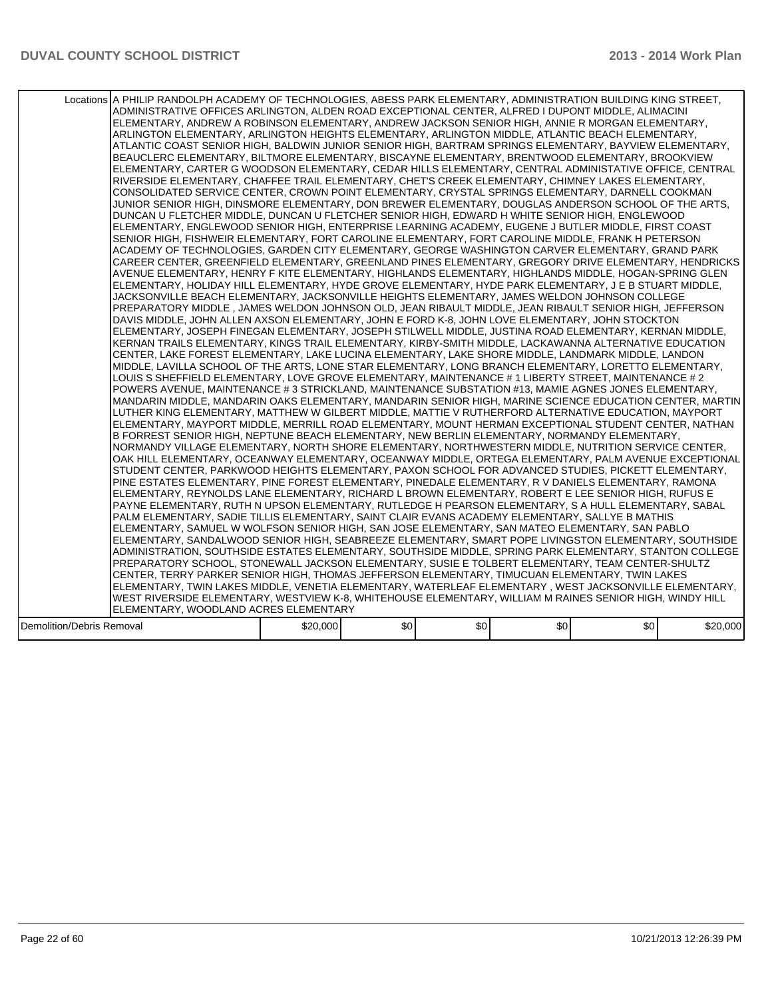|                           | Locations A PHILIP RANDOLPH ACADEMY OF TECHNOLOGIES, ABESS PARK ELEMENTARY, ADMINISTRATION BUILDING KING STREET,<br>ADMINISTRATIVE OFFICES ARLINGTON, ALDEN ROAD EXCEPTIONAL CENTER, ALFRED I DUPONT MIDDLE, ALIMACINI<br>ELEMENTARY, ANDREW A ROBINSON ELEMENTARY, ANDREW JACKSON SENIOR HIGH, ANNIE R MORGAN ELEMENTARY,<br>ARLINGTON ELEMENTARY, ARLINGTON HEIGHTS ELEMENTARY, ARLINGTON MIDDLE, ATLANTIC BEACH ELEMENTARY,<br>ATLANTIC COAST SENIOR HIGH, BALDWIN JUNIOR SENIOR HIGH, BARTRAM SPRINGS ELEMENTARY, BAYVIEW ELEMENTARY,<br>BEAUCLERC ELEMENTARY, BILTMORE ELEMENTARY, BISCAYNE ELEMENTARY, BRENTWOOD ELEMENTARY, BROOKVIEW<br>ELEMENTARY, CARTER G WOODSON ELEMENTARY, CEDAR HILLS ELEMENTARY, CENTRAL ADMINISTATIVE OFFICE, CENTRAL<br>RIVERSIDE ELEMENTARY. CHAFFEE TRAIL ELEMENTARY. CHET'S CREEK ELEMENTARY. CHIMNEY LAKES ELEMENTARY.<br>CONSOLIDATED SERVICE CENTER, CROWN POINT ELEMENTARY, CRYSTAL SPRINGS ELEMENTARY, DARNELL COOKMAN<br>JUNIOR SENIOR HIGH, DINSMORE ELEMENTARY, DON BREWER ELEMENTARY, DOUGLAS ANDERSON SCHOOL OF THE ARTS.<br>DUNCAN U FLETCHER MIDDLE, DUNCAN U FLETCHER SENIOR HIGH, EDWARD H WHITE SENIOR HIGH, ENGLEWOOD<br>ELEMENTARY, ENGLEWOOD SENIOR HIGH, ENTERPRISE LEARNING ACADEMY, EUGENE J BUTLER MIDDLE, FIRST COAST<br>SENIOR HIGH, FISHWEIR ELEMENTARY, FORT CAROLINE ELEMENTARY, FORT CAROLINE MIDDLE, FRANK H PETERSON<br>ACADEMY OF TECHNOLOGIES, GARDEN CITY ELEMENTARY, GEORGE WASHINGTON CARVER ELEMENTARY, GRAND PARK<br>CAREER CENTER, GREENFIELD ELEMENTARY, GREENLAND PINES ELEMENTARY, GREGORY DRIVE ELEMENTARY, HENDRICKS<br>AVENUE ELEMENTARY, HENRY F KITE ELEMENTARY, HIGHLANDS ELEMENTARY, HIGHLANDS MIDDLE, HOGAN-SPRING GLEN<br>ELEMENTARY, HOLIDAY HILL ELEMENTARY, HYDE GROVE ELEMENTARY, HYDE PARK ELEMENTARY, J E B STUART MIDDLE,<br>JACKSONVILLE BEACH ELEMENTARY, JACKSONVILLE HEIGHTS ELEMENTARY, JAMES WELDON JOHNSON COLLEGE<br>PREPARATORY MIDDLE , JAMES WELDON JOHNSON OLD, JEAN RIBAULT MIDDLE, JEAN RIBAULT SENIOR HIGH, JEFFERSON<br>DAVIS MIDDLE, JOHN ALLEN AXSON ELEMENTARY, JOHN E FORD K-8, JOHN LOVE ELEMENTARY, JOHN STOCKTON<br>ELEMENTARY, JOSEPH FINEGAN ELEMENTARY, JOSEPH STILWELL MIDDLE, JUSTINA ROAD ELEMENTARY, KERNAN MIDDLE,<br>KERNAN TRAILS ELEMENTARY, KINGS TRAIL ELEMENTARY, KIRBY-SMITH MIDDLE, LACKAWANNA ALTERNATIVE EDUCATION<br>CENTER, LAKE FOREST ELEMENTARY, LAKE LUCINA ELEMENTARY, LAKE SHORE MIDDLE, LANDMARK MIDDLE, LANDON <br>MIDDLE, LAVILLA SCHOOL OF THE ARTS, LONE STAR ELEMENTARY, LONG BRANCH ELEMENTARY, LORETTO ELEMENTARY,<br>LOUIS S SHEFFIELD ELEMENTARY, LOVE GROVE ELEMENTARY, MAINTENANCE # 1 LIBERTY STREET, MAINTENANCE # 2<br>POWERS AVENUE, MAINTENANCE # 3 STRICKLAND, MAINTENANCE SUBSTATION #13, MAMIE AGNES JONES ELEMENTARY,<br>IMANDARIN MIDDLE. MANDARIN OAKS ELEMENTARY. MANDARIN SENIOR HIGH. MARINE SCIENCE EDUCATION CENTER. MARTIN I<br>LUTHER KING ELEMENTARY, MATTHEW W GILBERT MIDDLE, MATTIE V RUTHERFORD ALTERNATIVE EDUCATION, MAYPORT<br>ELEMENTARY, MAYPORT MIDDLE, MERRILL ROAD ELEMENTARY, MOUNT HERMAN EXCEPTIONAL STUDENT CENTER, NATHAN<br>B FORREST SENIOR HIGH, NEPTUNE BEACH ELEMENTARY, NEW BERLIN ELEMENTARY, NORMANDY ELEMENTARY,<br>NORMANDY VILLAGE ELEMENTARY, NORTH SHORE ELEMENTARY, NORTHWESTERN MIDDLE, NUTRITION SERVICE CENTER,<br>OAK HILL ELEMENTARY. OCEANWAY ELEMENTARY. OCEANWAY MIDDLE. ORTEGA ELEMENTARY. PALM AVENUE EXCEPTIONAL<br>STUDENT CENTER, PARKWOOD HEIGHTS ELEMENTARY, PAXON SCHOOL FOR ADVANCED STUDIES, PICKETT ELEMENTARY,<br>PINE ESTATES ELEMENTARY, PINE FOREST ELEMENTARY, PINEDALE ELEMENTARY, R V DANIELS ELEMENTARY, RAMONA<br>ELEMENTARY, REYNOLDS LANE ELEMENTARY, RICHARD L BROWN ELEMENTARY, ROBERT E LEE SENIOR HIGH, RUFUS E<br>PAYNE ELEMENTARY, RUTH N UPSON ELEMENTARY, RUTLEDGE H PEARSON ELEMENTARY, S A HULL ELEMENTARY, SABAL<br>PALM ELEMENTARY, SADIE TILLIS ELEMENTARY, SAINT CLAIR EVANS ACADEMY ELEMENTARY, SALLYE B MATHIS<br>ELEMENTARY, SAMUEL W WOLFSON SENIOR HIGH, SAN JOSE ELEMENTARY, SAN MATEO ELEMENTARY, SAN PABLO<br>ELEMENTARY, SANDALWOOD SENIOR HIGH, SEABREEZE ELEMENTARY, SMART POPE LIVINGSTON ELEMENTARY, SOUTHSIDE<br>ADMINISTRATION, SOUTHSIDE ESTATES ELEMENTARY, SOUTHSIDE MIDDLE, SPRING PARK ELEMENTARY, STANTON COLLEGE<br>PREPARATORY SCHOOL, STONEWALL JACKSON ELEMENTARY, SUSIE E TOLBERT ELEMENTARY, TEAM CENTER-SHULTZ<br>CENTER, TERRY PARKER SENIOR HIGH, THOMAS JEFFERSON ELEMENTARY, TIMUCUAN ELEMENTARY, TWIN LAKES<br>ELEMENTARY, TWIN LAKES MIDDLE, VENETIA ELEMENTARY, WATERLEAF ELEMENTARY , WEST JACKSONVILLE ELEMENTARY,<br>WEST RIVERSIDE ELEMENTARY, WESTVIEW K-8, WHITEHOUSE ELEMENTARY, WILLIAM M RAINES SENIOR HIGH, WINDY HILL |          |      |     |     |     |          |
|---------------------------|------------------------------------------------------------------------------------------------------------------------------------------------------------------------------------------------------------------------------------------------------------------------------------------------------------------------------------------------------------------------------------------------------------------------------------------------------------------------------------------------------------------------------------------------------------------------------------------------------------------------------------------------------------------------------------------------------------------------------------------------------------------------------------------------------------------------------------------------------------------------------------------------------------------------------------------------------------------------------------------------------------------------------------------------------------------------------------------------------------------------------------------------------------------------------------------------------------------------------------------------------------------------------------------------------------------------------------------------------------------------------------------------------------------------------------------------------------------------------------------------------------------------------------------------------------------------------------------------------------------------------------------------------------------------------------------------------------------------------------------------------------------------------------------------------------------------------------------------------------------------------------------------------------------------------------------------------------------------------------------------------------------------------------------------------------------------------------------------------------------------------------------------------------------------------------------------------------------------------------------------------------------------------------------------------------------------------------------------------------------------------------------------------------------------------------------------------------------------------------------------------------------------------------------------------------------------------------------------------------------------------------------------------------------------------------------------------------------------------------------------------------------------------------------------------------------------------------------------------------------------------------------------------------------------------------------------------------------------------------------------------------------------------------------------------------------------------------------------------------------------------------------------------------------------------------------------------------------------------------------------------------------------------------------------------------------------------------------------------------------------------------------------------------------------------------------------------------------------------------------------------------------------------------------------------------------------------------------------------------------------------------------------------------------------------------------------------------------------------------------------------------------------------------------------------------------------------------------------------------------------------------------------------------------------------------------------------------------------------------------------------------------------------------------------------------------------------------------------------------------------------------------------------------------------------------------------------------------------------------------------------------------------------------------------------------------------------------------------------------------------------------------------------------------------------------------------------------------------------------------------------------------------------------------------------------------------------------------------------------------------------------------------------------------------------------------------------------------------------|----------|------|-----|-----|-----|----------|
|                           |                                                                                                                                                                                                                                                                                                                                                                                                                                                                                                                                                                                                                                                                                                                                                                                                                                                                                                                                                                                                                                                                                                                                                                                                                                                                                                                                                                                                                                                                                                                                                                                                                                                                                                                                                                                                                                                                                                                                                                                                                                                                                                                                                                                                                                                                                                                                                                                                                                                                                                                                                                                                                                                                                                                                                                                                                                                                                                                                                                                                                                                                                                                                                                                                                                                                                                                                                                                                                                                                                                                                                                                                                                                                                                                                                                                                                                                                                                                                                                                                                                                                                                                                                                                                                                                                                                                                                                                                                                                                                                                                                                                                                                                                                                                              |          |      |     |     |     |          |
|                           |                                                                                                                                                                                                                                                                                                                                                                                                                                                                                                                                                                                                                                                                                                                                                                                                                                                                                                                                                                                                                                                                                                                                                                                                                                                                                                                                                                                                                                                                                                                                                                                                                                                                                                                                                                                                                                                                                                                                                                                                                                                                                                                                                                                                                                                                                                                                                                                                                                                                                                                                                                                                                                                                                                                                                                                                                                                                                                                                                                                                                                                                                                                                                                                                                                                                                                                                                                                                                                                                                                                                                                                                                                                                                                                                                                                                                                                                                                                                                                                                                                                                                                                                                                                                                                                                                                                                                                                                                                                                                                                                                                                                                                                                                                                              |          |      |     |     |     |          |
|                           |                                                                                                                                                                                                                                                                                                                                                                                                                                                                                                                                                                                                                                                                                                                                                                                                                                                                                                                                                                                                                                                                                                                                                                                                                                                                                                                                                                                                                                                                                                                                                                                                                                                                                                                                                                                                                                                                                                                                                                                                                                                                                                                                                                                                                                                                                                                                                                                                                                                                                                                                                                                                                                                                                                                                                                                                                                                                                                                                                                                                                                                                                                                                                                                                                                                                                                                                                                                                                                                                                                                                                                                                                                                                                                                                                                                                                                                                                                                                                                                                                                                                                                                                                                                                                                                                                                                                                                                                                                                                                                                                                                                                                                                                                                                              |          |      |     |     |     |          |
|                           | ELEMENTARY, WOODLAND ACRES ELEMENTARY                                                                                                                                                                                                                                                                                                                                                                                                                                                                                                                                                                                                                                                                                                                                                                                                                                                                                                                                                                                                                                                                                                                                                                                                                                                                                                                                                                                                                                                                                                                                                                                                                                                                                                                                                                                                                                                                                                                                                                                                                                                                                                                                                                                                                                                                                                                                                                                                                                                                                                                                                                                                                                                                                                                                                                                                                                                                                                                                                                                                                                                                                                                                                                                                                                                                                                                                                                                                                                                                                                                                                                                                                                                                                                                                                                                                                                                                                                                                                                                                                                                                                                                                                                                                                                                                                                                                                                                                                                                                                                                                                                                                                                                                                        |          |      |     |     |     |          |
| Demolition/Debris Removal |                                                                                                                                                                                                                                                                                                                                                                                                                                                                                                                                                                                                                                                                                                                                                                                                                                                                                                                                                                                                                                                                                                                                                                                                                                                                                                                                                                                                                                                                                                                                                                                                                                                                                                                                                                                                                                                                                                                                                                                                                                                                                                                                                                                                                                                                                                                                                                                                                                                                                                                                                                                                                                                                                                                                                                                                                                                                                                                                                                                                                                                                                                                                                                                                                                                                                                                                                                                                                                                                                                                                                                                                                                                                                                                                                                                                                                                                                                                                                                                                                                                                                                                                                                                                                                                                                                                                                                                                                                                                                                                                                                                                                                                                                                                              | \$20,000 | \$0] | \$0 | \$0 | \$0 | \$20,000 |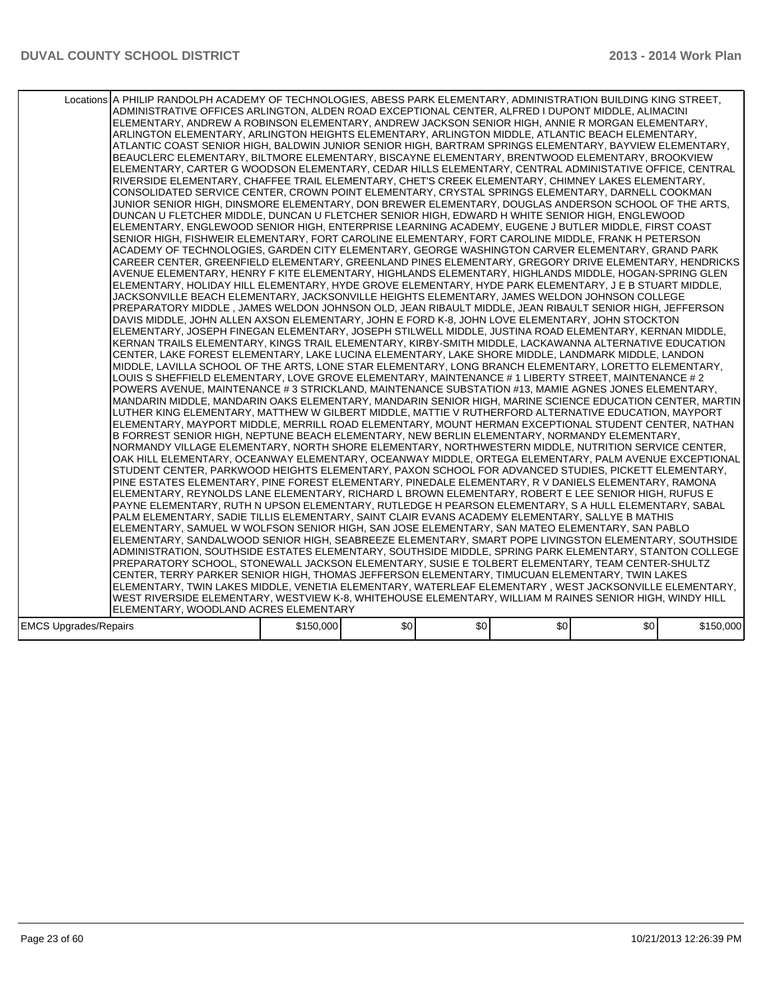|                              | Locations A PHILIP RANDOLPH ACADEMY OF TECHNOLOGIES, ABESS PARK ELEMENTARY, ADMINISTRATION BUILDING KING STREET,<br>ADMINISTRATIVE OFFICES ARLINGTON, ALDEN ROAD EXCEPTIONAL CENTER, ALFRED I DUPONT MIDDLE, ALIMACINI<br>ELEMENTARY, ANDREW A ROBINSON ELEMENTARY, ANDREW JACKSON SENIOR HIGH, ANNIE R MORGAN ELEMENTARY,<br>ARLINGTON ELEMENTARY, ARLINGTON HEIGHTS ELEMENTARY, ARLINGTON MIDDLE, ATLANTIC BEACH ELEMENTARY,<br>ATLANTIC COAST SENIOR HIGH, BALDWIN JUNIOR SENIOR HIGH, BARTRAM SPRINGS ELEMENTARY, BAYVIEW ELEMENTARY,<br>BEAUCLERC ELEMENTARY, BILTMORE ELEMENTARY, BISCAYNE ELEMENTARY, BRENTWOOD ELEMENTARY, BROOKVIEW<br>ELEMENTARY, CARTER G WOODSON ELEMENTARY, CEDAR HILLS ELEMENTARY, CENTRAL ADMINISTATIVE OFFICE, CENTRAL<br>RIVERSIDE ELEMENTARY, CHAFFEE TRAIL ELEMENTARY, CHET'S CREEK ELEMENTARY, CHIMNEY LAKES ELEMENTARY,<br>CONSOLIDATED SERVICE CENTER, CROWN POINT ELEMENTARY, CRYSTAL SPRINGS ELEMENTARY, DARNELL COOKMAN<br>JUNIOR SENIOR HIGH, DINSMORE ELEMENTARY, DON BREWER ELEMENTARY, DOUGLAS ANDERSON SCHOOL OF THE ARTS,<br>DUNCAN U FLETCHER MIDDLE, DUNCAN U FLETCHER SENIOR HIGH, EDWARD H WHITE SENIOR HIGH, ENGLEWOOD<br>ELEMENTARY, ENGLEWOOD SENIOR HIGH, ENTERPRISE LEARNING ACADEMY, EUGENE J BUTLER MIDDLE, FIRST COAST<br>SENIOR HIGH, FISHWEIR ELEMENTARY, FORT CAROLINE ELEMENTARY, FORT CAROLINE MIDDLE, FRANK H PETERSON<br>ACADEMY OF TECHNOLOGIES, GARDEN CITY ELEMENTARY, GEORGE WASHINGTON CARVER ELEMENTARY, GRAND PARK<br>CAREER CENTER, GREENFIELD ELEMENTARY, GREENLAND PINES ELEMENTARY, GREGORY DRIVE ELEMENTARY, HENDRICKS<br>AVENUE ELEMENTARY. HENRY F KITE ELEMENTARY. HIGHLANDS ELEMENTARY. HIGHLANDS MIDDLE. HOGAN-SPRING GLEN<br>ELEMENTARY, HOLIDAY HILL ELEMENTARY, HYDE GROVE ELEMENTARY, HYDE PARK ELEMENTARY, J E B STUART MIDDLE,<br>JACKSONVILLE BEACH ELEMENTARY, JACKSONVILLE HEIGHTS ELEMENTARY, JAMES WELDON JOHNSON COLLEGE<br>PREPARATORY MIDDLE, JAMES WELDON JOHNSON OLD, JEAN RIBAULT MIDDLE, JEAN RIBAULT SENIOR HIGH, JEFFERSON<br>DAVIS MIDDLE, JOHN ALLEN AXSON ELEMENTARY, JOHN E FORD K-8, JOHN LOVE ELEMENTARY, JOHN STOCKTON<br>ELEMENTARY, JOSEPH FINEGAN ELEMENTARY, JOSEPH STILWELL MIDDLE, JUSTINA ROAD ELEMENTARY, KERNAN MIDDLE,<br>KERNAN TRAILS ELEMENTARY, KINGS TRAIL ELEMENTARY, KIRBY-SMITH MIDDLE, LACKAWANNA ALTERNATIVE EDUCATION<br>CENTER, LAKE FOREST ELEMENTARY, LAKE LUCINA ELEMENTARY, LAKE SHORE MIDDLE, LANDMARK MIDDLE, LANDON <br>MIDDLE, LAVILLA SCHOOL OF THE ARTS, LONE STAR ELEMENTARY, LONG BRANCH ELEMENTARY, LORETTO ELEMENTARY,<br>LOUIS S SHEFFIELD ELEMENTARY, LOVE GROVE ELEMENTARY, MAINTENANCE # 1 LIBERTY STREET, MAINTENANCE # 2<br>POWERS AVENUE, MAINTENANCE # 3 STRICKLAND, MAINTENANCE SUBSTATION #13, MAMIE AGNES JONES ELEMENTARY,<br>MANDARIN MIDDLE. MANDARIN OAKS ELEMENTARY. MANDARIN SENIOR HIGH. MARINE SCIENCE EDUCATION CENTER. MARTIN I<br>LUTHER KING ELEMENTARY, MATTHEW W GILBERT MIDDLE, MATTIE V RUTHERFORD ALTERNATIVE EDUCATION, MAYPORT<br>ELEMENTARY, MAYPORT MIDDLE, MERRILL ROAD ELEMENTARY, MOUNT HERMAN EXCEPTIONAL STUDENT CENTER, NATHAN<br>B FORREST SENIOR HIGH, NEPTUNE BEACH ELEMENTARY, NEW BERLIN ELEMENTARY, NORMANDY ELEMENTARY,<br>NORMANDY VILLAGE ELEMENTARY, NORTH SHORE ELEMENTARY, NORTHWESTERN MIDDLE, NUTRITION SERVICE CENTER,<br>OAK HILL ELEMENTARY, OCEANWAY ELEMENTARY, OCEANWAY MIDDLE, ORTEGA ELEMENTARY, PALM AVENUE EXCEPTIONAL<br>STUDENT CENTER, PARKWOOD HEIGHTS ELEMENTARY, PAXON SCHOOL FOR ADVANCED STUDIES, PICKETT ELEMENTARY,<br>PINE ESTATES ELEMENTARY, PINE FOREST ELEMENTARY, PINEDALE ELEMENTARY, R V DANIELS ELEMENTARY, RAMONA<br>ELEMENTARY, REYNOLDS LANE ELEMENTARY, RICHARD L BROWN ELEMENTARY, ROBERT E LEE SENIOR HIGH, RUFUS E<br>PAYNE ELEMENTARY, RUTH N UPSON ELEMENTARY, RUTLEDGE H PEARSON ELEMENTARY, S A HULL ELEMENTARY, SABAL<br>PALM ELEMENTARY, SADIE TILLIS ELEMENTARY, SAINT CLAIR EVANS ACADEMY ELEMENTARY, SALLYE B MATHIS<br>IELEMENTARY. SAMUEL W WOLFSON SENIOR HIGH. SAN JOSE ELEMENTARY. SAN MATEO ELEMENTARY. SAN PABLO<br>ELEMENTARY, SANDALWOOD SENIOR HIGH, SEABREEZE ELEMENTARY, SMART POPE LIVINGSTON ELEMENTARY, SOUTHSIDE<br>ADMINISTRATION, SOUTHSIDE ESTATES ELEMENTARY, SOUTHSIDE MIDDLE, SPRING PARK ELEMENTARY, STANTON COLLEGE<br>PREPARATORY SCHOOL, STONEWALL JACKSON ELEMENTARY, SUSIE E TOLBERT ELEMENTARY, TEAM CENTER-SHULTZ<br>CENTER, TERRY PARKER SENIOR HIGH, THOMAS JEFFERSON ELEMENTARY, TIMUCUAN ELEMENTARY, TWIN LAKES<br> ELEMENTARY, TWIN LAKES MIDDLE, VENETIA ELEMENTARY, WATERLEAF ELEMENTARY , WEST JACKSONVILLE ELEMENTARY,<br>WEST RIVERSIDE ELEMENTARY, WESTVIEW K-8, WHITEHOUSE ELEMENTARY, WILLIAM M RAINES SENIOR HIGH, WINDY HILL |           |      |     |     |     |           |
|------------------------------|------------------------------------------------------------------------------------------------------------------------------------------------------------------------------------------------------------------------------------------------------------------------------------------------------------------------------------------------------------------------------------------------------------------------------------------------------------------------------------------------------------------------------------------------------------------------------------------------------------------------------------------------------------------------------------------------------------------------------------------------------------------------------------------------------------------------------------------------------------------------------------------------------------------------------------------------------------------------------------------------------------------------------------------------------------------------------------------------------------------------------------------------------------------------------------------------------------------------------------------------------------------------------------------------------------------------------------------------------------------------------------------------------------------------------------------------------------------------------------------------------------------------------------------------------------------------------------------------------------------------------------------------------------------------------------------------------------------------------------------------------------------------------------------------------------------------------------------------------------------------------------------------------------------------------------------------------------------------------------------------------------------------------------------------------------------------------------------------------------------------------------------------------------------------------------------------------------------------------------------------------------------------------------------------------------------------------------------------------------------------------------------------------------------------------------------------------------------------------------------------------------------------------------------------------------------------------------------------------------------------------------------------------------------------------------------------------------------------------------------------------------------------------------------------------------------------------------------------------------------------------------------------------------------------------------------------------------------------------------------------------------------------------------------------------------------------------------------------------------------------------------------------------------------------------------------------------------------------------------------------------------------------------------------------------------------------------------------------------------------------------------------------------------------------------------------------------------------------------------------------------------------------------------------------------------------------------------------------------------------------------------------------------------------------------------------------------------------------------------------------------------------------------------------------------------------------------------------------------------------------------------------------------------------------------------------------------------------------------------------------------------------------------------------------------------------------------------------------------------------------------------------------------------------------------------------------------------------------------------------------------------------------------------------------------------------------------------------------------------------------------------------------------------------------------------------------------------------------------------------------------------------------------------------------------------------------------------------------------------------------------------------------------------------------------------------------------------------------------|-----------|------|-----|-----|-----|-----------|
|                              | ELEMENTARY, WOODLAND ACRES ELEMENTARY                                                                                                                                                                                                                                                                                                                                                                                                                                                                                                                                                                                                                                                                                                                                                                                                                                                                                                                                                                                                                                                                                                                                                                                                                                                                                                                                                                                                                                                                                                                                                                                                                                                                                                                                                                                                                                                                                                                                                                                                                                                                                                                                                                                                                                                                                                                                                                                                                                                                                                                                                                                                                                                                                                                                                                                                                                                                                                                                                                                                                                                                                                                                                                                                                                                                                                                                                                                                                                                                                                                                                                                                                                                                                                                                                                                                                                                                                                                                                                                                                                                                                                                                                                                                                                                                                                                                                                                                                                                                                                                                                                                                                                                                                        |           |      |     |     |     |           |
|                              |                                                                                                                                                                                                                                                                                                                                                                                                                                                                                                                                                                                                                                                                                                                                                                                                                                                                                                                                                                                                                                                                                                                                                                                                                                                                                                                                                                                                                                                                                                                                                                                                                                                                                                                                                                                                                                                                                                                                                                                                                                                                                                                                                                                                                                                                                                                                                                                                                                                                                                                                                                                                                                                                                                                                                                                                                                                                                                                                                                                                                                                                                                                                                                                                                                                                                                                                                                                                                                                                                                                                                                                                                                                                                                                                                                                                                                                                                                                                                                                                                                                                                                                                                                                                                                                                                                                                                                                                                                                                                                                                                                                                                                                                                                                              |           | \$0] | \$0 | \$0 | \$0 |           |
| <b>EMCS Upgrades/Repairs</b> |                                                                                                                                                                                                                                                                                                                                                                                                                                                                                                                                                                                                                                                                                                                                                                                                                                                                                                                                                                                                                                                                                                                                                                                                                                                                                                                                                                                                                                                                                                                                                                                                                                                                                                                                                                                                                                                                                                                                                                                                                                                                                                                                                                                                                                                                                                                                                                                                                                                                                                                                                                                                                                                                                                                                                                                                                                                                                                                                                                                                                                                                                                                                                                                                                                                                                                                                                                                                                                                                                                                                                                                                                                                                                                                                                                                                                                                                                                                                                                                                                                                                                                                                                                                                                                                                                                                                                                                                                                                                                                                                                                                                                                                                                                                              | \$150,000 |      |     |     |     | \$150,000 |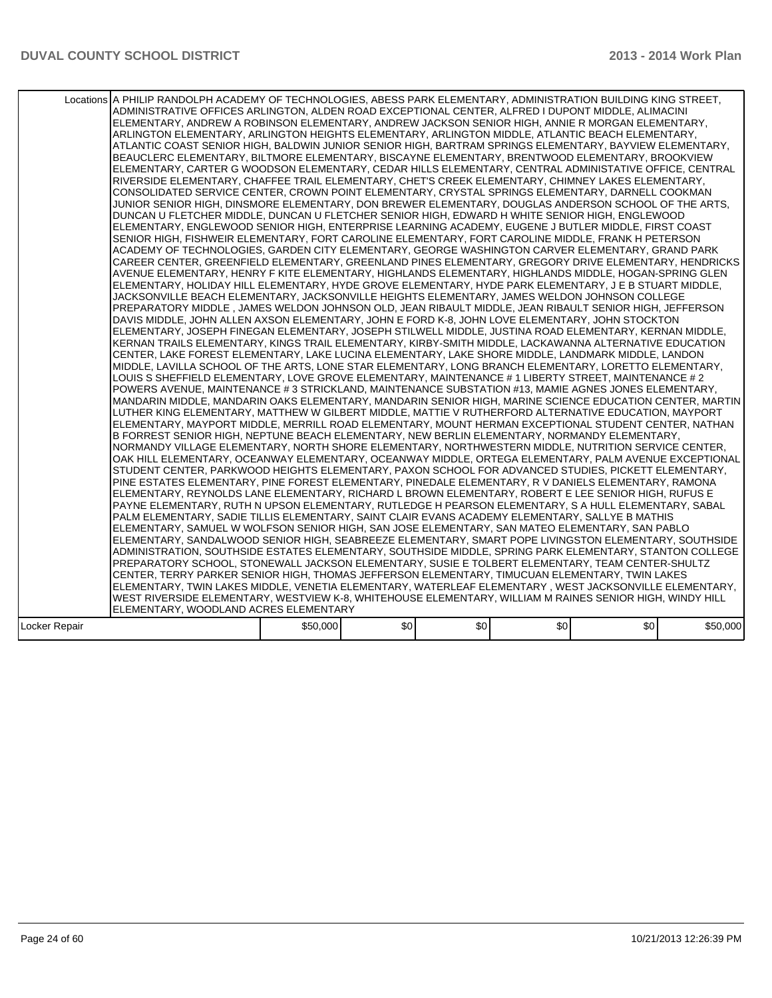|               | Locations A PHILIP RANDOLPH ACADEMY OF TECHNOLOGIES, ABESS PARK ELEMENTARY, ADMINISTRATION BUILDING KING STREET,<br>ADMINISTRATIVE OFFICES ARLINGTON, ALDEN ROAD EXCEPTIONAL CENTER, ALFRED I DUPONT MIDDLE, ALIMACINI<br>ELEMENTARY, ANDREW A ROBINSON ELEMENTARY, ANDREW JACKSON SENIOR HIGH, ANNIE R MORGAN ELEMENTARY,<br>ARLINGTON ELEMENTARY, ARLINGTON HEIGHTS ELEMENTARY, ARLINGTON MIDDLE, ATLANTIC BEACH ELEMENTARY,<br>ATLANTIC COAST SENIOR HIGH, BALDWIN JUNIOR SENIOR HIGH, BARTRAM SPRINGS ELEMENTARY, BAYVIEW ELEMENTARY,<br>BEAUCLERC ELEMENTARY, BILTMORE ELEMENTARY, BISCAYNE ELEMENTARY, BRENTWOOD ELEMENTARY, BROOKVIEW<br>ELEMENTARY, CARTER G WOODSON ELEMENTARY, CEDAR HILLS ELEMENTARY, CENTRAL ADMINISTATIVE OFFICE, CENTRAL<br>RIVERSIDE ELEMENTARY, CHAFFEE TRAIL ELEMENTARY, CHET'S CREEK ELEMENTARY, CHIMNEY LAKES ELEMENTARY,<br>CONSOLIDATED SERVICE CENTER, CROWN POINT ELEMENTARY, CRYSTAL SPRINGS ELEMENTARY, DARNELL COOKMAN<br>JUNIOR SENIOR HIGH. DINSMORE ELEMENTARY. DON BREWER ELEMENTARY. DOUGLAS ANDERSON SCHOOL OF THE ARTS.<br>DUNCAN U FLETCHER MIDDLE, DUNCAN U FLETCHER SENIOR HIGH, EDWARD H WHITE SENIOR HIGH, ENGLEWOOD<br>ELEMENTARY, ENGLEWOOD SENIOR HIGH, ENTERPRISE LEARNING ACADEMY, EUGENE J BUTLER MIDDLE, FIRST COAST<br>SENIOR HIGH, FISHWEIR ELEMENTARY, FORT CAROLINE ELEMENTARY, FORT CAROLINE MIDDLE, FRANK H PETERSON<br>ACADEMY OF TECHNOLOGIES, GARDEN CITY ELEMENTARY, GEORGE WASHINGTON CARVER ELEMENTARY, GRAND PARK<br>CAREER CENTER, GREENFIELD ELEMENTARY, GREENLAND PINES ELEMENTARY, GREGORY DRIVE ELEMENTARY, HENDRICKS<br>AVENUE ELEMENTARY, HENRY F KITE ELEMENTARY, HIGHLANDS ELEMENTARY, HIGHLANDS MIDDLE, HOGAN-SPRING GLEN<br>ELEMENTARY, HOLIDAY HILL ELEMENTARY, HYDE GROVE ELEMENTARY, HYDE PARK ELEMENTARY, J E B STUART MIDDLE,<br>JACKSONVILLE BEACH ELEMENTARY, JACKSONVILLE HEIGHTS ELEMENTARY, JAMES WELDON JOHNSON COLLEGE<br>PREPARATORY MIDDLE , JAMES WELDON JOHNSON OLD, JEAN RIBAULT MIDDLE, JEAN RIBAULT SENIOR HIGH, JEFFERSON<br>DAVIS MIDDLE, JOHN ALLEN AXSON ELEMENTARY, JOHN E FORD K-8, JOHN LOVE ELEMENTARY, JOHN STOCKTON<br>IELEMENTARY. JOSEPH FINEGAN ELEMENTARY. JOSEPH STILWELL MIDDLE. JUSTINA ROAD ELEMENTARY. KERNAN MIDDLE.<br>KERNAN TRAILS ELEMENTARY, KINGS TRAIL ELEMENTARY, KIRBY-SMITH MIDDLE, LACKAWANNA ALTERNATIVE EDUCATION<br>CENTER, LAKE FOREST ELEMENTARY, LAKE LUCINA ELEMENTARY, LAKE SHORE MIDDLE, LANDMARK MIDDLE, LANDON<br>MIDDLE, LAVILLA SCHOOL OF THE ARTS, LONE STAR ELEMENTARY, LONG BRANCH ELEMENTARY, LORETTO ELEMENTARY,<br>LOUIS S SHEFFIELD ELEMENTARY, LOVE GROVE ELEMENTARY, MAINTENANCE # 1 LIBERTY STREET, MAINTENANCE # 2<br>POWERS AVENUE, MAINTENANCE # 3 STRICKLAND, MAINTENANCE SUBSTATION #13, MAMIE AGNES JONES ELEMENTARY,<br>MANDARIN MIDDLE, MANDARIN OAKS ELEMENTARY, MANDARIN SENIOR HIGH, MARINE SCIENCE EDUCATION CENTER, MARTIN<br>LUTHER KING ELEMENTARY, MATTHEW W GILBERT MIDDLE, MATTIE V RUTHERFORD ALTERNATIVE EDUCATION, MAYPORT<br>ELEMENTARY, MAYPORT MIDDLE, MERRILL ROAD ELEMENTARY, MOUNT HERMAN EXCEPTIONAL STUDENT CENTER, NATHAN<br>B FORREST SENIOR HIGH, NEPTUNE BEACH ELEMENTARY, NEW BERLIN ELEMENTARY, NORMANDY ELEMENTARY,<br>NORMANDY VILLAGE ELEMENTARY, NORTH SHORE ELEMENTARY, NORTHWESTERN MIDDLE, NUTRITION SERVICE CENTER,<br>OAK HILL ELEMENTARY, OCEANWAY ELEMENTARY, OCEANWAY MIDDLE, ORTEGA ELEMENTARY, PALM AVENUE EXCEPTIONAL<br>STUDENT CENTER, PARKWOOD HEIGHTS ELEMENTARY, PAXON SCHOOL FOR ADVANCED STUDIES, PICKETT ELEMENTARY,<br>PINE ESTATES ELEMENTARY, PINE FOREST ELEMENTARY, PINEDALE ELEMENTARY, R V DANIELS ELEMENTARY, RAMONA<br>ELEMENTARY, REYNOLDS LANE ELEMENTARY, RICHARD L BROWN ELEMENTARY, ROBERT E LEE SENIOR HIGH, RUFUS E<br>PAYNE ELEMENTARY, RUTH N UPSON ELEMENTARY, RUTLEDGE H PEARSON ELEMENTARY, S A HULL ELEMENTARY, SABAL<br>PALM ELEMENTARY, SADIE TILLIS ELEMENTARY, SAINT CLAIR EVANS ACADEMY ELEMENTARY, SALLYE B MATHIS<br>ELEMENTARY, SAMUEL W WOLFSON SENIOR HIGH, SAN JOSE ELEMENTARY, SAN MATEO ELEMENTARY, SAN PABLO<br>ELEMENTARY, SANDALWOOD SENIOR HIGH, SEABREEZE ELEMENTARY, SMART POPE LIVINGSTON ELEMENTARY, SOUTHSIDE<br>ADMINISTRATION, SOUTHSIDE ESTATES ELEMENTARY, SOUTHSIDE MIDDLE, SPRING PARK ELEMENTARY, STANTON COLLEGE<br>PREPARATORY SCHOOL, STONEWALL JACKSON ELEMENTARY, SUSIE E TOLBERT ELEMENTARY, TEAM CENTER-SHULTZ<br>CENTER, TERRY PARKER SENIOR HIGH, THOMAS JEFFERSON ELEMENTARY, TIMUCUAN ELEMENTARY, TWIN LAKES<br>ELEMENTARY, TWIN LAKES MIDDLE, VENETIA ELEMENTARY, WATERLEAF ELEMENTARY , WEST JACKSONVILLE ELEMENTARY,<br>WEST RIVERSIDE ELEMENTARY, WESTVIEW K-8, WHITEHOUSE ELEMENTARY, WILLIAM M RAINES SENIOR HIGH, WINDY HILL |          |      |     |                  |                  |          |
|---------------|---------------------------------------------------------------------------------------------------------------------------------------------------------------------------------------------------------------------------------------------------------------------------------------------------------------------------------------------------------------------------------------------------------------------------------------------------------------------------------------------------------------------------------------------------------------------------------------------------------------------------------------------------------------------------------------------------------------------------------------------------------------------------------------------------------------------------------------------------------------------------------------------------------------------------------------------------------------------------------------------------------------------------------------------------------------------------------------------------------------------------------------------------------------------------------------------------------------------------------------------------------------------------------------------------------------------------------------------------------------------------------------------------------------------------------------------------------------------------------------------------------------------------------------------------------------------------------------------------------------------------------------------------------------------------------------------------------------------------------------------------------------------------------------------------------------------------------------------------------------------------------------------------------------------------------------------------------------------------------------------------------------------------------------------------------------------------------------------------------------------------------------------------------------------------------------------------------------------------------------------------------------------------------------------------------------------------------------------------------------------------------------------------------------------------------------------------------------------------------------------------------------------------------------------------------------------------------------------------------------------------------------------------------------------------------------------------------------------------------------------------------------------------------------------------------------------------------------------------------------------------------------------------------------------------------------------------------------------------------------------------------------------------------------------------------------------------------------------------------------------------------------------------------------------------------------------------------------------------------------------------------------------------------------------------------------------------------------------------------------------------------------------------------------------------------------------------------------------------------------------------------------------------------------------------------------------------------------------------------------------------------------------------------------------------------------------------------------------------------------------------------------------------------------------------------------------------------------------------------------------------------------------------------------------------------------------------------------------------------------------------------------------------------------------------------------------------------------------------------------------------------------------------------------------------------------------------------------------------------------------------------------------------------------------------------------------------------------------------------------------------------------------------------------------------------------------------------------------------------------------------------------------------------------------------------------------------------------------------------------------------------------------------------------------------------------------------------------------------|----------|------|-----|------------------|------------------|----------|
|               |                                                                                                                                                                                                                                                                                                                                                                                                                                                                                                                                                                                                                                                                                                                                                                                                                                                                                                                                                                                                                                                                                                                                                                                                                                                                                                                                                                                                                                                                                                                                                                                                                                                                                                                                                                                                                                                                                                                                                                                                                                                                                                                                                                                                                                                                                                                                                                                                                                                                                                                                                                                                                                                                                                                                                                                                                                                                                                                                                                                                                                                                                                                                                                                                                                                                                                                                                                                                                                                                                                                                                                                                                                                                                                                                                                                                                                                                                                                                                                                                                                                                                                                                                                                                                                                                                                                                                                                                                                                                                                                                                                                                                                                                                                                           |          |      |     |                  |                  |          |
|               | ELEMENTARY, WOODLAND ACRES ELEMENTARY                                                                                                                                                                                                                                                                                                                                                                                                                                                                                                                                                                                                                                                                                                                                                                                                                                                                                                                                                                                                                                                                                                                                                                                                                                                                                                                                                                                                                                                                                                                                                                                                                                                                                                                                                                                                                                                                                                                                                                                                                                                                                                                                                                                                                                                                                                                                                                                                                                                                                                                                                                                                                                                                                                                                                                                                                                                                                                                                                                                                                                                                                                                                                                                                                                                                                                                                                                                                                                                                                                                                                                                                                                                                                                                                                                                                                                                                                                                                                                                                                                                                                                                                                                                                                                                                                                                                                                                                                                                                                                                                                                                                                                                                                     |          |      |     |                  |                  |          |
| Locker Repair |                                                                                                                                                                                                                                                                                                                                                                                                                                                                                                                                                                                                                                                                                                                                                                                                                                                                                                                                                                                                                                                                                                                                                                                                                                                                                                                                                                                                                                                                                                                                                                                                                                                                                                                                                                                                                                                                                                                                                                                                                                                                                                                                                                                                                                                                                                                                                                                                                                                                                                                                                                                                                                                                                                                                                                                                                                                                                                                                                                                                                                                                                                                                                                                                                                                                                                                                                                                                                                                                                                                                                                                                                                                                                                                                                                                                                                                                                                                                                                                                                                                                                                                                                                                                                                                                                                                                                                                                                                                                                                                                                                                                                                                                                                                           | \$50,000 | \$0] | \$0 | \$0 <sub>1</sub> | \$0 <sub>1</sub> | \$50,000 |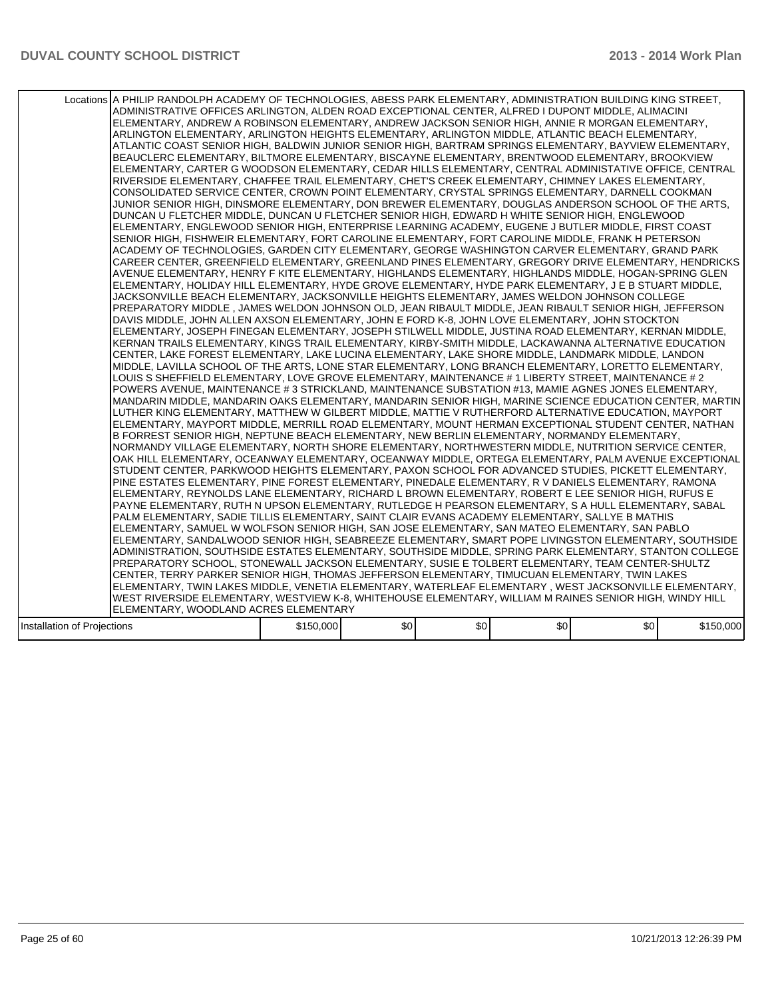|                             | Locations A PHILIP RANDOLPH ACADEMY OF TECHNOLOGIES, ABESS PARK ELEMENTARY, ADMINISTRATION BUILDING KING STREET,<br>ADMINISTRATIVE OFFICES ARLINGTON, ALDEN ROAD EXCEPTIONAL CENTER, ALFRED I DUPONT MIDDLE, ALIMACINI<br>ELEMENTARY, ANDREW A ROBINSON ELEMENTARY, ANDREW JACKSON SENIOR HIGH, ANNIE R MORGAN ELEMENTARY,<br>ARLINGTON ELEMENTARY, ARLINGTON HEIGHTS ELEMENTARY, ARLINGTON MIDDLE, ATLANTIC BEACH ELEMENTARY,<br>ATLANTIC COAST SENIOR HIGH, BALDWIN JUNIOR SENIOR HIGH, BARTRAM SPRINGS ELEMENTARY, BAYVIEW ELEMENTARY,<br>BEAUCLERC ELEMENTARY, BILTMORE ELEMENTARY, BISCAYNE ELEMENTARY, BRENTWOOD ELEMENTARY, BROOKVIEW<br>ELEMENTARY, CARTER G WOODSON ELEMENTARY, CEDAR HILLS ELEMENTARY, CENTRAL ADMINISTATIVE OFFICE, CENTRAL<br>RIVERSIDE ELEMENTARY, CHAFFEE TRAIL ELEMENTARY, CHET'S CREEK ELEMENTARY, CHIMNEY LAKES ELEMENTARY,<br>CONSOLIDATED SERVICE CENTER, CROWN POINT ELEMENTARY, CRYSTAL SPRINGS ELEMENTARY, DARNELL COOKMAN<br>JUNIOR SENIOR HIGH, DINSMORE ELEMENTARY, DON BREWER ELEMENTARY, DOUGLAS ANDERSON SCHOOL OF THE ARTS,<br>DUNCAN U FLETCHER MIDDLE, DUNCAN U FLETCHER SENIOR HIGH, EDWARD H WHITE SENIOR HIGH, ENGLEWOOD<br>ELEMENTARY, ENGLEWOOD SENIOR HIGH, ENTERPRISE LEARNING ACADEMY, EUGENE J BUTLER MIDDLE, FIRST COAST<br>SENIOR HIGH, FISHWEIR ELEMENTARY, FORT CAROLINE ELEMENTARY, FORT CAROLINE MIDDLE, FRANK H PETERSON<br>ACADEMY OF TECHNOLOGIES, GARDEN CITY ELEMENTARY, GEORGE WASHINGTON CARVER ELEMENTARY, GRAND PARK<br>CAREER CENTER, GREENFIELD ELEMENTARY, GREENLAND PINES ELEMENTARY, GREGORY DRIVE ELEMENTARY, HENDRICKS<br>AVENUE ELEMENTARY. HENRY F KITE ELEMENTARY. HIGHLANDS ELEMENTARY. HIGHLANDS MIDDLE. HOGAN-SPRING GLEN<br>ELEMENTARY, HOLIDAY HILL ELEMENTARY, HYDE GROVE ELEMENTARY, HYDE PARK ELEMENTARY, J E B STUART MIDDLE,<br>JACKSONVILLE BEACH ELEMENTARY, JACKSONVILLE HEIGHTS ELEMENTARY, JAMES WELDON JOHNSON COLLEGE<br>PREPARATORY MIDDLE, JAMES WELDON JOHNSON OLD, JEAN RIBAULT MIDDLE, JEAN RIBAULT SENIOR HIGH, JEFFERSON<br>DAVIS MIDDLE, JOHN ALLEN AXSON ELEMENTARY, JOHN E FORD K-8, JOHN LOVE ELEMENTARY, JOHN STOCKTON<br>ELEMENTARY, JOSEPH FINEGAN ELEMENTARY, JOSEPH STILWELL MIDDLE, JUSTINA ROAD ELEMENTARY, KERNAN MIDDLE,<br>KERNAN TRAILS ELEMENTARY, KINGS TRAIL ELEMENTARY, KIRBY-SMITH MIDDLE, LACKAWANNA ALTERNATIVE EDUCATION<br>CENTER, LAKE FOREST ELEMENTARY, LAKE LUCINA ELEMENTARY, LAKE SHORE MIDDLE, LANDMARK MIDDLE, LANDON <br>MIDDLE, LAVILLA SCHOOL OF THE ARTS, LONE STAR ELEMENTARY, LONG BRANCH ELEMENTARY, LORETTO ELEMENTARY,<br>LOUIS S SHEFFIELD ELEMENTARY, LOVE GROVE ELEMENTARY, MAINTENANCE # 1 LIBERTY STREET, MAINTENANCE # 2<br>POWERS AVENUE, MAINTENANCE # 3 STRICKLAND, MAINTENANCE SUBSTATION #13, MAMIE AGNES JONES ELEMENTARY,<br>MANDARIN MIDDLE. MANDARIN OAKS ELEMENTARY. MANDARIN SENIOR HIGH. MARINE SCIENCE EDUCATION CENTER. MARTIN I<br>LUTHER KING ELEMENTARY, MATTHEW W GILBERT MIDDLE, MATTIE V RUTHERFORD ALTERNATIVE EDUCATION, MAYPORT<br>ELEMENTARY, MAYPORT MIDDLE, MERRILL ROAD ELEMENTARY, MOUNT HERMAN EXCEPTIONAL STUDENT CENTER, NATHAN<br>B FORREST SENIOR HIGH, NEPTUNE BEACH ELEMENTARY, NEW BERLIN ELEMENTARY, NORMANDY ELEMENTARY,<br>NORMANDY VILLAGE ELEMENTARY, NORTH SHORE ELEMENTARY, NORTHWESTERN MIDDLE, NUTRITION SERVICE CENTER,<br>OAK HILL ELEMENTARY, OCEANWAY ELEMENTARY, OCEANWAY MIDDLE, ORTEGA ELEMENTARY, PALM AVENUE EXCEPTIONAL<br>STUDENT CENTER, PARKWOOD HEIGHTS ELEMENTARY, PAXON SCHOOL FOR ADVANCED STUDIES, PICKETT ELEMENTARY,<br>PINE ESTATES ELEMENTARY, PINE FOREST ELEMENTARY, PINEDALE ELEMENTARY, R V DANIELS ELEMENTARY, RAMONA<br>ELEMENTARY, REYNOLDS LANE ELEMENTARY, RICHARD L BROWN ELEMENTARY, ROBERT E LEE SENIOR HIGH, RUFUS E<br>PAYNE ELEMENTARY, RUTH N UPSON ELEMENTARY, RUTLEDGE H PEARSON ELEMENTARY, S A HULL ELEMENTARY, SABAL<br>PALM ELEMENTARY, SADIE TILLIS ELEMENTARY, SAINT CLAIR EVANS ACADEMY ELEMENTARY, SALLYE B MATHIS<br>IELEMENTARY. SAMUEL W WOLFSON SENIOR HIGH. SAN JOSE ELEMENTARY. SAN MATEO ELEMENTARY. SAN PABLO<br>ELEMENTARY, SANDALWOOD SENIOR HIGH, SEABREEZE ELEMENTARY, SMART POPE LIVINGSTON ELEMENTARY, SOUTHSIDE<br>ADMINISTRATION, SOUTHSIDE ESTATES ELEMENTARY, SOUTHSIDE MIDDLE, SPRING PARK ELEMENTARY, STANTON COLLEGE<br>PREPARATORY SCHOOL, STONEWALL JACKSON ELEMENTARY, SUSIE E TOLBERT ELEMENTARY, TEAM CENTER-SHULTZ<br>CENTER, TERRY PARKER SENIOR HIGH, THOMAS JEFFERSON ELEMENTARY, TIMUCUAN ELEMENTARY, TWIN LAKES<br> ELEMENTARY, TWIN LAKES MIDDLE, VENETIA ELEMENTARY, WATERLEAF ELEMENTARY , WEST JACKSONVILLE ELEMENTARY,<br>WEST RIVERSIDE ELEMENTARY, WESTVIEW K-8, WHITEHOUSE ELEMENTARY, WILLIAM M RAINES SENIOR HIGH, WINDY HILL <br>ELEMENTARY, WOODLAND ACRES ELEMENTARY |           |      |     |     |     |           |
|-----------------------------|------------------------------------------------------------------------------------------------------------------------------------------------------------------------------------------------------------------------------------------------------------------------------------------------------------------------------------------------------------------------------------------------------------------------------------------------------------------------------------------------------------------------------------------------------------------------------------------------------------------------------------------------------------------------------------------------------------------------------------------------------------------------------------------------------------------------------------------------------------------------------------------------------------------------------------------------------------------------------------------------------------------------------------------------------------------------------------------------------------------------------------------------------------------------------------------------------------------------------------------------------------------------------------------------------------------------------------------------------------------------------------------------------------------------------------------------------------------------------------------------------------------------------------------------------------------------------------------------------------------------------------------------------------------------------------------------------------------------------------------------------------------------------------------------------------------------------------------------------------------------------------------------------------------------------------------------------------------------------------------------------------------------------------------------------------------------------------------------------------------------------------------------------------------------------------------------------------------------------------------------------------------------------------------------------------------------------------------------------------------------------------------------------------------------------------------------------------------------------------------------------------------------------------------------------------------------------------------------------------------------------------------------------------------------------------------------------------------------------------------------------------------------------------------------------------------------------------------------------------------------------------------------------------------------------------------------------------------------------------------------------------------------------------------------------------------------------------------------------------------------------------------------------------------------------------------------------------------------------------------------------------------------------------------------------------------------------------------------------------------------------------------------------------------------------------------------------------------------------------------------------------------------------------------------------------------------------------------------------------------------------------------------------------------------------------------------------------------------------------------------------------------------------------------------------------------------------------------------------------------------------------------------------------------------------------------------------------------------------------------------------------------------------------------------------------------------------------------------------------------------------------------------------------------------------------------------------------------------------------------------------------------------------------------------------------------------------------------------------------------------------------------------------------------------------------------------------------------------------------------------------------------------------------------------------------------------------------------------------------------------------------------------------------------------------------------------------------------------------------------------------------------------|-----------|------|-----|-----|-----|-----------|
|                             |                                                                                                                                                                                                                                                                                                                                                                                                                                                                                                                                                                                                                                                                                                                                                                                                                                                                                                                                                                                                                                                                                                                                                                                                                                                                                                                                                                                                                                                                                                                                                                                                                                                                                                                                                                                                                                                                                                                                                                                                                                                                                                                                                                                                                                                                                                                                                                                                                                                                                                                                                                                                                                                                                                                                                                                                                                                                                                                                                                                                                                                                                                                                                                                                                                                                                                                                                                                                                                                                                                                                                                                                                                                                                                                                                                                                                                                                                                                                                                                                                                                                                                                                                                                                                                                                                                                                                                                                                                                                                                                                                                                                                                                                                                                                                                        |           | \$0] | \$0 | \$0 | \$0 |           |
| Installation of Projections |                                                                                                                                                                                                                                                                                                                                                                                                                                                                                                                                                                                                                                                                                                                                                                                                                                                                                                                                                                                                                                                                                                                                                                                                                                                                                                                                                                                                                                                                                                                                                                                                                                                                                                                                                                                                                                                                                                                                                                                                                                                                                                                                                                                                                                                                                                                                                                                                                                                                                                                                                                                                                                                                                                                                                                                                                                                                                                                                                                                                                                                                                                                                                                                                                                                                                                                                                                                                                                                                                                                                                                                                                                                                                                                                                                                                                                                                                                                                                                                                                                                                                                                                                                                                                                                                                                                                                                                                                                                                                                                                                                                                                                                                                                                                                                        | \$150,000 |      |     |     |     | \$150,000 |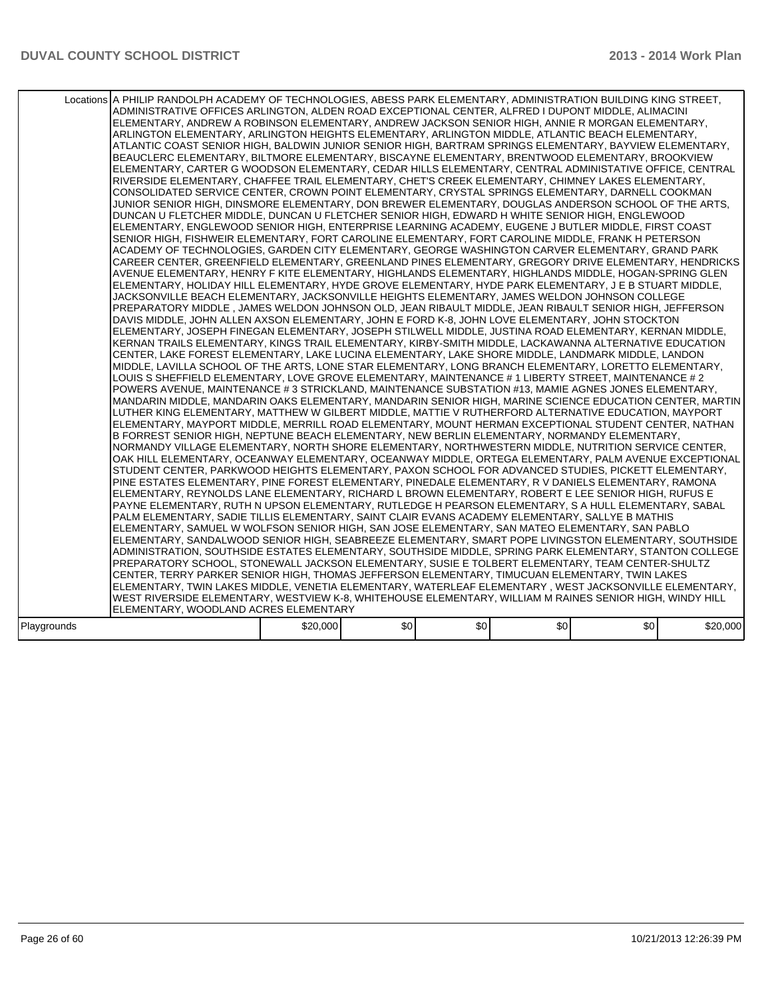|             | Locations A PHILIP RANDOLPH ACADEMY OF TECHNOLOGIES, ABESS PARK ELEMENTARY, ADMINISTRATION BUILDING KING STREET,<br>ADMINISTRATIVE OFFICES ARLINGTON, ALDEN ROAD EXCEPTIONAL CENTER, ALFRED I DUPONT MIDDLE, ALIMACINI<br>ELEMENTARY, ANDREW A ROBINSON ELEMENTARY, ANDREW JACKSON SENIOR HIGH, ANNIE R MORGAN ELEMENTARY,<br>ARLINGTON ELEMENTARY, ARLINGTON HEIGHTS ELEMENTARY, ARLINGTON MIDDLE, ATLANTIC BEACH ELEMENTARY,<br>ATLANTIC COAST SENIOR HIGH, BALDWIN JUNIOR SENIOR HIGH, BARTRAM SPRINGS ELEMENTARY, BAYVIEW ELEMENTARY,<br>BEAUCLERC ELEMENTARY, BILTMORE ELEMENTARY, BISCAYNE ELEMENTARY, BRENTWOOD ELEMENTARY, BROOKVIEW<br>ELEMENTARY, CARTER G WOODSON ELEMENTARY, CEDAR HILLS ELEMENTARY, CENTRAL ADMINISTATIVE OFFICE, CENTRAL<br>RIVERSIDE ELEMENTARY, CHAFFEE TRAIL ELEMENTARY, CHET'S CREEK ELEMENTARY, CHIMNEY LAKES ELEMENTARY,<br>CONSOLIDATED SERVICE CENTER, CROWN POINT ELEMENTARY, CRYSTAL SPRINGS ELEMENTARY, DARNELL COOKMAN<br>JUNIOR SENIOR HIGH, DINSMORE ELEMENTARY, DON BREWER ELEMENTARY, DOUGLAS ANDERSON SCHOOL OF THE ARTS,<br>DUNCAN U FLETCHER MIDDLE, DUNCAN U FLETCHER SENIOR HIGH, EDWARD H WHITE SENIOR HIGH, ENGLEWOOD<br>ELEMENTARY, ENGLEWOOD SENIOR HIGH, ENTERPRISE LEARNING ACADEMY, EUGENE J BUTLER MIDDLE, FIRST COAST<br>SENIOR HIGH, FISHWEIR ELEMENTARY, FORT CAROLINE ELEMENTARY, FORT CAROLINE MIDDLE, FRANK H PETERSON<br>ACADEMY OF TECHNOLOGIES. GARDEN CITY ELEMENTARY. GEORGE WASHINGTON CARVER ELEMENTARY. GRAND PARK<br>CAREER CENTER, GREENFIELD ELEMENTARY, GREENLAND PINES ELEMENTARY, GREGORY DRIVE ELEMENTARY, HENDRICKS<br>AVENUE ELEMENTARY, HENRY F KITE ELEMENTARY, HIGHLANDS ELEMENTARY, HIGHLANDS MIDDLE, HOGAN-SPRING GLEN<br>ELEMENTARY, HOLIDAY HILL ELEMENTARY, HYDE GROVE ELEMENTARY, HYDE PARK ELEMENTARY, J E B STUART MIDDLE,<br>JACKSONVILLE BEACH ELEMENTARY, JACKSONVILLE HEIGHTS ELEMENTARY, JAMES WELDON JOHNSON COLLEGE<br>PREPARATORY MIDDLE , JAMES WELDON JOHNSON OLD, JEAN RIBAULT MIDDLE, JEAN RIBAULT SENIOR HIGH, JEFFERSON<br>DAVIS MIDDLE, JOHN ALLEN AXSON ELEMENTARY, JOHN E FORD K-8, JOHN LOVE ELEMENTARY, JOHN STOCKTON<br>ELEMENTARY, JOSEPH FINEGAN ELEMENTARY, JOSEPH STILWELL MIDDLE, JUSTINA ROAD ELEMENTARY, KERNAN MIDDLE,<br>KERNAN TRAILS ELEMENTARY, KINGS TRAIL ELEMENTARY, KIRBY-SMITH MIDDLE, LACKAWANNA ALTERNATIVE EDUCATION<br>CENTER, LAKE FOREST ELEMENTARY, LAKE LUCINA ELEMENTARY, LAKE SHORE MIDDLE, LANDMARK MIDDLE, LANDON <br>MIDDLE, LAVILLA SCHOOL OF THE ARTS, LONE STAR ELEMENTARY, LONG BRANCH ELEMENTARY, LORETTO ELEMENTARY,<br>LOUIS S SHEFFIELD ELEMENTARY, LOVE GROVE ELEMENTARY, MAINTENANCE # 1 LIBERTY STREET, MAINTENANCE # 2<br>POWERS AVENUE, MAINTENANCE # 3 STRICKLAND, MAINTENANCE SUBSTATION #13, MAMIE AGNES JONES ELEMENTARY,<br>MANDARIN MIDDLE, MANDARIN OAKS ELEMENTARY, MANDARIN SENIOR HIGH, MARINE SCIENCE EDUCATION CENTER, MARTIN<br>LUTHER KING ELEMENTARY, MATTHEW W GILBERT MIDDLE, MATTIE V RUTHERFORD ALTERNATIVE EDUCATION, MAYPORT<br>ELEMENTARY, MAYPORT MIDDLE, MERRILL ROAD ELEMENTARY, MOUNT HERMAN EXCEPTIONAL STUDENT CENTER, NATHAN<br>B FORREST SENIOR HIGH, NEPTUNE BEACH ELEMENTARY, NEW BERLIN ELEMENTARY, NORMANDY ELEMENTARY,<br>NORMANDY VILLAGE ELEMENTARY, NORTH SHORE ELEMENTARY, NORTHWESTERN MIDDLE, NUTRITION SERVICE CENTER,<br>OAK HILL ELEMENTARY, OCEANWAY ELEMENTARY, OCEANWAY MIDDLE, ORTEGA ELEMENTARY, PALM AVENUE EXCEPTIONAL<br>STUDENT CENTER, PARKWOOD HEIGHTS ELEMENTARY, PAXON SCHOOL FOR ADVANCED STUDIES, PICKETT ELEMENTARY,<br>PINE ESTATES ELEMENTARY, PINE FOREST ELEMENTARY, PINEDALE ELEMENTARY, R V DANIELS ELEMENTARY, RAMONA<br>ELEMENTARY, REYNOLDS LANE ELEMENTARY, RICHARD L BROWN ELEMENTARY, ROBERT E LEE SENIOR HIGH, RUFUS E<br>IPAYNE ELEMENTARY. RUTH N UPSON ELEMENTARY. RUTLEDGE H PEARSON ELEMENTARY. S A HULL ELEMENTARY. SABAL<br>PALM ELEMENTARY, SADIE TILLIS ELEMENTARY, SAINT CLAIR EVANS ACADEMY ELEMENTARY, SALLYE B MATHIS<br>IELEMENTARY. SAMUEL W WOLFSON SENIOR HIGH. SAN JOSE ELEMENTARY. SAN MATEO ELEMENTARY. SAN PABLO<br>ELEMENTARY, SANDALWOOD SENIOR HIGH, SEABREEZE ELEMENTARY, SMART POPE LIVINGSTON ELEMENTARY, SOUTHSIDE<br>ADMINISTRATION, SOUTHSIDE ESTATES ELEMENTARY, SOUTHSIDE MIDDLE, SPRING PARK ELEMENTARY, STANTON COLLEGE<br>PREPARATORY SCHOOL, STONEWALL JACKSON ELEMENTARY, SUSIE E TOLBERT ELEMENTARY, TEAM CENTER-SHULTZ<br>CENTER, TERRY PARKER SENIOR HIGH, THOMAS JEFFERSON ELEMENTARY, TIMUCUAN ELEMENTARY, TWIN LAKES<br> ELEMENTARY, TWIN LAKES MIDDLE, VENETIA ELEMENTARY, WATERLEAF ELEMENTARY , WEST JACKSONVILLE ELEMENTARY,<br>WEST RIVERSIDE ELEMENTARY, WESTVIEW K-8, WHITEHOUSE ELEMENTARY, WILLIAM M RAINES SENIOR HIGH, WINDY HILL<br>ELEMENTARY, WOODLAND ACRES ELEMENTARY |          |      |     |                  |                  |          |
|-------------|-----------------------------------------------------------------------------------------------------------------------------------------------------------------------------------------------------------------------------------------------------------------------------------------------------------------------------------------------------------------------------------------------------------------------------------------------------------------------------------------------------------------------------------------------------------------------------------------------------------------------------------------------------------------------------------------------------------------------------------------------------------------------------------------------------------------------------------------------------------------------------------------------------------------------------------------------------------------------------------------------------------------------------------------------------------------------------------------------------------------------------------------------------------------------------------------------------------------------------------------------------------------------------------------------------------------------------------------------------------------------------------------------------------------------------------------------------------------------------------------------------------------------------------------------------------------------------------------------------------------------------------------------------------------------------------------------------------------------------------------------------------------------------------------------------------------------------------------------------------------------------------------------------------------------------------------------------------------------------------------------------------------------------------------------------------------------------------------------------------------------------------------------------------------------------------------------------------------------------------------------------------------------------------------------------------------------------------------------------------------------------------------------------------------------------------------------------------------------------------------------------------------------------------------------------------------------------------------------------------------------------------------------------------------------------------------------------------------------------------------------------------------------------------------------------------------------------------------------------------------------------------------------------------------------------------------------------------------------------------------------------------------------------------------------------------------------------------------------------------------------------------------------------------------------------------------------------------------------------------------------------------------------------------------------------------------------------------------------------------------------------------------------------------------------------------------------------------------------------------------------------------------------------------------------------------------------------------------------------------------------------------------------------------------------------------------------------------------------------------------------------------------------------------------------------------------------------------------------------------------------------------------------------------------------------------------------------------------------------------------------------------------------------------------------------------------------------------------------------------------------------------------------------------------------------------------------------------------------------------------------------------------------------------------------------------------------------------------------------------------------------------------------------------------------------------------------------------------------------------------------------------------------------------------------------------------------------------------------------------------------------------------------------------------------------------------------------------------------------------------------------------------------|----------|------|-----|------------------|------------------|----------|
|             |                                                                                                                                                                                                                                                                                                                                                                                                                                                                                                                                                                                                                                                                                                                                                                                                                                                                                                                                                                                                                                                                                                                                                                                                                                                                                                                                                                                                                                                                                                                                                                                                                                                                                                                                                                                                                                                                                                                                                                                                                                                                                                                                                                                                                                                                                                                                                                                                                                                                                                                                                                                                                                                                                                                                                                                                                                                                                                                                                                                                                                                                                                                                                                                                                                                                                                                                                                                                                                                                                                                                                                                                                                                                                                                                                                                                                                                                                                                                                                                                                                                                                                                                                                                                                                                                                                                                                                                                                                                                                                                                                                                                                                                                                                                                                                       |          |      |     |                  |                  |          |
|             |                                                                                                                                                                                                                                                                                                                                                                                                                                                                                                                                                                                                                                                                                                                                                                                                                                                                                                                                                                                                                                                                                                                                                                                                                                                                                                                                                                                                                                                                                                                                                                                                                                                                                                                                                                                                                                                                                                                                                                                                                                                                                                                                                                                                                                                                                                                                                                                                                                                                                                                                                                                                                                                                                                                                                                                                                                                                                                                                                                                                                                                                                                                                                                                                                                                                                                                                                                                                                                                                                                                                                                                                                                                                                                                                                                                                                                                                                                                                                                                                                                                                                                                                                                                                                                                                                                                                                                                                                                                                                                                                                                                                                                                                                                                                                                       |          |      |     |                  |                  |          |
| Playgrounds |                                                                                                                                                                                                                                                                                                                                                                                                                                                                                                                                                                                                                                                                                                                                                                                                                                                                                                                                                                                                                                                                                                                                                                                                                                                                                                                                                                                                                                                                                                                                                                                                                                                                                                                                                                                                                                                                                                                                                                                                                                                                                                                                                                                                                                                                                                                                                                                                                                                                                                                                                                                                                                                                                                                                                                                                                                                                                                                                                                                                                                                                                                                                                                                                                                                                                                                                                                                                                                                                                                                                                                                                                                                                                                                                                                                                                                                                                                                                                                                                                                                                                                                                                                                                                                                                                                                                                                                                                                                                                                                                                                                                                                                                                                                                                                       | \$20,000 | \$0] | \$0 | \$0 <sub>1</sub> | \$0 <sub>1</sub> | \$20,000 |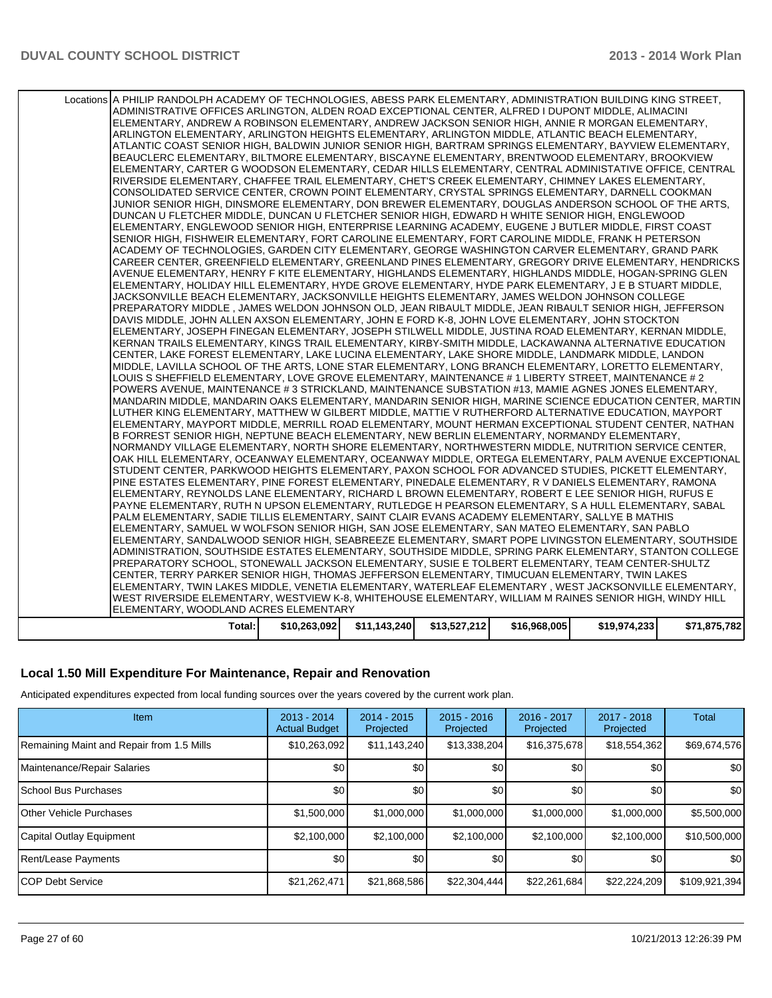| Total:                                                                                                                                                                                                                 | \$10,263,092 | \$11,143,240 | \$13,527,212 | \$16,968,005 | \$19,974,233 | \$71,875,782 |
|------------------------------------------------------------------------------------------------------------------------------------------------------------------------------------------------------------------------|--------------|--------------|--------------|--------------|--------------|--------------|
| ELEMENTARY, WOODLAND ACRES ELEMENTARY                                                                                                                                                                                  |              |              |              |              |              |              |
| WEST RIVERSIDE ELEMENTARY, WESTVIEW K-8, WHITEHOUSE ELEMENTARY, WILLIAM M RAINES SENIOR HIGH, WINDY HILL                                                                                                               |              |              |              |              |              |              |
| ELEMENTARY, TWIN LAKES MIDDLE, VENETIA ELEMENTARY, WATERLEAF ELEMENTARY, WEST JACKSONVILLE ELEMENTARY,                                                                                                                 |              |              |              |              |              |              |
| CENTER, TERRY PARKER SENIOR HIGH, THOMAS JEFFERSON ELEMENTARY, TIMUCUAN ELEMENTARY, TWIN LAKES                                                                                                                         |              |              |              |              |              |              |
| PREPARATORY SCHOOL, STONEWALL JACKSON ELEMENTARY, SUSIE E TOLBERT ELEMENTARY, TEAM CENTER-SHULTZ                                                                                                                       |              |              |              |              |              |              |
| ADMINISTRATION, SOUTHSIDE ESTATES ELEMENTARY, SOUTHSIDE MIDDLE, SPRING PARK ELEMENTARY, STANTON COLLEGE                                                                                                                |              |              |              |              |              |              |
| ELEMENTARY, SANDALWOOD SENIOR HIGH, SEABREEZE ELEMENTARY, SMART POPE LIVINGSTON ELEMENTARY, SOUTHSIDE                                                                                                                  |              |              |              |              |              |              |
| ELEMENTARY, SAMUEL W WOLFSON SENIOR HIGH, SAN JOSE ELEMENTARY, SAN MATEO ELEMENTARY, SAN PABLO                                                                                                                         |              |              |              |              |              |              |
| PALM ELEMENTARY, SADIE TILLIS ELEMENTARY, SAINT CLAIR EVANS ACADEMY ELEMENTARY, SALLYE B MATHIS                                                                                                                        |              |              |              |              |              |              |
| PAYNE ELEMENTARY, RUTH N UPSON ELEMENTARY, RUTLEDGE H PEARSON ELEMENTARY, S A HULL ELEMENTARY, SABAL                                                                                                                   |              |              |              |              |              |              |
| ELEMENTARY, REYNOLDS LANE ELEMENTARY, RICHARD L BROWN ELEMENTARY, ROBERT E LEE SENIOR HIGH, RUFUS E                                                                                                                    |              |              |              |              |              |              |
| PINE ESTATES ELEMENTARY, PINE FOREST ELEMENTARY, PINEDALE ELEMENTARY, R V DANIELS ELEMENTARY, RAMONA                                                                                                                   |              |              |              |              |              |              |
| STUDENT CENTER, PARKWOOD HEIGHTS ELEMENTARY, PAXON SCHOOL FOR ADVANCED STUDIES, PICKETT ELEMENTARY,                                                                                                                    |              |              |              |              |              |              |
| OAK HILL ELEMENTARY, OCEANWAY ELEMENTARY, OCEANWAY MIDDLE, ORTEGA ELEMENTARY, PALM AVENUE EXCEPTIONAL                                                                                                                  |              |              |              |              |              |              |
| NORMANDY VILLAGE ELEMENTARY, NORTH SHORE ELEMENTARY, NORTHWESTERN MIDDLE, NUTRITION SERVICE CENTER,                                                                                                                    |              |              |              |              |              |              |
| B FORREST SENIOR HIGH, NEPTUNE BEACH ELEMENTARY, NEW BERLIN ELEMENTARY, NORMANDY ELEMENTARY,                                                                                                                           |              |              |              |              |              |              |
| ELEMENTARY, MAYPORT MIDDLE, MERRILL ROAD ELEMENTARY, MOUNT HERMAN EXCEPTIONAL STUDENT CENTER, NATHAN                                                                                                                   |              |              |              |              |              |              |
| LUTHER KING ELEMENTARY, MATTHEW W GILBERT MIDDLE, MATTIE V RUTHERFORD ALTERNATIVE EDUCATION, MAYPORT                                                                                                                   |              |              |              |              |              |              |
| MANDARIN MIDDLE, MANDARIN OAKS ELEMENTARY, MANDARIN SENIOR HIGH, MARINE SCIENCE EDUCATION CENTER, MARTIN                                                                                                               |              |              |              |              |              |              |
| POWERS AVENUE, MAINTENANCE #3 STRICKLAND, MAINTENANCE SUBSTATION #13, MAMIE AGNES JONES ELEMENTARY,                                                                                                                    |              |              |              |              |              |              |
| LOUIS S SHEFFIELD ELEMENTARY, LOVE GROVE ELEMENTARY, MAINTENANCE # 1 LIBERTY STREET, MAINTENANCE # 2                                                                                                                   |              |              |              |              |              |              |
| MIDDLE, LAVILLA SCHOOL OF THE ARTS, LONE STAR ELEMENTARY, LONG BRANCH ELEMENTARY, LORETTO ELEMENTARY,                                                                                                                  |              |              |              |              |              |              |
| KERNAN TRAILS ELEMENTARY, KINGS TRAIL ELEMENTARY, KIRBY-SMITH MIDDLE, LACKAWANNA ALTERNATIVE EDUCATION<br>CENTER, LAKE FOREST ELEMENTARY, LAKE LUCINA ELEMENTARY, LAKE SHORE MIDDLE, LANDMARK MIDDLE, LANDON           |              |              |              |              |              |              |
| ELEMENTARY, JOSEPH FINEGAN ELEMENTARY, JOSEPH STILWELL MIDDLE, JUSTINA ROAD ELEMENTARY, KERNAN MIDDLE,                                                                                                                 |              |              |              |              |              |              |
| DAVIS MIDDLE, JOHN ALLEN AXSON ELEMENTARY, JOHN E FORD K-8, JOHN LOVE ELEMENTARY, JOHN STOCKTON                                                                                                                        |              |              |              |              |              |              |
| PREPARATORY MIDDLE, JAMES WELDON JOHNSON OLD, JEAN RIBAULT MIDDLE, JEAN RIBAULT SENIOR HIGH, JEFFERSON                                                                                                                 |              |              |              |              |              |              |
| JACKSONVILLE BEACH ELEMENTARY, JACKSONVILLE HEIGHTS ELEMENTARY, JAMES WELDON JOHNSON COLLEGE                                                                                                                           |              |              |              |              |              |              |
| ELEMENTARY, HOLIDAY HILL ELEMENTARY, HYDE GROVE ELEMENTARY, HYDE PARK ELEMENTARY, J E B STUART MIDDLE,                                                                                                                 |              |              |              |              |              |              |
| AVENUE ELEMENTARY. HENRY F KITE ELEMENTARY. HIGHLANDS ELEMENTARY. HIGHLANDS MIDDLE. HOGAN-SPRING GLEN                                                                                                                  |              |              |              |              |              |              |
| CAREER CENTER, GREENFIELD ELEMENTARY, GREENLAND PINES ELEMENTARY, GREGORY DRIVE ELEMENTARY, HENDRICKS                                                                                                                  |              |              |              |              |              |              |
| ACADEMY OF TECHNOLOGIES, GARDEN CITY ELEMENTARY, GEORGE WASHINGTON CARVER ELEMENTARY, GRAND PARK                                                                                                                       |              |              |              |              |              |              |
| SENIOR HIGH, FISHWEIR ELEMENTARY, FORT CAROLINE ELEMENTARY, FORT CAROLINE MIDDLE, FRANK H PETERSON                                                                                                                     |              |              |              |              |              |              |
| ELEMENTARY, ENGLEWOOD SENIOR HIGH, ENTERPRISE LEARNING ACADEMY, EUGENE J BUTLER MIDDLE, FIRST COAST                                                                                                                    |              |              |              |              |              |              |
| DUNCAN U FLETCHER MIDDLE, DUNCAN U FLETCHER SENIOR HIGH, EDWARD H WHITE SENIOR HIGH, ENGLEWOOD                                                                                                                         |              |              |              |              |              |              |
| JUNIOR SENIOR HIGH, DINSMORE ELEMENTARY, DON BREWER ELEMENTARY, DOUGLAS ANDERSON SCHOOL OF THE ARTS,                                                                                                                   |              |              |              |              |              |              |
| CONSOLIDATED SERVICE CENTER, CROWN POINT ELEMENTARY, CRYSTAL SPRINGS ELEMENTARY, DARNELL COOKMAN                                                                                                                       |              |              |              |              |              |              |
| RIVERSIDE ELEMENTARY, CHAFFEE TRAIL ELEMENTARY, CHET'S CREEK ELEMENTARY, CHIMNEY LAKES ELEMENTARY,                                                                                                                     |              |              |              |              |              |              |
| ELEMENTARY, CARTER G WOODSON ELEMENTARY, CEDAR HILLS ELEMENTARY, CENTRAL ADMINISTATIVE OFFICE, CENTRAL                                                                                                                 |              |              |              |              |              |              |
| BEAUCLERC ELEMENTARY, BILTMORE ELEMENTARY, BISCAYNE ELEMENTARY, BRENTWOOD ELEMENTARY, BROOKVIEW                                                                                                                        |              |              |              |              |              |              |
| ATLANTIC COAST SENIOR HIGH, BALDWIN JUNIOR SENIOR HIGH, BARTRAM SPRINGS ELEMENTARY, BAYVIEW ELEMENTARY,                                                                                                                |              |              |              |              |              |              |
| ARLINGTON ELEMENTARY, ARLINGTON HEIGHTS ELEMENTARY, ARLINGTON MIDDLE, ATLANTIC BEACH ELEMENTARY,                                                                                                                       |              |              |              |              |              |              |
| ELEMENTARY, ANDREW A ROBINSON ELEMENTARY, ANDREW JACKSON SENIOR HIGH, ANNIE R MORGAN ELEMENTARY,                                                                                                                       |              |              |              |              |              |              |
| Locations A PHILIP RANDOLPH ACADEMY OF TECHNOLOGIES, ABESS PARK ELEMENTARY, ADMINISTRATION BUILDING KING STREET,<br>ADMINISTRATIVE OFFICES ARLINGTON, ALDEN ROAD EXCEPTIONAL CENTER, ALFRED I DUPONT MIDDLE, ALIMACINI |              |              |              |              |              |              |
|                                                                                                                                                                                                                        |              |              |              |              |              |              |

## **Local 1.50 Mill Expenditure For Maintenance, Repair and Renovation**

Anticipated expenditures expected from local funding sources over the years covered by the current work plan.

| Item                                      | $2013 - 2014$<br><b>Actual Budget</b> | $2014 - 2015$<br>Projected | $2015 - 2016$<br>Projected | 2016 - 2017<br>Projected | $2017 - 2018$<br>Projected | <b>Total</b>  |
|-------------------------------------------|---------------------------------------|----------------------------|----------------------------|--------------------------|----------------------------|---------------|
| Remaining Maint and Repair from 1.5 Mills | \$10,263,092                          | \$11,143,240               | \$13,338,204               | \$16,375,678             | \$18,554,362               | \$69,674,576  |
| Maintenance/Repair Salaries               | \$0                                   | \$0                        | \$0                        | \$0 <sub>1</sub>         | \$0 <sub>1</sub>           | \$0           |
| <b>School Bus Purchases</b>               | \$0                                   | \$0                        | \$0                        | \$0                      | \$0 <sub>1</sub>           | \$0           |
| <b>Other Vehicle Purchases</b>            | \$1,500,000                           | \$1,000,000                | \$1,000,000                | \$1,000,000              | \$1,000,000                | \$5,500,000   |
| Capital Outlay Equipment                  | \$2,100,000                           | \$2,100,000                | \$2,100,000                | \$2,100,000              | \$2,100,000                | \$10,500,000  |
| Rent/Lease Payments                       | \$0                                   | \$0                        | \$0                        | \$0                      | \$0 <sub>1</sub>           | \$0           |
| <b>ICOP Debt Service</b>                  | \$21,262,471                          | \$21,868,586               | \$22,304,444               | \$22,261,684             | \$22,224,209               | \$109,921,394 |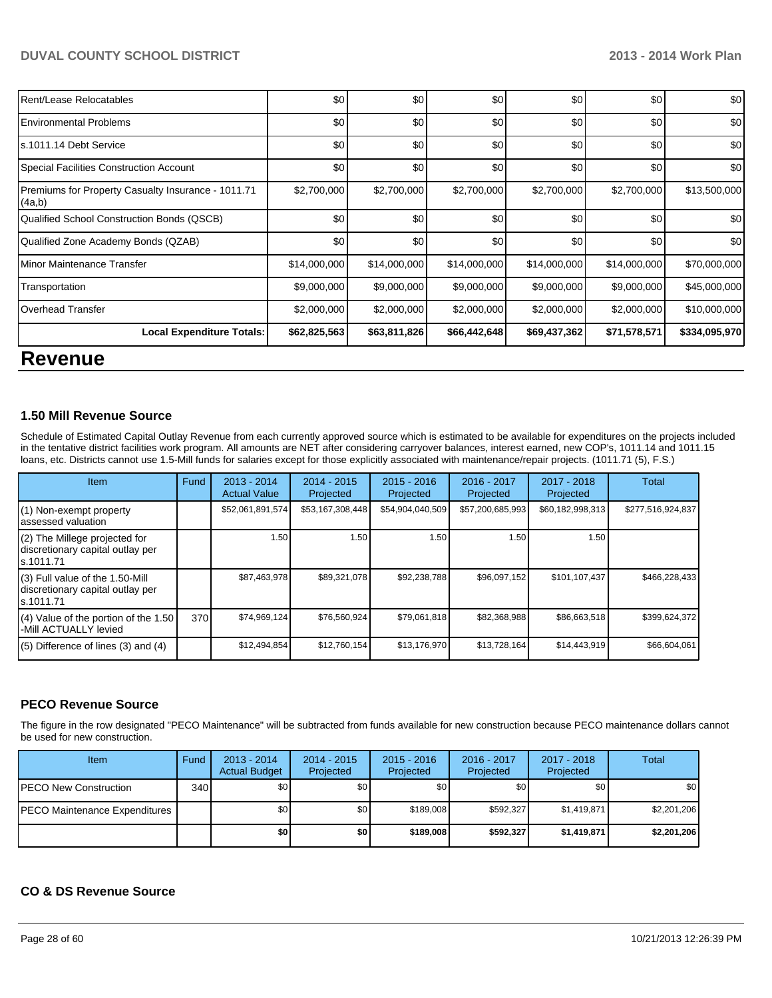| Rent/Lease Relocatables                                      | \$0          | \$0          | \$0          | \$0          | \$0          | \$0           |
|--------------------------------------------------------------|--------------|--------------|--------------|--------------|--------------|---------------|
| <b>Environmental Problems</b>                                | \$0          | \$0          | \$0          | \$0          | \$0          | \$0           |
| s.1011.14 Debt Service                                       | \$0          | \$0          | \$0          | \$0          | \$0          | \$0           |
| <b>Special Facilities Construction Account</b>               | \$0          | \$0          | \$0          | \$0          | \$0          | \$0           |
| Premiums for Property Casualty Insurance - 1011.71<br>(4a,b) | \$2,700,000  | \$2,700,000  | \$2,700,000  | \$2,700,000  | \$2,700,000  | \$13,500,000  |
| Qualified School Construction Bonds (QSCB)                   | \$0          | \$0          | \$0          | \$0          | \$0          | \$0           |
| Qualified Zone Academy Bonds (QZAB)                          | \$0          | \$0          | \$0          | \$0          | \$0          | \$0           |
| Minor Maintenance Transfer                                   | \$14,000,000 | \$14,000,000 | \$14,000,000 | \$14,000,000 | \$14,000,000 | \$70,000,000  |
| Transportation                                               | \$9,000,000  | \$9,000,000  | \$9,000,000  | \$9,000,000  | \$9,000,000  | \$45,000,000  |
| <b>Overhead Transfer</b>                                     | \$2,000,000  | \$2,000,000  | \$2,000,000  | \$2,000,000  | \$2,000,000  | \$10,000,000  |
| <b>Local Expenditure Totals:</b>                             | \$62,825,563 | \$63,811,826 | \$66,442,648 | \$69,437,362 | \$71,578,571 | \$334,095,970 |
| <b>Revenue</b>                                               |              |              |              |              |              |               |

## **1.50 Mill Revenue Source**

Schedule of Estimated Capital Outlay Revenue from each currently approved source which is estimated to be available for expenditures on the projects included in the tentative district facilities work program. All amounts are NET after considering carryover balances, interest earned, new COP's, 1011.14 and 1011.15 loans, etc. Districts cannot use 1.5-Mill funds for salaries except for those explicitly associated with maintenance/repair projects. (1011.71 (5), F.S.)

| Item                                                                              | Fund | 2013 - 2014<br><b>Actual Value</b> | 2014 - 2015<br>Projected | $2015 - 2016$<br>Projected | 2016 - 2017<br>Projected | $2017 - 2018$<br>Projected | Total             |
|-----------------------------------------------------------------------------------|------|------------------------------------|--------------------------|----------------------------|--------------------------|----------------------------|-------------------|
| (1) Non-exempt property<br>assessed valuation                                     |      | \$52,061,891,574                   | \$53,167,308,448         | \$54,904,040,509           | \$57,200,685,993         | \$60,182,998,313           | \$277,516,924,837 |
| (2) The Millege projected for<br>discretionary capital outlay per<br>ls.1011.71   |      | 1.50                               | 1.50                     | 1.50                       | 1.50                     | 1.50                       |                   |
| (3) Full value of the 1.50-Mill<br>discretionary capital outlay per<br>ls.1011.71 |      | \$87,463,978                       | \$89,321,078             | \$92,238,788               | \$96,097,152             | \$101,107,437              | \$466,228,433     |
| (4) Value of the portion of the 1.50<br>-Mill ACTUALLY levied                     | 370  | \$74,969,124                       | \$76,560,924             | \$79,061,818               | \$82,368,988             | \$86,663,518               | \$399,624,372     |
| $(5)$ Difference of lines (3) and (4)                                             |      | \$12,494,854                       | \$12,760,154             | \$13,176,970               | \$13,728,164             | \$14,443,919               | \$66,604,061      |

## **PECO Revenue Source**

The figure in the row designated "PECO Maintenance" will be subtracted from funds available for new construction because PECO maintenance dollars cannot be used for new construction.

| Item                          | Fund | $2013 - 2014$<br><b>Actual Budget</b> | $2014 - 2015$<br>Projected | $2015 - 2016$<br>Projected | 2016 - 2017<br>Projected | 2017 - 2018<br>Projected | Total       |
|-------------------------------|------|---------------------------------------|----------------------------|----------------------------|--------------------------|--------------------------|-------------|
| PECO New Construction         | 340  | \$0 I                                 | \$0                        | \$0                        | \$0                      | <b>\$0</b>               | \$0         |
| PECO Maintenance Expenditures |      | \$٥Ι                                  | \$0                        | \$189,008                  | \$592.327                | \$1,419,871              | \$2,201,206 |
|                               |      | \$0                                   | \$0                        | \$189,008                  | \$592,327                | \$1,419,871              | \$2,201,206 |

## **CO & DS Revenue Source**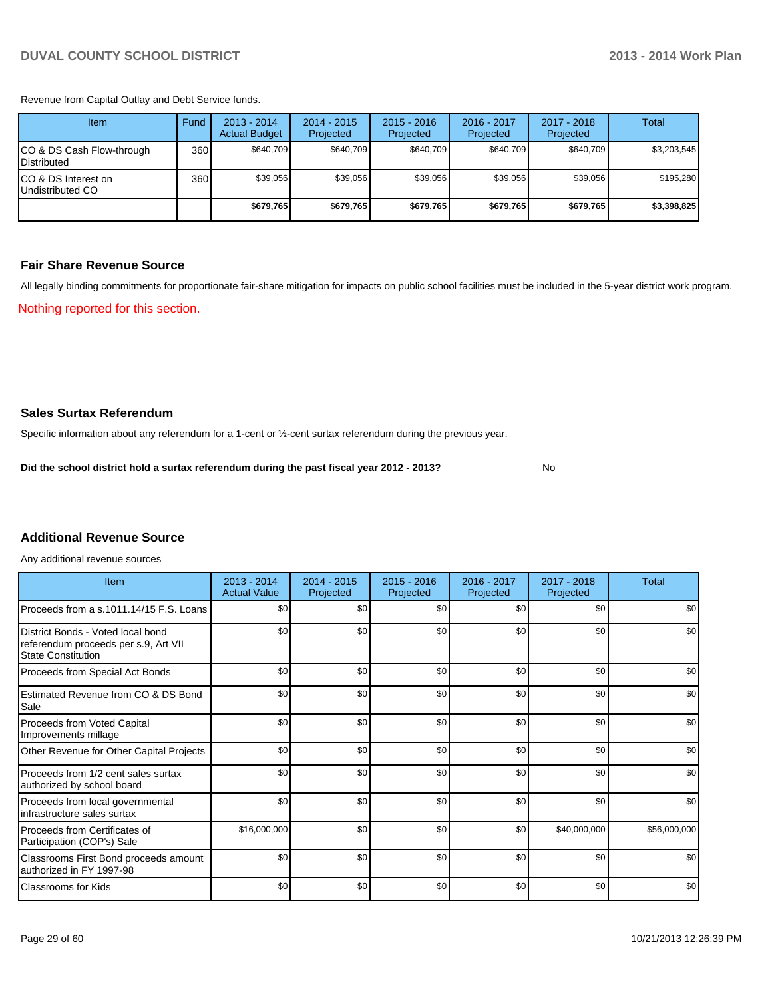Revenue from Capital Outlay and Debt Service funds.

| Item                                               | Fund | 2013 - 2014<br><b>Actual Budget</b> | $2014 - 2015$<br>Projected | $2015 - 2016$<br>Projected | $2016 - 2017$<br>Projected | 2017 - 2018<br>Projected | Total       |
|----------------------------------------------------|------|-------------------------------------|----------------------------|----------------------------|----------------------------|--------------------------|-------------|
| ICO & DS Cash Flow-through<br><b>I</b> Distributed | 360  | \$640.709                           | \$640.709                  | \$640.709                  | \$640.709                  | \$640.709                | \$3,203,545 |
| ICO & DS Interest on<br>Undistributed CO           | 360  | \$39,056                            | \$39,056                   | \$39.056                   | \$39,056                   | \$39,056                 | \$195,280   |
|                                                    |      | \$679,765                           | \$679,765                  | \$679.765                  | \$679.765                  | \$679.765                | \$3,398,825 |

### **Fair Share Revenue Source**

Nothing reported for this section. All legally binding commitments for proportionate fair-share mitigation for impacts on public school facilities must be included in the 5-year district work program.

**Sales Surtax Referendum**

Specific information about any referendum for a 1-cent or ½-cent surtax referendum during the previous year.

**Did the school district hold a surtax referendum during the past fiscal year 2012 - 2013?**

No

## **Additional Revenue Source**

Any additional revenue sources

| Item                                                                                                   | 2013 - 2014<br><b>Actual Value</b> | 2014 - 2015<br>Projected | $2015 - 2016$<br>Projected | 2016 - 2017<br>Projected | 2017 - 2018<br>Projected | Total        |
|--------------------------------------------------------------------------------------------------------|------------------------------------|--------------------------|----------------------------|--------------------------|--------------------------|--------------|
| Proceeds from a s.1011.14/15 F.S. Loans                                                                | \$0                                | \$0                      | \$0                        | \$0                      | \$0                      | \$0          |
| District Bonds - Voted local bond<br>referendum proceeds per s.9, Art VII<br><b>State Constitution</b> | \$0                                | \$0                      | \$0                        | \$0                      | \$0                      | \$0          |
| Proceeds from Special Act Bonds                                                                        | \$0                                | \$0                      | \$0                        | \$0                      | \$0                      | \$0          |
| Estimated Revenue from CO & DS Bond<br>Sale                                                            | \$0                                | \$0                      | \$0                        | \$0                      | \$0                      | \$0          |
| Proceeds from Voted Capital<br>Improvements millage                                                    | \$0                                | \$0                      | \$0                        | \$0                      | \$0                      | \$0          |
| Other Revenue for Other Capital Projects                                                               | \$0                                | \$0                      | \$0                        | \$0                      | \$0                      | \$0          |
| Proceeds from 1/2 cent sales surtax<br>authorized by school board                                      | \$0                                | \$0                      | \$0                        | \$0                      | \$0                      | \$0          |
| Proceeds from local governmental<br>infrastructure sales surtax                                        | \$0                                | \$0                      | \$0                        | \$0                      | \$0                      | \$0          |
| Proceeds from Certificates of<br>Participation (COP's) Sale                                            | \$16,000,000                       | \$0                      | \$0                        | \$0                      | \$40,000,000             | \$56,000,000 |
| Classrooms First Bond proceeds amount<br>authorized in FY 1997-98                                      | \$0                                | \$0                      | \$0                        | \$0                      | \$0                      | \$0          |
| <b>Classrooms for Kids</b>                                                                             | \$0                                | \$0                      | \$0                        | \$0                      | \$0                      | \$0          |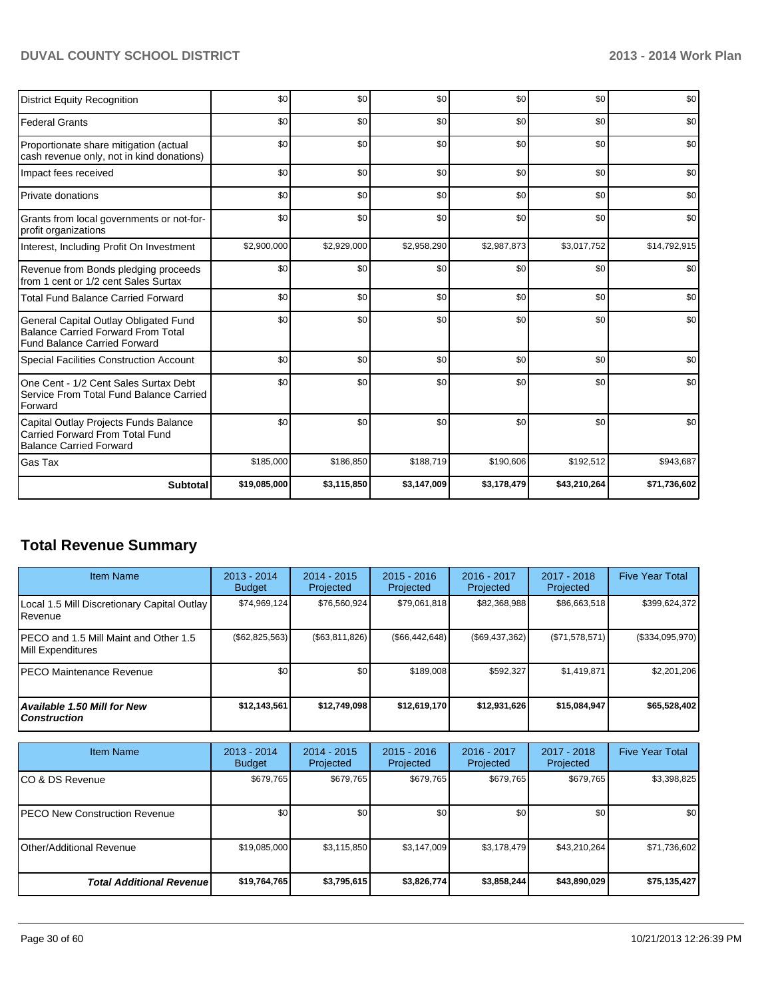| <b>District Equity Recognition</b>                                                                                        | \$0          | \$0         | \$0         | \$0         | \$0          | \$0          |
|---------------------------------------------------------------------------------------------------------------------------|--------------|-------------|-------------|-------------|--------------|--------------|
| <b>Federal Grants</b>                                                                                                     | \$0          | \$0         | \$0         | \$0         | \$0          | \$0          |
| Proportionate share mitigation (actual<br>cash revenue only, not in kind donations)                                       | \$0          | \$0         | \$0         | \$0         | \$0          | \$0          |
| Impact fees received                                                                                                      | \$0          | \$0         | \$0         | \$0         | \$0          | \$0          |
| Private donations                                                                                                         | \$0          | \$0         | \$0         | \$0         | \$0          | \$0          |
| Grants from local governments or not-for-<br>profit organizations                                                         | \$0          | \$0         | \$0         | \$0         | \$0          | \$0          |
| Interest, Including Profit On Investment                                                                                  | \$2,900,000  | \$2,929,000 | \$2,958,290 | \$2,987,873 | \$3,017,752  | \$14,792,915 |
| Revenue from Bonds pledging proceeds<br>from 1 cent or 1/2 cent Sales Surtax                                              | \$0          | \$0         | \$0         | \$0         | \$0          | \$0          |
| <b>Total Fund Balance Carried Forward</b>                                                                                 | \$0          | \$0         | \$0         | \$0         | \$0          | \$0          |
| General Capital Outlay Obligated Fund<br><b>Balance Carried Forward From Total</b><br><b>Fund Balance Carried Forward</b> | \$0          | \$0         | \$0         | \$0         | \$0          | \$0          |
| Special Facilities Construction Account                                                                                   | \$0          | \$0         | \$0         | \$0         | \$0          | \$0          |
| One Cent - 1/2 Cent Sales Surtax Debt<br>Service From Total Fund Balance Carried<br>Forward                               | \$0          | \$0         | \$0         | \$0         | \$0          | \$0          |
| Capital Outlay Projects Funds Balance<br>Carried Forward From Total Fund<br><b>Balance Carried Forward</b>                | \$0          | \$0         | \$0         | \$0         | \$0          | \$0          |
| Gas Tax                                                                                                                   | \$185,000    | \$186,850   | \$188,719   | \$190,606   | \$192,512    | \$943,687    |
| <b>Subtotal</b>                                                                                                           | \$19,085,000 | \$3,115,850 | \$3,147,009 | \$3,178,479 | \$43,210,264 | \$71,736,602 |

# **Total Revenue Summary**

| <b>Item Name</b>                                                  | $2013 - 2014$<br><b>Budget</b> | $2014 - 2015$<br>Projected | $2015 - 2016$<br>Projected | $2016 - 2017$<br>Projected | 2017 - 2018<br>Projected | <b>Five Year Total</b> |
|-------------------------------------------------------------------|--------------------------------|----------------------------|----------------------------|----------------------------|--------------------------|------------------------|
| Local 1.5 Mill Discretionary Capital Outlay  <br><b>I</b> Revenue | \$74,969,124                   | \$76,560,924               | \$79,061,818               | \$82,368,988               | \$86,663,518             | \$399,624,372          |
| IPECO and 1.5 Mill Maint and Other 1.5<br>Mill Expenditures       | $(\$62,825,563)$               | (S63.811.826)              | (S66, 442, 648)            | $(\$69,437,362)$           | (S71, 578, 571)          | $(\$334,095,970)$      |
| IPECO Maintenance Revenue                                         | \$0                            | \$0                        | \$189,008                  | \$592.327                  | \$1.419.871              | \$2,201,206            |
| Available 1.50 Mill for New<br>l Construction                     | \$12.143.561                   | \$12,749,098               | \$12,619,170               | \$12,931,626               | \$15,084,947             | \$65,528,402           |

| <b>Item Name</b>                      | $2013 - 2014$<br><b>Budget</b> | $2014 - 2015$<br>Projected | $2015 - 2016$<br>Projected | 2016 - 2017<br>Projected | 2017 - 2018<br>Projected | <b>Five Year Total</b> |
|---------------------------------------|--------------------------------|----------------------------|----------------------------|--------------------------|--------------------------|------------------------|
| ICO & DS Revenue                      | \$679,765                      | \$679,765                  | \$679,765                  | \$679,765                | \$679,765                | \$3,398,825            |
| <b>IPECO New Construction Revenue</b> | \$0 <sub>0</sub>               | \$0                        | \$0                        | \$0                      | \$0                      | \$0                    |
| <b>IOther/Additional Revenue</b>      | \$19,085,000                   | \$3,115,850                | \$3,147,009                | \$3,178,479              | \$43.210.264             | \$71,736,602           |
| <b>Total Additional Revenuel</b>      | \$19,764,765                   | \$3,795,615                | \$3,826,774                | \$3,858,244              | \$43,890,029             | \$75,135,427           |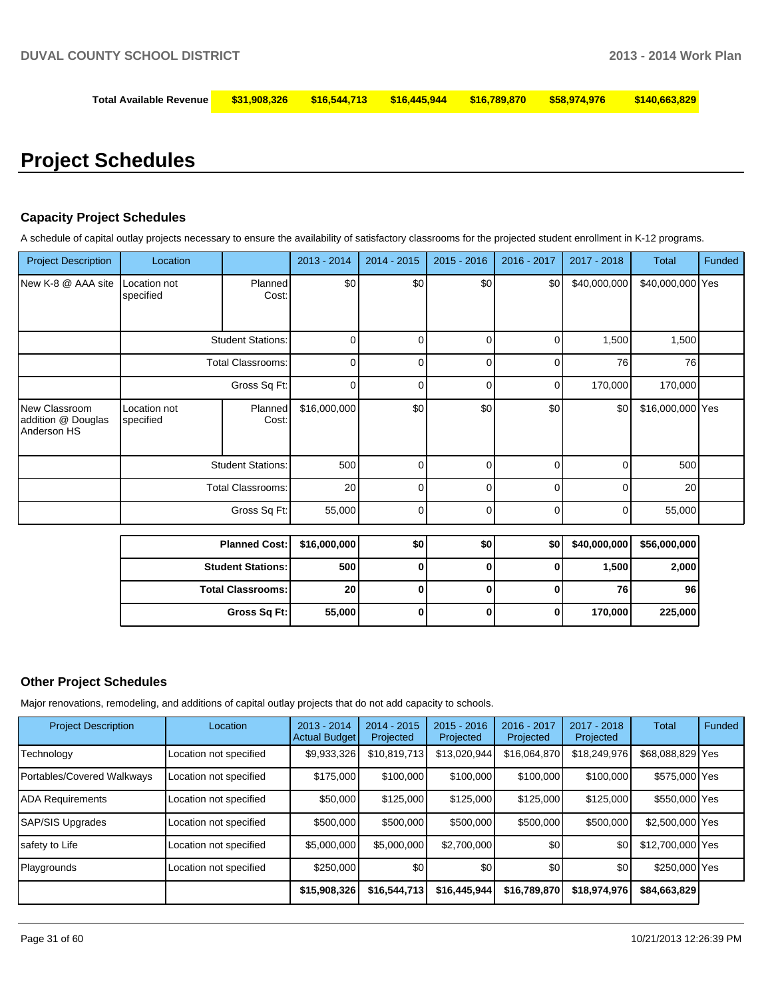| Total Available Revenue |  |  |  |  |  |  |
|-------------------------|--|--|--|--|--|--|
|-------------------------|--|--|--|--|--|--|

# **Project Schedules**

### **Capacity Project Schedules**

A schedule of capital outlay projects necessary to ensure the availability of satisfactory classrooms for the projected student enrollment in K-12 programs.

| <b>Project Description</b>                         | Location                  |                          | 2013 - 2014  | $2014 - 2015$ | $2015 - 2016$ | 2016 - 2017  | 2017 - 2018  | <b>Total</b>     | Funded |
|----------------------------------------------------|---------------------------|--------------------------|--------------|---------------|---------------|--------------|--------------|------------------|--------|
| New K-8 @ AAA site                                 | Location not<br>specified | Planned<br>Cost:         | \$0          | \$0           | \$0           | \$0          | \$40,000,000 | \$40,000,000 Yes |        |
|                                                    |                           | <b>Student Stations:</b> | $\Omega$     | $\Omega$      | $\mathbf 0$   | 0            | 1,500        | 1,500            |        |
|                                                    |                           | <b>Total Classrooms:</b> | $\mathbf 0$  | 0             | 0             | 0            | 76           | 76               |        |
|                                                    |                           | Gross Sq Ft:             | 0            | $\Omega$      | 0             | 0            | 170,000      | 170,000          |        |
| New Classroom<br>addition @ Douglas<br>Anderson HS | Location not<br>specified | Planned<br>Cost:         | \$16,000,000 | \$0           | \$0           | \$0          | \$0          | \$16,000,000 Yes |        |
|                                                    |                           | <b>Student Stations:</b> | 500          | $\Omega$      | 0             | 0            | 0            | 500              |        |
|                                                    |                           | <b>Total Classrooms:</b> | 20           | 0             | 0             | 0            | $\Omega$     | 20               |        |
|                                                    |                           | Gross Sq Ft:             | 55,000       | 0             | 0             | 0            | 0            | 55,000           |        |
|                                                    |                           | <b>Planned Cost:</b>     | \$16,000,000 | \$0           | \$0           | \$0          | \$40,000,000 | \$56,000,000     |        |
|                                                    |                           | <b>Student Stations:</b> | 500          | 0             | $\bf{0}$      | 0            | 1,500        | 2,000            |        |
|                                                    |                           | <b>Total Classrooms:</b> | 20           | 0             | 0             | 0            | 76           | 96               |        |
|                                                    |                           | Gross Sq Ft:             | 55,000       | 0             | $\mathbf 0$   | $\mathbf{0}$ | 170,000      | 225,000          |        |
|                                                    |                           |                          |              |               |               |              |              |                  |        |

## **Other Project Schedules**

Major renovations, remodeling, and additions of capital outlay projects that do not add capacity to schools.

| <b>Project Description</b> | Location               | $2013 - 2014$<br><b>Actual Budget</b> | $2014 - 2015$<br>Projected | $2015 - 2016$<br>Projected | $2016 - 2017$<br>Projected | 2017 - 2018<br>Projected | Total            | Funded |
|----------------------------|------------------------|---------------------------------------|----------------------------|----------------------------|----------------------------|--------------------------|------------------|--------|
| Technology                 | Location not specified | \$9,933,326                           | \$10,819,713               | \$13,020,944               | \$16,064,870               | \$18,249,976             | \$68,088,829 Yes |        |
| Portables/Covered Walkways | Location not specified | \$175,000                             | \$100,000                  | \$100,000                  | \$100,000                  | \$100,000                | \$575,000 Yes    |        |
| <b>ADA Requirements</b>    | Location not specified | \$50,000                              | \$125,000                  | \$125,000                  | \$125,000                  | \$125,000                | \$550,000 Yes    |        |
| SAP/SIS Upgrades           | Location not specified | \$500,000                             | \$500,000                  | \$500,000                  | \$500,000                  | \$500,000                | \$2,500,000 Yes  |        |
| safety to Life             | Location not specified | \$5,000,000                           | \$5,000,000                | \$2.700.000                | \$0                        | \$0                      | \$12,700,000 Yes |        |
| Playgrounds                | Location not specified | \$250,000                             | \$0                        | \$0                        | \$0                        | \$0                      | \$250,000 Yes    |        |
|                            |                        | \$15,908,326                          | \$16,544,713               | \$16,445,944               | \$16,789,870               | \$18,974,976             | \$84,663,829     |        |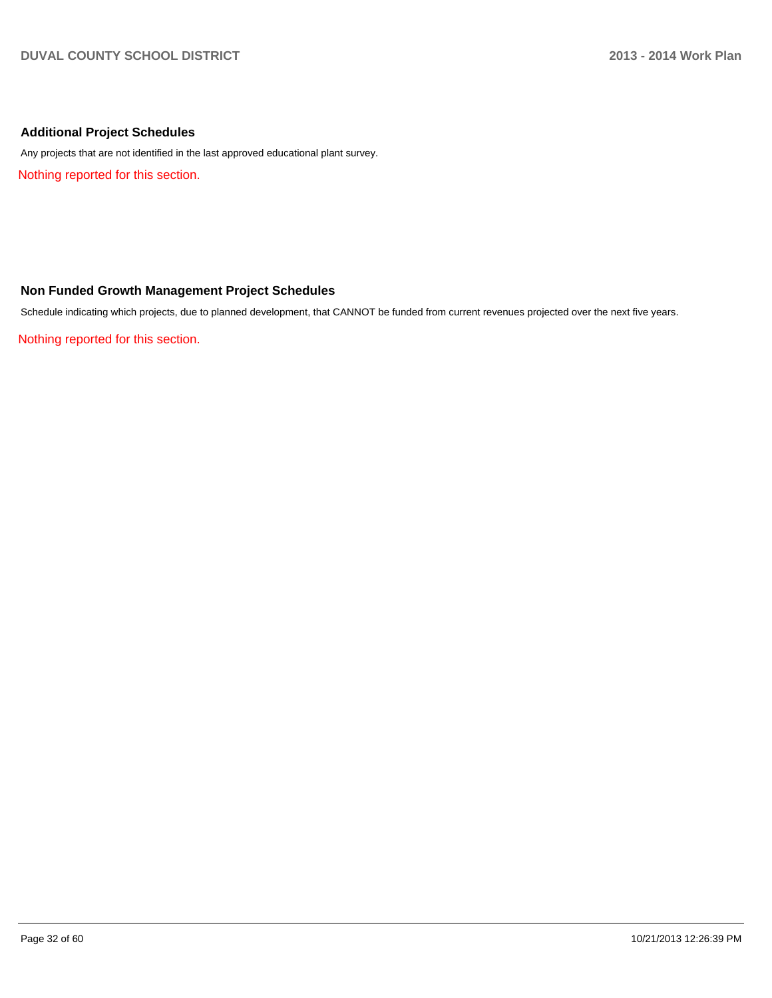## **Additional Project Schedules**

Any projects that are not identified in the last approved educational plant survey.

Nothing reported for this section.

## **Non Funded Growth Management Project Schedules**

Schedule indicating which projects, due to planned development, that CANNOT be funded from current revenues projected over the next five years.

Nothing reported for this section.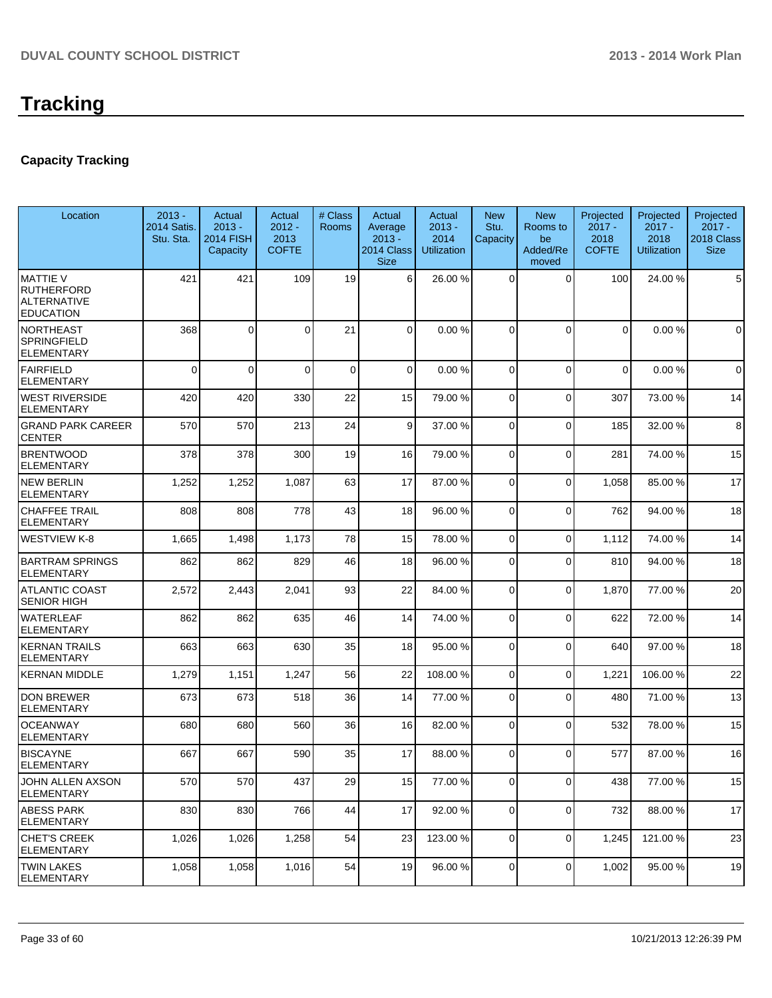## **Capacity Tracking**

| Location                                                                       | $2013 -$<br>2014 Satis.<br>Stu. Sta. | Actual<br>$2013 -$<br><b>2014 FISH</b><br>Capacity | Actual<br>$2012 -$<br>2013<br><b>COFTE</b> | # Class<br>Rooms | Actual<br>Average<br>$2013 -$<br>2014 Class<br><b>Size</b> | Actual<br>$2013 -$<br>2014<br><b>Utilization</b> | <b>New</b><br>Stu.<br>Capacity | <b>New</b><br>Rooms to<br>be<br>Added/Re<br>moved | Projected<br>$2017 -$<br>2018<br><b>COFTE</b> | Projected<br>$2017 -$<br>2018<br><b>Utilization</b> | Projected<br>$2017 -$<br>2018 Class<br><b>Size</b> |
|--------------------------------------------------------------------------------|--------------------------------------|----------------------------------------------------|--------------------------------------------|------------------|------------------------------------------------------------|--------------------------------------------------|--------------------------------|---------------------------------------------------|-----------------------------------------------|-----------------------------------------------------|----------------------------------------------------|
| <b>MATTIE V</b><br><b>RUTHERFORD</b><br><b>ALTERNATIVE</b><br><b>EDUCATION</b> | 421                                  | 421                                                | 109                                        | 19               | 6                                                          | 26.00 %                                          | $\Omega$                       | $\Omega$                                          | 100                                           | 24.00 %                                             | 5                                                  |
| <b>NORTHEAST</b><br><b>SPRINGFIELD</b><br><b>ELEMENTARY</b>                    | 368                                  | $\Omega$                                           | 0                                          | 21               | 0                                                          | 0.00%                                            | $\Omega$                       | $\Omega$                                          | $\Omega$                                      | 0.00%                                               | $\mathbf 0$                                        |
| FAIRFIELD<br><b>ELEMENTARY</b>                                                 | $\mathbf{0}$                         | $\Omega$                                           | $\Omega$                                   | $\mathbf 0$      | $\Omega$                                                   | 0.00%                                            | $\Omega$                       | $\Omega$                                          | $\Omega$                                      | 0.00%                                               | $\mathbf 0$                                        |
| <b>WEST RIVERSIDE</b><br><b>ELEMENTARY</b>                                     | 420                                  | 420                                                | 330                                        | 22               | 15                                                         | 79.00 %                                          | 0                              | $\Omega$                                          | 307                                           | 73.00%                                              | 14                                                 |
| <b>GRAND PARK CAREER</b><br><b>CENTER</b>                                      | 570                                  | 570                                                | 213                                        | 24               | $\vert 9 \vert$                                            | 37.00 %                                          | $\Omega$                       | $\Omega$                                          | 185                                           | 32.00 %                                             | 8                                                  |
| <b>BRENTWOOD</b><br><b>ELEMENTARY</b>                                          | 378                                  | 378                                                | 300                                        | 19               | 16                                                         | 79.00 %                                          | $\overline{0}$                 | $\Omega$                                          | 281                                           | 74.00%                                              | 15                                                 |
| <b>NEW BERLIN</b><br><b>ELEMENTARY</b>                                         | 1,252                                | 1,252                                              | 1,087                                      | 63               | 17                                                         | 87.00 %                                          | 0                              | $\Omega$                                          | 1,058                                         | 85.00 %                                             | 17                                                 |
| <b>CHAFFEE TRAIL</b><br><b>ELEMENTARY</b>                                      | 808                                  | 808                                                | 778                                        | 43               | 18                                                         | 96.00 %                                          | 0                              | $\Omega$                                          | 762                                           | 94.00 %                                             | 18                                                 |
| <b>WESTVIEW K-8</b>                                                            | 1,665                                | 1,498                                              | 1,173                                      | 78               | 15                                                         | 78.00 %                                          | $\overline{0}$                 | $\Omega$                                          | 1,112                                         | 74.00 %                                             | 14                                                 |
| <b>BARTRAM SPRINGS</b><br><b>ELEMENTARY</b>                                    | 862                                  | 862                                                | 829                                        | 46               | 18                                                         | 96.00 %                                          | 0                              | $\Omega$                                          | 810                                           | 94.00%                                              | 18                                                 |
| <b>ATLANTIC COAST</b><br><b>SENIOR HIGH</b>                                    | 2,572                                | 2,443                                              | 2,041                                      | 93               | 22                                                         | 84.00 %                                          | $\overline{0}$                 | $\Omega$                                          | 1,870                                         | 77.00 %                                             | 20                                                 |
| <b>WATERLEAF</b><br><b>ELEMENTARY</b>                                          | 862                                  | 862                                                | 635                                        | 46               | 14                                                         | 74.00 %                                          | 0                              | $\Omega$                                          | 622                                           | 72.00 %                                             | 14                                                 |
| <b>KERNAN TRAILS</b><br><b>ELEMENTARY</b>                                      | 663                                  | 663                                                | 630                                        | 35               | 18                                                         | 95.00 %                                          | 0                              | $\Omega$                                          | 640                                           | 97.00 %                                             | 18                                                 |
| <b>KERNAN MIDDLE</b>                                                           | 1,279                                | 1,151                                              | 1,247                                      | 56               | 22                                                         | 108.00 %                                         | 0                              | $\mathbf 0$                                       | 1,221                                         | 106.00%                                             | 22                                                 |
| <b>DON BREWER</b><br><b>ELEMENTARY</b>                                         | 673                                  | 673                                                | 518                                        | 36               | 14                                                         | 77.00 %                                          | 0                              | $\Omega$                                          | 480                                           | 71.00%                                              | 13                                                 |
| <b>OCEANWAY</b><br><b>ELEMENTARY</b>                                           | 680                                  | 680                                                | 560                                        | 36               | 16                                                         | 82.00 %                                          | $\overline{0}$                 | $\Omega$                                          | 532                                           | 78.00 %                                             | 15                                                 |
| <b>BISCAYNE</b><br><b>ELEMENTARY</b>                                           | 667                                  | 667                                                | 590                                        | 35               | 17                                                         | 88.00 %                                          | 0                              | $\Omega$                                          | 577                                           | 87.00 %                                             | 16                                                 |
| JOHN ALLEN AXSON<br><b>ELEMENTARY</b>                                          | 570                                  | 570                                                | 437                                        | 29               | 15                                                         | 77.00 %                                          | $\overline{0}$                 | $\Omega$                                          | 438                                           | 77.00 %                                             | 15                                                 |
| <b>ABESS PARK</b><br>ELEMENTARY                                                | 830                                  | 830                                                | 766                                        | 44               | 17                                                         | 92.00 %                                          | $\overline{0}$                 | $\overline{0}$                                    | 732                                           | 88.00 %                                             | 17                                                 |
| <b>CHET'S CREEK</b><br><b>ELEMENTARY</b>                                       | 1,026                                | 1,026                                              | 1,258                                      | 54               | 23                                                         | 123.00 %                                         | $\overline{0}$                 | $\overline{0}$                                    | 1,245                                         | 121.00%                                             | 23                                                 |
| <b>TWIN LAKES</b><br><b>ELEMENTARY</b>                                         | 1,058                                | 1,058                                              | 1,016                                      | 54               | 19                                                         | 96.00 %                                          | 0                              | 0                                                 | 1,002                                         | 95.00 %                                             | 19                                                 |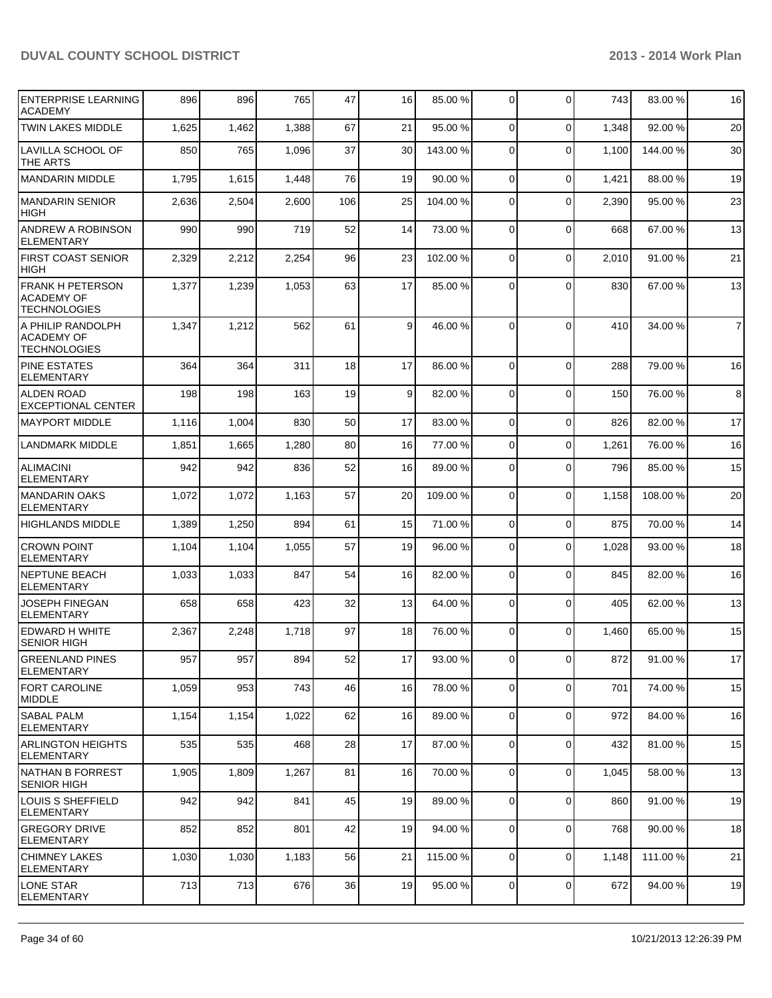| <b>ENTERPRISE LEARNING</b><br><b>ACADEMY</b>                        | 896   | 896   | 765   | 47  | 16              | 85.00 %  | 0              | $\Omega$       | 743   | 83.00 % | 16             |
|---------------------------------------------------------------------|-------|-------|-------|-----|-----------------|----------|----------------|----------------|-------|---------|----------------|
| <b>TWIN LAKES MIDDLE</b>                                            | 1,625 | 1,462 | 1,388 | 67  | 21              | 95.00 %  | $\Omega$       | $\mathbf 0$    | 1,348 | 92.00 % | 20             |
| <b>LAVILLA SCHOOL OF</b><br>THE ARTS                                | 850   | 765   | 1,096 | 37  | 30 <sup>1</sup> | 143.00 % | $\Omega$       | $\Omega$       | 1,100 | 144.00% | 30             |
| <b>MANDARIN MIDDLE</b>                                              | 1,795 | 1,615 | 1,448 | 76  | 19              | 90.00 %  | $\overline{0}$ | $\mathbf 0$    | 1,421 | 88.00%  | 19             |
| MANDARIN SENIOR<br>HIGH                                             | 2,636 | 2,504 | 2,600 | 106 | 25              | 104.00 % | $\overline{0}$ | $\Omega$       | 2,390 | 95.00 % | 23             |
| ANDREW A ROBINSON<br><b>ELEMENTARY</b>                              | 990   | 990   | 719   | 52  | 14              | 73.00 %  | $\overline{0}$ | $\Omega$       | 668   | 67.00%  | 13             |
| <b>FIRST COAST SENIOR</b><br><b>HIGH</b>                            | 2,329 | 2,212 | 2,254 | 96  | 23              | 102.00 % | 0              | $\mathbf 0$    | 2,010 | 91.00 % | 21             |
| <b>FRANK H PETERSON</b><br><b>ACADEMY OF</b><br><b>TECHNOLOGIES</b> | 1,377 | 1,239 | 1,053 | 63  | 17              | 85.00 %  | $\Omega$       | $\Omega$       | 830   | 67.00%  | 13             |
| A PHILIP RANDOLPH<br><b>ACADEMY OF</b><br><b>TECHNOLOGIES</b>       | 1,347 | 1,212 | 562   | 61  | $\vert 9 \vert$ | 46.00 %  | $\Omega$       | $\Omega$       | 410   | 34.00 % | $\overline{7}$ |
| <b>PINE ESTATES</b><br><b>ELEMENTARY</b>                            | 364   | 364   | 311   | 18  | 17              | 86.00 %  | $\Omega$       | $\Omega$       | 288   | 79.00 % | 16             |
| <b>ALDEN ROAD</b><br><b>EXCEPTIONAL CENTER</b>                      | 198   | 198   | 163   | 19  | 9 <sup>1</sup>  | 82.00 %  | 0              | $\mathbf 0$    | 150   | 76.00%  | 8              |
| <b>MAYPORT MIDDLE</b>                                               | 1,116 | 1,004 | 830   | 50  | 17              | 83.00 %  | $\overline{0}$ | $\mathbf 0$    | 826   | 82.00%  | 17             |
| <b>LANDMARK MIDDLE</b>                                              | 1,851 | 1,665 | 1,280 | 80  | 16              | 77.00 %  | $\overline{0}$ | $\mathbf 0$    | 1,261 | 76.00%  | 16             |
| <b>ALIMACINI</b><br><b>ELEMENTARY</b>                               | 942   | 942   | 836   | 52  | 16              | 89.00 %  | $\Omega$       | $\Omega$       | 796   | 85.00 % | 15             |
| <b>MANDARIN OAKS</b><br><b>ELEMENTARY</b>                           | 1,072 | 1,072 | 1,163 | 57  | 20              | 109.00 % | $\overline{0}$ | $\mathbf 0$    | 1,158 | 108.00% | 20             |
| <b>HIGHLANDS MIDDLE</b>                                             | 1,389 | 1,250 | 894   | 61  | 15              | 71.00 %  | $\overline{0}$ | $\mathbf 0$    | 875   | 70.00%  | 14             |
| <b>CROWN POINT</b><br><b>ELEMENTARY</b>                             | 1,104 | 1,104 | 1,055 | 57  | 19              | 96.00 %  | 0              | $\mathbf 0$    | 1,028 | 93.00 % | 18             |
| <b>NEPTUNE BEACH</b><br><b>ELEMENTARY</b>                           | 1,033 | 1,033 | 847   | 54  | 16              | 82.00 %  | 0              | $\Omega$       | 845   | 82.00 % | 16             |
| <b>JOSEPH FINEGAN</b><br><b>ELEMENTARY</b>                          | 658   | 658   | 423   | 32  | 13              | 64.00 %  | $\overline{0}$ | $\mathbf 0$    | 405   | 62.00 % | 13             |
| <b>EDWARD H WHITE</b><br><b>SENIOR HIGH</b>                         | 2,367 | 2,248 | 1,718 | 97  | 18              | 76.00 %  | $\overline{0}$ | $\Omega$       | 1,460 | 65.00 % | 15             |
| <b>GREENLAND PINES</b><br>ELEMENTARY                                | 957   | 957   | 894   | 52  | 17              | 93.00 %  | $\overline{0}$ | $\overline{0}$ | 8721  | 91.00%  | 17             |
| FORT CAROLINE<br>MIDDLE                                             | 1,059 | 953   | 743   | 46  | 16              | 78.00 %  | $\Omega$       | $\mathbf 0$    | 701   | 74.00%  | 15             |
| <b>SABAL PALM</b><br><b>ELEMENTARY</b>                              | 1,154 | 1,154 | 1,022 | 62  | 16              | 89.00 %  | $\overline{0}$ | $\mathbf 0$    | 972   | 84.00%  | 16             |
| <b>ARLINGTON HEIGHTS</b><br>ELEMENTARY                              | 535   | 535   | 468   | 28  | 17              | 87.00 %  | $\overline{0}$ | $\mathbf 0$    | 432   | 81.00%  | 15             |
| INATHAN B FORREST<br><b>SENIOR HIGH</b>                             | 1,905 | 1,809 | 1,267 | 81  | 16              | 70.00 %  | $\overline{0}$ | $\mathbf 0$    | 1,045 | 58.00 % | 13             |
| <b>LOUIS S SHEFFIELD</b><br><b>ELEMENTARY</b>                       | 942   | 942   | 841   | 45  | 19              | 89.00 %  | $\Omega$       | $\mathbf 0$    | 860   | 91.00%  | 19             |
| <b>GREGORY DRIVE</b><br><b>ELEMENTARY</b>                           | 852   | 852   | 801   | 42  | 19              | 94.00 %  | $\overline{0}$ | $\mathbf 0$    | 768   | 90.00 % | 18             |
| <b>CHIMNEY LAKES</b><br><b>ELEMENTARY</b>                           | 1,030 | 1,030 | 1,183 | 56  | 21              | 115.00 % | $\overline{0}$ | $\mathbf 0$    | 1,148 | 111.00% | 21             |
| LONE STAR<br><b>ELEMENTARY</b>                                      | 713   | 713   | 676   | 36  | 19              | 95.00 %  | $\overline{0}$ | $\mathbf 0$    | 672   | 94.00 % | 19             |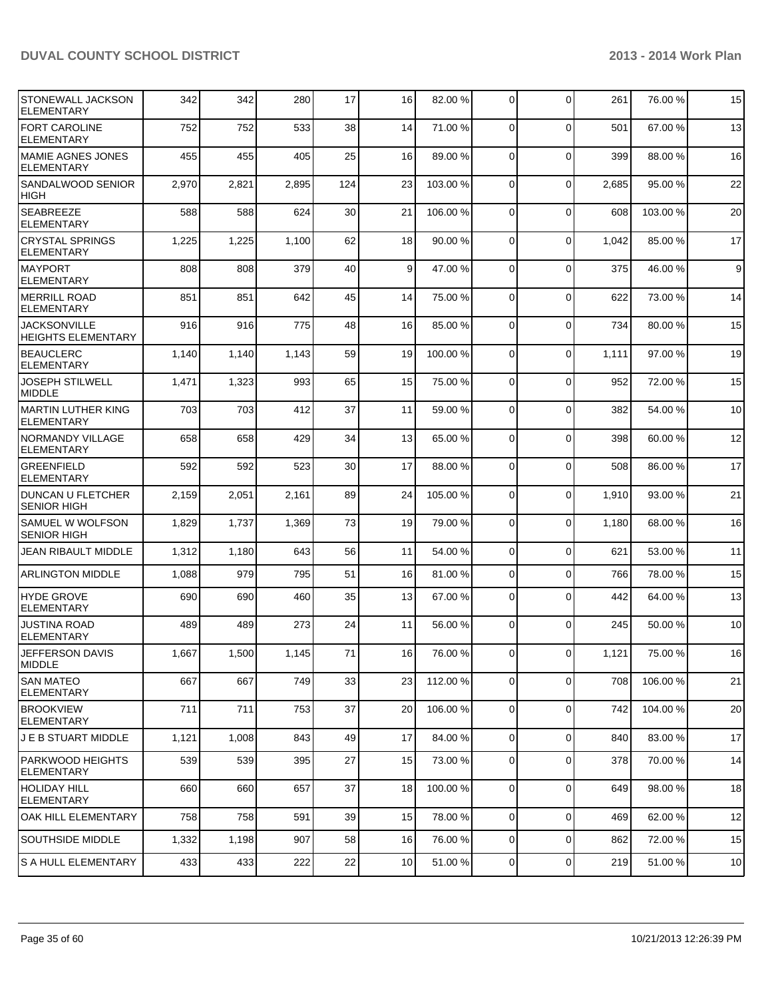| STONEWALL JACKSON<br><b>ELEMENTARY</b>           | 342   | 342   | 280   | 17   | 16              | 82.00 %  | $\overline{0}$ | $\mathbf{0}$   | 261   | 76.00 % | 15          |
|--------------------------------------------------|-------|-------|-------|------|-----------------|----------|----------------|----------------|-------|---------|-------------|
| <b>FORT CAROLINE</b><br><b>ELEMENTARY</b>        | 752   | 752   | 533   | 38   | 14              | 71.00 %  | $\Omega$       | $\Omega$       | 501   | 67.00%  | 13          |
| MAMIE AGNES JONES<br>ELEMENTARY                  | 455   | 455   | 405   | 25   | 16              | 89.00 %  | $\Omega$       | $\mathbf 0$    | 399   | 88.00%  | 16          |
| SANDALWOOD SENIOR<br><b>HIGH</b>                 | 2,970 | 2,821 | 2,895 | 124  | 23              | 103.00 % | $\Omega$       | 0              | 2,685 | 95.00 % | 22          |
| SEABREEZE<br><b>ELEMENTARY</b>                   | 588   | 588   | 624   | 30   | 21              | 106.00%  | $\Omega$       | $\mathbf 0$    | 608   | 103.00% | 20          |
| <b>CRYSTAL SPRINGS</b><br><b>ELEMENTARY</b>      | 1,225 | 1,225 | 1,100 | 62   | 18              | 90.00 %  | $\Omega$       | $\Omega$       | 1,042 | 85.00 % | 17          |
| <b>IMAYPORT</b><br>ELEMENTARY                    | 808   | 808   | 379   | 40   | $\vert 9 \vert$ | 47.00 %  | $\Omega$       | $\mathbf{0}$   | 375   | 46.00%  | $\mathsf g$ |
| IMERRILL ROAD<br><b>ELEMENTARY</b>               | 851   | 851   | 642   | 45   | 14              | 75.00 %  | $\Omega$       | $\mathbf{0}$   | 622   | 73.00 % | 14          |
| <b>JACKSONVILLE</b><br><b>HEIGHTS ELEMENTARY</b> | 916   | 916   | 775   | 48   | 16              | 85.00 %  | $\Omega$       | $\Omega$       | 734   | 80.00%  | 15          |
| <b>BEAUCLERC</b><br><b>ELEMENTARY</b>            | 1,140 | 1,140 | 1,143 | 59   | 19              | 100.00 % | $\Omega$       | $\mathbf 0$    | 1,111 | 97.00 % | 19          |
| <b>JOSEPH STILWELL</b><br><b>MIDDLE</b>          | 1,471 | 1,323 | 993   | 65   | 15              | 75.00 %  | $\Omega$       | $\mathbf{0}$   | 952   | 72.00 % | 15          |
| MARTIN LUTHER KING<br><b>ELEMENTARY</b>          | 703   | 703   | 412   | 37   | 11              | 59.00 %  | $\Omega$       | $\Omega$       | 382   | 54.00 % | 10          |
| NORMANDY VILLAGE<br><b>ELEMENTARY</b>            | 658   | 658   | 429   | 34   | 13              | 65.00 %  | $\Omega$       | $\Omega$       | 398   | 60.00 % | 12          |
| <b>GREENFIELD</b><br><b>ELEMENTARY</b>           | 592   | 592   | 523   | 30   | 17              | 88.00 %  | $\Omega$       | $\Omega$       | 508   | 86.00%  | 17          |
| DUNCAN U FLETCHER<br><b>SENIOR HIGH</b>          | 2,159 | 2,051 | 2,161 | 89   | 24              | 105.00 % | $\Omega$       | 0              | 1,910 | 93.00 % | 21          |
| SAMUEL W WOLFSON<br><b>SENIOR HIGH</b>           | 1,829 | 1,737 | 1,369 | 73   | 19              | 79.00 %  | 0              | $\Omega$       | 1,180 | 68.00%  | 16          |
| JEAN RIBAULT MIDDLE                              | 1,312 | 1,180 | 643   | 56   | 11              | 54.00 %  | $\Omega$       | 0              | 621   | 53.00 % | 11          |
| <b>ARLINGTON MIDDLE</b>                          | 1,088 | 979   | 795   | 51   | 16              | 81.00 %  | $\Omega$       | $\mathbf 0$    | 766   | 78.00 % | 15          |
| <b>HYDE GROVE</b><br><b>ELEMENTARY</b>           | 690   | 690   | 460   | 35   | 13              | 67.00 %  | $\Omega$       | $\Omega$       | 442   | 64.00 % | 13          |
| <b>JUSTINA ROAD</b><br><b>ELEMENTARY</b>         | 489   | 489   | 273   | 24   | 11              | 56.00 %  | $\Omega$       | $\Omega$       | 245   | 50.00 % | 10          |
| JEFFERSON DAVIS<br><b>IMIDDLE</b>                | 1,667 | 1,500 | 1,145 | $71$ | 16              | 76.00 %  | $\overline{0}$ | 0              | 1,121 | 75.00 % | 16          |
| <b>SAN MATEO</b><br><b>ELEMENTARY</b>            | 667   | 667   | 749   | 33   | 23              | 112.00 % | $\overline{0}$ | 0              | 708   | 106.00% | 21          |
| <b>BROOKVIEW</b><br>ELEMENTARY                   | 711   | 711   | 753   | 37   | 20              | 106.00 % | $\Omega$       | $\mathbf 0$    | 742   | 104.00% | 20          |
| IJ E B STUART MIDDLE.                            | 1,121 | 1,008 | 843   | 49   | 17              | 84.00 %  | $\overline{0}$ | 0              | 840   | 83.00 % | 17          |
| PARKWOOD HEIGHTS <br>ELEMENTARY                  | 539   | 539   | 395   | 27   | 15              | 73.00 %  | $\overline{0}$ | $\overline{0}$ | 378   | 70.00%  | 14          |
| <b>HOLIDAY HILL</b><br>ELEMENTARY                | 660   | 660   | 657   | 37   | 18              | 100.00 % | $\overline{0}$ | 0              | 649   | 98.00%  | 18          |
| OAK HILL ELEMENTARY                              | 758   | 758   | 591   | 39   | 15              | 78.00 %  | $\overline{0}$ | 0              | 469   | 62.00%  | 12          |
| SOUTHSIDE MIDDLE                                 | 1,332 | 1,198 | 907   | 58   | 16              | 76.00 %  | $\overline{0}$ | $\mathbf 0$    | 862   | 72.00 % | 15          |
| S A HULL ELEMENTARY                              | 433   | 433   | 222   | 22   | 10              | 51.00 %  | $\Omega$       | 0              | 219   | 51.00 % | $10$        |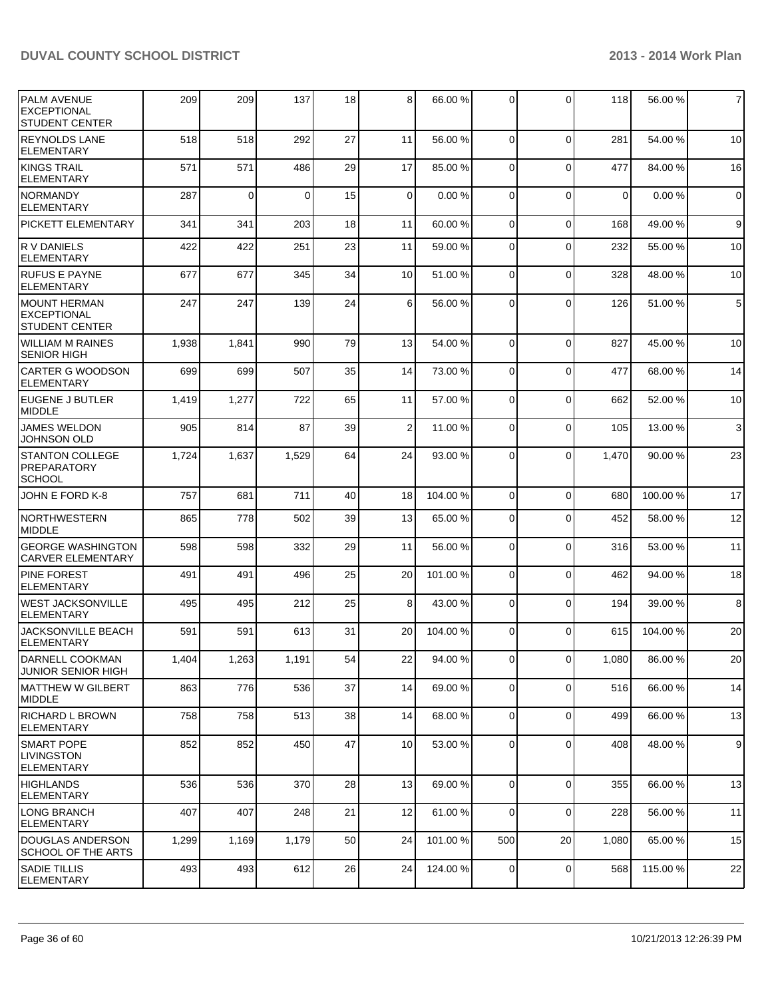| <b>PALM AVENUE</b><br>EXCEPTIONAL<br><b>STUDENT CENTER</b>    | 209   | 209      | 137      | 18 | 8               | 66.00 %  | $\Omega$       | $\Omega$       | 118         | 56.00 %  | $\overline{7}$   |
|---------------------------------------------------------------|-------|----------|----------|----|-----------------|----------|----------------|----------------|-------------|----------|------------------|
| <b>REYNOLDS LANE</b><br>ELEMENTARY                            | 518   | 518      | 292      | 27 | 11              | 56.00 %  | $\Omega$       | $\Omega$       | 281         | 54.00 %  | 10               |
| KINGS TRAIL<br><b>ELEMENTARY</b>                              | 571   | 571      | 486      | 29 | 17              | 85.00 %  | $\Omega$       | $\Omega$       | 477         | 84.00 %  | 16               |
| <b>NORMANDY</b><br>ELEMENTARY                                 | 287   | $\Omega$ | $\Omega$ | 15 | $\Omega$        | 0.00%    | $\Omega$       | $\Omega$       | $\mathbf 0$ | 0.00%    | $\mathbf 0$      |
| <b>PICKETT ELEMENTARY</b>                                     | 341   | 341      | 203      | 18 | 11              | 60.00 %  | $\overline{0}$ | $\mathbf 0$    | 168         | 49.00 %  | 9                |
| IR V DANIELS<br><b>ELEMENTARY</b>                             | 422   | 422      | 251      | 23 | 11              | 59.00 %  | $\overline{0}$ | $\mathbf 0$    | 232         | 55.00 %  | 10               |
| <b>RUFUS E PAYNE</b><br>ELEMENTARY                            | 677   | 677      | 345      | 34 | 10 <sup>1</sup> | 51.00 %  | $\overline{0}$ | $\Omega$       | 328         | 48.00 %  | 10               |
| IMOUNT HERMAN<br><b>IEXCEPTIONAL</b><br><b>STUDENT CENTER</b> | 247   | 247      | 139      | 24 | 6 <sup>1</sup>  | 56.00 %  | $\Omega$       | $\Omega$       | 126         | 51.00 %  | 5                |
| WILLIAM M RAINES<br><b>SENIOR HIGH</b>                        | 1,938 | 1,841    | 990      | 79 | 13              | 54.00 %  | $\Omega$       | $\Omega$       | 827         | 45.00 %  | 10               |
| <b>CARTER G WOODSON</b><br><b>ELEMENTARY</b>                  | 699   | 699      | 507      | 35 | 14              | 73.00 %  | 0              | $\mathbf 0$    | 477         | 68.00 %  | 14               |
| IEUGENE J BUTLER<br><b>MIDDLE</b>                             | 1,419 | 1,277    | 722      | 65 | 11              | 57.00 %  | $\Omega$       | $\mathbf 0$    | 662         | 52.00 %  | 10               |
| <b>JAMES WELDON</b><br><b>JOHNSON OLD</b>                     | 905   | 814      | 87       | 39 | $\overline{2}$  | 11.00 %  | $\overline{0}$ | $\Omega$       | 105         | 13.00 %  | $\mathbf{3}$     |
| <b>STANTON COLLEGE</b><br>PREPARATORY<br><b>SCHOOL</b>        | 1,724 | 1,637    | 1,529    | 64 | 24              | 93.00 %  | $\Omega$       | $\Omega$       | 1,470       | 90.00 %  | 23               |
| JOHN E FORD K-8                                               | 757   | 681      | 711      | 40 | 18              | 104.00 % | $\overline{0}$ | $\mathbf 0$    | 680         | 100.00%  | 17               |
| NORTHWESTERN<br><b>MIDDLE</b>                                 | 865   | 778      | 502      | 39 | 13              | 65.00 %  | $\overline{0}$ | $\mathbf 0$    | 452         | 58.00 %  | 12               |
| <b>GEORGE WASHINGTON</b><br><b>CARVER ELEMENTARY</b>          | 598   | 598      | 332      | 29 | 11              | 56.00 %  | 0              | $\mathbf 0$    | 316         | 53.00 %  | 11               |
| <b>PINE FOREST</b><br>ELEMENTARY                              | 491   | 491      | 496      | 25 | 20              | 101.00 % | 0              | $\mathbf 0$    | 462         | 94.00 %  | 18               |
| WEST JACKSONVILLE<br>ELEMENTARY                               | 495   | 495      | 212      | 25 | 8 <sup>1</sup>  | 43.00 %  | $\overline{0}$ | $\mathbf 0$    | 194         | 39.00 %  | 8                |
| <b>JACKSONVILLE BEACH</b><br>ELEMENTARY                       | 591   | 591      | 613      | 31 | 20              | 104.00 % | $\overline{0}$ | $\Omega$       | 615         | 104.00 % | 20               |
| DARNELL COOKMAN<br><b>JUNIOR SENIOR HIGH</b>                  | 1,404 | 1,263    | 1,191    | 54 | 22              | 94.00 %  | $\overline{0}$ | $\overline{0}$ | 1,080       | 86.00%   | 20               |
| IMATTHEW W GILBERT<br>MIDDLE                                  | 863   | 776      | 536      | 37 | 14              | 69.00 %  | $\Omega$       | $\mathbf 0$    | 516         | 66.00 %  | 14               |
| RICHARD L BROWN<br>ELEMENTARY                                 | 758   | 758      | 513      | 38 | 14              | 68.00 %  | $\overline{0}$ | $\mathbf 0$    | 499         | 66.00 %  | 13               |
| <b>SMART POPE</b><br><b>LIVINGSTON</b><br><b>ELEMENTARY</b>   | 852   | 852      | 450      | 47 | 10              | 53.00 %  | $\overline{0}$ | $\mathbf 0$    | 408         | 48.00 %  | $\boldsymbol{9}$ |
| HIGHLANDS<br><b>ELEMENTARY</b>                                | 536   | 536      | 370      | 28 | 13              | 69.00 %  | $\overline{0}$ | $\mathbf 0$    | 355         | 66.00 %  | 13               |
| LONG BRANCH<br><b>ELEMENTARY</b>                              | 407   | 407      | 248      | 21 | 12              | 61.00 %  | $\overline{0}$ | $\mathbf 0$    | 228         | 56.00 %  | 11               |
| DOUGLAS ANDERSON<br>SCHOOL OF THE ARTS                        | 1,299 | 1,169    | 1,179    | 50 | 24              | 101.00%  | 500            | 20             | 1,080       | 65.00 %  | 15               |
| <b>SADIE TILLIS</b><br>ELEMENTARY                             | 493   | 493      | 612      | 26 | 24              | 124.00 % | $\overline{0}$ | $\mathbf 0$    | 568         | 115.00 % | 22               |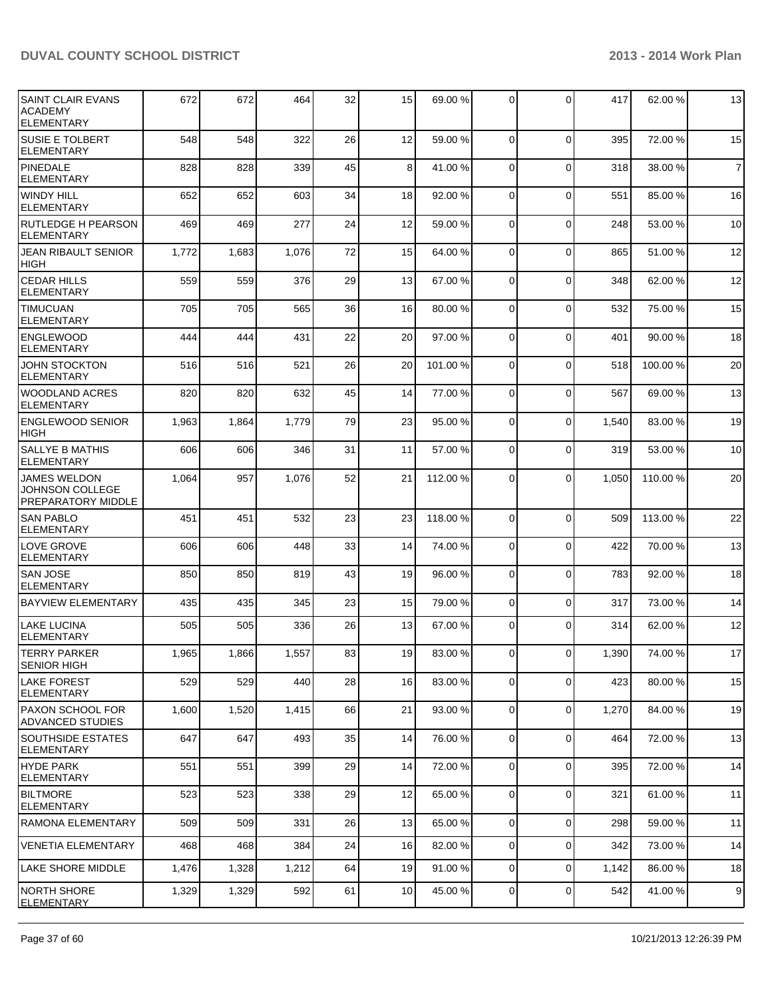| SAINT CLAIR EVANS<br><b>ACADEMY</b><br>ELEMENTARY            | 672   | 672   | 464   | 32 | 15 | 69.00 %  | $\Omega$       | $\Omega$    | 417   | 62.00 %  | 13             |
|--------------------------------------------------------------|-------|-------|-------|----|----|----------|----------------|-------------|-------|----------|----------------|
| <b>SUSIE E TOLBERT</b><br><b>ELEMENTARY</b>                  | 548   | 548   | 322   | 26 | 12 | 59.00 %  | 0              | $\mathbf 0$ | 395   | 72.00 %  | 15             |
| PINEDALE<br>ELEMENTARY                                       | 828   | 828   | 339   | 45 | 8  | 41.00 %  | $\Omega$       | $\mathbf 0$ | 318   | 38.00 %  | $\overline{7}$ |
| WINDY HILL<br>ELEMENTARY                                     | 652   | 652   | 603   | 34 | 18 | 92.00 %  | $\overline{0}$ | $\mathbf 0$ | 551   | 85.00 %  | 16             |
| RUTLEDGE H PEARSON<br>ELEMENTARY                             | 469   | 469   | 277   | 24 | 12 | 59.00 %  | $\Omega$       | $\mathbf 0$ | 248   | 53.00 %  | 10             |
| <b>JEAN RIBAULT SENIOR</b><br>HIGH                           | 1,772 | 1,683 | 1,076 | 72 | 15 | 64.00 %  | 0              | $\mathbf 0$ | 865   | 51.00%   | 12             |
| <b>CEDAR HILLS</b><br><b>ELEMENTARY</b>                      | 559   | 559   | 376   | 29 | 13 | 67.00 %  | $\Omega$       | $\mathbf 0$ | 348   | 62.00%   | 12             |
| <b>TIMUCUAN</b><br><b>ELEMENTARY</b>                         | 705   | 705   | 565   | 36 | 16 | 80.00 %  | $\overline{0}$ | $\mathbf 0$ | 532   | 75.00 %  | 15             |
| <b>ENGLEWOOD</b><br><b>ELEMENTARY</b>                        | 444   | 444   | 431   | 22 | 20 | 97.00 %  | $\Omega$       | $\mathbf 0$ | 401   | 90.00 %  | 18             |
| <b>JOHN STOCKTON</b><br><b>ELEMENTARY</b>                    | 516   | 516   | 521   | 26 | 20 | 101.00%  | 0              | $\mathbf 0$ | 518   | 100.00%  | 20             |
| WOODLAND ACRES<br><b>ELEMENTARY</b>                          | 820   | 820   | 632   | 45 | 14 | 77.00 %  | $\Omega$       | $\mathbf 0$ | 567   | 69.00 %  | 13             |
| <b>ENGLEWOOD SENIOR</b><br><b>HIGH</b>                       | 1,963 | 1,864 | 1,779 | 79 | 23 | 95.00 %  | $\Omega$       | $\mathbf 0$ | 1,540 | 83.00 %  | 19             |
| <b>SALLYE B MATHIS</b><br><b>ELEMENTARY</b>                  | 606   | 606   | 346   | 31 | 11 | 57.00 %  | $\overline{0}$ | $\mathbf 0$ | 319   | 53.00 %  | 10             |
| <b>JAMES WELDON</b><br>JOHNSON COLLEGE<br>PREPARATORY MIDDLE | 1,064 | 957   | 1,076 | 52 | 21 | 112.00 % | 0              | $\Omega$    | 1,050 | 110.00%  | 20             |
| <b>SAN PABLO</b><br><b>ELEMENTARY</b>                        | 451   | 451   | 532   | 23 | 23 | 118.00 % | $\mathbf 0$    | $\Omega$    | 509   | 113.00 % | 22             |
| <b>LOVE GROVE</b><br><b>ELEMENTARY</b>                       | 606   | 606   | 448   | 33 | 14 | 74.00 %  | 0              | $\mathbf 0$ | 422   | 70.00 %  | 13             |
| <b>SAN JOSE</b><br><b>ELEMENTARY</b>                         | 850   | 850   | 819   | 43 | 19 | 96.00 %  | $\Omega$       | $\mathbf 0$ | 783   | 92.00 %  | 18             |
| <b>BAYVIEW ELEMENTARY</b>                                    | 435   | 435   | 345   | 23 | 15 | 79.00 %  | $\overline{0}$ | $\mathbf 0$ | 317   | 73.00 %  | 14             |
| <b>LAKE LUCINA</b><br>ELEMENTARY                             | 505   | 505   | 336   | 26 | 13 | 67.00 %  | $\overline{0}$ | $\Omega$    | 314   | 62.00 %  | 12             |
| <b>TERRY PARKER</b><br><b>SENIOR HIGH</b>                    | 1,965 | 1,866 | 1,557 | 83 | 19 | 83.00 %  | $\Omega$       | $\Omega$    | 1,390 | 74.00%   | 17             |
| LAKE FOREST<br><b>ELEMENTARY</b>                             | 529   | 529   | 440   | 28 | 16 | 83.00 %  | $\overline{0}$ | $\mathbf 0$ | 423   | 80.00%   | 15             |
| <b>PAXON SCHOOL FOR</b><br><b>ADVANCED STUDIES</b>           | 1,600 | 1,520 | 1,415 | 66 | 21 | 93.00 %  | $\overline{0}$ | $\mathbf 0$ | 1,270 | 84.00 %  | 19             |
| SOUTHSIDE ESTATES<br>ELEMENTARY                              | 647   | 647   | 493   | 35 | 14 | 76.00 %  | $\overline{0}$ | $\mathbf 0$ | 464   | 72.00 %  | 13             |
| <b>HYDE PARK</b><br><b>ELEMENTARY</b>                        | 551   | 551   | 399   | 29 | 14 | 72.00 %  | $\overline{0}$ | $\mathbf 0$ | 395   | 72.00 %  | 14             |
| <b>BILTMORE</b><br>IELEMENTARY                               | 523   | 523   | 338   | 29 | 12 | 65.00 %  | $\Omega$       | $\mathbf 0$ | 321   | 61.00%   | 11             |
| <b>RAMONA ELEMENTARY</b>                                     | 509   | 509   | 331   | 26 | 13 | 65.00 %  | $\overline{0}$ | $\mathbf 0$ | 298   | 59.00 %  | 11             |
| VENETIA ELEMENTARY                                           | 468   | 468   | 384   | 24 | 16 | 82.00 %  | $\overline{0}$ | $\mathbf 0$ | 342   | 73.00 %  | 14             |
| LAKE SHORE MIDDLE                                            | 1,476 | 1,328 | 1,212 | 64 | 19 | 91.00 %  | $\overline{0}$ | $\mathbf 0$ | 1,142 | 86.00 %  | 18             |
| NORTH SHORE<br>ELEMENTARY                                    | 1,329 | 1,329 | 592   | 61 | 10 | 45.00 %  | $\overline{0}$ | $\mathbf 0$ | 542   | 41.00%   | 9              |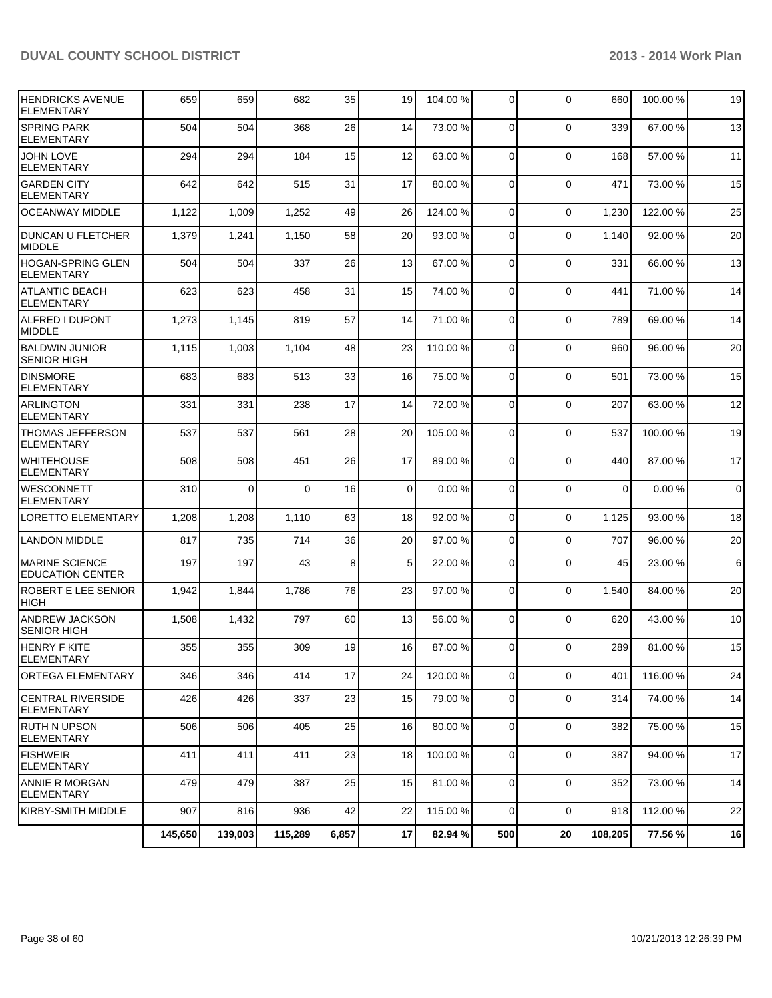| <b>HENDRICKS AVENUE</b><br><b>ELEMENTARY</b>     | 659     | 659      | 682      | 35    | 19             | 104.00 % | $\overline{0}$ | $\Omega$       | 660         | 100.00% | 19             |
|--------------------------------------------------|---------|----------|----------|-------|----------------|----------|----------------|----------------|-------------|---------|----------------|
| <b>SPRING PARK</b><br><b>ELEMENTARY</b>          | 504     | 504      | 368      | 26    | 14             | 73.00 %  | $\Omega$       | $\Omega$       | 339         | 67.00 % | 13             |
| <b>JOHN LOVE</b><br><b>ELEMENTARY</b>            | 294     | 294      | 184      | 15    | 12             | 63.00 %  | $\Omega$       | $\mathbf{0}$   | 168         | 57.00 % | 11             |
| IGARDEN CITY<br><b>ELEMENTARY</b>                | 642     | 642      | 515      | 31    | 17             | 80.00 %  | $\Omega$       | $\mathbf{0}$   | 471         | 73.00 % | 15             |
| <b>OCEANWAY MIDDLE</b>                           | 1,122   | 1,009    | 1,252    | 49    | 26             | 124.00 % | $\Omega$       | $\Omega$       | 1,230       | 122.00% | 25             |
| <b>DUNCAN U FLETCHER</b><br><b>MIDDLE</b>        | 1,379   | 1,241    | 1,150    | 58    | 20             | 93.00 %  | $\Omega$       | $\mathbf{0}$   | 1,140       | 92.00%  | 20             |
| HOGAN-SPRING GLEN<br><b>ELEMENTARY</b>           | 504     | 504      | 337      | 26    | 13             | 67.00 %  | $\Omega$       | $\Omega$       | 331         | 66.00 % | 13             |
| <b>ATLANTIC BEACH</b><br>ELEMENTARY              | 623     | 623      | 458      | 31    | 15             | 74.00 %  | $\Omega$       | $\mathbf{0}$   | 441         | 71.00 % | 14             |
| IALFRED I DUPONT<br>MIDDLE                       | 1,273   | 1,145    | 819      | 57    | 14             | 71.00 %  | $\Omega$       | $\Omega$       | 789         | 69.00 % | 14             |
| <b>BALDWIN JUNIOR</b><br><b>SENIOR HIGH</b>      | 1,115   | 1,003    | 1,104    | 48    | 23             | 110.00%  | $\Omega$       | $\Omega$       | 960         | 96.00 % | 20             |
| <b>DINSMORE</b><br><b>ELEMENTARY</b>             | 683     | 683      | 513      | 33    | 16             | 75.00 %  | $\Omega$       | $\overline{0}$ | 501         | 73.00 % | 15             |
| ARLINGTON<br><b>ELEMENTARY</b>                   | 331     | 331      | 238      | 17    | 14             | 72.00 %  | $\Omega$       | 0              | 207         | 63.00 % | 12             |
| <b>THOMAS JEFFERSON</b><br><b>ELEMENTARY</b>     | 537     | 537      | 561      | 28    | 20             | 105.00 % | 0              | $\mathbf 0$    | 537         | 100.00% | 19             |
| <b>WHITEHOUSE</b><br><b>ELEMENTARY</b>           | 508     | 508      | 451      | 26    | 17             | 89.00 %  | $\Omega$       | $\Omega$       | 440         | 87.00 % | 17             |
| <b>WESCONNETT</b><br><b>ELEMENTARY</b>           | 310     | $\Omega$ | $\Omega$ | 16    | $\overline{0}$ | 0.00%    | $\Omega$       | 0              | $\mathbf 0$ | 0.00%   | $\overline{0}$ |
| LORETTO ELEMENTARY                               | 1,208   | 1,208    | 1,110    | 63    | 18             | 92.00 %  | $\Omega$       | $\mathbf 0$    | 1,125       | 93.00 % | 18             |
| <b>LANDON MIDDLE</b>                             | 817     | 735      | 714      | 36    | 20             | 97.00 %  | $\Omega$       | $\Omega$       | 707         | 96.00%  | 20             |
| <b>MARINE SCIENCE</b><br><b>EDUCATION CENTER</b> | 197     | 197      | 43       | 8     | 5 <sup>1</sup> | 22.00 %  | $\Omega$       | $\Omega$       | 45          | 23.00 % | 6              |
| ROBERT E LEE SENIOR<br><b>HIGH</b>               | 1,942   | 1,844    | 1,786    | 76    | 23             | 97.00 %  | $\Omega$       | $\mathbf 0$    | 1,540       | 84.00 % | 20             |
| ANDREW JACKSON<br><b>SENIOR HIGH</b>             | 1,508   | 1,432    | 797      | 60    | 13             | 56.00 %  | $\Omega$       | $\Omega$       | 620         | 43.00 % | 10             |
| HENRY F KITE<br>ELEMENTARY                       | 355     | 355      | 309      | 19    | 16             | 87.00 %  | $\overline{0}$ | 0              | 289         | 81.00%  | 15             |
| IORTEGA ELEMENTARY                               | 346     | 346      | 414      | 17    | 24             | 120.00 % | $\Omega$       | 0              | 401         | 116.00% | 24             |
| <b>CENTRAL RIVERSIDE</b><br><b>ELEMENTARY</b>    | 426     | 426      | 337      | 23    | 15             | 79.00 %  | $\overline{0}$ | 0              | 314         | 74.00%  | 14             |
| RUTH N UPSON<br><b>ELEMENTARY</b>                | 506     | 506      | 405      | 25    | 16             | 80.00 %  | $\overline{0}$ | 0              | 382         | 75.00 % | 15             |
| <b>FISHWEIR</b><br><b>ELEMENTARY</b>             | 411     | 411      | 411      | 23    | 18             | 100.00%  | $\Omega$       | 0              | 387         | 94.00%  | 17             |
| <b>ANNIE R MORGAN</b><br>ELEMENTARY              | 479     | 479      | 387      | 25    | 15             | 81.00 %  | $\overline{0}$ | 0              | 352         | 73.00 % | 14             |
| İKIRBY-SMITH MIDDLE                              | 907     | 816      | 936      | 42    | 22             | 115.00 % | $\Omega$       | 0              | 918         | 112.00% | 22             |
|                                                  | 145,650 | 139,003  | 115,289  | 6,857 | 17             | 82.94 %  | 500            | 20             | 108,205     | 77.56 % | 16             |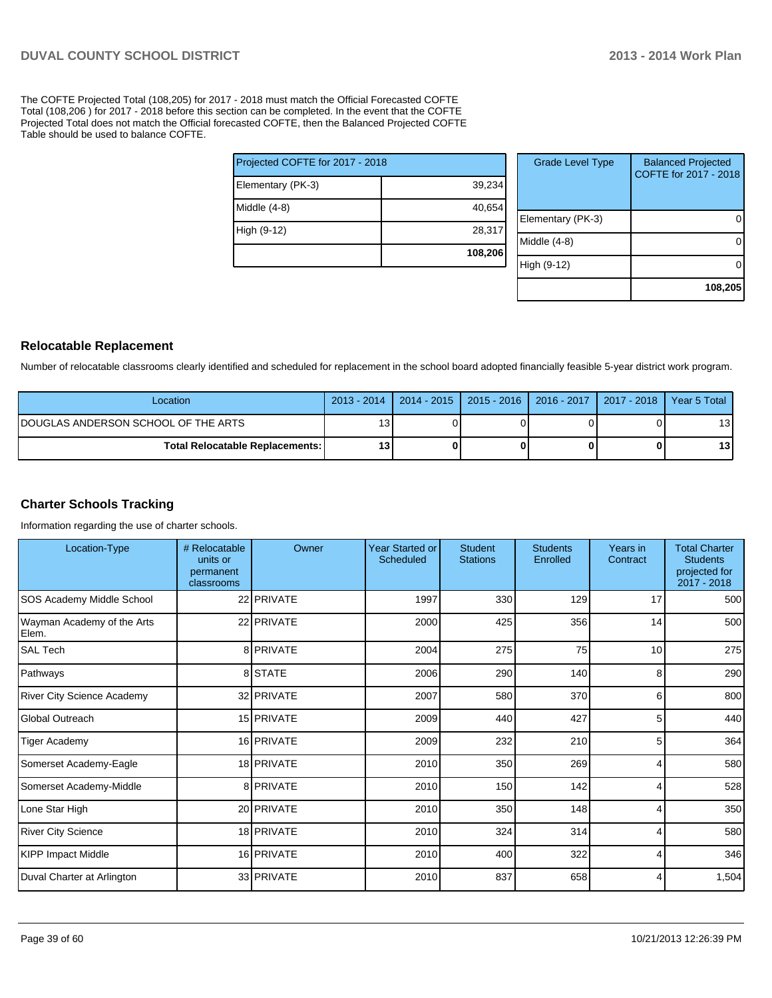The COFTE Projected Total (108,205) for 2017 - 2018 must match the Official Forecasted COFTE Total (108,206 ) for 2017 - 2018 before this section can be completed. In the event that the COFTE Projected Total does not match the Official forecasted COFTE, then the Balanced Projected COFTE Table should be used to balance COFTE.

|                                 | 108,206 |
|---------------------------------|---------|
| High (9-12)                     | 28,317  |
| Middle $(4-8)$                  | 40,654  |
| Elementary (PK-3)               | 39,234  |
| Projected COFTE for 2017 - 2018 |         |

| <b>Grade Level Type</b> | <b>Balanced Projected</b><br>COFTE for 2017 - 2018 |
|-------------------------|----------------------------------------------------|
| Elementary (PK-3)       |                                                    |
| Middle (4-8)            |                                                    |
| High (9-12)             |                                                    |
|                         | 108,205                                            |

#### **Relocatable Replacement**

Number of relocatable classrooms clearly identified and scheduled for replacement in the school board adopted financially feasible 5-year district work program.

| Location                                 | $2013 - 2014$   | 2014 - 2015   2015 - 2016   2016 - 2017   2017 - 2018   Year 5 Total |  |                 |
|------------------------------------------|-----------------|----------------------------------------------------------------------|--|-----------------|
| IDOUGLAS ANDERSON SCHOOL OF THE ARTS     | 13 <sub>1</sub> |                                                                      |  | 131             |
| <b>Total Relocatable Replacements: I</b> | 13              |                                                                      |  | 13 <sup>l</sup> |

## **Charter Schools Tracking**

Information regarding the use of charter schools.

| Location-Type                       | # Relocatable<br>units or<br>permanent<br>classrooms | Owner      | <b>Year Started or</b><br>Scheduled | <b>Student</b><br><b>Stations</b> | <b>Students</b><br>Enrolled | Years in<br>Contract | <b>Total Charter</b><br><b>Students</b><br>projected for<br>2017 - 2018 |
|-------------------------------------|------------------------------------------------------|------------|-------------------------------------|-----------------------------------|-----------------------------|----------------------|-------------------------------------------------------------------------|
| SOS Academy Middle School           |                                                      | 22 PRIVATE | 1997                                | 330                               | 129                         | 17                   | 500                                                                     |
| Wayman Academy of the Arts<br>Elem. |                                                      | 22 PRIVATE | 2000                                | 425                               | 356                         | 14                   | 500                                                                     |
| <b>SAL Tech</b>                     |                                                      | 8 PRIVATE  | 2004                                | 275                               | 75                          | 10                   | 275                                                                     |
| Pathways                            |                                                      | 8 STATE    | 2006                                | 290                               | 140                         | 8                    | 290                                                                     |
| <b>River City Science Academy</b>   |                                                      | 32 PRIVATE | 2007                                | 580                               | 370                         | 6                    | 800                                                                     |
| <b>Global Outreach</b>              |                                                      | 15 PRIVATE | 2009                                | 440                               | 427                         | 5                    | 440                                                                     |
| <b>Tiger Academy</b>                |                                                      | 16 PRIVATE | 2009                                | 232                               | 210                         | 5                    | 364                                                                     |
| Somerset Academy-Eagle              |                                                      | 18 PRIVATE | 2010                                | 350                               | 269                         | 4                    | 580                                                                     |
| Somerset Academy-Middle             |                                                      | 8 PRIVATE  | 2010                                | 150                               | 142                         | 4                    | 528                                                                     |
| Lone Star High                      |                                                      | 20 PRIVATE | 2010                                | 350                               | 148                         |                      | 350                                                                     |
| River City Science                  |                                                      | 18 PRIVATE | 2010                                | 324                               | 314                         | 4                    | 580                                                                     |
| <b>KIPP Impact Middle</b>           |                                                      | 16 PRIVATE | 2010                                | 400                               | 322                         |                      | 346                                                                     |
| Duval Charter at Arlington          |                                                      | 33 PRIVATE | 2010                                | 837                               | 658                         | 4                    | 1,504                                                                   |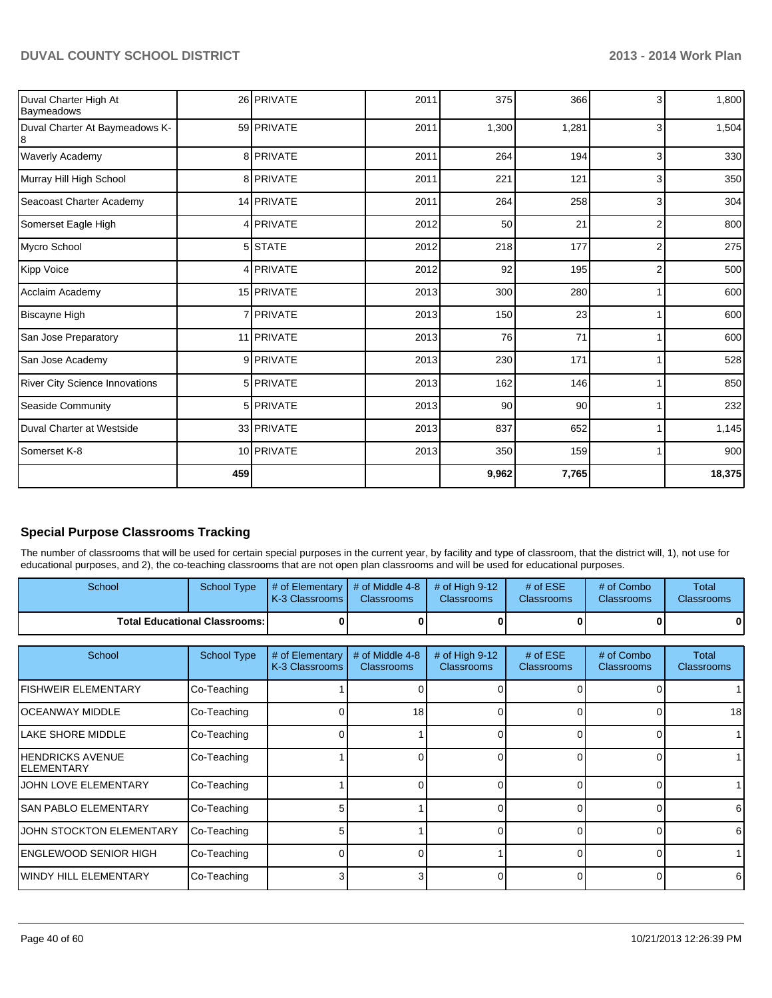| Duval Charter High At<br>Baymeadows   |     | 26 PRIVATE       | 2011 | 375   | 366   | 3              | 1,800  |
|---------------------------------------|-----|------------------|------|-------|-------|----------------|--------|
| Duval Charter At Baymeadows K-        |     | 59 PRIVATE       | 2011 | 1,300 | 1,281 | 3              | 1,504  |
| Waverly Academy                       |     | 8 PRIVATE        | 2011 | 264   | 194   | 3              | 330    |
| Murray Hill High School               |     | 8 PRIVATE        | 2011 | 221   | 121   | 3              | 350    |
| Seacoast Charter Academy              |     | 14 PRIVATE       | 2011 | 264   | 258   | 3              | 304    |
| Somerset Eagle High                   |     | 4 PRIVATE        | 2012 | 50    | 21    | $\overline{2}$ | 800    |
| Mycro School                          |     | 5 STATE          | 2012 | 218   | 177   | $\overline{2}$ | 275    |
| Kipp Voice                            |     | 4 PRIVATE        | 2012 | 92    | 195   | $\overline{2}$ | 500    |
| Acclaim Academy                       |     | 15 PRIVATE       | 2013 | 300   | 280   |                | 600    |
| <b>Biscayne High</b>                  |     | 7 <b>PRIVATE</b> | 2013 | 150   | 23    |                | 600    |
| San Jose Preparatory                  |     | 11 PRIVATE       | 2013 | 76    | 71    |                | 600    |
| San Jose Academy                      |     | 9 PRIVATE        | 2013 | 230   | 171   |                | 528    |
| <b>River City Science Innovations</b> |     | 5 PRIVATE        | 2013 | 162   | 146   |                | 850    |
| Seaside Community                     |     | 5 PRIVATE        | 2013 | 90    | 90    |                | 232    |
| Duval Charter at Westside             |     | 33 PRIVATE       | 2013 | 837   | 652   |                | 1,145  |
| Somerset K-8                          |     | 10 PRIVATE       | 2013 | 350   | 159   |                | 900    |
|                                       | 459 |                  |      | 9,962 | 7,765 |                | 18,375 |

## **Special Purpose Classrooms Tracking**

The number of classrooms that will be used for certain special purposes in the current year, by facility and type of classroom, that the district will, 1), not use for educational purposes, and 2), the co-teaching classrooms that are not open plan classrooms and will be used for educational purposes.

| School                                        | <b>School Type</b>                   | # of Elementary<br>K-3 Classrooms | # of Middle 4-8<br><b>Classrooms</b> | # of High $9-12$<br><b>Classrooms</b> | # of $ESE$<br>Classrooms        | # of Combo<br>Classrooms        | Total<br><b>Classrooms</b> |
|-----------------------------------------------|--------------------------------------|-----------------------------------|--------------------------------------|---------------------------------------|---------------------------------|---------------------------------|----------------------------|
|                                               | <b>Total Educational Classrooms:</b> |                                   |                                      |                                       | n                               |                                 | 0                          |
| School                                        | School Type                          | # of Elementary<br>K-3 Classrooms | # of Middle 4-8<br><b>Classrooms</b> | # of High $9-12$<br><b>Classrooms</b> | # of $ESE$<br><b>Classrooms</b> | # of Combo<br><b>Classrooms</b> | Total<br><b>Classrooms</b> |
| FISHWEIR ELEMENTARY                           | Co-Teaching                          |                                   |                                      |                                       |                                 |                                 |                            |
| IOCEANWAY MIDDLE                              | Co-Teaching                          |                                   | 18                                   | U                                     | $\Omega$                        | $\Omega$                        | 18                         |
| llake SHORE MIDDLE                            | Co-Teaching                          |                                   |                                      | 0                                     | $\Omega$                        | 0                               |                            |
| <b>HENDRICKS AVENUE</b><br><b>IELEMENTARY</b> | Co-Teaching                          |                                   |                                      |                                       | 0                               | 0                               |                            |
| <b>JOHN LOVE ELEMENTARY</b>                   | Co-Teaching                          |                                   |                                      | n                                     | $\Omega$                        | $\Omega$                        |                            |
| <b>SAN PABLO ELEMENTARY</b>                   | Co-Teaching                          | 5                                 |                                      |                                       | $\Omega$                        | $\Omega$                        | 6                          |
| JOHN STOCKTON ELEMENTARY                      | Co-Teaching                          | 5                                 |                                      |                                       | 0                               | 0                               | 6                          |
| ENGLEWOOD SENIOR HIGH                         | Co-Teaching                          |                                   |                                      |                                       | $\Omega$                        | 0                               |                            |
| WINDY HILL ELEMENTARY                         | Co-Teaching                          |                                   |                                      |                                       | $\Omega$                        | $\Omega$                        | 6                          |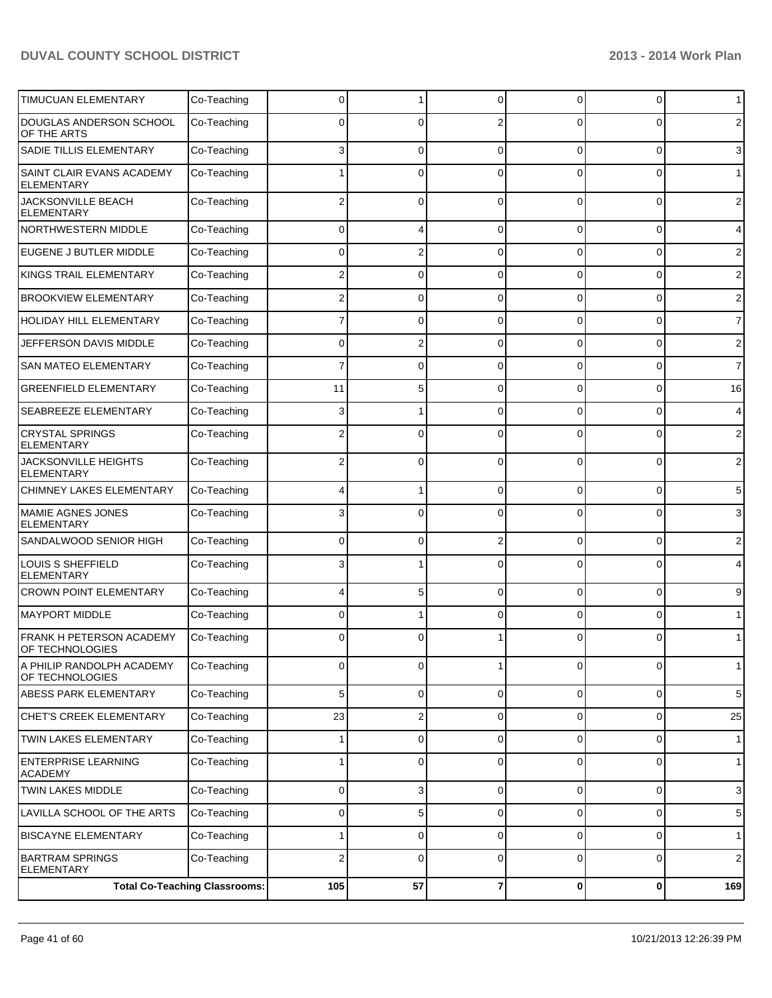| <b>TIMUCUAN ELEMENTARY</b>                     | Co-Teaching                          | 0              |                | 0           | $\Omega$       | 0           | $\mathbf 1$     |
|------------------------------------------------|--------------------------------------|----------------|----------------|-------------|----------------|-------------|-----------------|
| DOUGLAS ANDERSON SCHOOL<br>OF THE ARTS         | Co-Teaching                          | ŋ              | 0              |             | ∩              | 0           | $\overline{2}$  |
| <b>SADIE TILLIS ELEMENTARY</b>                 | Co-Teaching                          | 3              | 0              | 0           | $\Omega$       | 0           | 3               |
| SAINT CLAIR EVANS ACADEMY<br><b>ELEMENTARY</b> | Co-Teaching                          |                | 0              | 0           | 0              | 0           | $\mathbf{1}$    |
| JACKSONVILLE BEACH<br><b>ELEMENTARY</b>        | Co-Teaching                          | 2              | $\Omega$       | $\Omega$    | $\Omega$       | $\Omega$    | 2               |
| NORTHWESTERN MIDDLE                            | Co-Teaching                          | 0              | 4              | 0           | 0              | 0           | 4               |
| EUGENE J BUTLER MIDDLE                         | Co-Teaching                          | 0              | 2              | $\Omega$    | $\Omega$       | 0           | $\overline{2}$  |
| KINGS TRAIL ELEMENTARY                         | Co-Teaching                          |                | 0              | C           | $\Omega$       | $\Omega$    | $\overline{2}$  |
| <b>BROOKVIEW ELEMENTARY</b>                    | Co-Teaching                          |                | 0              | C           | $\Omega$       | 0           | $\overline{2}$  |
| <b>HOLIDAY HILL ELEMENTARY</b>                 | Co-Teaching                          |                | 0              | ſ           | 0              | 0           | $\overline{7}$  |
| JEFFERSON DAVIS MIDDLE                         | Co-Teaching                          | 0              | 2              | 0           | $\Omega$       | 0           | $\overline{2}$  |
| <b>SAN MATEO ELEMENTARY</b>                    | Co-Teaching                          |                | 0              | C           | $\Omega$       | $\Omega$    | $\overline{7}$  |
| <b>GREENFIELD ELEMENTARY</b>                   | Co-Teaching                          | 11             | 5              | C           | $\Omega$       | $\Omega$    | 16              |
| <b>SEABREEZE ELEMENTARY</b>                    | Co-Teaching                          | 3              |                | ſ           | U              | 0           | $\overline{4}$  |
| <b>CRYSTAL SPRINGS</b><br><b>ELEMENTARY</b>    | Co-Teaching                          |                | 0              |             | ⋂              | $\Omega$    | $\overline{2}$  |
| JACKSONVILLE HEIGHTS<br><b>ELEMENTARY</b>      | Co-Teaching                          |                | $\mathbf{0}$   | $\Omega$    | $\Omega$       | $\Omega$    | 2               |
| <b>CHIMNEY LAKES ELEMENTARY</b>                | Co-Teaching                          |                |                | $\mathbf 0$ | $\Omega$       | $\Omega$    | 5               |
| <b>MAMIE AGNES JONES</b><br><b>ELEMENTARY</b>  | Co-Teaching                          | 3              | 0              | $\Omega$    | $\Omega$       | $\Omega$    | 3               |
| SANDALWOOD SENIOR HIGH                         | Co-Teaching                          | $\Omega$       | 0              | 2           | $\Omega$       | $\Omega$    | $\overline{2}$  |
| LOUIS S SHEFFIELD<br><b>ELEMENTARY</b>         | Co-Teaching                          | 3              |                | $\Omega$    | $\Omega$       | $\Omega$    | 4               |
| <b>CROWN POINT ELEMENTARY</b>                  | Co-Teaching                          | 4              | 5              | $\Omega$    | $\Omega$       | $\Omega$    | 9               |
| <b>MAYPORT MIDDLE</b>                          | Co-Teaching                          | 0              |                | $\Omega$    | $\Omega$       | $\Omega$    | 1               |
| FRANK H PETERSON ACADEMY<br>OF TECHNOLOGIES    | Co-Teaching                          | 0              | 0              |             |                | 0           | $\mathbf 1$     |
| A PHILIP RANDOLPH ACADEMY<br>OF TECHNOLOGIES   | Co-Teaching                          | $\overline{0}$ | 0              | 1           | $\overline{0}$ | 0           | 1 <sup>1</sup>  |
| <b>ABESS PARK ELEMENTARY</b>                   | Co-Teaching                          | 5 <sup>1</sup> | $\overline{0}$ | 0           | $\overline{0}$ | $\mathbf 0$ | 5               |
| CHET'S CREEK ELEMENTARY                        | Co-Teaching                          | 23             | 2              | 0           | $\overline{0}$ | 0           | 25              |
| TWIN LAKES ELEMENTARY                          | Co-Teaching                          | 1              | 0              | 0           | $\overline{0}$ | 0           | 1               |
| <b>ENTERPRISE LEARNING</b><br><b>ACADEMY</b>   | Co-Teaching                          | 1              | 0              | 0           | $\overline{0}$ | 0           | 1               |
| <b>TWIN LAKES MIDDLE</b>                       | Co-Teaching                          | $\mathbf 0$    | 3              | 0           | 0              | 0           | 3 <sub>l</sub>  |
| LAVILLA SCHOOL OF THE ARTS                     | Co-Teaching                          | 0              | 5              | 0           | 0              | 0           | $5\phantom{.0}$ |
| <b>BISCAYNE ELEMENTARY</b>                     | Co-Teaching                          |                | 0              | 0           | 0              | 0           | 1               |
| <b>BARTRAM SPRINGS</b><br><b>ELEMENTARY</b>    | Co-Teaching                          | 2              | 0              | $\Omega$    | 0              | 0           | 2 <sub>1</sub>  |
|                                                | <b>Total Co-Teaching Classrooms:</b> | 105            | 57             | 7           | $\mathbf{0}$   | 0           | 169             |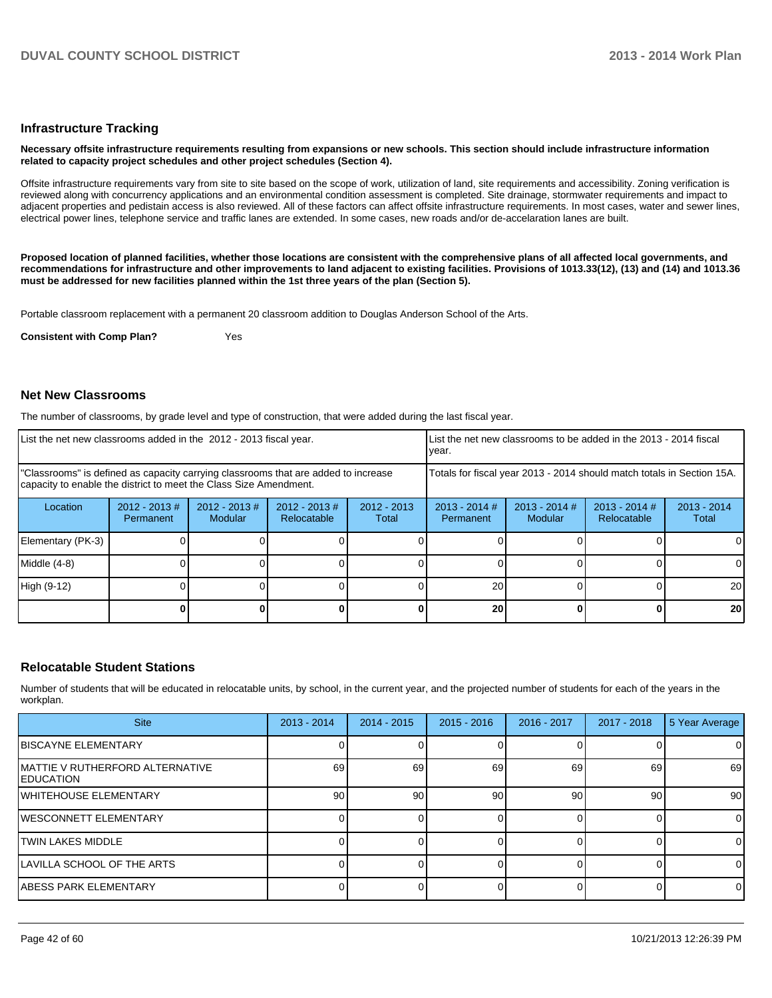#### **Infrastructure Tracking**

#### **Necessary offsite infrastructure requirements resulting from expansions or new schools. This section should include infrastructure information related to capacity project schedules and other project schedules (Section 4).**

Offsite infrastructure requirements vary from site to site based on the scope of work, utilization of land, site requirements and accessibility. Zoning verification is reviewed along with concurrency applications and an environmental condition assessment is completed. Site drainage, stormwater requirements and impact to adiacent properties and pedistain access is also reviewed. All of these factors can affect offsite infrastructure requirements. In most cases, water and sewer lines, electrical power lines, telephone service and traffic lanes are extended. In some cases, new roads and/or de-accelaration lanes are built.

**Proposed location of planned facilities, whether those locations are consistent with the comprehensive plans of all affected local governments, and recommendations for infrastructure and other improvements to land adjacent to existing facilities. Provisions of 1013.33(12), (13) and (14) and 1013.36 must be addressed for new facilities planned within the 1st three years of the plan (Section 5).**

Portable classroom replacement with a permanent 20 classroom addition to Douglas Anderson School of the Arts.

**Consistent with Comp Plan?** Yes

#### **Net New Classrooms**

The number of classrooms, by grade level and type of construction, that were added during the last fiscal year.

| List the net new classrooms added in the 2012 - 2013 fiscal year.                                                                                       |                               |                             |                                |                        | Ivear.                       |                                                                        | LList the net new classrooms to be added in the 2013 - 2014 fiscal |                        |
|---------------------------------------------------------------------------------------------------------------------------------------------------------|-------------------------------|-----------------------------|--------------------------------|------------------------|------------------------------|------------------------------------------------------------------------|--------------------------------------------------------------------|------------------------|
| "Classrooms" is defined as capacity carrying classrooms that are added to increase<br>capacity to enable the district to meet the Class Size Amendment. |                               |                             |                                |                        |                              | Totals for fiscal year 2013 - 2014 should match totals in Section 15A. |                                                                    |                        |
| Location                                                                                                                                                | $2012 - 2013 \#$<br>Permanent | $2012 - 2013 \#$<br>Modular | $2012 - 2013$ #<br>Relocatable | $2012 - 2013$<br>Total | $2013 - 2014$ #<br>Permanent | $2013 - 2014$ #<br>Modular                                             | $2013 - 2014$ #<br>Relocatable                                     | $2013 - 2014$<br>Total |
| Elementary (PK-3)                                                                                                                                       |                               |                             |                                |                        |                              |                                                                        |                                                                    |                        |
| Middle (4-8)                                                                                                                                            |                               |                             |                                |                        |                              |                                                                        |                                                                    | 0                      |
| High (9-12)                                                                                                                                             |                               |                             |                                |                        | 20                           |                                                                        |                                                                    | <b>20</b>              |
|                                                                                                                                                         |                               |                             |                                |                        | 20                           |                                                                        |                                                                    | 20                     |

#### **Relocatable Student Stations**

Number of students that will be educated in relocatable units, by school, in the current year, and the projected number of students for each of the years in the workplan.

| <b>Site</b>                                           | $2013 - 2014$ | $2014 - 2015$ | $2015 - 2016$ | 2016 - 2017 | $2017 - 2018$ | 5 Year Average  |
|-------------------------------------------------------|---------------|---------------|---------------|-------------|---------------|-----------------|
| <b>IBISCAYNE ELEMENTARY</b>                           |               |               |               |             |               |                 |
| IMATTIE V RUTHERFORD ALTERNATIVE<br><b>IEDUCATION</b> | 69            | 69            | 69            | 69          | 69            | 69              |
| lWHITEHOUSE ELEMENTARY                                | 90            | 90            | 90            | 90          | 90            | 90 <sub>l</sub> |
| IWESCONNETT ELEMENTARY                                |               |               |               |             |               | $\Omega$        |
| <b>TWIN LAKES MIDDLE</b>                              |               |               |               |             |               | $\Omega$        |
| LAVILLA SCHOOL OF THE ARTS                            |               |               |               |             |               | $\Omega$        |
| ABESS PARK ELEMENTARY                                 |               |               |               |             |               | $\overline{0}$  |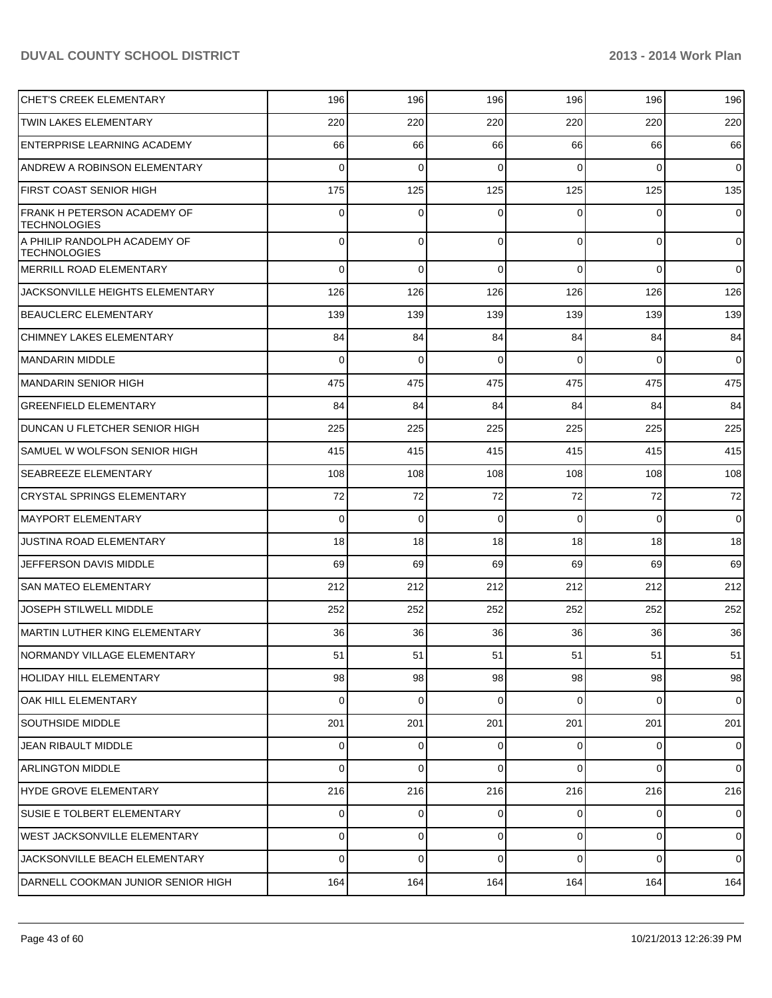| <b>CHET'S CREEK ELEMENTARY</b>                            | 196      | 196            | 196         | 196            | 196            | 196            |
|-----------------------------------------------------------|----------|----------------|-------------|----------------|----------------|----------------|
| <b>TWIN LAKES ELEMENTARY</b>                              | 220      | 220            | 220         | 220            | 220            | 220            |
| <b>ENTERPRISE LEARNING ACADEMY</b>                        | 66       | 66             | 66          | 66             | 66             | 66             |
| ANDREW A ROBINSON ELEMENTARY                              | $\Omega$ | $\mathbf 0$    | $\mathbf 0$ | $\Omega$       | $\Omega$       | $\overline{0}$ |
| <b>FIRST COAST SENIOR HIGH</b>                            | 175      | 125            | 125         | 125            | 125            | 135            |
| <b>FRANK H PETERSON ACADEMY OF</b><br><b>TECHNOLOGIES</b> | 0        | $\Omega$       | $\Omega$    | $\Omega$       | $\Omega$       | $\overline{0}$ |
| A PHILIP RANDOLPH ACADEMY OF<br><b>TECHNOLOGIES</b>       | 0        | 0              | $\mathbf 0$ | $\Omega$       | $\overline{0}$ | $\overline{0}$ |
| MERRILL ROAD ELEMENTARY                                   | 0        | 0              | $\Omega$    | $\Omega$       | $\Omega$       | $\overline{0}$ |
| <b>JACKSONVILLE HEIGHTS ELEMENTARY</b>                    | 126      | 126            | 126         | 126            | 126            | 126            |
| <b>BEAUCLERC ELEMENTARY</b>                               | 139      | 139            | 139         | 139            | 139            | 139            |
| <b>CHIMNEY LAKES ELEMENTARY</b>                           | 84       | 84             | 84          | 84             | 84             | 84             |
| MANDARIN MIDDLE                                           | 0        | 0              | $\Omega$    | $\Omega$       | $\Omega$       | $\overline{0}$ |
| <b>MANDARIN SENIOR HIGH</b>                               | 475      | 475            | 475         | 475            | 475            | 475            |
| <b>GREENFIELD ELEMENTARY</b>                              | 84       | 84             | 84          | 84             | 84             | 84             |
| DUNCAN U FLETCHER SENIOR HIGH                             | 225      | 225            | 225         | 225            | 225            | 225            |
| SAMUEL W WOLFSON SENIOR HIGH                              | 415      | 415            | 415         | 415            | 415            | 415            |
| <b>SEABREEZE ELEMENTARY</b>                               | 108      | 108            | 108         | 108            | 108            | 108            |
| <b>CRYSTAL SPRINGS ELEMENTARY</b>                         | 72       | 72             | 72          | 72             | 72             | 72             |
| <b>MAYPORT ELEMENTARY</b>                                 | 0        | $\Omega$       | $\Omega$    | $\Omega$       | $\Omega$       | $\overline{0}$ |
| <b>JUSTINA ROAD ELEMENTARY</b>                            | 18       | 18             | 18          | 18             | 18             | 18             |
| <b>JEFFERSON DAVIS MIDDLE</b>                             | 69       | 69             | 69          | 69             | 69             | 69             |
| <b>SAN MATEO ELEMENTARY</b>                               | 212      | 212            | 212         | 212            | 212            | 212            |
| <b>JOSEPH STILWELL MIDDLE</b>                             | 252      | 252            | 252         | 252            | 252            | 252            |
| MARTIN LUTHER KING ELEMENTARY                             | 36       | 36             | 36          | 36             | 36             | 36             |
| NORMANDY VILLAGE ELEMENTARY                               | 51       | 51             | 51          | 51             | 51             | 51             |
| HOLIDAY HILL ELEMENTARY                                   | 98       | 98             | 98          | 98             | 98             | 98             |
| <b>OAK HILL ELEMENTARY</b>                                | 0        | 0              | $\Omega$    | 0              | $\overline{0}$ | $\overline{0}$ |
| <b>SOUTHSIDE MIDDLE</b>                                   | 201      | 201            | 201         | 201            | 201            | 201            |
| JEAN RIBAULT MIDDLE                                       | 0        | 0              | $\Omega$    | $\Omega$       | $\overline{0}$ | $\mathbf 0$    |
| <b>ARLINGTON MIDDLE</b>                                   | 0        | 0              | $\Omega$    | $\Omega$       | $\overline{0}$ | $\overline{0}$ |
| HYDE GROVE ELEMENTARY                                     | 216      | 216            | 216         | 216            | 216            | 216            |
| <b>SUSIE E TOLBERT ELEMENTARY</b>                         | 0        | $\overline{0}$ | 0           | $\overline{0}$ | $\overline{0}$ | $\mathbf 0$    |
| <b>WEST JACKSONVILLE ELEMENTARY</b>                       | 0        | 0              | $\Omega$    | $\overline{0}$ | $\overline{0}$ | $\mathbf 0$    |
| JACKSONVILLE BEACH ELEMENTARY                             | 0        | 0              | $\Omega$    | $\Omega$       | $\overline{0}$ | $\overline{0}$ |
| DARNELL COOKMAN JUNIOR SENIOR HIGH                        | 164      | 164            | 164         | 164            | 164            | 164            |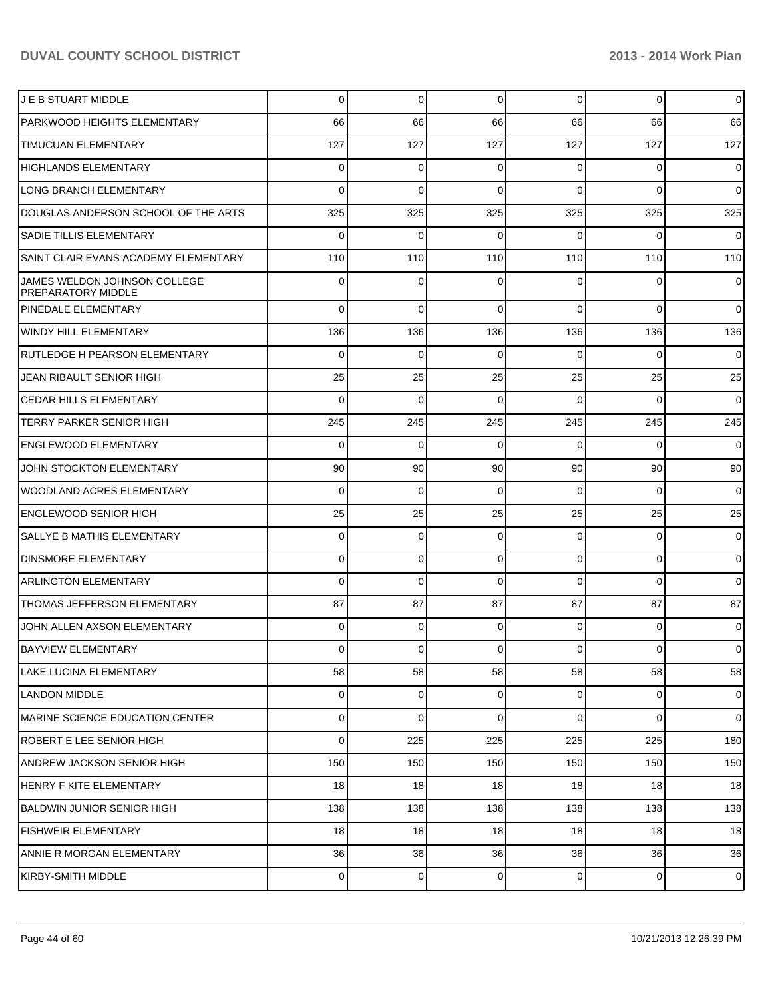| J E B STUART MIDDLE                                | 0              | 0   | $\Omega$    | 0              | $\overline{0}$ | $\overline{0}$ |
|----------------------------------------------------|----------------|-----|-------------|----------------|----------------|----------------|
| PARKWOOD HEIGHTS ELEMENTARY                        | 66             | 66  | 66          | 66             | 66             | 66             |
| <b>TIMUCUAN ELEMENTARY</b>                         | 127            | 127 | 127         | 127            | 127            | 127            |
| <b>HIGHLANDS ELEMENTARY</b>                        | 0              | 0   | $\Omega$    | 0              | 0              | $\overline{0}$ |
| LONG BRANCH ELEMENTARY                             | $\Omega$       | 0   | $\Omega$    | $\Omega$       | $\Omega$       | $\overline{0}$ |
| DOUGLAS ANDERSON SCHOOL OF THE ARTS                | 325            | 325 | 325         | 325            | 325            | 325            |
| <b>SADIE TILLIS ELEMENTARY</b>                     | 0              | 0   | 0           | 0              | 0              | $\overline{0}$ |
| SAINT CLAIR EVANS ACADEMY ELEMENTARY               | 110            | 110 | 110         | 110            | 110            | 110            |
| JAMES WELDON JOHNSON COLLEGE<br>PREPARATORY MIDDLE | 0              | 0   |             | ŋ              | 0              | $\overline{0}$ |
| PINEDALE ELEMENTARY                                | $\Omega$       | 0   | $\Omega$    | $\Omega$       | $\mathbf 0$    | $\overline{0}$ |
| <b>WINDY HILL ELEMENTARY</b>                       | 136            | 136 | 136         | 136            | 136            | 136            |
| RUTLEDGE H PEARSON ELEMENTARY                      | 0              | 0   | $\Omega$    | $\Omega$       | 0              | $\overline{0}$ |
| JEAN RIBAULT SENIOR HIGH                           | 25             | 25  | 25          | 25             | 25             | 25             |
| <b>CEDAR HILLS ELEMENTARY</b>                      | $\Omega$       | 0   | $\Omega$    | $\Omega$       | $\Omega$       | $\overline{0}$ |
| <b>TERRY PARKER SENIOR HIGH</b>                    | 245            | 245 | 245         | 245            | 245            | 245            |
| <b>ENGLEWOOD ELEMENTARY</b>                        | 0              | 0   | $\Omega$    | $\Omega$       | 0              | $\overline{0}$ |
| JOHN STOCKTON ELEMENTARY                           | 90             | 90  | 90          | 90             | 90             | 90             |
| <b>WOODLAND ACRES ELEMENTARY</b>                   | $\Omega$       | 0   | $\Omega$    | $\Omega$       | $\Omega$       | $\overline{0}$ |
| <b>ENGLEWOOD SENIOR HIGH</b>                       | 25             | 25  | 25          | 25             | 25             | 25             |
| SALLYE B MATHIS ELEMENTARY                         | 0              | 0   | $\Omega$    | $\overline{0}$ | 0              | $\mathbf 0$    |
| <b>DINSMORE ELEMENTARY</b>                         | 0              | 0   | $\Omega$    | $\overline{0}$ | $\mathbf 0$    | $\mathbf 0$    |
| <b>ARLINGTON ELEMENTARY</b>                        | $\Omega$       | 0   | $\Omega$    | $\Omega$       | $\Omega$       | $\overline{0}$ |
| THOMAS JEFFERSON ELEMENTARY                        | 87             | 87  | 87          | 87             | 87             | 87             |
| JOHN ALLEN AXSON ELEMENTARY                        | $\Omega$       | 0   | $\Omega$    | $\Omega$       | 0              | $\overline{0}$ |
| <b>BAYVIEW ELEMENTARY</b>                          | $\overline{0}$ | 0   | $\Omega$    | $\overline{0}$ | $\overline{0}$ | $\overline{0}$ |
| LAKE LUCINA ELEMENTARY                             | 58             | 58  | 58          | 58             | 58             | 58             |
| <b>LANDON MIDDLE</b>                               | $\overline{0}$ | 0   | $\mathbf 0$ | $\overline{0}$ | $\overline{0}$ | $\mathbf 0$    |
| MARINE SCIENCE EDUCATION CENTER                    | $\overline{0}$ | 0   | $\mathbf 0$ | $\overline{0}$ | 0              | $\overline{0}$ |
| ROBERT E LEE SENIOR HIGH                           | $\mathbf 0$    | 225 | 225         | 225            | 225            | 180            |
| ANDREW JACKSON SENIOR HIGH                         | 150            | 150 | 150         | 150            | 150            | 150            |
| HENRY F KITE ELEMENTARY                            | 18             | 18  | 18          | 18             | 18             | 18             |
| BALDWIN JUNIOR SENIOR HIGH                         | 138            | 138 | 138         | 138            | 138            | 138            |
| <b>FISHWEIR ELEMENTARY</b>                         | 18             | 18  | 18          | 18             | 18             | 18             |
| ANNIE R MORGAN ELEMENTARY                          | 36             | 36  | 36          | 36             | 36             | 36             |
| KIRBY-SMITH MIDDLE                                 | $\overline{0}$ | 0   | $\mathbf 0$ | $\overline{0}$ | $\mathbf 0$    | $\mathbf 0$    |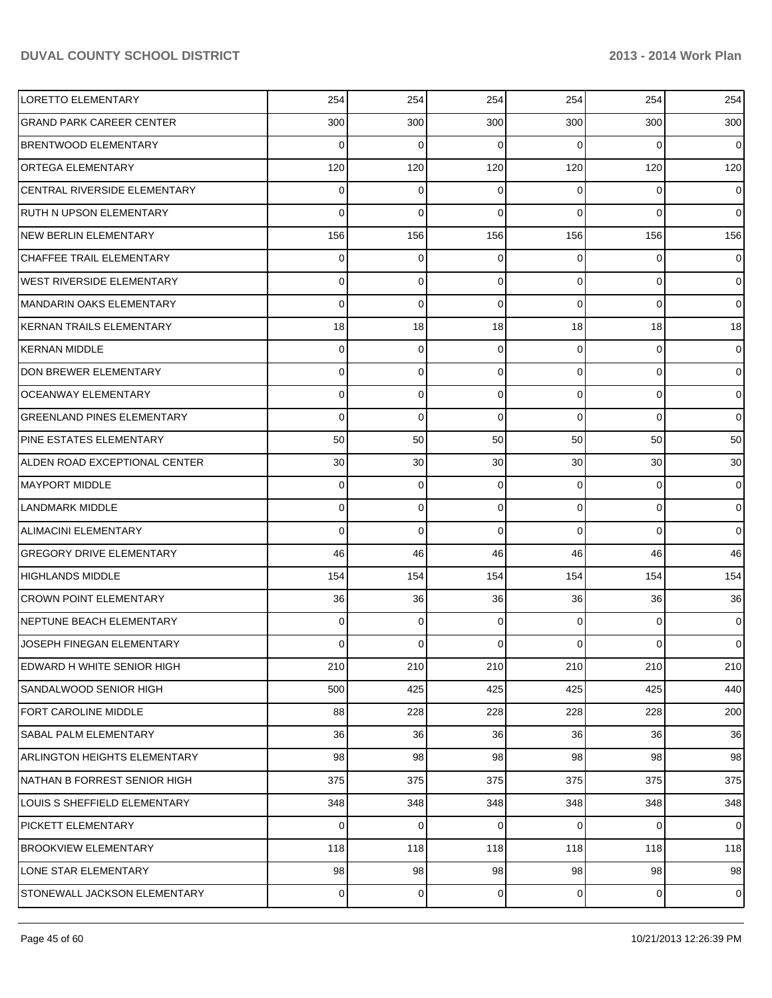| <b>LORETTO ELEMENTARY</b>           | 254            | 254         | 254      | 254             | 254            | 254            |
|-------------------------------------|----------------|-------------|----------|-----------------|----------------|----------------|
| <b>GRAND PARK CAREER CENTER</b>     | 300            | 300         | 300      | 300             | 300            | 300            |
| <b>BRENTWOOD ELEMENTARY</b>         | $\Omega$       | $\Omega$    | $\Omega$ | $\Omega$        | $\Omega$       | $\Omega$       |
| <b>ORTEGA ELEMENTARY</b>            | 120            | 120         | 120      | 120             | 120            | 120            |
| CENTRAL RIVERSIDE ELEMENTARY        | 0              | $\Omega$    | 0        | $\Omega$        | $\Omega$       | $\overline{0}$ |
| <b>RUTH N UPSON ELEMENTARY</b>      | $\Omega$       | $\Omega$    | 0        | $\Omega$        | $\Omega$       | $\overline{0}$ |
| <b>NEW BERLIN ELEMENTARY</b>        | 156            | 156         | 156      | 156             | 156            | 156            |
| <b>CHAFFEE TRAIL ELEMENTARY</b>     | 0              | $\mathbf 0$ | 0        | $\Omega$        | $\Omega$       | $\overline{0}$ |
| WEST RIVERSIDE ELEMENTARY           | 0              | $\Omega$    | $\Omega$ | $\Omega$        | $\Omega$       | $\overline{0}$ |
| MANDARIN OAKS ELEMENTARY            | 0              | $\Omega$    | $\Omega$ | $\Omega$        | $\Omega$       | $\overline{0}$ |
| KERNAN TRAILS ELEMENTARY            | 18             | 18          | 18       | 18              | 18             | 18             |
| <b>KERNAN MIDDLE</b>                | 0              | $\mathbf 0$ | $\Omega$ | $\Omega$        | $\Omega$       | $\overline{0}$ |
| DON BREWER ELEMENTARY               | 0              | $\Omega$    | $\Omega$ | $\Omega$        | $\Omega$       | $\overline{0}$ |
| <b>OCEANWAY ELEMENTARY</b>          | 0              | $\Omega$    | $\Omega$ | $\Omega$        | $\Omega$       | $\overline{0}$ |
| <b>GREENLAND PINES ELEMENTARY</b>   | 0              | $\Omega$    | $\Omega$ | $\Omega$        | $\Omega$       | $\Omega$       |
| PINE ESTATES ELEMENTARY             | 50             | 50          | 50       | 50              | 50             | 50             |
| ALDEN ROAD EXCEPTIONAL CENTER       | 30             | 30          | 30       | 30 <sup>°</sup> | 30             | 30             |
| <b>MAYPORT MIDDLE</b>               | 0              | $\Omega$    | 0        | $\Omega$        | $\Omega$       | $\overline{0}$ |
| <b>LANDMARK MIDDLE</b>              | 0              | $\Omega$    | $\Omega$ | $\Omega$        | $\Omega$       | $\overline{0}$ |
| <b>ALIMACINI ELEMENTARY</b>         | $\Omega$       | $\Omega$    | $\Omega$ | $\Omega$        | $\Omega$       | $\overline{0}$ |
| <b>GREGORY DRIVE ELEMENTARY</b>     | 46             | 46          | 46       | 46              | 46             | 46             |
| <b>HIGHLANDS MIDDLE</b>             | 154            | 154         | 154      | 154             | 154            | 154            |
| <b>CROWN POINT ELEMENTARY</b>       | 36             | 36          | 36       | 36              | 36             | 36             |
| NEPTUNE BEACH ELEMENTARY            | 0              | $\Omega$    | 0        | $\Omega$        | $\Omega$       | $\overline{0}$ |
| JOSEPH FINEGAN ELEMENTARY           | 0              | $\Omega$    |          | $\Omega$        | $\Omega$       | $\overline{0}$ |
| EDWARD H WHITE SENIOR HIGH          | 210            | 210         | 210      | 210             | 210            | 210            |
| SANDALWOOD SENIOR HIGH              | 500            | 425         | 425      | 425             | 425            | 440            |
| <b>FORT CAROLINE MIDDLE</b>         | 88             | 228         | 228      | 228             | 228            | 200            |
| SABAL PALM ELEMENTARY               | 36             | 36          | 36       | 36              | 36             | 36             |
| <b>ARLINGTON HEIGHTS ELEMENTARY</b> | 98             | 98          | 98       | 98              | 98             | 98             |
| NATHAN B FORREST SENIOR HIGH        | 375            | 375         | 375      | 375             | 375            | 375            |
| LOUIS S SHEFFIELD ELEMENTARY        | 348            | 348         | 348      | 348             | 348            | 348            |
| <b>PICKETT ELEMENTARY</b>           | $\Omega$       | $\mathbf 0$ | 0        | $\overline{0}$  | $\overline{0}$ | $\overline{0}$ |
| <b>BROOKVIEW ELEMENTARY</b>         | 118            | 118         | 118      | 118             | 118            | 118            |
| LONE STAR ELEMENTARY                | 98             | 98          | 98       | 98              | 98             | 98             |
| STONEWALL JACKSON ELEMENTARY        | $\overline{0}$ | 0           | 0        | $\overline{0}$  | $\mathbf 0$    | $\overline{0}$ |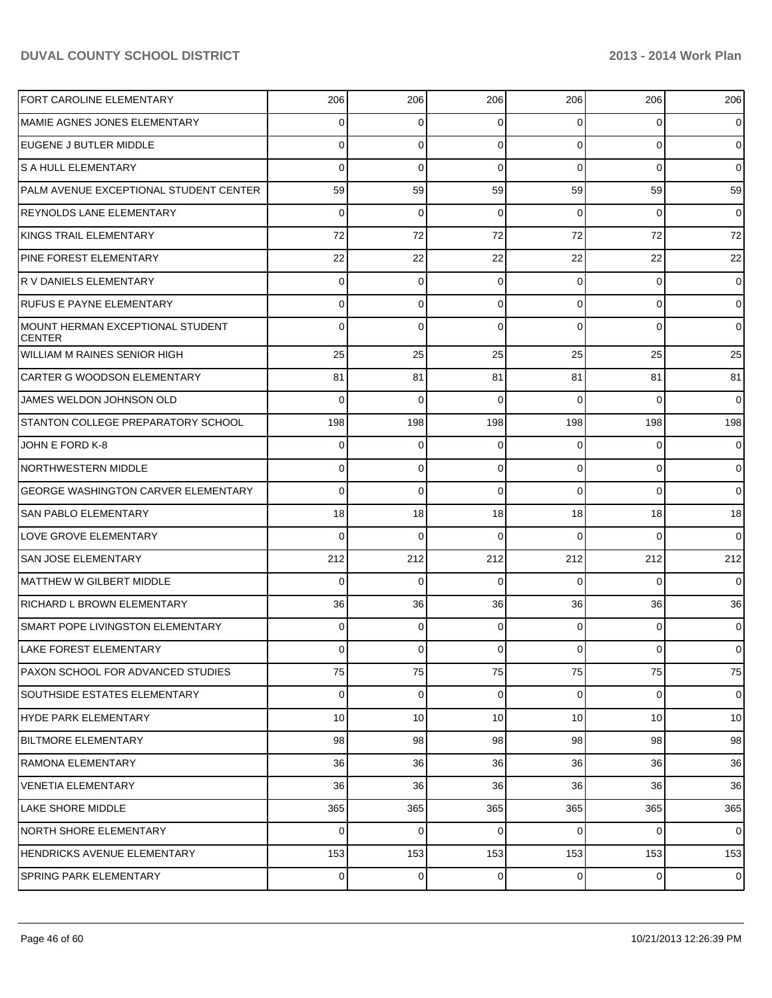| <b>FORT CAROLINE ELEMENTARY</b>                   | 206            | 206         | 206         | 206             | 206            | 206             |
|---------------------------------------------------|----------------|-------------|-------------|-----------------|----------------|-----------------|
| MAMIE AGNES JONES ELEMENTARY                      | 0              | 0           | 0           | $\Omega$        | 0              | $\overline{0}$  |
| <b>EUGENE J BUTLER MIDDLE</b>                     | 0              | $\Omega$    | 0           | $\Omega$        | $\Omega$       | $\overline{0}$  |
| <b>S A HULL ELEMENTARY</b>                        | $\Omega$       | $\Omega$    | 0           | $\Omega$        | $\Omega$       | $\overline{0}$  |
| PALM AVENUE EXCEPTIONAL STUDENT CENTER            | 59             | 59          | 59          | 59              | 59             | 59              |
| REYNOLDS LANE ELEMENTARY                          | $\Omega$       | $\Omega$    | $\Omega$    | $\Omega$        | $\Omega$       | $\overline{0}$  |
| <b>IKINGS TRAIL ELEMENTARY</b>                    | 72             | 72          | 72          | 72              | 72             | 72              |
| <b>PINE FOREST ELEMENTARY</b>                     | 22             | 22          | 22          | 22              | 22             | 22              |
| R V DANIELS ELEMENTARY                            | $\Omega$       | $\Omega$    | 0           | $\Omega$        | $\Omega$       | $\overline{0}$  |
| <b>RUFUS E PAYNE ELEMENTARY</b>                   | 0              | $\Omega$    | 0           | $\Omega$        | $\Omega$       | $\overline{0}$  |
| MOUNT HERMAN EXCEPTIONAL STUDENT<br><b>CENTER</b> | <sup>0</sup>   | $\Omega$    |             | $\Omega$        | $\Omega$       | $\overline{0}$  |
| <b>WILLIAM M RAINES SENIOR HIGH</b>               | 25             | 25          | 25          | 25              | 25             | 25              |
| CARTER G WOODSON ELEMENTARY                       | 81             | 81          | 81          | 81              | 81             | 81              |
| JAMES WELDON JOHNSON OLD                          | $\Omega$       | $\Omega$    | 0           | $\Omega$        | $\Omega$       | $\Omega$        |
| STANTON COLLEGE PREPARATORY SCHOOL                | 198            | 198         | 198         | 198             | 198            | 198             |
| JOHN E FORD K-8                                   | 0              | 0           | 0           | $\Omega$        | 0              | $\overline{0}$  |
| NORTHWESTERN MIDDLE                               | 0              | $\mathbf 0$ | 0           | $\overline{0}$  | 0              | $\overline{0}$  |
| <b>GEORGE WASHINGTON CARVER ELEMENTARY</b>        | 0              | $\Omega$    | 0           | $\Omega$        | $\Omega$       | $\overline{0}$  |
| <b>SAN PABLO ELEMENTARY</b>                       | 18             | 18          | 18          | 18              | 18             | 18              |
| LOVE GROVE ELEMENTARY                             | $\Omega$       | $\Omega$    | 0           | $\Omega$        | $\Omega$       | $\overline{0}$  |
| <b>SAN JOSE ELEMENTARY</b>                        | 212            | 212         | 212         | 212             | 212            | 212             |
| MATTHEW W GILBERT MIDDLE                          | $\Omega$       | $\Omega$    | $\Omega$    | $\Omega$        | 0              | $\Omega$        |
| RICHARD L BROWN ELEMENTARY                        | 36             | 36          | 36          | 36              | 36             | 36              |
| SMART POPE LIVINGSTON ELEMENTARY                  | 0              | $\Omega$    | 0           | $\Omega$        | $\Omega$       | $\overline{0}$  |
| LAKE FOREST ELEMENTARY                            | 0              | 0           | 0           | 0               | $\mathbf{0}$   | $\overline{0}$  |
| PAXON SCHOOL FOR ADVANCED STUDIES                 | 75             | 75          | 75          | 75              | 75             | 75              |
| <b>SOUTHSIDE ESTATES ELEMENTARY</b>               | $\overline{0}$ | $\mathbf 0$ | $\mathbf 0$ | $\overline{0}$  | $\overline{0}$ | $\overline{0}$  |
| HYDE PARK ELEMENTARY                              | 10             | 10          | 10          | 10 <sup>1</sup> | 10             | 10 <sup>1</sup> |
| <b>BILTMORE ELEMENTARY</b>                        | 98             | 98          | 98          | 98              | 98             | 98              |
| RAMONA ELEMENTARY                                 | 36             | 36          | 36          | 36              | 36             | 36              |
| <b>VENETIA ELEMENTARY</b>                         | 36             | 36          | 36          | 36              | 36             | 36              |
| LAKE SHORE MIDDLE                                 | 365            | 365         | 365         | 365             | 365            | 365             |
| <b>NORTH SHORE ELEMENTARY</b>                     | $\Omega$       | $\mathbf 0$ | 0           | $\overline{0}$  | 0              | $\overline{0}$  |
| HENDRICKS AVENUE ELEMENTARY                       | 153            | 153         | 153         | 153             | 153            | 153             |
| <b>SPRING PARK ELEMENTARY</b>                     | $\overline{0}$ | 0           | $\mathbf 0$ | $\overline{0}$  | 0              | $\overline{0}$  |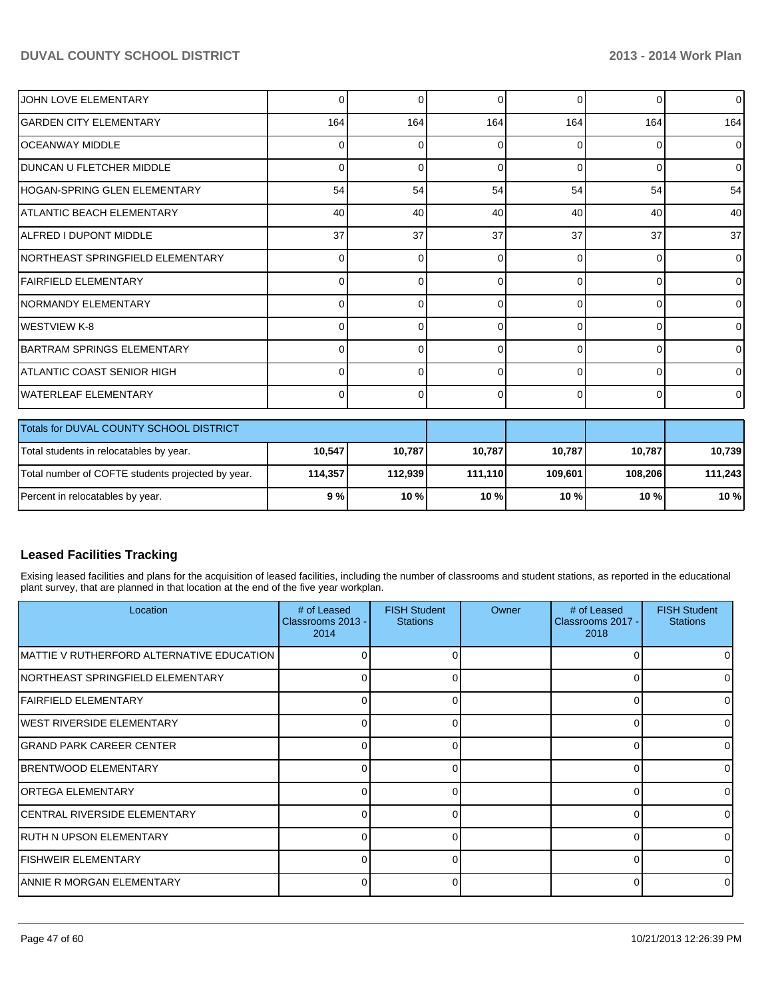| JOHN LOVE ELEMENTARY                              | Οl             | 0        | $\Omega$ | 0        | 0        | $\overline{0}$ |
|---------------------------------------------------|----------------|----------|----------|----------|----------|----------------|
| <b>GARDEN CITY ELEMENTARY</b>                     | 164            | 164      | 164      | 164      | 164      | 164            |
| <b>OCEANWAY MIDDLE</b>                            | 0              | $\Omega$ | 0        | $\Omega$ | 0        | $\overline{0}$ |
| <b>DUNCAN U FLETCHER MIDDLE</b>                   | 0              | $\Omega$ | 0        | $\Omega$ | $\Omega$ | $\mathbf 0$    |
| HOGAN-SPRING GLEN ELEMENTARY                      | 54             | 54       | 54       | 54       | 54       | 54             |
| <b>ATLANTIC BEACH ELEMENTARY</b>                  | 40             | 40       | 40       | 40       | 40       | 40             |
| ALFRED I DUPONT MIDDLE                            | 37             | 37       | 37       | 37       | 37       | 37             |
| INORTHEAST SPRINGFIELD ELEMENTARY                 | $\overline{0}$ | $\Omega$ | $\Omega$ | $\Omega$ | $\Omega$ | 0              |
| FAIRFIELD ELEMENTARY                              | 0              | 0        | 0        | $\Omega$ | $\Omega$ | 0              |
| INORMANDY ELEMENTARY                              | 0              | 0        | 0        | $\Omega$ | $\Omega$ | 0              |
| <b>WESTVIEW K-8</b>                               | 0              | U        | 0        | $\Omega$ | $\Omega$ | 0              |
| BARTRAM SPRINGS ELEMENTARY                        | 0              | 0        | 0        | $\Omega$ | 0        | 0              |
| IATLANTIC COAST SENIOR HIGH                       | Οl             | 0        | 0        | $\Omega$ | 0        | 0              |
| <b>WATERLEAF ELEMENTARY</b>                       | 0              | 0        | 0        | 0        | 0        | 0              |
| Totals for DUVAL COUNTY SCHOOL DISTRICT           |                |          |          |          |          |                |
| Total students in relocatables by year.           | 10,547         | 10,787   | 10,787   | 10,787   | 10,787   | 10,739         |
| Total number of COFTE students projected by year. | 114,357        | 112,939  | 111,110  | 109,601  | 108,206  | 111,243        |
| Percent in relocatables by year.                  | 9%             | 10%      | 10%      | 10%      | 10%      | 10 %           |

## **Leased Facilities Tracking**

Exising leased facilities and plans for the acquisition of leased facilities, including the number of classrooms and student stations, as reported in the educational plant survey, that are planned in that location at the end of the five year workplan.

| Location                                   | # of Leased<br>Classrooms 2013 -<br>2014 | <b>FISH Student</b><br><b>Stations</b> | Owner | # of Leased<br>Classrooms 2017 -<br>2018 | <b>FISH Student</b><br><b>Stations</b> |
|--------------------------------------------|------------------------------------------|----------------------------------------|-------|------------------------------------------|----------------------------------------|
| IMATTIE V RUTHERFORD ALTERNATIVE EDUCATION |                                          |                                        |       |                                          |                                        |
| <b>NORTHEAST SPRINGFIELD ELEMENTARY</b>    |                                          |                                        |       |                                          |                                        |
| IFAIRFIELD ELEMENTARY                      | 0                                        | ი                                      |       | 0                                        |                                        |
| IWEST RIVERSIDE ELEMENTARY                 |                                          |                                        |       | U                                        |                                        |
| <b>GRAND PARK CAREER CENTER</b>            | U                                        |                                        |       |                                          |                                        |
| <b>BRENTWOOD ELEMENTARY</b>                | U                                        | n                                      |       | U                                        |                                        |
| <b>l</b> ORTEGA ELEMENTARY                 | ∩                                        | U                                      |       |                                          |                                        |
| ICENTRAL RIVERSIDE ELEMENTARY              | U.                                       | 0                                      |       |                                          |                                        |
| IRUTH N UPSON ELEMENTARY                   | U.                                       | 0                                      |       |                                          |                                        |
| <b>IFISHWEIR ELEMENTARY</b>                | $\Omega$                                 | 0                                      |       | 0                                        | $\Omega$                               |
| IANNIE R MORGAN ELEMENTARY                 |                                          |                                        |       |                                          |                                        |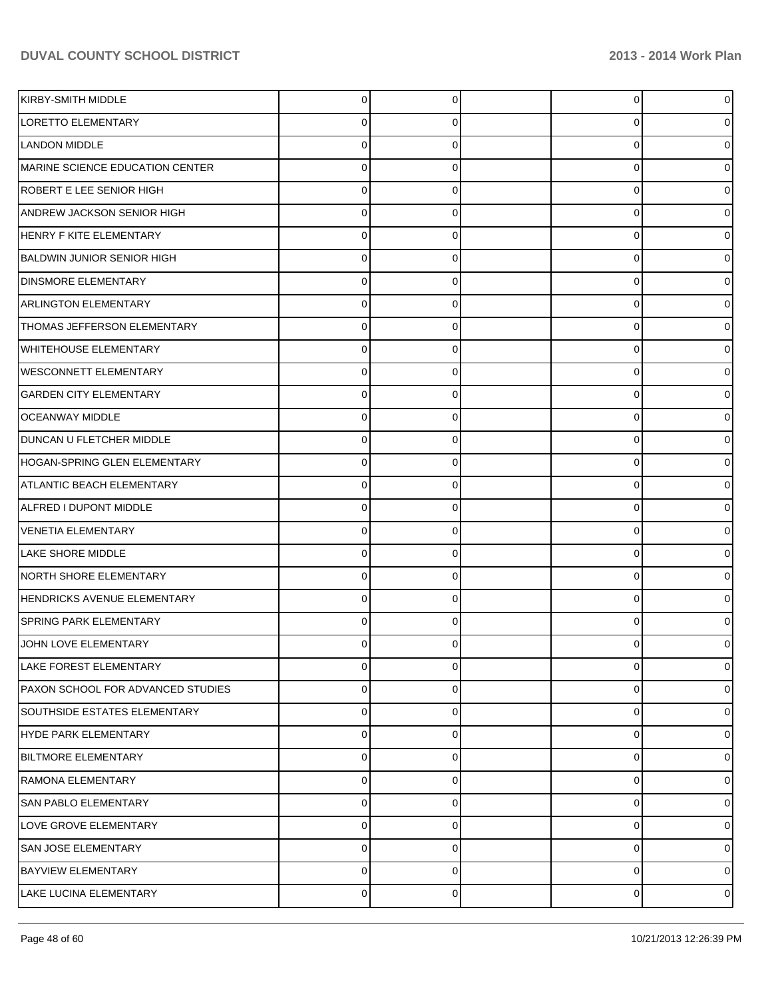| KIRBY-SMITH MIDDLE                | 0 | 0 | 0              | 0 |
|-----------------------------------|---|---|----------------|---|
| <b>LORETTO ELEMENTARY</b>         | 0 | 0 | 0              | 0 |
| <b>LANDON MIDDLE</b>              | 0 |   | 0              | o |
| MARINE SCIENCE EDUCATION CENTER   | 0 | 0 | 0              | o |
| ROBERT E LEE SENIOR HIGH          | 0 |   | 0              |   |
| ANDREW JACKSON SENIOR HIGH        | 0 | 0 | 0              | o |
| <b>HENRY F KITE ELEMENTARY</b>    | 0 |   | 0              | o |
| <b>BALDWIN JUNIOR SENIOR HIGH</b> | 0 | 0 | 0              | o |
| <b>DINSMORE ELEMENTARY</b>        | 0 |   | 0              |   |
| <b>ARLINGTON ELEMENTARY</b>       | 0 | 0 | 0              |   |
| THOMAS JEFFERSON ELEMENTARY       | 0 |   | 0              |   |
| <b>WHITEHOUSE ELEMENTARY</b>      | 0 | 0 | 0              | o |
| <b>WESCONNETT ELEMENTARY</b>      | 0 | O | 0              | o |
| <b>GARDEN CITY ELEMENTARY</b>     | 0 | 0 | 0              |   |
| <b>OCEANWAY MIDDLE</b>            | 0 |   | 0              |   |
| DUNCAN U FLETCHER MIDDLE          | 0 | 0 | 0              | o |
| HOGAN-SPRING GLEN ELEMENTARY      | 0 | O | 0              | 0 |
| <b>ATLANTIC BEACH ELEMENTARY</b>  | 0 | 0 | 0              | o |
| ALFRED I DUPONT MIDDLE            | 0 |   | 0              |   |
| <b>VENETIA ELEMENTARY</b>         | 0 | 0 | 0              |   |
| <b>LAKE SHORE MIDDLE</b>          | 0 |   | 0              | o |
| NORTH SHORE ELEMENTARY            | 0 | 0 | 0              | 0 |
| HENDRICKS AVENUE ELEMENTARY       | 0 | U | 0              | 0 |
| <b>SPRING PARK ELEMENTARY</b>     | 0 | 0 | 0              |   |
| JOHN LOVE ELEMENTARY              | 0 |   | 0              | 0 |
| LAKE FOREST ELEMENTARY            | 0 | 0 | 0              | 0 |
| PAXON SCHOOL FOR ADVANCED STUDIES | 0 | 0 | 0              | 0 |
| SOUTHSIDE ESTATES ELEMENTARY      | 0 | 0 | 0              | 0 |
| HYDE PARK ELEMENTARY              | 0 | 0 | 0              | 0 |
| <b>BILTMORE ELEMENTARY</b>        | 0 | 0 | 0              | 0 |
| RAMONA ELEMENTARY                 | 0 | 0 | 0              | 0 |
| SAN PABLO ELEMENTARY              | 0 | 0 | 0              | 0 |
| LOVE GROVE ELEMENTARY             | 0 | 0 | 0              | 0 |
| <b>SAN JOSE ELEMENTARY</b>        | 0 | 0 | 0              | 0 |
| <b>BAYVIEW ELEMENTARY</b>         | 0 | 0 | 0              | 0 |
| LAKE LUCINA ELEMENTARY            | 0 | 0 | $\overline{0}$ | 0 |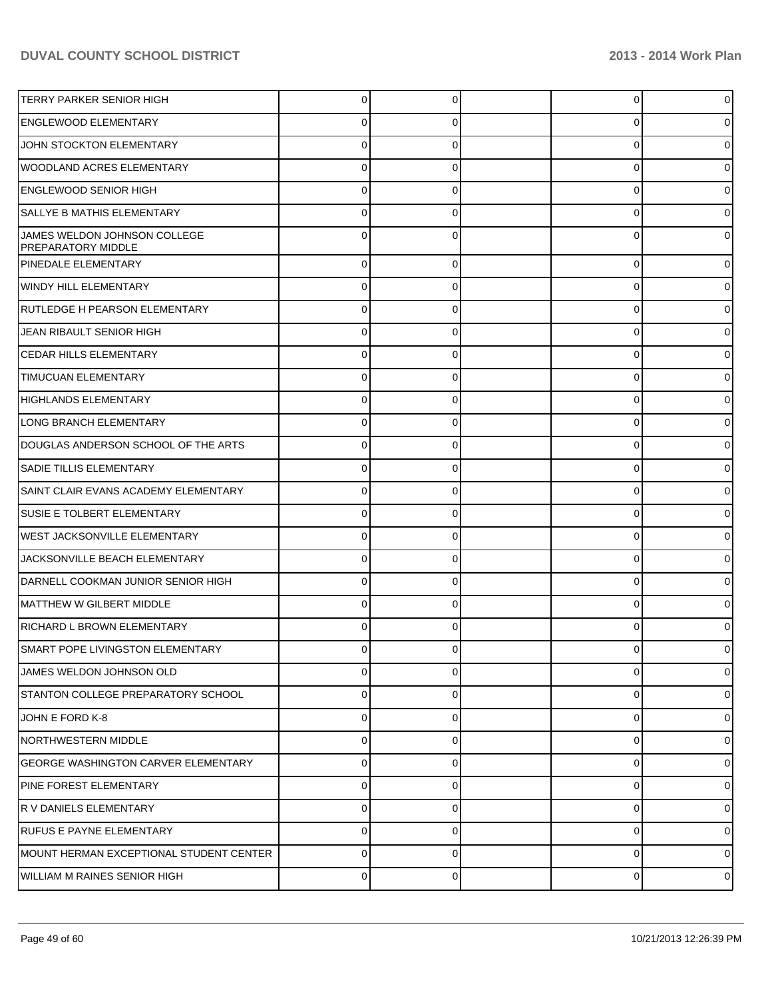| <b>TERRY PARKER SENIOR HIGH</b>                    | 0           | 0        | 0 | 0              |
|----------------------------------------------------|-------------|----------|---|----------------|
| <b>ENGLEWOOD ELEMENTARY</b>                        | 0           |          | 0 | 0              |
| JOHN STOCKTON ELEMENTARY                           | 0           |          | 0 | 0              |
| <b>WOODLAND ACRES ELEMENTARY</b>                   | 0           | 0        | 0 | 0              |
| <b>ENGLEWOOD SENIOR HIGH</b>                       | $\Omega$    |          | 0 | 0              |
| <b>SALLYE B MATHIS ELEMENTARY</b>                  | 0           | 0        | 0 | 0              |
| JAMES WELDON JOHNSON COLLEGE<br>PREPARATORY MIDDLE | O           |          | 0 | 0              |
| <b>PINEDALE ELEMENTARY</b>                         | $\Omega$    | 0        | 0 | $\overline{0}$ |
| WINDY HILL ELEMENTARY                              | $\Omega$    | 0        | 0 | 0              |
| <b>RUTLEDGE H PEARSON ELEMENTARY</b>               | $\Omega$    | 0        | 0 | 0              |
| JEAN RIBAULT SENIOR HIGH                           | $\Omega$    | 0        | 0 | 0              |
| <b>CEDAR HILLS ELEMENTARY</b>                      | $\Omega$    | 0        | 0 | 0              |
| <b>TIMUCUAN ELEMENTARY</b>                         | $\Omega$    | 0        | 0 | 01             |
| HIGHLANDS ELEMENTARY                               | $\Omega$    | 0        | 0 | 0              |
| LONG BRANCH ELEMENTARY                             | $\Omega$    | 0        | 0 | 01             |
| DOUGLAS ANDERSON SCHOOL OF THE ARTS                | $\Omega$    | 0        | 0 | 01             |
| <b>SADIE TILLIS ELEMENTARY</b>                     | $\Omega$    | 0        | 0 | 01             |
| SAINT CLAIR EVANS ACADEMY ELEMENTARY               | $\Omega$    | 0        | 0 | 0              |
| <b>SUSIE E TOLBERT ELEMENTARY</b>                  | $\Omega$    | 0        | 0 | 01             |
| <b>WEST JACKSONVILLE ELEMENTARY</b>                | $\Omega$    | 0        | 0 | 01             |
| JACKSONVILLE BEACH ELEMENTARY                      | $\Omega$    | 0        | 0 | 01             |
| DARNELL COOKMAN JUNIOR SENIOR HIGH                 | $\Omega$    | 0        | 0 | 0              |
| MATTHEW W GILBERT MIDDLE                           | $\Omega$    | 0        | 0 | 01             |
| RICHARD L BROWN ELEMENTARY                         | 0           | 0        | 0 | 0              |
| SMART POPE LIVINGSTON ELEMENTARY                   | 0           | 0        | U | 01             |
| JAMES WELDON JOHNSON OLD                           | $\Omega$    | 0        | 0 | $\overline{0}$ |
| STANTON COLLEGE PREPARATORY SCHOOL                 | $\Omega$    | $\Omega$ | 0 | $\overline{0}$ |
| JOHN E FORD K-8                                    | 0           | 0        | 0 | $\overline{0}$ |
| <b>NORTHWESTERN MIDDLE</b>                         | $\Omega$    | $\Omega$ | 0 | $\overline{0}$ |
| <b>GEORGE WASHINGTON CARVER ELEMENTARY</b>         | $\Omega$    | 0        | 0 | $\overline{0}$ |
| <b>PINE FOREST ELEMENTARY</b>                      | $\Omega$    | 0        | 0 | $\overline{0}$ |
| <b>R V DANIELS ELEMENTARY</b>                      | $\Omega$    | 0        | 0 | $\overline{0}$ |
| <b>RUFUS E PAYNE ELEMENTARY</b>                    | $\Omega$    | 0        | 0 | $\overline{0}$ |
| MOUNT HERMAN EXCEPTIONAL STUDENT CENTER            | $\mathbf 0$ | 0        | 0 | $\overline{0}$ |
| WILLIAM M RAINES SENIOR HIGH                       | $\mathbf 0$ | 0        | 0 | $\overline{0}$ |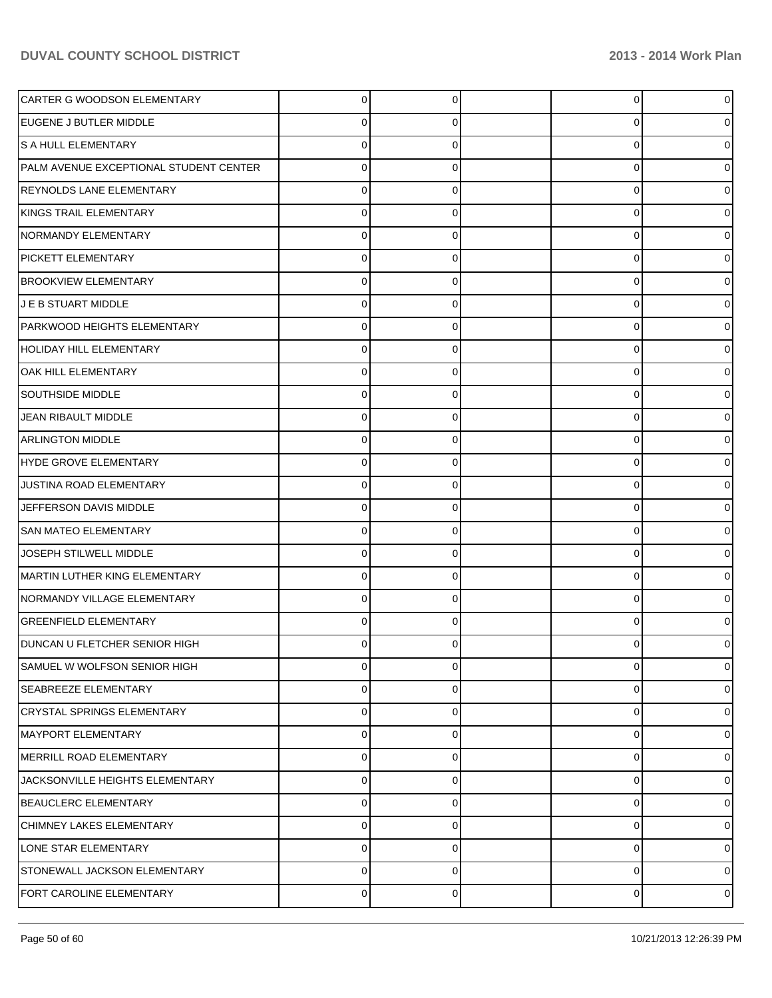| CARTER G WOODSON ELEMENTARY            | $\overline{0}$ | $\Omega$ | 0 | 0           |
|----------------------------------------|----------------|----------|---|-------------|
| EUGENE J BUTLER MIDDLE                 | 0              | 0        | 0 | 0           |
| S A HULL ELEMENTARY                    | 0              | 0        | 0 | 0           |
| PALM AVENUE EXCEPTIONAL STUDENT CENTER | 0              | 0        | 0 | o           |
| <b>REYNOLDS LANE ELEMENTARY</b>        | 0              | 0        | 0 | 0           |
| KINGS TRAIL ELEMENTARY                 | 0              | 0        | 0 | o           |
| NORMANDY ELEMENTARY                    | 0              | $\Omega$ | 0 | o           |
| <b>PICKETT ELEMENTARY</b>              | 0              | 0        | 0 | n           |
| <b>BROOKVIEW ELEMENTARY</b>            | 0              | 0        | 0 | 0           |
| J E B STUART MIDDLE                    | 0              | 0        | 0 | o           |
| PARKWOOD HEIGHTS ELEMENTARY            | 0              | $\Omega$ | 0 | o           |
| HOLIDAY HILL ELEMENTARY                | 0              | $\Omega$ | 0 |             |
| OAK HILL ELEMENTARY                    | 0              | 0        | 0 | o           |
| <b>SOUTHSIDE MIDDLE</b>                | 0              | 0        | 0 | o           |
| JEAN RIBAULT MIDDLE                    | 0              | $\Omega$ | 0 | 0           |
| <b>ARLINGTON MIDDLE</b>                | 0              | $\Omega$ | 0 |             |
| HYDE GROVE ELEMENTARY                  | 0              | 0        | 0 | o           |
| JUSTINA ROAD ELEMENTARY                | $\mathbf 0$    | 0        | 0 | o           |
| JEFFERSON DAVIS MIDDLE                 | 0              | $\Omega$ | 0 | 0           |
| <b>SAN MATEO ELEMENTARY</b>            | 0              | $\Omega$ | 0 |             |
| JOSEPH STILWELL MIDDLE                 | $\Omega$       | 0        | 0 | ი           |
| MARTIN LUTHER KING ELEMENTARY          | $\mathbf 0$    | 0        | 0 | 0           |
| NORMANDY VILLAGE ELEMENTARY            | 0              | $\Omega$ | 0 | 0           |
| <b>GREENFIELD ELEMENTARY</b>           | 0              | 0        | 0 |             |
| <b>DUNCAN U FLETCHER SENIOR HIGH</b>   | 0              | 0        | 0 | 0           |
| SAMUEL W WOLFSON SENIOR HIGH           | 0              | $\Omega$ | 0 | 0           |
| <b>SEABREEZE ELEMENTARY</b>            | $\mathbf 0$    | 0        | 0 | 0           |
| <b>CRYSTAL SPRINGS ELEMENTARY</b>      | $\mathbf 0$    | $\Omega$ | 0 | 0           |
| MAYPORT ELEMENTARY                     | $\mathbf 0$    | 0        | 0 | 0           |
| MERRILL ROAD ELEMENTARY                | $\mathbf 0$    | $\Omega$ | 0 | 0           |
| JACKSONVILLE HEIGHTS ELEMENTARY        | $\mathbf 0$    | 0        | 0 | 0           |
| <b>BEAUCLERC ELEMENTARY</b>            | $\mathbf 0$    | $\Omega$ | 0 | 0           |
| CHIMNEY LAKES ELEMENTARY               | $\mathbf 0$    | 0        | 0 | 0           |
| LONE STAR ELEMENTARY                   | $\mathbf 0$    | $\Omega$ | 0 | $\Omega$    |
| STONEWALL JACKSON ELEMENTARY           | $\mathbf 0$    | 0        | 0 | 0           |
| FORT CAROLINE ELEMENTARY               | 0              | 0        | 0 | $\mathbf 0$ |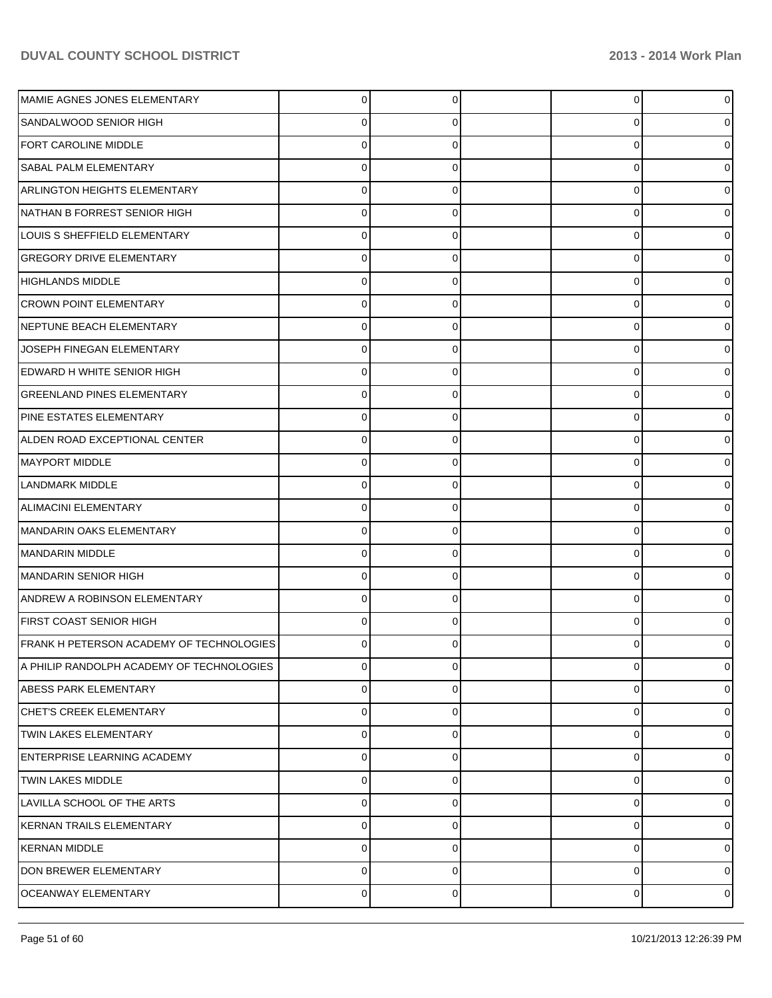| MAMIE AGNES JONES ELEMENTARY              | 0              |   | $\overline{0}$ |                |
|-------------------------------------------|----------------|---|----------------|----------------|
| SANDALWOOD SENIOR HIGH                    |                |   | 0              |                |
| <b>FORT CAROLINE MIDDLE</b>               | C              |   | 0              |                |
| SABAL PALM ELEMENTARY                     | 0              |   | 0              |                |
| <b>ARLINGTON HEIGHTS ELEMENTARY</b>       | 0              |   | 0              |                |
| NATHAN B FORREST SENIOR HIGH              | 0              |   | 0              |                |
| LOUIS S SHEFFIELD ELEMENTARY              | 0              |   | 0              |                |
| <b>GREGORY DRIVE ELEMENTARY</b>           | 0              |   | 0              |                |
| <b>HIGHLANDS MIDDLE</b>                   | 0              |   | 0              |                |
| <b>CROWN POINT ELEMENTARY</b>             | 0              |   | 0              |                |
| NEPTUNE BEACH ELEMENTARY                  | 0              |   | 0              |                |
| JOSEPH FINEGAN ELEMENTARY                 | 0              |   | 0              |                |
| EDWARD H WHITE SENIOR HIGH                | 0              |   | 0              |                |
| <b>GREENLAND PINES ELEMENTARY</b>         | 0              |   | 0              |                |
| PINE ESTATES ELEMENTARY                   | 0              |   | 0              |                |
| ALDEN ROAD EXCEPTIONAL CENTER             | 0              |   | 0              |                |
| <b>MAYPORT MIDDLE</b>                     |                |   | 0              |                |
| LANDMARK MIDDLE                           | 0              |   | 0              |                |
| ALIMACINI ELEMENTARY                      | 0              |   | 0              |                |
| MANDARIN OAKS ELEMENTARY                  | 0              |   | 0              |                |
| MANDARIN MIDDLE                           | 0              |   | 0              |                |
| MANDARIN SENIOR HIGH                      | 0              |   | 0              |                |
| ANDREW A ROBINSON ELEMENTARY              |                |   | 0              |                |
| FIRST COAST SENIOR HIGH                   | 0              |   | 0              |                |
| FRANK H PETERSON ACADEMY OF TECHNOLOGIES  | 0              |   | 0              |                |
| A PHILIP RANDOLPH ACADEMY OF TECHNOLOGIES | 0              | C | 0              |                |
| <b>ABESS PARK ELEMENTARY</b>              | 0              | O | 0              |                |
| CHET'S CREEK ELEMENTARY                   | 0              |   | 0              |                |
| TWIN LAKES ELEMENTARY                     | 0              | 0 | 0              | 0              |
| <b>ENTERPRISE LEARNING ACADEMY</b>        | 0              |   | 0              | o              |
| <b>TWIN LAKES MIDDLE</b>                  | 0              | 0 | 0              |                |
| LAVILLA SCHOOL OF THE ARTS                | 0              |   | 0              |                |
| KERNAN TRAILS ELEMENTARY                  | 0              | O | 0              |                |
| KERNAN MIDDLE                             | 0              | O | 0              | o              |
| DON BREWER ELEMENTARY                     | 0              | 0 | 0              | 0              |
| <b>OCEANWAY ELEMENTARY</b>                | $\overline{0}$ | 0 | 0              | $\overline{0}$ |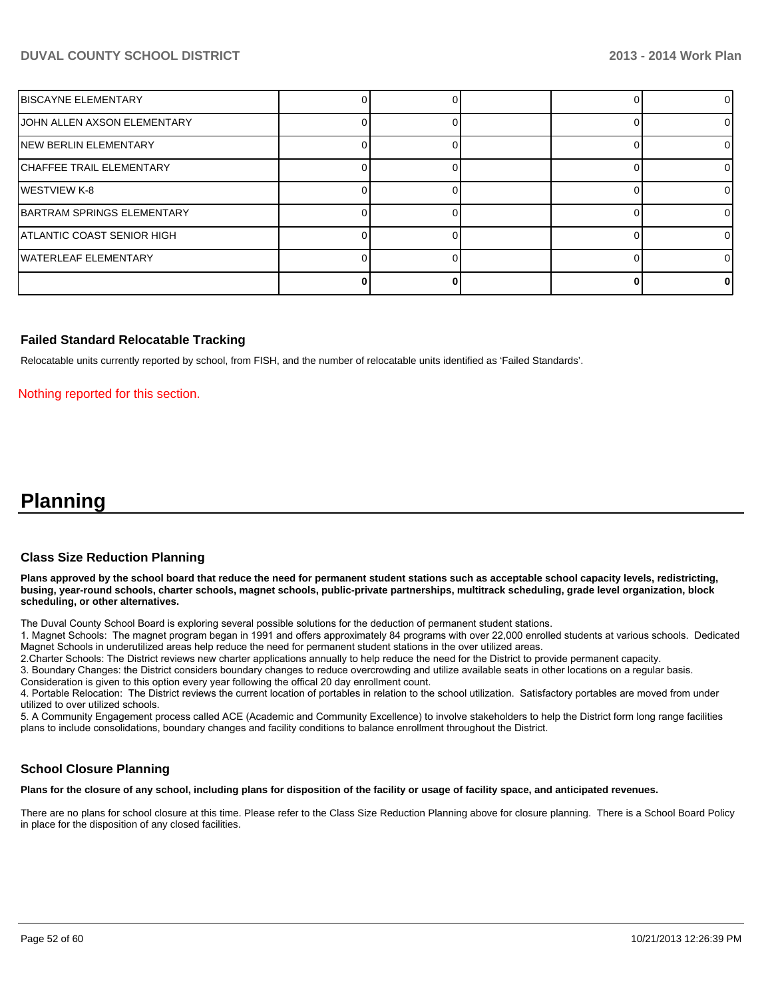| <b>IBISCAYNE ELEMENTARY</b> |  |  |    |
|-----------------------------|--|--|----|
| JOHN ALLEN AXSON ELEMENTARY |  |  | 0  |
| INEW BERLIN ELEMENTARY      |  |  |    |
| ICHAFFEE TRAIL ELEMENTARY   |  |  | 0  |
| IWESTVIEW K-8               |  |  | ΩI |
| IBARTRAM SPRINGS ELEMENTARY |  |  | ΩI |
| ATLANTIC COAST SENIOR HIGH  |  |  |    |
| lWATERLEAF ELEMENTARY       |  |  |    |
|                             |  |  | 01 |

#### **Failed Standard Relocatable Tracking**

Relocatable units currently reported by school, from FISH, and the number of relocatable units identified as 'Failed Standards'.

Nothing reported for this section.

# **Planning**

#### **Class Size Reduction Planning**

**Plans approved by the school board that reduce the need for permanent student stations such as acceptable school capacity levels, redistricting, busing, year-round schools, charter schools, magnet schools, public-private partnerships, multitrack scheduling, grade level organization, block scheduling, or other alternatives.**

The Duval County School Board is exploring several possible solutions for the deduction of permanent student stations.

1. Magnet Schools: The magnet program began in 1991 and offers approximately 84 programs with over 22,000 enrolled students at various schools. Dedicated Magnet Schools in underutilized areas help reduce the need for permanent student stations in the over utilized areas.

2. Charter Schools: The District reviews new charter applications annually to help reduce the need for the District to provide permanent capacity.

3. Boundary Changes: the District considers boundary changes to reduce overcrowding and utilize available seats in other locations on a regular basis.

Consideration is given to this option every year following the offical 20 day enrollment count.

4. Portable Relocation: The District reviews the current location of portables in relation to the school utilization. Satisfactory portables are moved from under utilized to over utilized schools.

5. A Community Engagement process called ACE (Academic and Community Excellence) to involve stakeholders to help the District form long range facilities plans to include consolidations, boundary changes and facility conditions to balance enrollment throughout the District.

#### **School Closure Planning**

**Plans for the closure of any school, including plans for disposition of the facility or usage of facility space, and anticipated revenues.**

There are no plans for school closure at this time. Please refer to the Class Size Reduction Planning above for closure planning. There is a School Board Policy in place for the disposition of any closed facilities.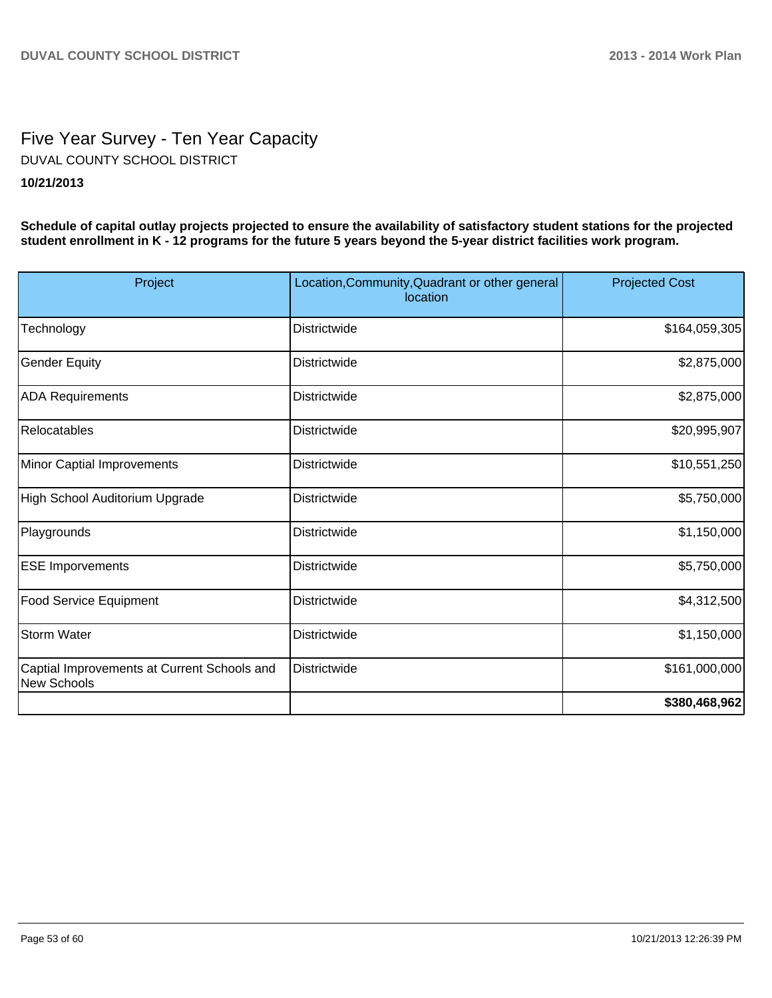# Five Year Survey - Ten Year Capacity DUVAL COUNTY SCHOOL DISTRICT

## **10/21/2013**

**Schedule of capital outlay projects projected to ensure the availability of satisfactory student stations for the projected student enrollment in K - 12 programs for the future 5 years beyond the 5-year district facilities work program.**

| Project                                                    | Location, Community, Quadrant or other general<br>location | <b>Projected Cost</b> |
|------------------------------------------------------------|------------------------------------------------------------|-----------------------|
| Technology                                                 | <b>Districtwide</b>                                        | \$164,059,305         |
| <b>Gender Equity</b>                                       | <b>Districtwide</b>                                        | \$2,875,000           |
| <b>ADA Requirements</b>                                    | Districtwide                                               | \$2,875,000           |
| Relocatables                                               | <b>Districtwide</b>                                        | \$20,995,907          |
| Minor Captial Improvements                                 | <b>Districtwide</b>                                        | \$10,551,250          |
| High School Auditorium Upgrade                             | <b>Districtwide</b>                                        | \$5,750,000           |
| Playgrounds                                                | Districtwide                                               | \$1,150,000           |
| <b>ESE Imporvements</b>                                    | <b>Districtwide</b>                                        | \$5,750,000           |
| Food Service Equipment                                     | Districtwide                                               | \$4,312,500           |
| <b>Storm Water</b>                                         | Districtwide                                               | \$1,150,000           |
| Captial Improvements at Current Schools and<br>New Schools | Districtwide                                               | \$161,000,000         |
|                                                            |                                                            | \$380,468,962         |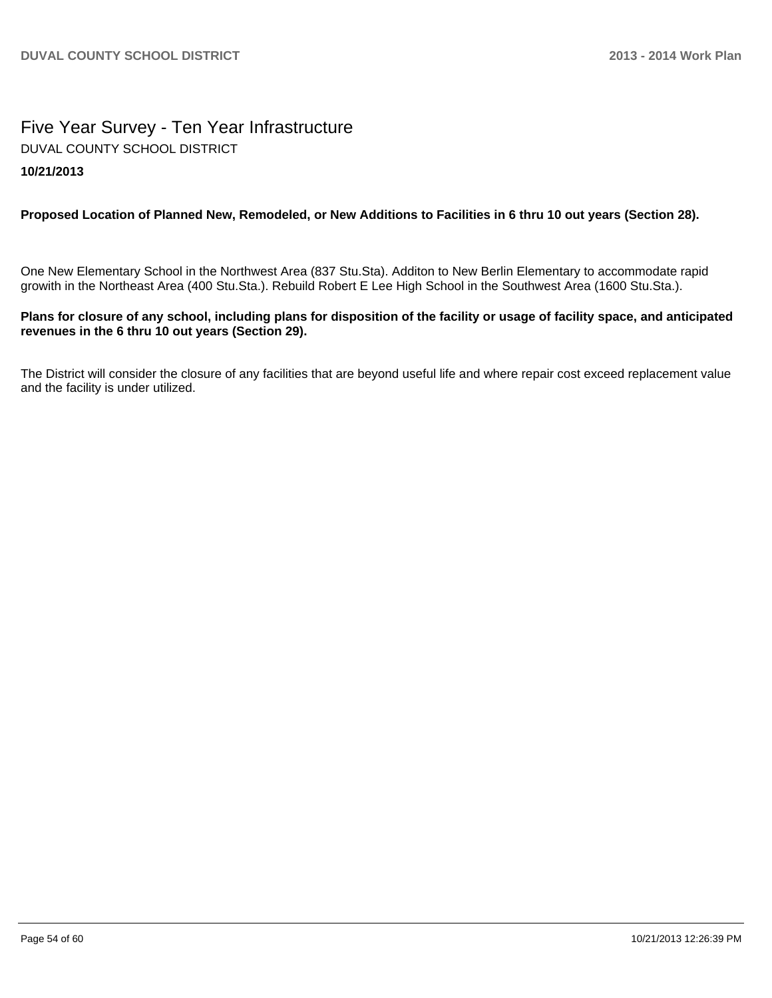## Five Year Survey - Ten Year Infrastructure **10/21/2013** DUVAL COUNTY SCHOOL DISTRICT

## **Proposed Location of Planned New, Remodeled, or New Additions to Facilities in 6 thru 10 out years (Section 28).**

One New Elementary School in the Northwest Area (837 Stu.Sta). Additon to New Berlin Elementary to accommodate rapid growith in the Northeast Area (400 Stu.Sta.). Rebuild Robert E Lee High School in the Southwest Area (1600 Stu.Sta.).

## **Plans for closure of any school, including plans for disposition of the facility or usage of facility space, and anticipated revenues in the 6 thru 10 out years (Section 29).**

The District will consider the closure of any facilities that are beyond useful life and where repair cost exceed replacement value and the facility is under utilized.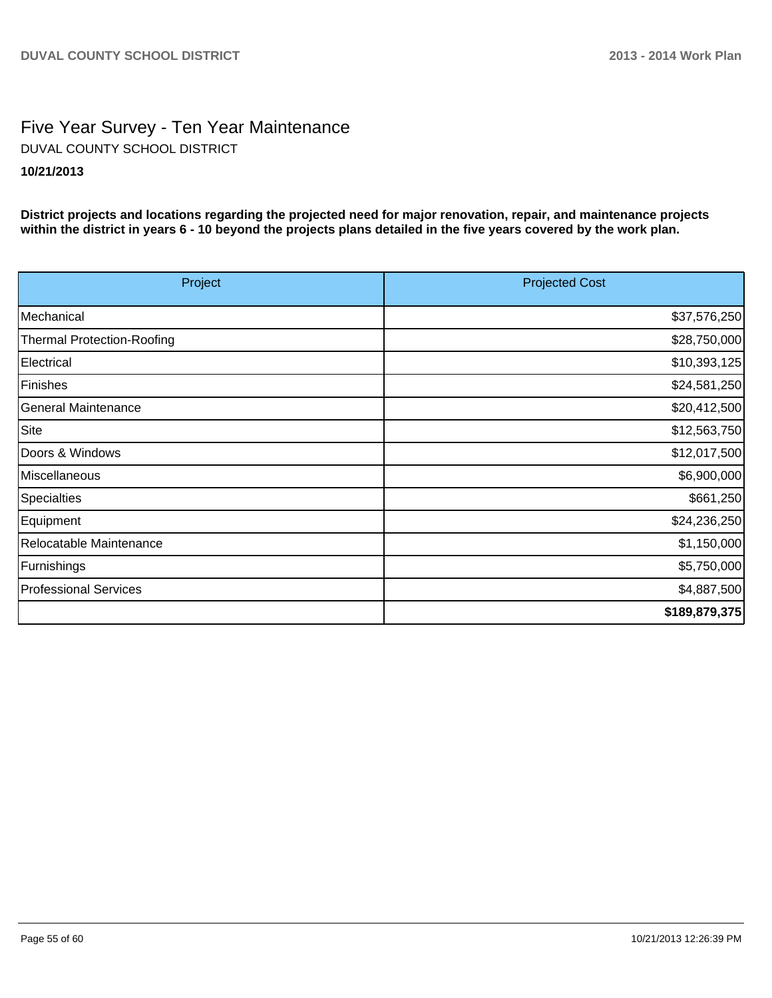## Five Year Survey - Ten Year Maintenance **10/21/2013** DUVAL COUNTY SCHOOL DISTRICT

**District projects and locations regarding the projected need for major renovation, repair, and maintenance projects within the district in years 6 - 10 beyond the projects plans detailed in the five years covered by the work plan.**

| Project                           | <b>Projected Cost</b> |
|-----------------------------------|-----------------------|
| Mechanical                        | \$37,576,250          |
| <b>Thermal Protection-Roofing</b> | \$28,750,000          |
| Electrical                        | \$10,393,125          |
| Finishes                          | \$24,581,250          |
| General Maintenance               | \$20,412,500          |
| Site                              | \$12,563,750          |
| Doors & Windows                   | \$12,017,500          |
| Miscellaneous                     | \$6,900,000           |
| Specialties                       | \$661,250             |
| Equipment                         | \$24,236,250          |
| Relocatable Maintenance           | \$1,150,000           |
| Furnishings                       | \$5,750,000           |
| Professional Services             | \$4,887,500           |
|                                   | \$189,879,375         |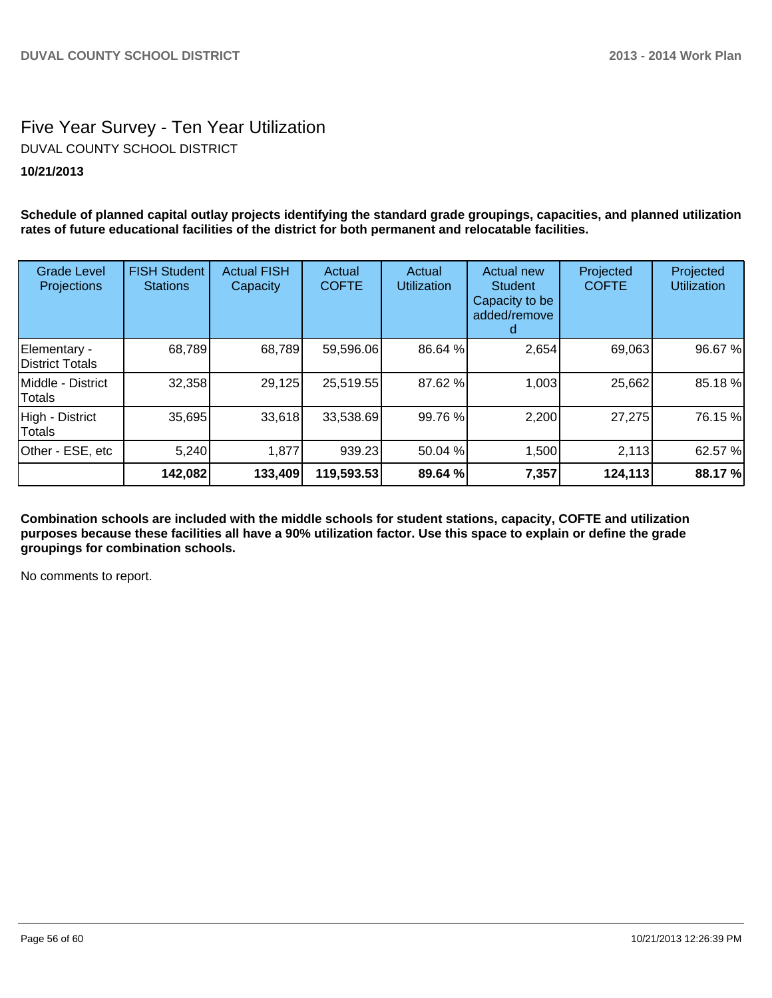# Five Year Survey - Ten Year Utilization DUVAL COUNTY SCHOOL DISTRICT

## **10/21/2013**

**Schedule of planned capital outlay projects identifying the standard grade groupings, capacities, and planned utilization rates of future educational facilities of the district for both permanent and relocatable facilities.**

| <b>Grade Level</b><br>Projections   | <b>FISH Student</b><br><b>Stations</b> | <b>Actual FISH</b><br>Capacity | Actual<br><b>COFTE</b> | Actual<br><b>Utilization</b> | Actual new<br><b>Student</b><br>Capacity to be<br>added/remove | Projected<br><b>COFTE</b> | Projected<br><b>Utilization</b> |
|-------------------------------------|----------------------------------------|--------------------------------|------------------------|------------------------------|----------------------------------------------------------------|---------------------------|---------------------------------|
| Elementary -<br>District Totals     | 68,789                                 | 68,789                         | 59,596.06              | 86.64 %                      | 2,654                                                          | 69,063                    | 96.67 %                         |
| IMiddle - District<br><b>Totals</b> | 32,358                                 | 29,125                         | 25,519.55              | 87.62 %                      | 1,003                                                          | 25,662                    | 85.18 %                         |
| High - District<br>Totals           | 35,695                                 | 33,618                         | 33,538.69              | 99.76 %                      | 2,200                                                          | 27,275                    | 76.15 %                         |
| Other - ESE, etc                    | 5,240                                  | 1,877                          | 939.23                 | 50.04 %                      | 1,500                                                          | 2,113                     | 62.57 %                         |
|                                     | 142,082                                | 133,409                        | 119,593.53             | 89.64 %                      | 7,357                                                          | 124,113                   | 88.17 %                         |

**Combination schools are included with the middle schools for student stations, capacity, COFTE and utilization purposes because these facilities all have a 90% utilization factor. Use this space to explain or define the grade groupings for combination schools.**

No comments to report.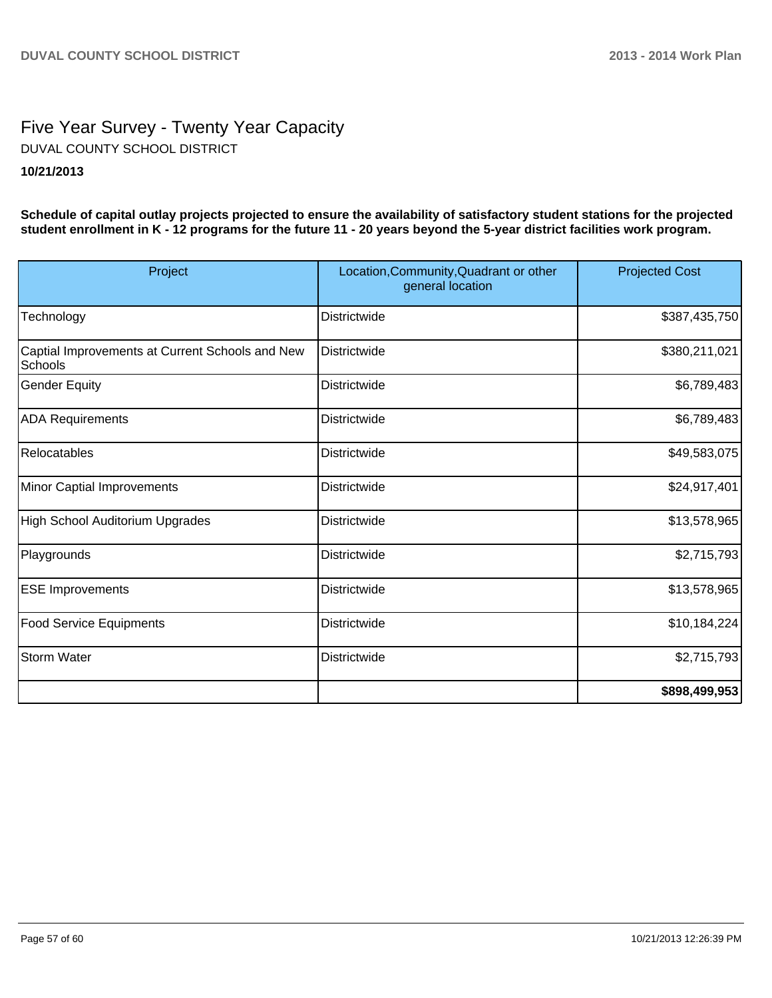## Five Year Survey - Twenty Year Capacity **10/21/2013** DUVAL COUNTY SCHOOL DISTRICT

**Schedule of capital outlay projects projected to ensure the availability of satisfactory student stations for the projected student enrollment in K - 12 programs for the future 11 - 20 years beyond the 5-year district facilities work program.**

| Project                                                    | Location, Community, Quadrant or other<br>general location | <b>Projected Cost</b> |
|------------------------------------------------------------|------------------------------------------------------------|-----------------------|
| Technology                                                 | <b>Districtwide</b>                                        | \$387,435,750         |
| Captial Improvements at Current Schools and New<br>Schools | Districtwide                                               | \$380,211,021         |
| Gender Equity                                              | <b>Districtwide</b>                                        | \$6,789,483           |
| <b>ADA Requirements</b>                                    | Districtwide                                               | \$6,789,483           |
| Relocatables                                               | <b>Districtwide</b>                                        | \$49,583,075          |
| Minor Captial Improvements                                 | <b>Districtwide</b>                                        | \$24,917,401          |
| High School Auditorium Upgrades                            | <b>Districtwide</b>                                        | \$13,578,965          |
| Playgrounds                                                | <b>Districtwide</b>                                        | \$2,715,793           |
| <b>ESE Improvements</b>                                    | <b>Districtwide</b>                                        | \$13,578,965          |
| <b>Food Service Equipments</b>                             | <b>Districtwide</b>                                        | \$10,184,224]         |
| Storm Water                                                | Districtwide                                               | \$2,715,793           |
|                                                            |                                                            | \$898,499,953         |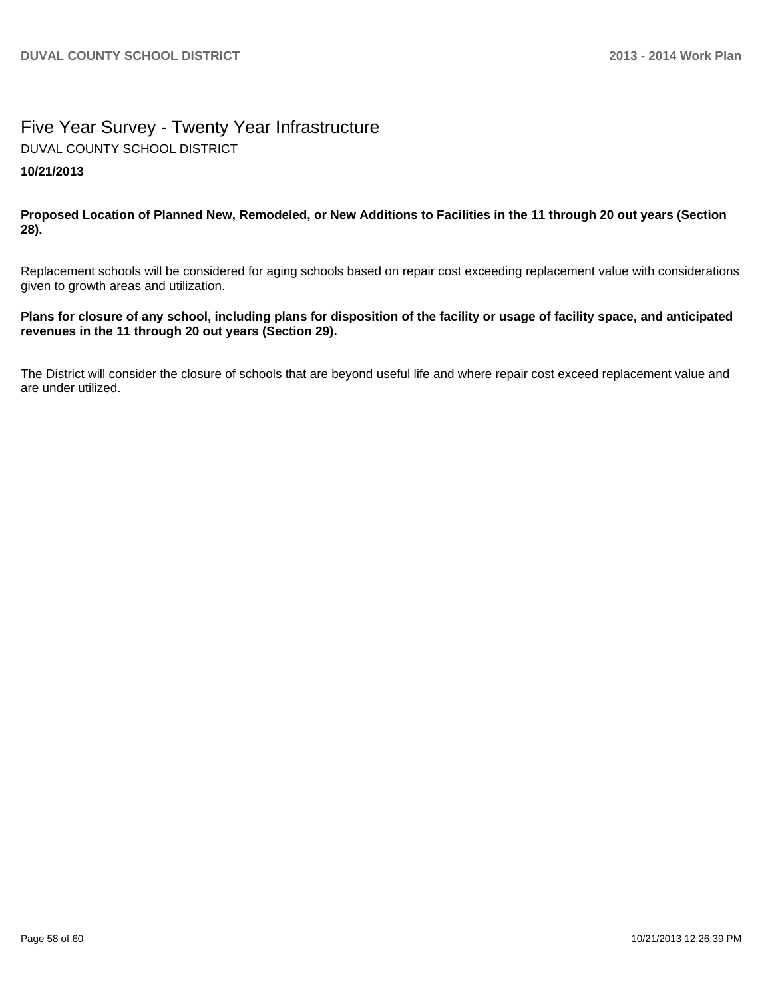## Five Year Survey - Twenty Year Infrastructure **10/21/2013** DUVAL COUNTY SCHOOL DISTRICT

**Proposed Location of Planned New, Remodeled, or New Additions to Facilities in the 11 through 20 out years (Section 28).**

Replacement schools will be considered for aging schools based on repair cost exceeding replacement value with considerations given to growth areas and utilization.

## **Plans for closure of any school, including plans for disposition of the facility or usage of facility space, and anticipated revenues in the 11 through 20 out years (Section 29).**

The District will consider the closure of schools that are beyond useful life and where repair cost exceed replacement value and are under utilized.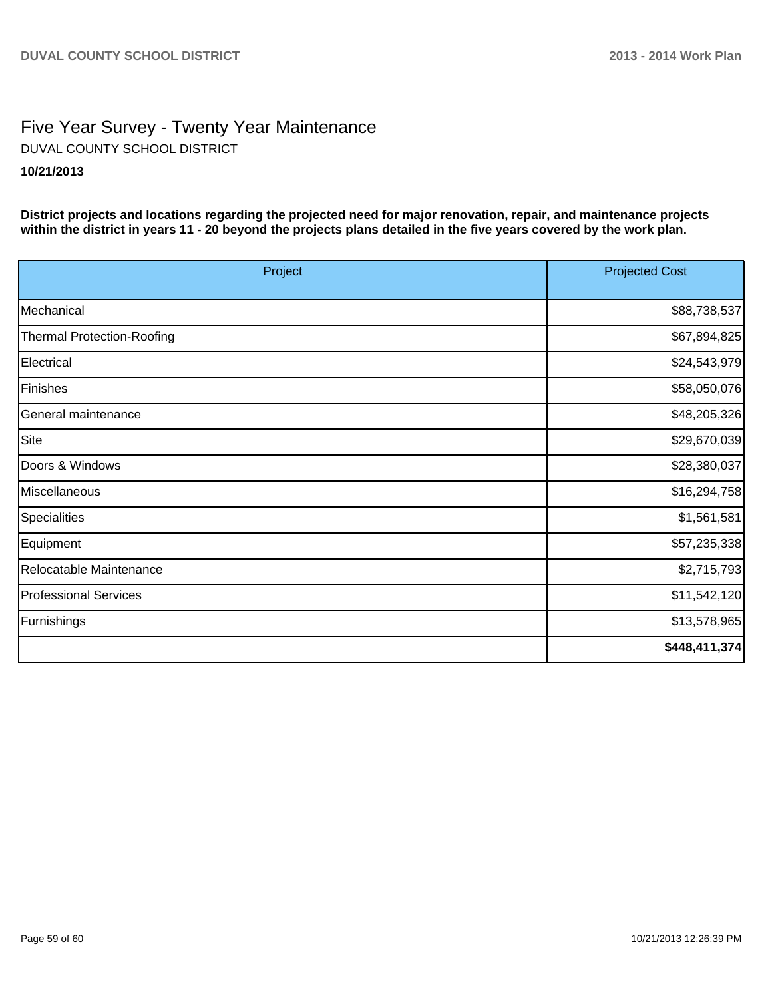## Five Year Survey - Twenty Year Maintenance **10/21/2013** DUVAL COUNTY SCHOOL DISTRICT

**District projects and locations regarding the projected need for major renovation, repair, and maintenance projects within the district in years 11 - 20 beyond the projects plans detailed in the five years covered by the work plan.**

| Project                           | <b>Projected Cost</b> |  |
|-----------------------------------|-----------------------|--|
| Mechanical                        | \$88,738,537          |  |
|                                   |                       |  |
| <b>Thermal Protection-Roofing</b> | \$67,894,825          |  |
| Electrical                        | \$24,543,979          |  |
| Finishes                          | \$58,050,076          |  |
| General maintenance               | \$48,205,326          |  |
| Site                              | \$29,670,039          |  |
| Doors & Windows                   | \$28,380,037          |  |
| Miscellaneous                     | \$16,294,758          |  |
| <b>Specialities</b>               | \$1,561,581           |  |
| Equipment                         | \$57,235,338          |  |
| Relocatable Maintenance           | \$2,715,793           |  |
| <b>Professional Services</b>      | \$11,542,120          |  |
| Furnishings                       | \$13,578,965          |  |
|                                   | \$448,411,374         |  |